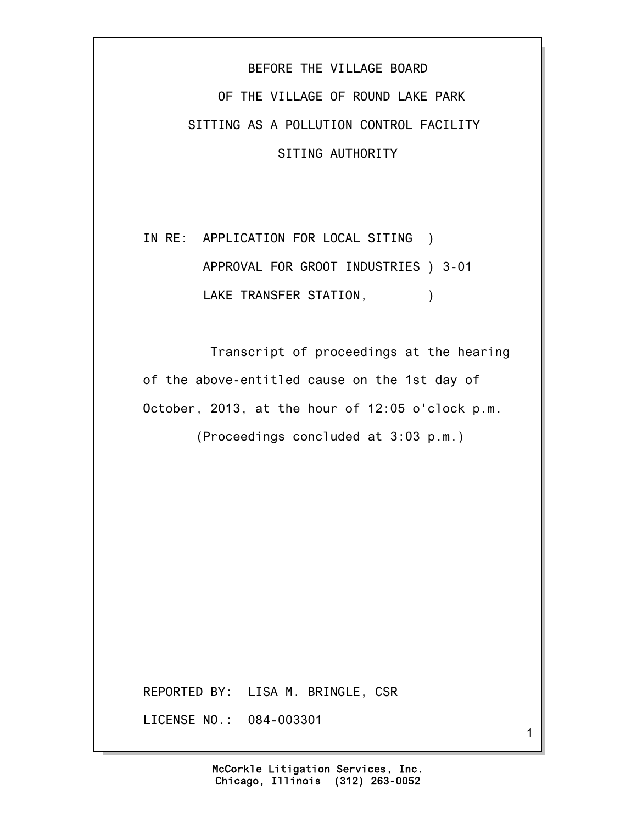## BEFORE THE VILLAGE BOARD OF THE VILLAGE OF ROUND LAKE PARK SITTING AS A POLLUTION CONTROL FACILITY SITING AUTHORITY

## IN RE: APPLICATION FOR LOCAL SITING ) APPROVAL FOR GROOT INDUSTRIES ) 3-01 LAKE TRANSFER STATION,  $)$

 Transcript of proceedings at the hearing of the above-entitled cause on the 1st day of October, 2013, at the hour of 12:05 o'clock p.m.

(Proceedings concluded at 3:03 p.m.)

REPORTED BY: LISA M. BRINGLE, CSR

LICENSE NO.: 084-003301

1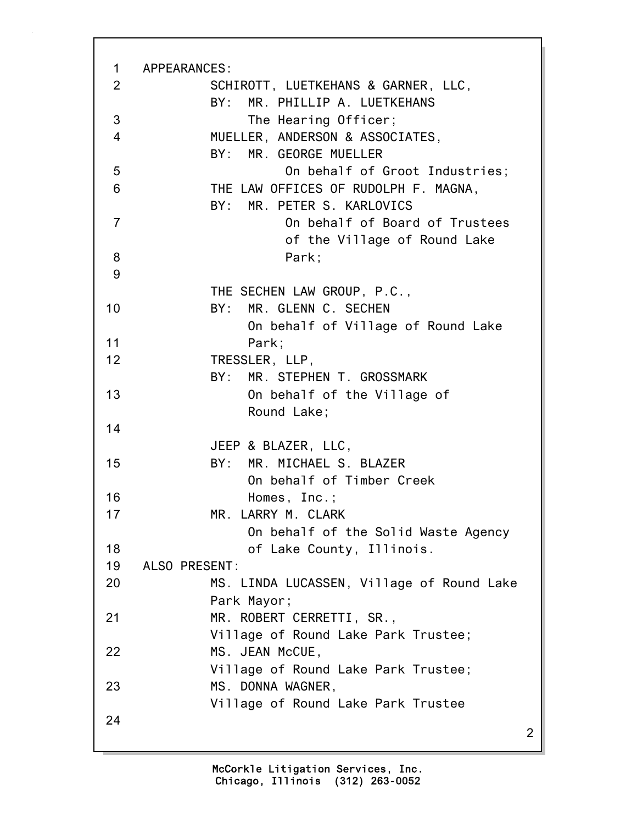| $\mathbf 1$    | APPEARANCES:                                                         |                |
|----------------|----------------------------------------------------------------------|----------------|
| $\overline{2}$ | SCHIROTT, LUETKEHANS & GARNER, LLC,<br>BY: MR. PHILLIP A. LUETKEHANS |                |
| 3              | The Hearing Officer;                                                 |                |
| $\overline{4}$ | MUELLER, ANDERSON & ASSOCIATES,                                      |                |
|                | BY: MR. GEORGE MUELLER                                               |                |
| 5              | On behalf of Groot Industries;                                       |                |
| 6              | THE LAW OFFICES OF RUDOLPH F. MAGNA,                                 |                |
|                | BY: MR. PETER S. KARLOVICS                                           |                |
| $\overline{7}$ | On behalf of Board of Trustees                                       |                |
|                | of the Village of Round Lake                                         |                |
| 8              | Park;                                                                |                |
| 9              |                                                                      |                |
|                | THE SECHEN LAW GROUP, P.C.,                                          |                |
| 10             | MR. GLENN C. SECHEN<br>BY:                                           |                |
|                | On behalf of Village of Round Lake                                   |                |
| 11             | Park;                                                                |                |
| 12             | TRESSLER, LLP,                                                       |                |
|                | BY: MR. STEPHEN T. GROSSMARK                                         |                |
| 13             | On behalf of the Village of                                          |                |
|                | Round Lake;                                                          |                |
| 14             |                                                                      |                |
|                | JEEP & BLAZER, LLC,                                                  |                |
| 15             | BY: MR. MICHAEL S. BLAZER                                            |                |
|                | On behalf of Timber Creek                                            |                |
| 16             | Homes, Inc.;                                                         |                |
| 17             | MR. LARRY M. CLARK                                                   |                |
|                | On behalf of the Solid Waste Agency                                  |                |
| 18             | of Lake County, Illinois.                                            |                |
| 19             | ALSO PRESENT:                                                        |                |
| 20             | MS. LINDA LUCASSEN, Village of Round Lake                            |                |
|                | Park Mayor;                                                          |                |
| 21             | MR. ROBERT CERRETTI, SR.,                                            |                |
|                | Village of Round Lake Park Trustee;                                  |                |
| 22             | MS. JEAN McCUE,                                                      |                |
|                | Village of Round Lake Park Trustee;                                  |                |
| 23             | MS. DONNA WAGNER,                                                    |                |
|                | Village of Round Lake Park Trustee                                   |                |
| 24             |                                                                      |                |
|                |                                                                      | $\overline{2}$ |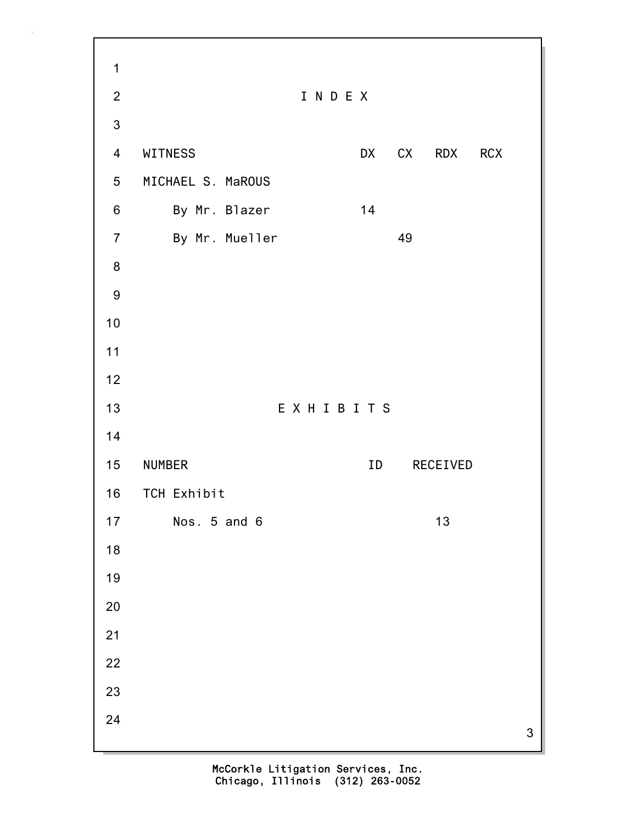3 1 2 I N D E X 3 4 WITNESS DX CX RDX RCX 5 MICHAEL S. MaROUS 6 By Mr. Blazer 14 7 By Mr. Mueller 49 8 9 10 11 12 13 E X H I B I T S 14 15 NUMBER ID RECEIVED 16 TCH Exhibit 17 Nos. 5 and 6 13 18 19 20 21 22 23 24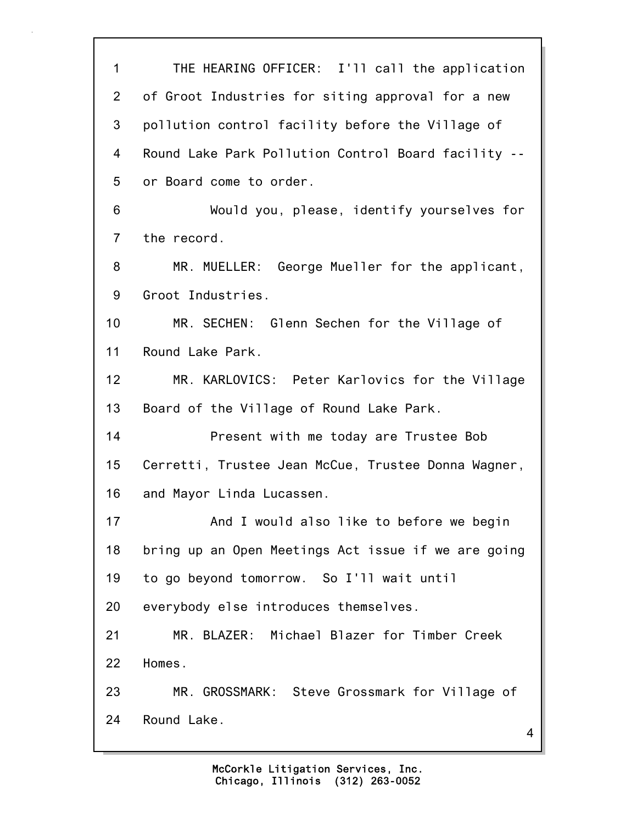4 1 THE HEARING OFFICER: I'll call the application 2 of Groot Industries for siting approval for a new 3 pollution control facility before the Village of 4 Round Lake Park Pollution Control Board facility -- 5 or Board come to order. 6 Would you, please, identify yourselves for 7 the record. 8 MR. MUELLER: George Mueller for the applicant, 9 Groot Industries. 10 MR. SECHEN: Glenn Sechen for the Village of 11 Round Lake Park. 12 MR. KARLOVICS: Peter Karlovics for the Village 13 Board of the Village of Round Lake Park. 14 Present with me today are Trustee Bob 15 Cerretti, Trustee Jean McCue, Trustee Donna Wagner, 16 and Mayor Linda Lucassen. 17 And I would also like to before we begin 18 bring up an Open Meetings Act issue if we are going 19 to go beyond tomorrow. So I'll wait until 20 everybody else introduces themselves. 21 MR. BLAZER: Michael Blazer for Timber Creek 22 Homes. 23 MR. GROSSMARK: Steve Grossmark for Village of 24 Round Lake.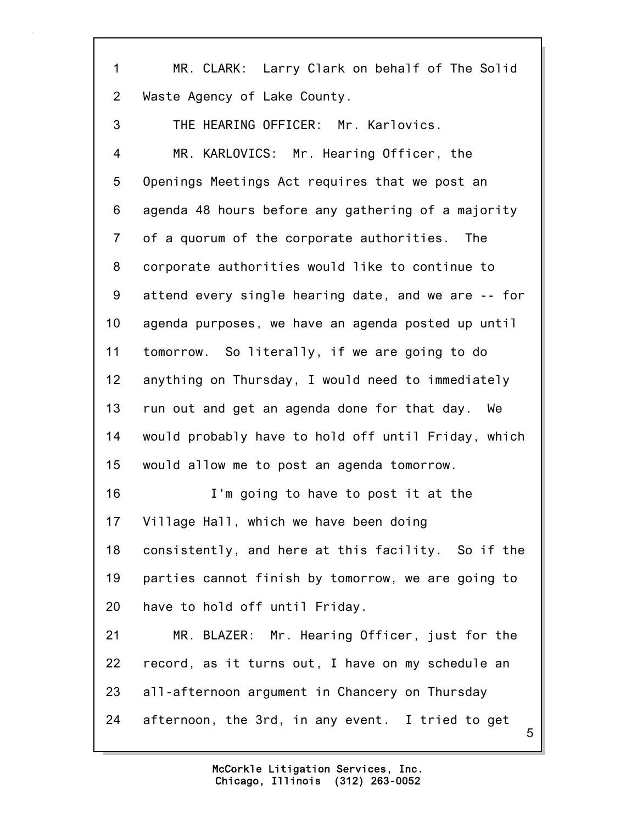5 1 MR. CLARK: Larry Clark on behalf of The Solid 2 Waste Agency of Lake County. 3 THE HEARING OFFICER: Mr. Karlovics. 4 MR. KARLOVICS: Mr. Hearing Officer, the 5 Openings Meetings Act requires that we post an 6 agenda 48 hours before any gathering of a majority 7 of a quorum of the corporate authorities. The 8 corporate authorities would like to continue to 9 attend every single hearing date, and we are -- for 10 agenda purposes, we have an agenda posted up until 11 tomorrow. So literally, if we are going to do 12 anything on Thursday, I would need to immediately 13 run out and get an agenda done for that day. We 14 would probably have to hold off until Friday, which 15 would allow me to post an agenda tomorrow. 16 I'm going to have to post it at the 17 Village Hall, which we have been doing 18 consistently, and here at this facility. So if the 19 parties cannot finish by tomorrow, we are going to 20 have to hold off until Friday. 21 MR. BLAZER: Mr. Hearing Officer, just for the 22 record, as it turns out, I have on my schedule an 23 all-afternoon argument in Chancery on Thursday 24 afternoon, the 3rd, in any event. I tried to get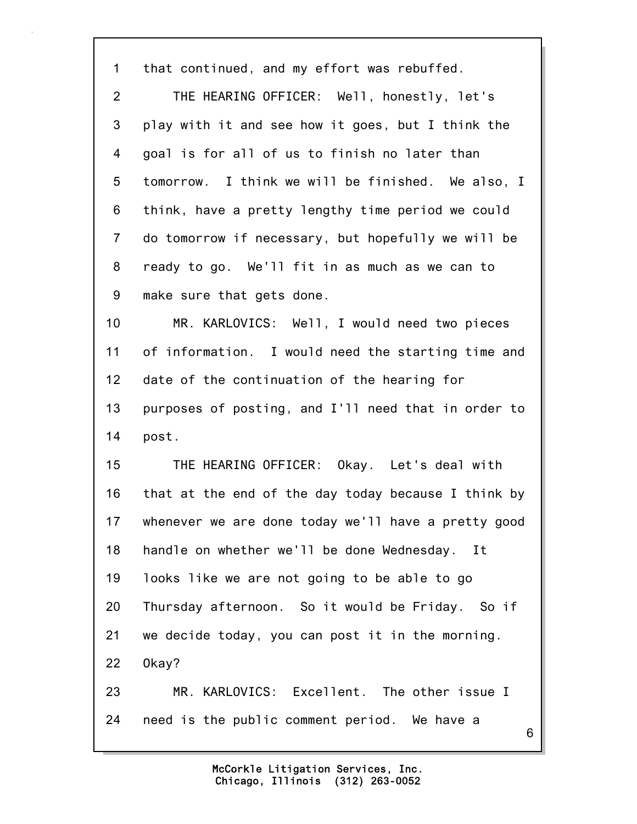| $\mathbf 1$    | that continued, and my effort was rebuffed.         |
|----------------|-----------------------------------------------------|
| $\overline{2}$ | THE HEARING OFFICER: Well, honestly, let's          |
| 3              | play with it and see how it goes, but I think the   |
| 4              | goal is for all of us to finish no later than       |
| 5              | tomorrow. I think we will be finished. We also, I   |
| 6              | think, have a pretty lengthy time period we could   |
| $\overline{7}$ | do tomorrow if necessary, but hopefully we will be  |
| 8              | ready to go. We'll fit in as much as we can to      |
| 9              | make sure that gets done.                           |
| 10             | MR. KARLOVICS: Well, I would need two pieces        |
| 11             | of information. I would need the starting time and  |
| 12             | date of the continuation of the hearing for         |
| 13             | purposes of posting, and I'll need that in order to |
| 14             | post.                                               |
| 15             | THE HEARING OFFICER: Okay. Let's deal with          |
| 16             | that at the end of the day today because I think by |
| 17             | whenever we are done today we'll have a pretty good |
| 18             | handle on whether we'll be done Wednesday.<br>It    |
| 19             | looks like we are not going to be able to go        |
| 20             | Thursday afternoon. So it would be Friday. So if    |
| 21             | we decide today, you can post it in the morning.    |
| 22             | Okay?                                               |
| 23             | MR. KARLOVICS: Excellent. The other issue I         |
| 24             | need is the public comment period. We have a<br>6   |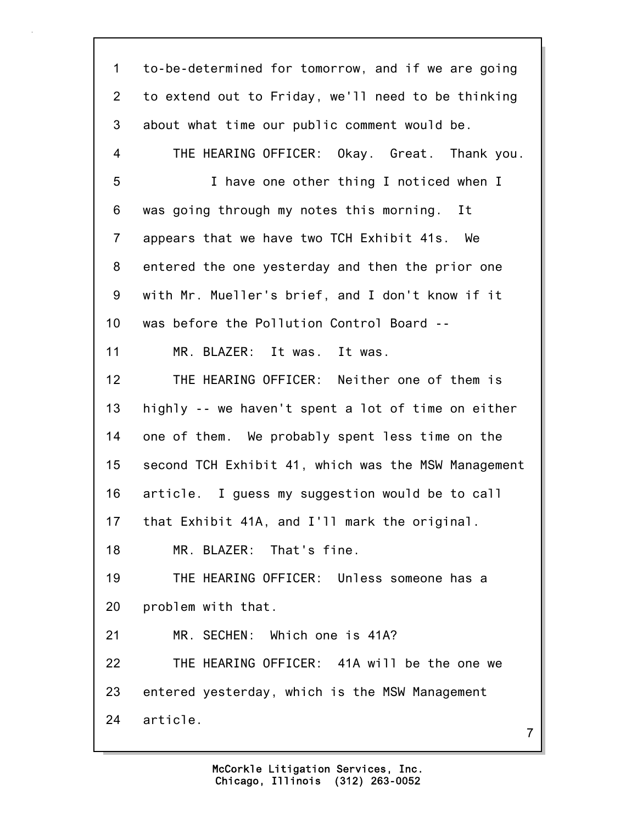| $\mathbf 1$    | to-be-determined for tomorrow, and if we are going  |
|----------------|-----------------------------------------------------|
| $\overline{2}$ | to extend out to Friday, we'll need to be thinking  |
| 3              | about what time our public comment would be.        |
| 4              | THE HEARING OFFICER: Okay. Great. Thank you.        |
| 5              | I have one other thing I noticed when I             |
| 6              | was going through my notes this morning. It         |
| $\overline{7}$ | appears that we have two TCH Exhibit 41s.<br>We     |
| 8              | entered the one yesterday and then the prior one    |
| 9              | with Mr. Mueller's brief, and I don't know if it    |
| 10             | was before the Pollution Control Board --           |
| 11             | MR. BLAZER: It was. It was.                         |
| 12             | THE HEARING OFFICER: Neither one of them is         |
| 13             | highly -- we haven't spent a lot of time on either  |
| 14             | one of them. We probably spent less time on the     |
| 15             | second TCH Exhibit 41, which was the MSW Management |
| 16             | article. I guess my suggestion would be to call     |
| 17             | that Exhibit 41A, and I'll mark the original.       |
| 18             | MR. BLAZER: That's fine.                            |
| 19             | THE HEARING OFFICER: Unless someone has a           |
| 20             | problem with that.                                  |
| 21             | MR. SECHEN: Which one is 41A?                       |
| 22             | THE HEARING OFFICER: 41A will be the one we         |
| 23             | entered yesterday, which is the MSW Management      |
| 24             | article.<br>$\overline{7}$                          |
|                |                                                     |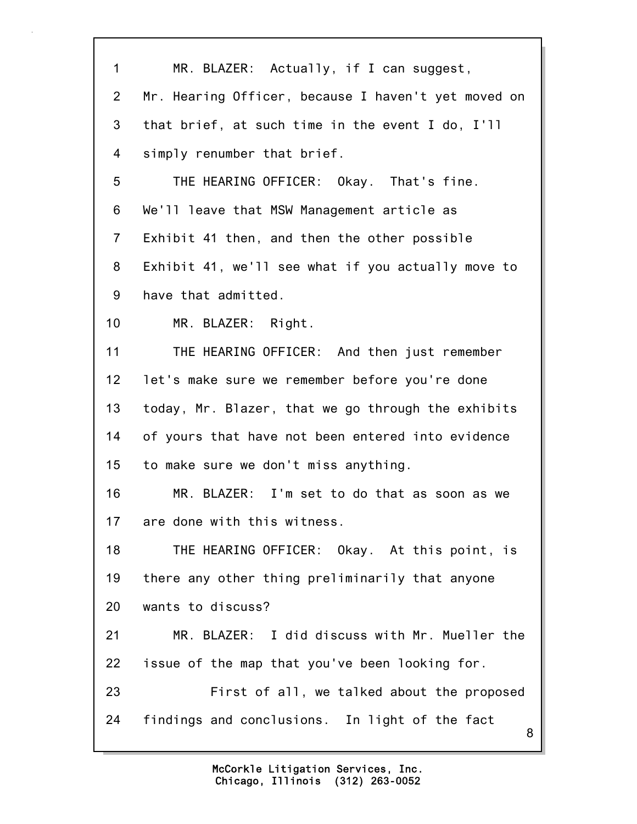| 1               | MR. BLAZER: Actually, if I can suggest,             |
|-----------------|-----------------------------------------------------|
| $\overline{2}$  | Mr. Hearing Officer, because I haven't yet moved on |
| 3               | that brief, at such time in the event I do, I'll    |
| 4               | simply renumber that brief.                         |
| 5               | THE HEARING OFFICER: Okay. That's fine.             |
| 6               | We'll leave that MSW Management article as          |
| $\overline{7}$  | Exhibit 41 then, and then the other possible        |
| 8               | Exhibit 41, we'll see what if you actually move to  |
| 9               | have that admitted.                                 |
| 10              | MR. BLAZER: Right.                                  |
| 11              | THE HEARING OFFICER: And then just remember         |
| 12 <sub>2</sub> | let's make sure we remember before you're done      |
| 13 <sup>°</sup> | today, Mr. Blazer, that we go through the exhibits  |
| 14              | of yours that have not been entered into evidence   |
| 15              | to make sure we don't miss anything.                |
| 16              | MR. BLAZER: I'm set to do that as soon as we        |
| 17              | are done with this witness.                         |
| 18              | THE HEARING OFFICER: Okay. At this point, is        |
| 19              | there any other thing preliminarily that anyone     |
| 20              | wants to discuss?                                   |
| 21              | MR. BLAZER: I did discuss with Mr. Mueller the      |
| 22              | issue of the map that you've been looking for.      |
| 23              | First of all, we talked about the proposed          |
| 24              | findings and conclusions. In light of the fact<br>8 |
|                 |                                                     |

٦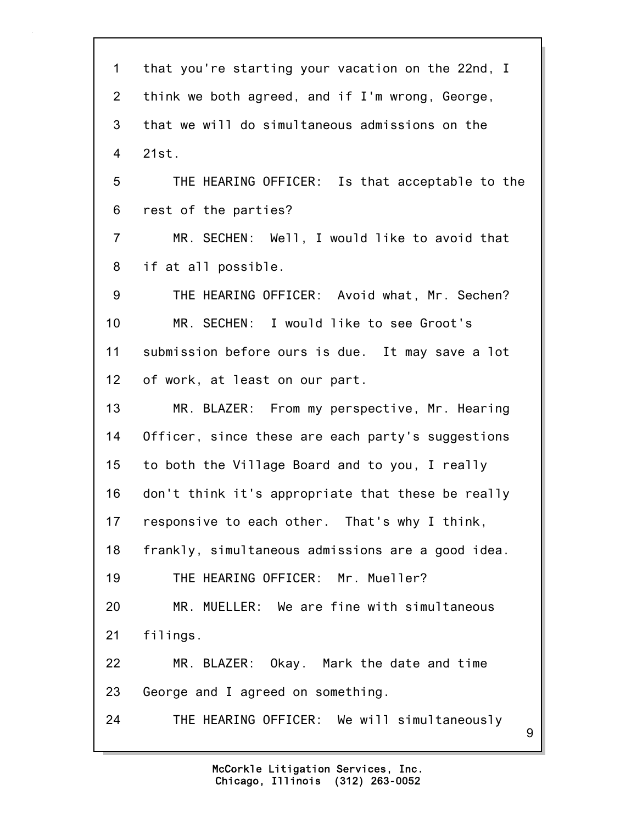| $\mathbf 1$    | that you're starting your vacation on the 22nd, I |
|----------------|---------------------------------------------------|
| $\overline{2}$ | think we both agreed, and if I'm wrong, George,   |
| 3              | that we will do simultaneous admissions on the    |
| 4              | 21st.                                             |
| 5              | THE HEARING OFFICER: Is that acceptable to the    |
| 6              | rest of the parties?                              |
| $\overline{7}$ | MR. SECHEN: Well, I would like to avoid that      |
| 8              | if at all possible.                               |
| 9              | THE HEARING OFFICER: Avoid what, Mr. Sechen?      |
| 10             | MR. SECHEN: I would like to see Groot's           |
| 11             | submission before ours is due. It may save a lot  |
| 12             | of work, at least on our part.                    |
| 13             | MR. BLAZER: From my perspective, Mr. Hearing      |
| 14             | Officer, since these are each party's suggestions |
| 15             | to both the Village Board and to you, I really    |
| 16             | don't think it's appropriate that these be really |
| 17             | responsive to each other. That's why I think,     |
| 18             | frankly, simultaneous admissions are a good idea. |
| 19             | THE HEARING OFFICER: Mr. Mueller?                 |
| 20             | MR. MUELLER: We are fine with simultaneous        |
| 21             | filings.                                          |
| 22             | MR. BLAZER: Okay. Mark the date and time          |
| 23             | George and I agreed on something.                 |
| 24             | THE HEARING OFFICER: We will simultaneously<br>9  |
|                |                                                   |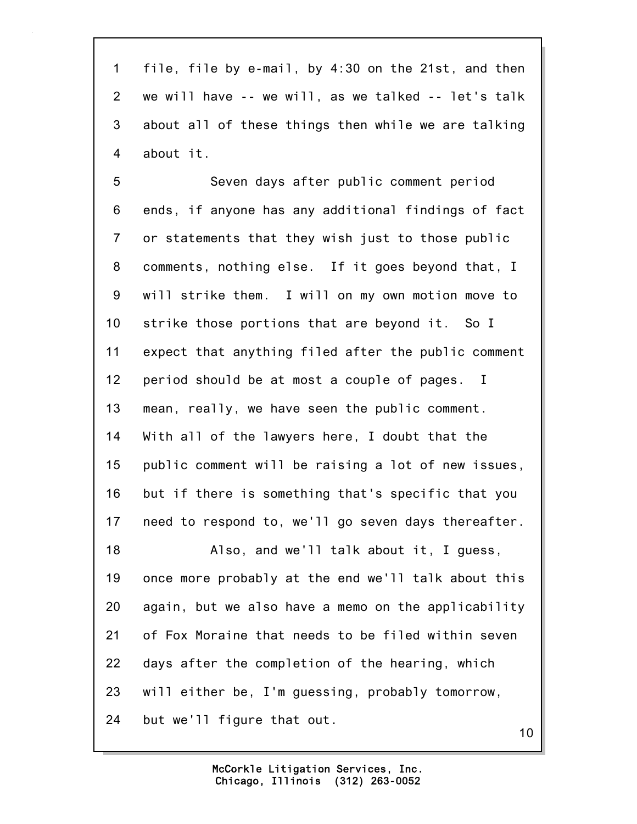1 file, file by e-mail, by 4:30 on the 21st, and then 2 we will have -- we will, as we talked -- let's talk 3 about all of these things then while we are talking 4 about it.

5 Seven days after public comment period 6 ends, if anyone has any additional findings of fact 7 or statements that they wish just to those public 8 comments, nothing else. If it goes beyond that, I 9 will strike them. I will on my own motion move to 10 strike those portions that are beyond it. So I 11 expect that anything filed after the public comment 12 period should be at most a couple of pages. I 13 mean, really, we have seen the public comment. 14 With all of the lawyers here, I doubt that the 15 public comment will be raising a lot of new issues, 16 but if there is something that's specific that you 17 need to respond to, we'll go seven days thereafter. 18 Also, and we'll talk about it, I guess, 19 once more probably at the end we'll talk about this 20 again, but we also have a memo on the applicability 21 of Fox Moraine that needs to be filed within seven 22 days after the completion of the hearing, which 23 will either be, I'm guessing, probably tomorrow, 24 but we'll figure that out.

10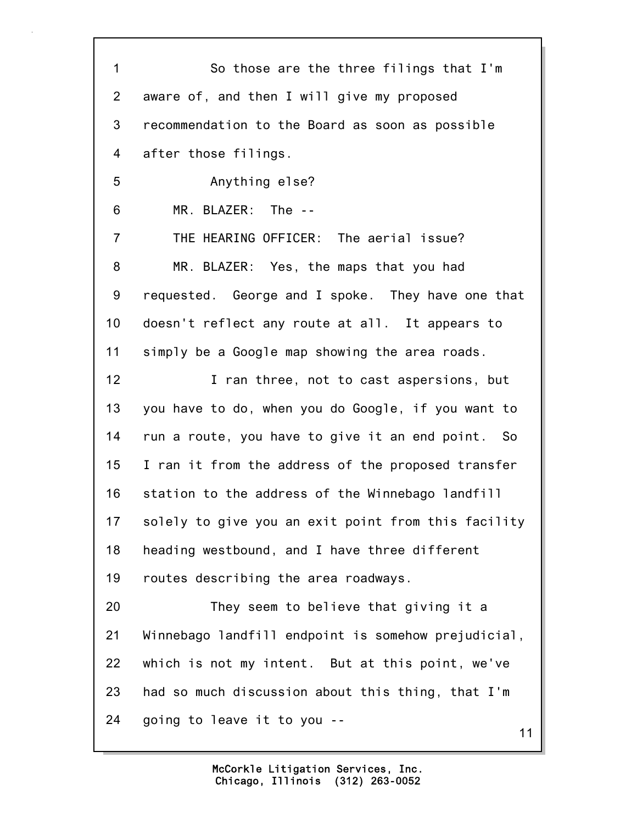| $\mathbf 1$    | So those are the three filings that I'm             |
|----------------|-----------------------------------------------------|
| 2              | aware of, and then I will give my proposed          |
| 3              | recommendation to the Board as soon as possible     |
| 4              | after those filings.                                |
| 5              | Anything else?                                      |
| 6              | MR. BLAZER: The --                                  |
| $\overline{7}$ | THE HEARING OFFICER: The aerial issue?              |
| 8              | MR. BLAZER: Yes, the maps that you had              |
| 9              | requested. George and I spoke. They have one that   |
| 10             | doesn't reflect any route at all. It appears to     |
| 11             | simply be a Google map showing the area roads.      |
| 12             | I ran three, not to cast aspersions, but            |
| 13             | you have to do, when you do Google, if you want to  |
| 14             | run a route, you have to give it an end point. So   |
| 15             | I ran it from the address of the proposed transfer  |
| 16             | station to the address of the Winnebago landfill    |
| 17             | solely to give you an exit point from this facility |
| 18             | heading westbound, and I have three different       |
| 19             | routes describing the area roadways.                |
| 20             | They seem to believe that giving it a               |
| 21             | Winnebago landfill endpoint is somehow prejudicial, |
| 22             | which is not my intent. But at this point, we've    |
| 23             | had so much discussion about this thing, that I'm   |
| 24             | going to leave it to you --<br>11                   |
|                |                                                     |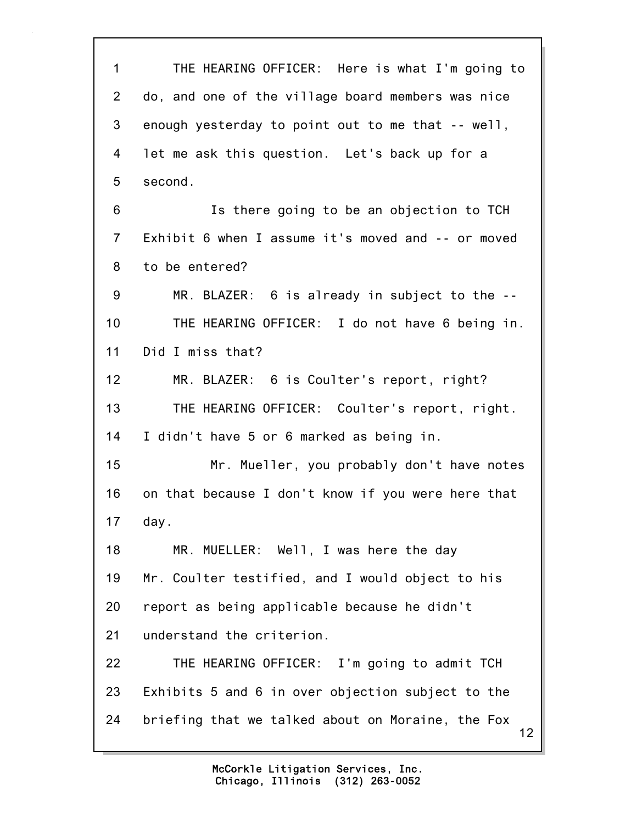12 1 THE HEARING OFFICER: Here is what I'm going to 2 do, and one of the village board members was nice 3 enough yesterday to point out to me that -- well, 4 let me ask this question. Let's back up for a 5 second. 6 Is there going to be an objection to TCH 7 Exhibit 6 when I assume it's moved and -- or moved 8 to be entered? 9 MR. BLAZER: 6 is already in subject to the -- 10 THE HEARING OFFICER: I do not have 6 being in. 11 Did I miss that? 12 MR. BLAZER: 6 is Coulter's report, right? 13 THE HEARING OFFICER: Coulter's report, right. 14 I didn't have 5 or 6 marked as being in. 15 Mr. Mueller, you probably don't have notes 16 on that because I don't know if you were here that 17 day. 18 MR. MUELLER: Well, I was here the day 19 Mr. Coulter testified, and I would object to his 20 report as being applicable because he didn't 21 understand the criterion. 22 THE HEARING OFFICER: I'm going to admit TCH 23 Exhibits 5 and 6 in over objection subject to the 24 briefing that we talked about on Moraine, the Fox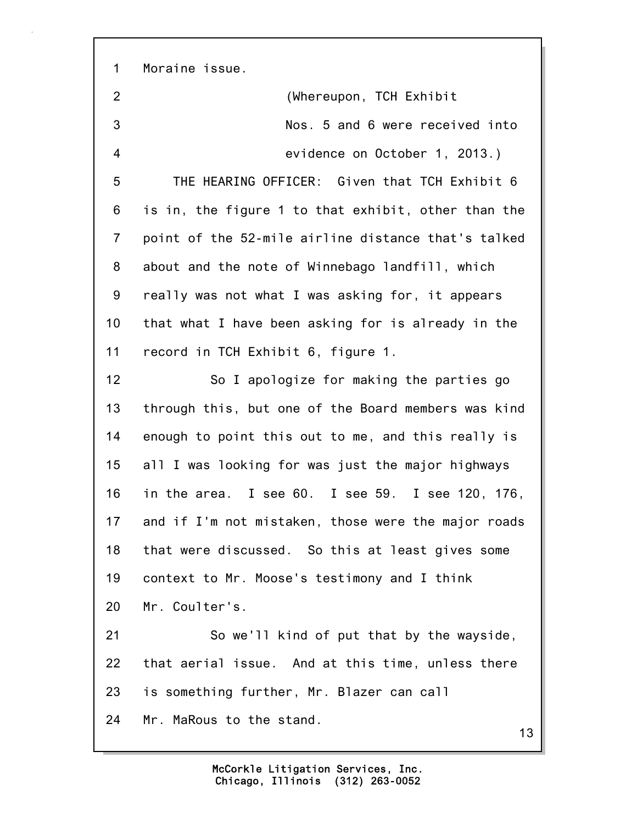1 Moraine issue.

2 (Whereupon, TCH Exhibit 3 Nos. 5 and 6 were received into 4 evidence on October 1, 2013.) 5 THE HEARING OFFICER: Given that TCH Exhibit 6 6 is in, the figure 1 to that exhibit, other than the 7 point of the 52-mile airline distance that's talked 8 about and the note of Winnebago landfill, which 9 really was not what I was asking for, it appears 10 that what I have been asking for is already in the 11 record in TCH Exhibit 6, figure 1. 12 So I apologize for making the parties go 13 through this, but one of the Board members was kind 14 enough to point this out to me, and this really is 15 all I was looking for was just the major highways 16 in the area. I see 60. I see 59. I see 120, 176, 17 and if I'm not mistaken, those were the major roads 18 that were discussed. So this at least gives some 19 context to Mr. Moose's testimony and I think 20 Mr. Coulter's. 21 So we'll kind of put that by the wayside, 22 that aerial issue. And at this time, unless there 23 is something further, Mr. Blazer can call 24 Mr. MaRous to the stand.

13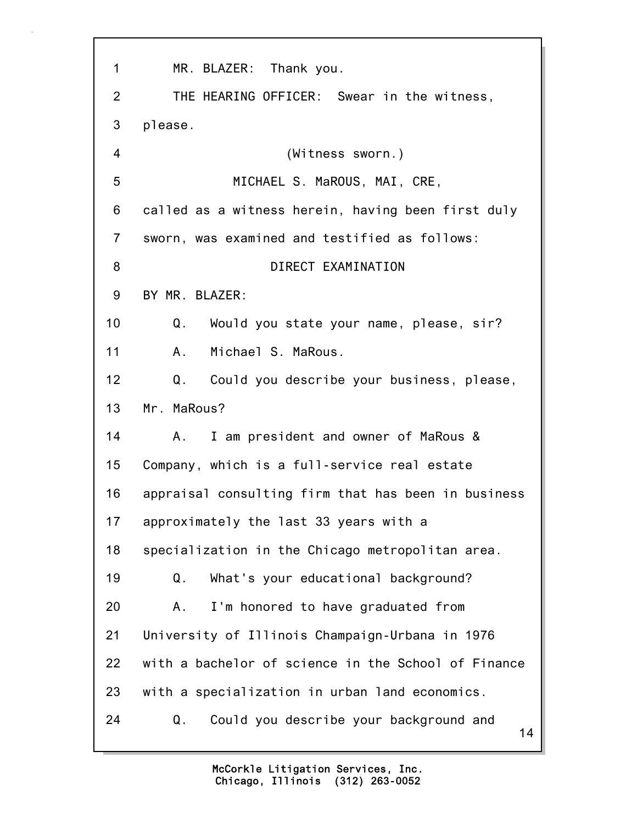14 1 MR. BLAZER: Thank you. 2 THE HEARING OFFICER: Swear in the witness, 3 please. 4 (Witness sworn.) 5 MICHAEL S. MaROUS, MAI, CRE, 6 called as a witness herein, having been first duly 7 sworn, was examined and testified as follows: 8 DIRECT EXAMINATION 9 BY MR. BLAZER: 10 Q. Would you state your name, please, sir? 11 A. Michael S. MaRous. 12 Q. Could you describe your business, please, 13 Mr. MaRous? 14 A. I am president and owner of MaRous & 15 Company, which is a full-service real estate 16 appraisal consulting firm that has been in business 17 approximately the last 33 years with a 18 specialization in the Chicago metropolitan area. 19 Q. What's your educational background? 20 A. I'm honored to have graduated from 21 University of Illinois Champaign-Urbana in 1976 22 with a bachelor of science in the School of Finance 23 with a specialization in urban land economics. 24 Q. Could you describe your background and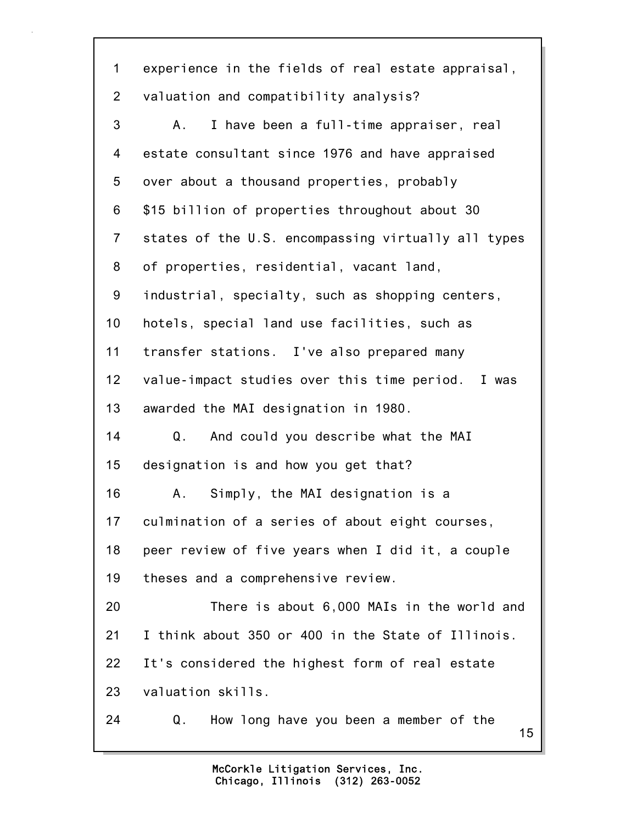15 1 experience in the fields of real estate appraisal, 2 valuation and compatibility analysis? 3 A. I have been a full-time appraiser, real 4 estate consultant since 1976 and have appraised 5 over about a thousand properties, probably 6 \$15 billion of properties throughout about 30 7 states of the U.S. encompassing virtually all types 8 of properties, residential, vacant land, 9 industrial, specialty, such as shopping centers, 10 hotels, special land use facilities, such as 11 transfer stations. I've also prepared many 12 value-impact studies over this time period. I was 13 awarded the MAI designation in 1980. 14 Q. And could you describe what the MAI 15 designation is and how you get that? 16 A. Simply, the MAI designation is a 17 culmination of a series of about eight courses, 18 peer review of five years when I did it, a couple 19 theses and a comprehensive review. 20 There is about 6,000 MAIs in the world and 21 I think about 350 or 400 in the State of Illinois. 22 It's considered the highest form of real estate 23 valuation skills. 24 Q. How long have you been a member of the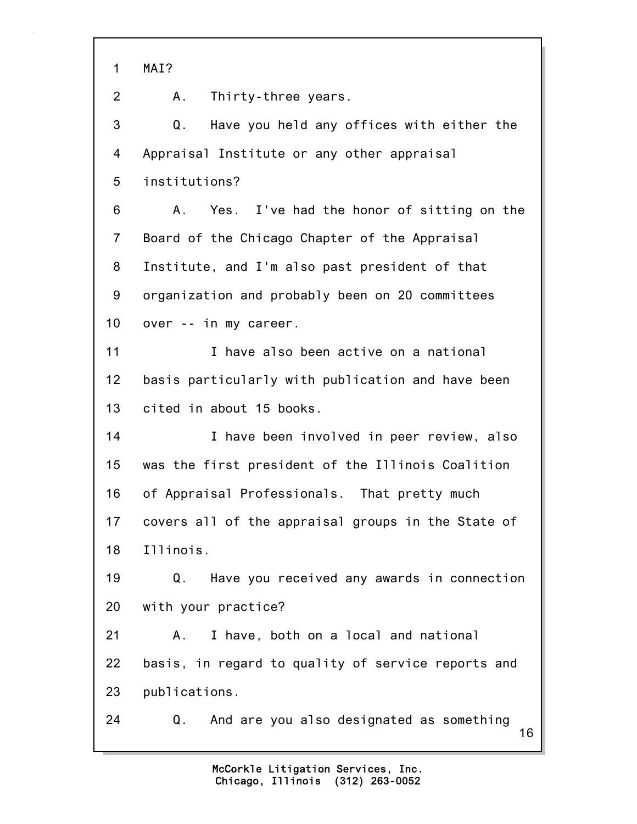1 MAI?

2 A. Thirty-three years.

3 Q. Have you held any offices with either the 4 Appraisal Institute or any other appraisal 5 institutions?

6 A. Yes. I've had the honor of sitting on the 7 Board of the Chicago Chapter of the Appraisal 8 Institute, and I'm also past president of that 9 organization and probably been on 20 committees 10 over -- in my career.

11 I have also been active on a national 12 basis particularly with publication and have been 13 cited in about 15 books.

14 I have been involved in peer review, also 15 was the first president of the Illinois Coalition 16 of Appraisal Professionals. That pretty much 17 covers all of the appraisal groups in the State of 18 Illinois.

19 Q. Have you received any awards in connection 20 with your practice?

21 A. I have, both on a local and national 22 basis, in regard to quality of service reports and 23 publications.

16 24 Q. And are you also designated as something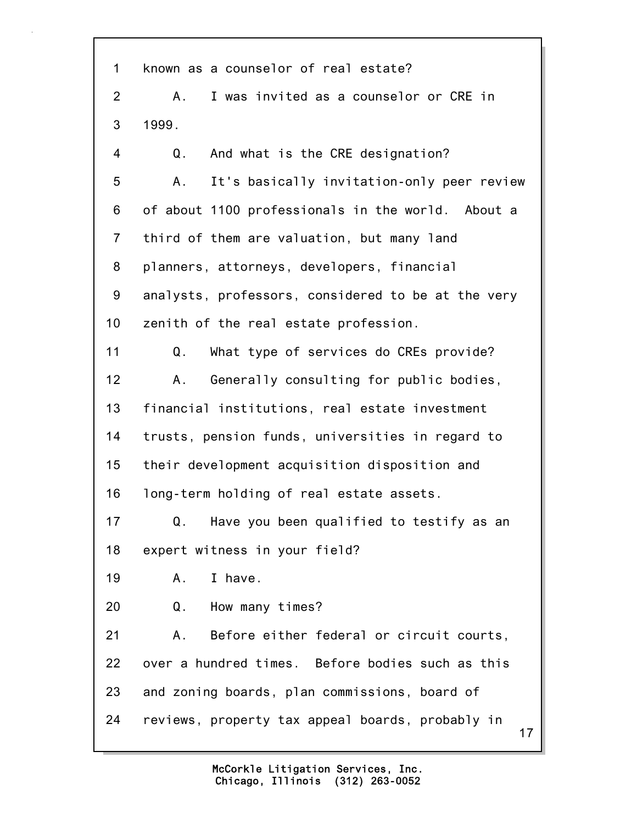17 1 known as a counselor of real estate? 2 A. I was invited as a counselor or CRE in 3 1999. 4 Q. And what is the CRE designation? 5 A. It's basically invitation-only peer review 6 of about 1100 professionals in the world. About a 7 third of them are valuation, but many land 8 planners, attorneys, developers, financial 9 analysts, professors, considered to be at the very 10 zenith of the real estate profession. 11 Q. What type of services do CREs provide? 12 A. Generally consulting for public bodies, 13 financial institutions, real estate investment 14 trusts, pension funds, universities in regard to 15 their development acquisition disposition and 16 long-term holding of real estate assets. 17 Q. Have you been qualified to testify as an 18 expert witness in your field? 19 A. I have. 20 Q. How many times? 21 A. Before either federal or circuit courts, 22 over a hundred times. Before bodies such as this 23 and zoning boards, plan commissions, board of 24 reviews, property tax appeal boards, probably in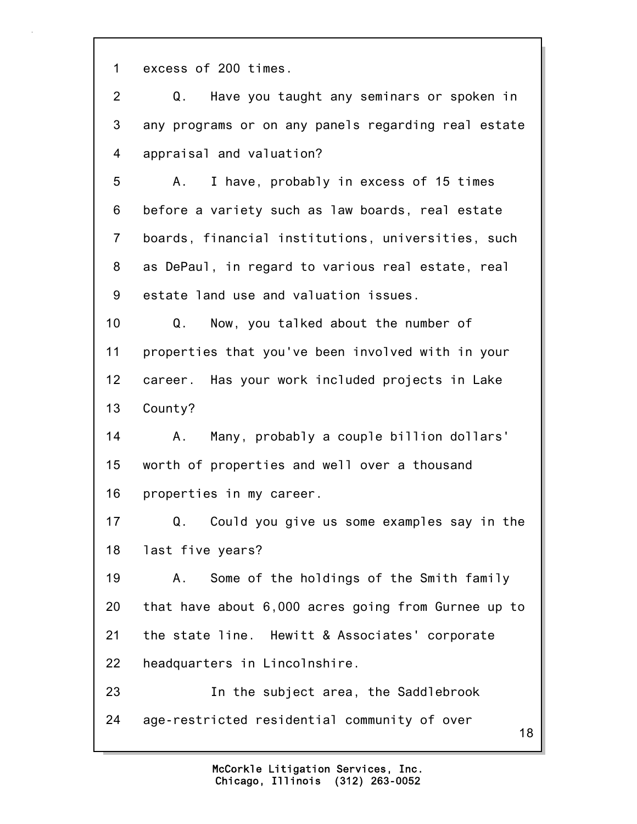1 excess of 200 times.

18 2 Q. Have you taught any seminars or spoken in 3 any programs or on any panels regarding real estate 4 appraisal and valuation? 5 A. I have, probably in excess of 15 times 6 before a variety such as law boards, real estate 7 boards, financial institutions, universities, such 8 as DePaul, in regard to various real estate, real 9 estate land use and valuation issues. 10 Q. Now, you talked about the number of 11 properties that you've been involved with in your 12 career. Has your work included projects in Lake 13 County? 14 A. Many, probably a couple billion dollars' 15 worth of properties and well over a thousand 16 properties in my career. 17 Q. Could you give us some examples say in the 18 last five years? 19 A. Some of the holdings of the Smith family 20 that have about 6,000 acres going from Gurnee up to 21 the state line. Hewitt & Associates' corporate 22 headquarters in Lincolnshire. 23 In the subject area, the Saddlebrook 24 age-restricted residential community of over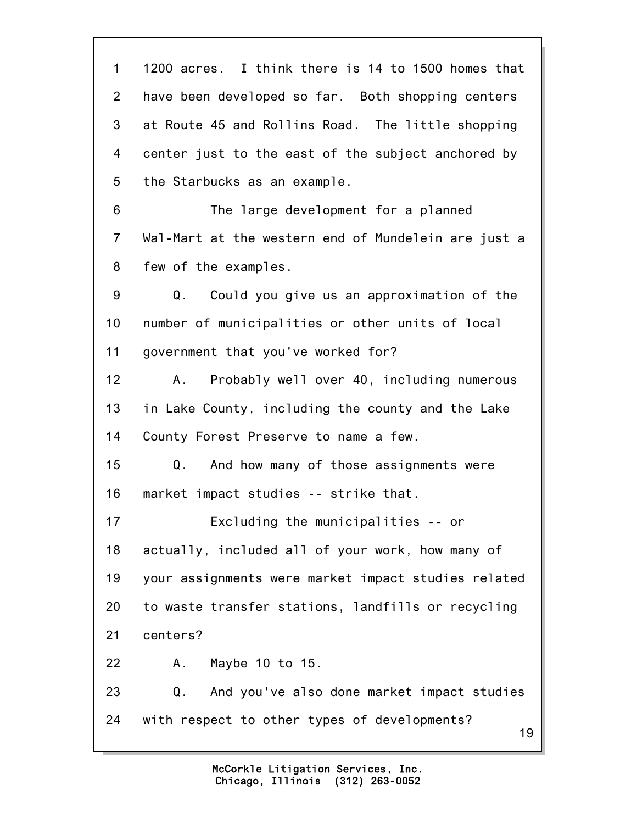19 1 1200 acres. I think there is 14 to 1500 homes that 2 have been developed so far. Both shopping centers 3 at Route 45 and Rollins Road. The little shopping 4 center just to the east of the subject anchored by 5 the Starbucks as an example. 6 The large development for a planned 7 Wal-Mart at the western end of Mundelein are just a 8 few of the examples. 9 Q. Could you give us an approximation of the 10 number of municipalities or other units of local 11 government that you've worked for? 12 A. Probably well over 40, including numerous 13 in Lake County, including the county and the Lake 14 County Forest Preserve to name a few. 15 Q. And how many of those assignments were 16 market impact studies -- strike that. 17 Excluding the municipalities -- or 18 actually, included all of your work, how many of 19 your assignments were market impact studies related 20 to waste transfer stations, landfills or recycling 21 centers? 22 A. Maybe 10 to 15. 23 Q. And you've also done market impact studies 24 with respect to other types of developments?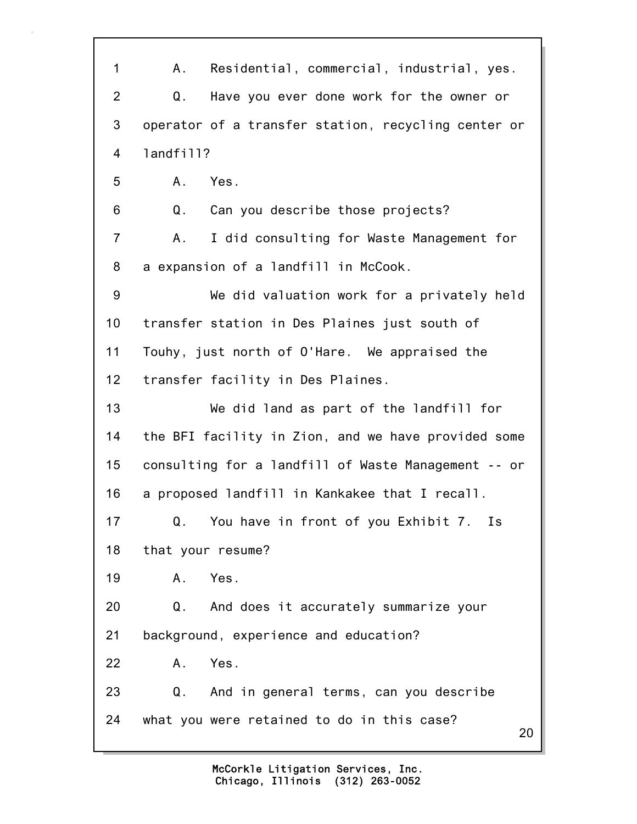20 1 A. Residential, commercial, industrial, yes. 2 Q. Have you ever done work for the owner or 3 operator of a transfer station, recycling center or 4 landfill? 5 A. Yes. 6 Q. Can you describe those projects? 7 A. I did consulting for Waste Management for 8 a expansion of a landfill in McCook. 9 We did valuation work for a privately held 10 transfer station in Des Plaines just south of 11 Touhy, just north of O'Hare. We appraised the 12 transfer facility in Des Plaines. 13 We did land as part of the landfill for 14 the BFI facility in Zion, and we have provided some 15 consulting for a landfill of Waste Management -- or 16 a proposed landfill in Kankakee that I recall. 17 Q. You have in front of you Exhibit 7. Is 18 that your resume? 19 A. Yes. 20 Q. And does it accurately summarize your 21 background, experience and education? 22 A. Yes. 23 Q. And in general terms, can you describe 24 what you were retained to do in this case?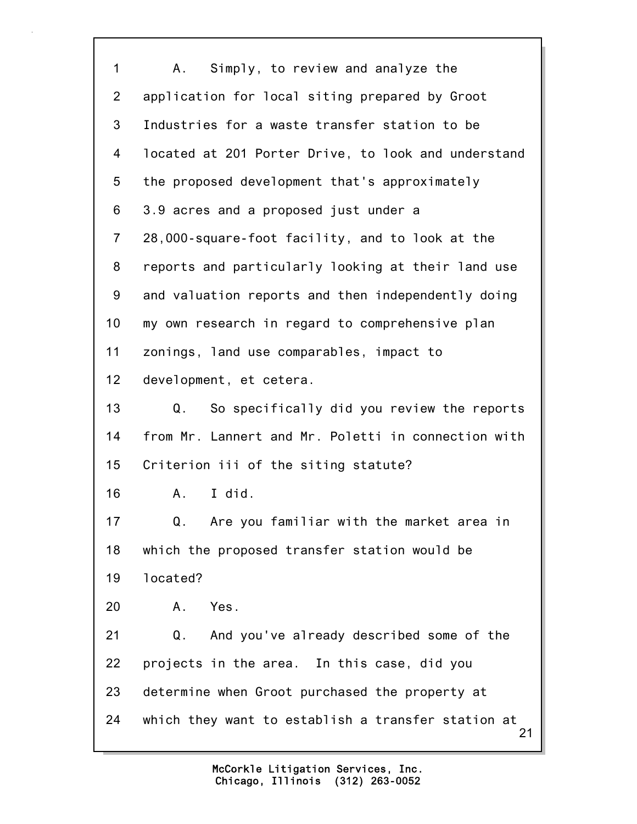| 1               | Simply, to review and analyze the<br>A.                  |
|-----------------|----------------------------------------------------------|
| $\overline{2}$  | application for local siting prepared by Groot           |
| 3               | Industries for a waste transfer station to be            |
| 4               | located at 201 Porter Drive, to look and understand      |
| 5               | the proposed development that's approximately            |
| 6               | 3.9 acres and a proposed just under a                    |
| $\overline{7}$  | 28,000-square-foot facility, and to look at the          |
| 8               | reports and particularly looking at their land use       |
| 9               | and valuation reports and then independently doing       |
| 10              | my own research in regard to comprehensive plan          |
| 11              | zonings, land use comparables, impact to                 |
| 12 <sub>2</sub> | development, et cetera.                                  |
| 13              | So specifically did you review the reports<br>Q.         |
| 14              | from Mr. Lannert and Mr. Poletti in connection with      |
| 15              | Criterion iii of the siting statute?                     |
| 16              | I did.<br>Α.                                             |
| 17              | Q.<br>Are you familiar with the market area in           |
| 18              | which the proposed transfer station would be             |
| 19              | located?                                                 |
| 20              | Α.<br>Yes.                                               |
| 21              | Q. And you've already described some of the              |
| 22              | projects in the area. In this case, did you              |
| 23              | determine when Groot purchased the property at           |
| 24              | which they want to establish a transfer station at<br>21 |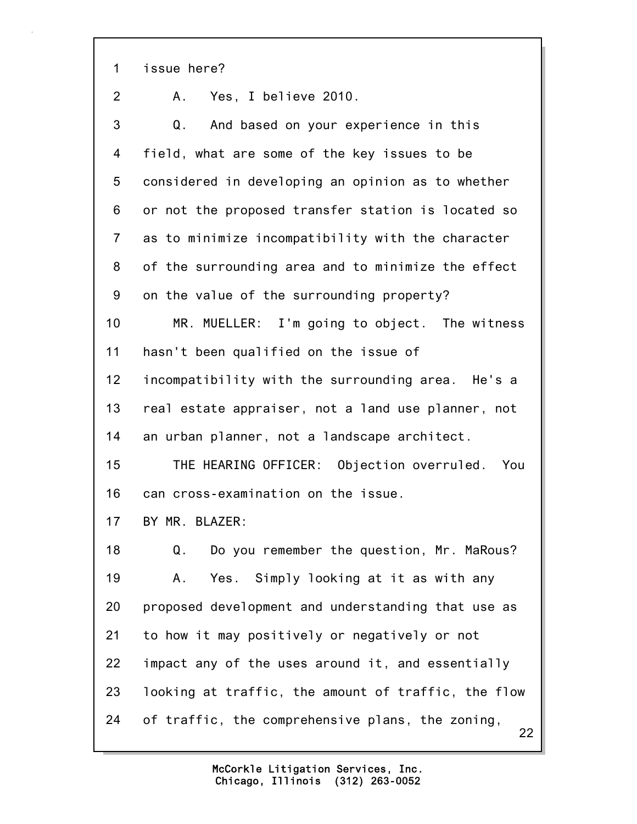1 issue here?

2 A. Yes, I believe 2010.

22 3 Q. And based on your experience in this 4 field, what are some of the key issues to be 5 considered in developing an opinion as to whether 6 or not the proposed transfer station is located so 7 as to minimize incompatibility with the character 8 of the surrounding area and to minimize the effect 9 on the value of the surrounding property? 10 MR. MUELLER: I'm going to object. The witness 11 hasn't been qualified on the issue of 12 incompatibility with the surrounding area. He's a 13 real estate appraiser, not a land use planner, not 14 an urban planner, not a landscape architect. 15 THE HEARING OFFICER: Objection overruled. You 16 can cross-examination on the issue. 17 BY MR. BLAZER: 18 Q. Do you remember the question, Mr. MaRous? 19 A. Yes. Simply looking at it as with any 20 proposed development and understanding that use as 21 to how it may positively or negatively or not 22 impact any of the uses around it, and essentially 23 looking at traffic, the amount of traffic, the flow 24 of traffic, the comprehensive plans, the zoning,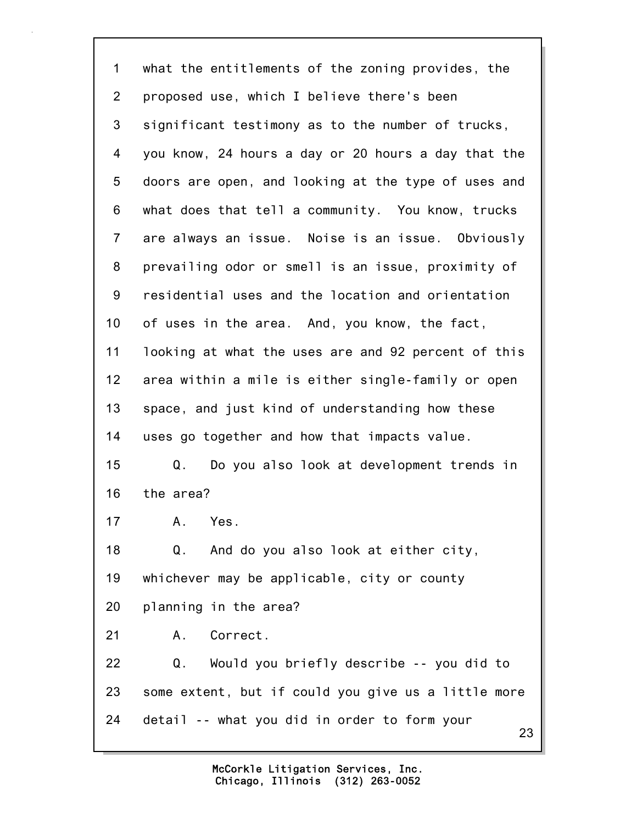23 1 what the entitlements of the zoning provides, the 2 proposed use, which I believe there's been 3 significant testimony as to the number of trucks, 4 you know, 24 hours a day or 20 hours a day that the 5 doors are open, and looking at the type of uses and 6 what does that tell a community. You know, trucks 7 are always an issue. Noise is an issue. Obviously 8 prevailing odor or smell is an issue, proximity of 9 residential uses and the location and orientation 10 of uses in the area. And, you know, the fact, 11 looking at what the uses are and 92 percent of this 12 area within a mile is either single-family or open 13 space, and just kind of understanding how these 14 uses go together and how that impacts value. 15 Q. Do you also look at development trends in 16 the area? 17 A. Yes. 18 Q. And do you also look at either city, 19 whichever may be applicable, city or county 20 planning in the area? 21 A. Correct. 22 Q. Would you briefly describe -- you did to 23 some extent, but if could you give us a little more 24 detail -- what you did in order to form your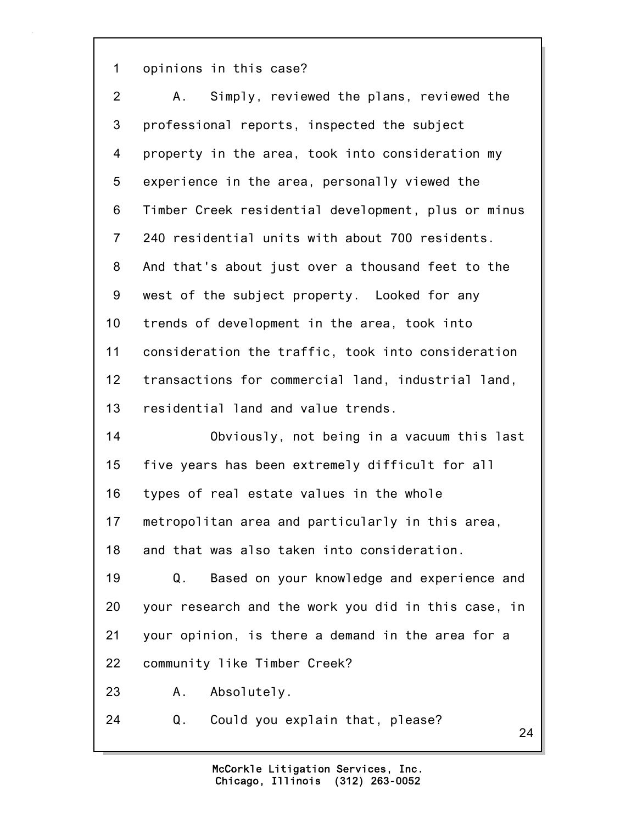1 opinions in this case?

| 2              | Simply, reviewed the plans, reviewed the<br>A.,     |
|----------------|-----------------------------------------------------|
| 3              | professional reports, inspected the subject         |
| 4              | property in the area, took into consideration my    |
| 5              | experience in the area, personally viewed the       |
| 6              | Timber Creek residential development, plus or minus |
| $\overline{7}$ | 240 residential units with about 700 residents.     |
| 8              | And that's about just over a thousand feet to the   |
| 9              | west of the subject property. Looked for any        |
| 10             | trends of development in the area, took into        |
| 11             | consideration the traffic, took into consideration  |
| 12             | transactions for commercial land, industrial land,  |
| 13             | residential land and value trends.                  |
| 14             | Obviously, not being in a vacuum this last          |
| 15             | five years has been extremely difficult for all     |
| 16             | types of real estate values in the whole            |
| 17             | metropolitan area and particularly in this area,    |
| 18             | and that was also taken into consideration.         |
| 19             | Based on your knowledge and experience and<br>Q.    |
| 20             | your research and the work you did in this case, in |
| 21             | your opinion, is there a demand in the area for a   |
| 22             | community like Timber Creek?                        |
| 23             | Absolutely.<br>A.                                   |
| 24             | Could you explain that, please?<br>Q.<br>24         |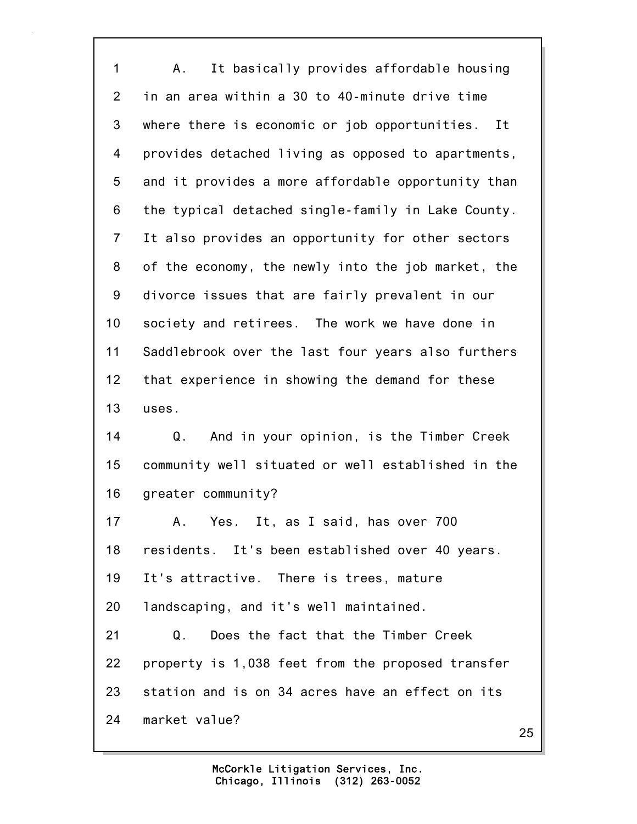1 A. It basically provides affordable housing 2 in an area within a 30 to 40-minute drive time 3 where there is economic or job opportunities. It 4 provides detached living as opposed to apartments, 5 and it provides a more affordable opportunity than 6 the typical detached single-family in Lake County. 7 It also provides an opportunity for other sectors 8 of the economy, the newly into the job market, the 9 divorce issues that are fairly prevalent in our 10 society and retirees. The work we have done in 11 Saddlebrook over the last four years also furthers 12 that experience in showing the demand for these 13 uses. 14 Q. And in your opinion, is the Timber Creek 15 community well situated or well established in the 16 greater community? 17 A. Yes. It, as I said, has over 700 18 residents. It's been established over 40 years. 19 It's attractive. There is trees, mature 20 landscaping, and it's well maintained. 21 Q. Does the fact that the Timber Creek 22 property is 1,038 feet from the proposed transfer 23 station and is on 34 acres have an effect on its 24 market value?

25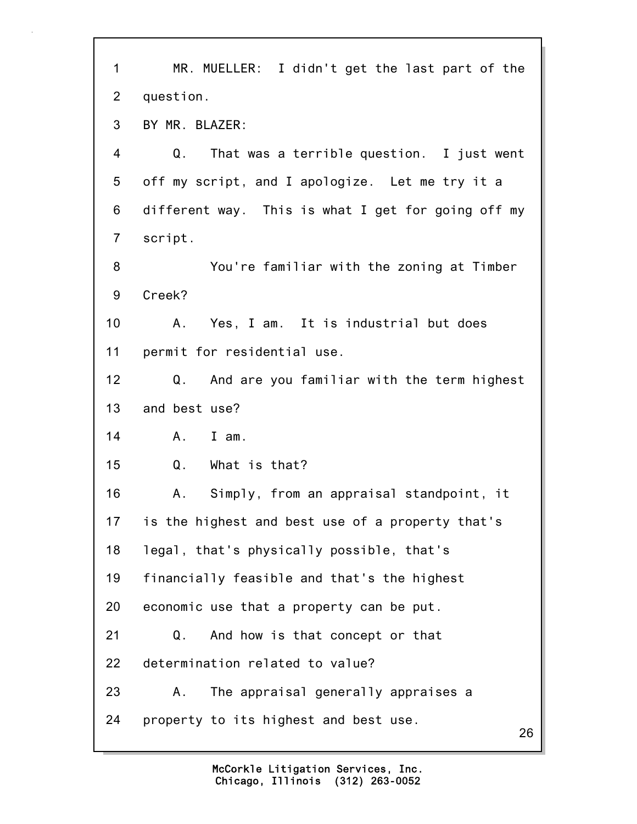| $\mathbf 1$    | MR. MUELLER: I didn't get the last part of the     |
|----------------|----------------------------------------------------|
| $\overline{2}$ | question.                                          |
| 3              | BY MR. BLAZER:                                     |
| 4              | Q.<br>That was a terrible question. I just went    |
| 5              | off my script, and I apologize. Let me try it a    |
| 6              | different way. This is what I get for going off my |
| $\overline{7}$ | script.                                            |
| 8              | You're familiar with the zoning at Timber          |
| 9              | Creek?                                             |
| 10             | Yes, I am. It is industrial but does<br>Α.         |
| 11             | permit for residential use.                        |
| 12             | Q.<br>And are you familiar with the term highest   |
| 13             | and best use?                                      |
| 14             | I am.<br>A.                                        |
| 15             | Q.<br>What is that?                                |
| 16             | Simply, from an appraisal standpoint, it<br>Α.     |
| 17             | is the highest and best use of a property that's   |
| 18             | legal, that's physically possible, that's          |
| 19             | financially feasible and that's the highest        |
| 20             | economic use that a property can be put.           |
| 21             | And how is that concept or that<br>Q.              |
| 22             | determination related to value?                    |
| 23             | The appraisal generally appraises a<br>Α.          |
| 24             | property to its highest and best use.<br>26        |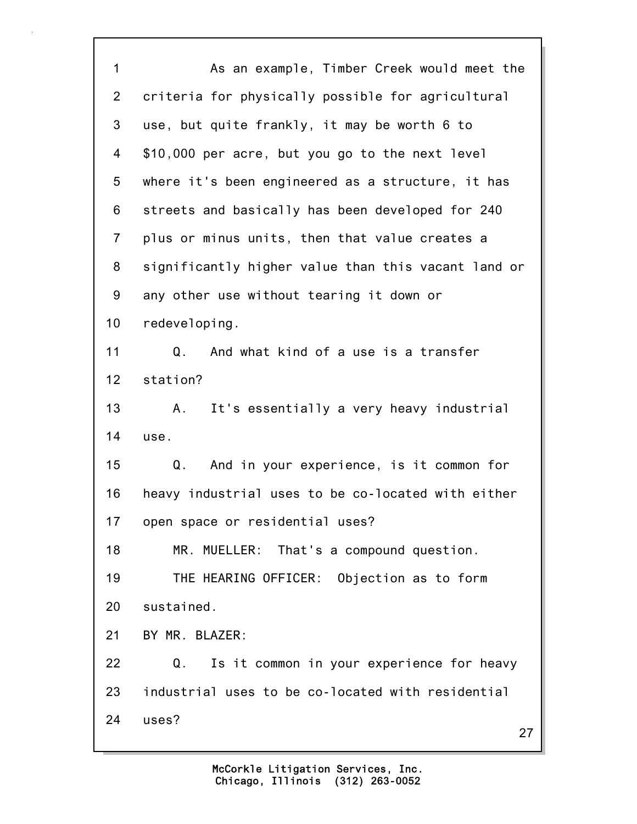27 1 As an example, Timber Creek would meet the 2 criteria for physically possible for agricultural 3 use, but quite frankly, it may be worth 6 to 4 \$10,000 per acre, but you go to the next level 5 where it's been engineered as a structure, it has 6 streets and basically has been developed for 240 7 plus or minus units, then that value creates a 8 significantly higher value than this vacant land or 9 any other use without tearing it down or 10 redeveloping. 11 Q. And what kind of a use is a transfer 12 station? 13 A. It's essentially a very heavy industrial 14 use. 15 Q. And in your experience, is it common for 16 heavy industrial uses to be co-located with either 17 open space or residential uses? 18 MR. MUELLER: That's a compound question. 19 THE HEARING OFFICER: Objection as to form 20 sustained. 21 BY MR. BLAZER: 22 Q. Is it common in your experience for heavy 23 industrial uses to be co-located with residential 24 uses?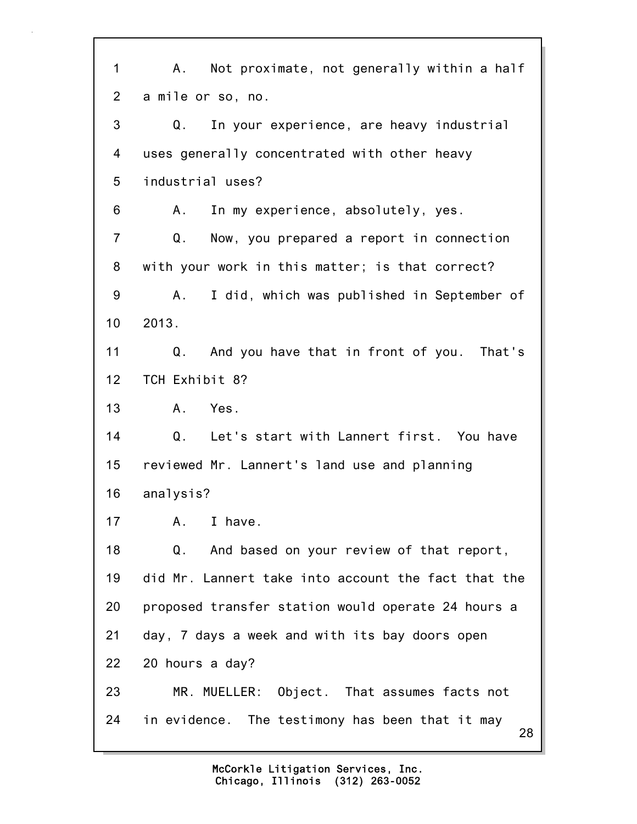28 1 A. Not proximate, not generally within a half 2 a mile or so, no. 3 Q. In your experience, are heavy industrial 4 uses generally concentrated with other heavy 5 industrial uses? 6 A. In my experience, absolutely, yes. 7 Q. Now, you prepared a report in connection 8 with your work in this matter; is that correct? 9 A. I did, which was published in September of 10 2013. 11 Q. And you have that in front of you. That's 12 TCH Exhibit 8? 13 A. Yes. 14 Q. Let's start with Lannert first. You have 15 reviewed Mr. Lannert's land use and planning 16 analysis? 17 A. I have. 18 Q. And based on your review of that report, 19 did Mr. Lannert take into account the fact that the 20 proposed transfer station would operate 24 hours a 21 day, 7 days a week and with its bay doors open 22 20 hours a day? 23 MR. MUELLER: Object. That assumes facts not 24 in evidence. The testimony has been that it may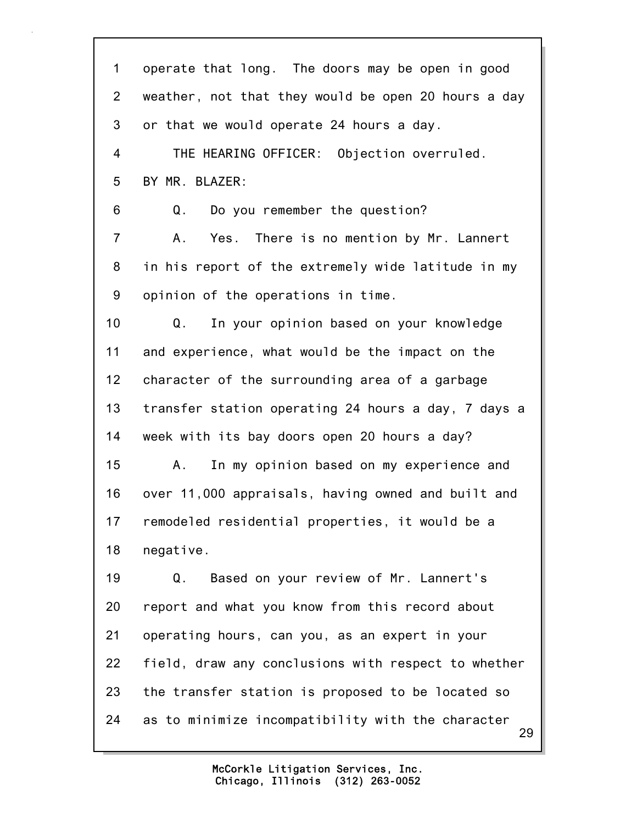| 1              | operate that long. The doors may be open in good        |
|----------------|---------------------------------------------------------|
| $\overline{2}$ | weather, not that they would be open 20 hours a day     |
| 3              | or that we would operate 24 hours a day.                |
| 4              | THE HEARING OFFICER: Objection overruled.               |
| 5              | BY MR. BLAZER:                                          |
| 6              | Do you remember the question?<br>Q.                     |
| $\overline{7}$ | Yes. There is no mention by Mr. Lannert<br>А.           |
| 8              | in his report of the extremely wide latitude in my      |
| 9              | opinion of the operations in time.                      |
| 10             | In your opinion based on your knowledge<br>Q.           |
| 11             | and experience, what would be the impact on the         |
| 12             | character of the surrounding area of a garbage          |
| 13             | transfer station operating 24 hours a day, 7 days a     |
| 14             | week with its bay doors open 20 hours a day?            |
| 15             | In my opinion based on my experience and<br>А.          |
| 16             | over 11,000 appraisals, having owned and built and      |
| 17             | remodeled residential properties, it would be a         |
| 18             | negative.                                               |
| 19             | Based on your review of Mr. Lannert's<br>Q.             |
| 20             | report and what you know from this record about         |
| 21             | operating hours, can you, as an expert in your          |
| 22             | field, draw any conclusions with respect to whether     |
| 23             | the transfer station is proposed to be located so       |
| 24             | as to minimize incompatibility with the character<br>29 |
|                |                                                         |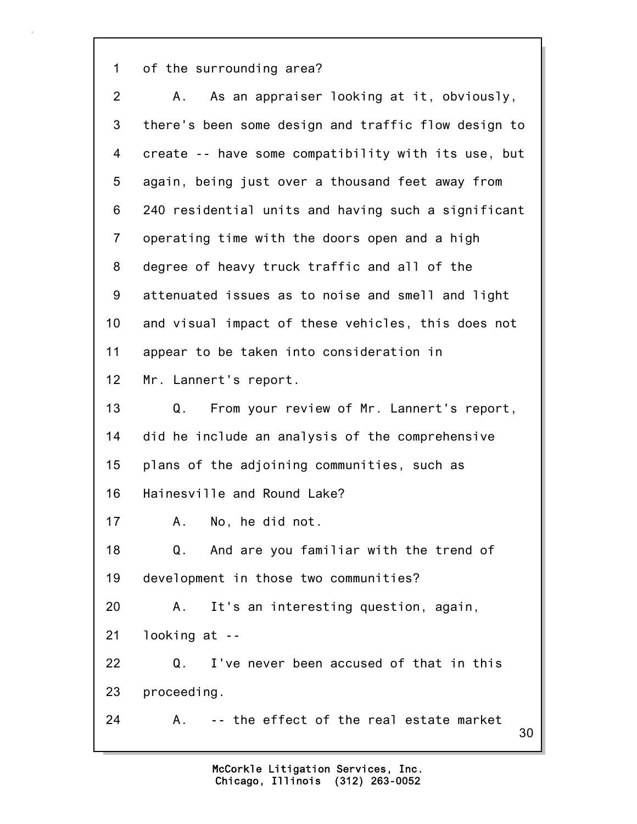1 of the surrounding area?

| $\overline{2}$ | As an appraiser looking at it, obviously,<br>А.     |
|----------------|-----------------------------------------------------|
| 3              | there's been some design and traffic flow design to |
| 4              | create -- have some compatibility with its use, but |
| 5              | again, being just over a thousand feet away from    |
| 6              | 240 residential units and having such a significant |
| $\overline{7}$ | operating time with the doors open and a high       |
| 8              | degree of heavy truck traffic and all of the        |
| 9              | attenuated issues as to noise and smell and light   |
| 10             | and visual impact of these vehicles, this does not  |
| 11             | appear to be taken into consideration in            |
| 12             | Mr. Lannert's report.                               |
| 13             | From your review of Mr. Lannert's report,<br>Q.     |
| 14             | did he include an analysis of the comprehensive     |
| 15             | plans of the adjoining communities, such as         |
| 16             | Hainesville and Round Lake?                         |
| 17             | No, he did not.<br>A.,                              |
| 18             | Q. And are you familiar with the trend of           |
| 19             | development in those two communities?               |
| 20             | It's an interesting question, again,<br>Α.          |
| 21             | looking at --                                       |
| 22             | I've never been accused of that in this<br>Q.       |
| 23             | proceeding.                                         |
| 24             | -- the effect of the real estate market<br>А.<br>30 |
|                |                                                     |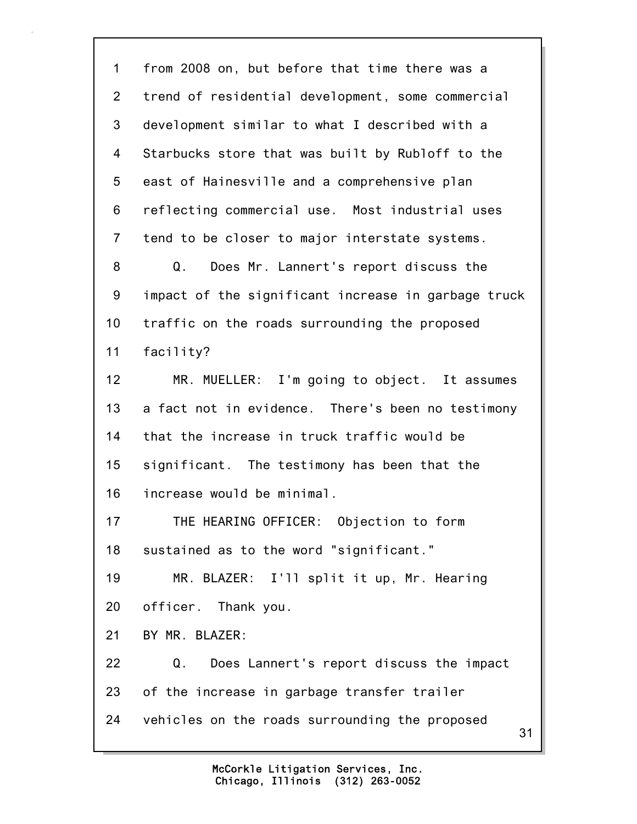31 1 from 2008 on, but before that time there was a 2 trend of residential development, some commercial 3 development similar to what I described with a 4 Starbucks store that was built by Rubloff to the 5 east of Hainesville and a comprehensive plan 6 reflecting commercial use. Most industrial uses 7 tend to be closer to major interstate systems. 8 Q. Does Mr. Lannert's report discuss the 9 impact of the significant increase in garbage truck 10 traffic on the roads surrounding the proposed 11 facility? 12 MR. MUELLER: I'm going to object. It assumes 13 a fact not in evidence. There's been no testimony 14 that the increase in truck traffic would be 15 significant. The testimony has been that the 16 increase would be minimal. 17 THE HEARING OFFICER: Objection to form 18 sustained as to the word "significant." 19 MR. BLAZER: I'll split it up, Mr. Hearing 20 officer. Thank you. 21 BY MR. BLAZER: 22 Q. Does Lannert's report discuss the impact 23 of the increase in garbage transfer trailer 24 vehicles on the roads surrounding the proposed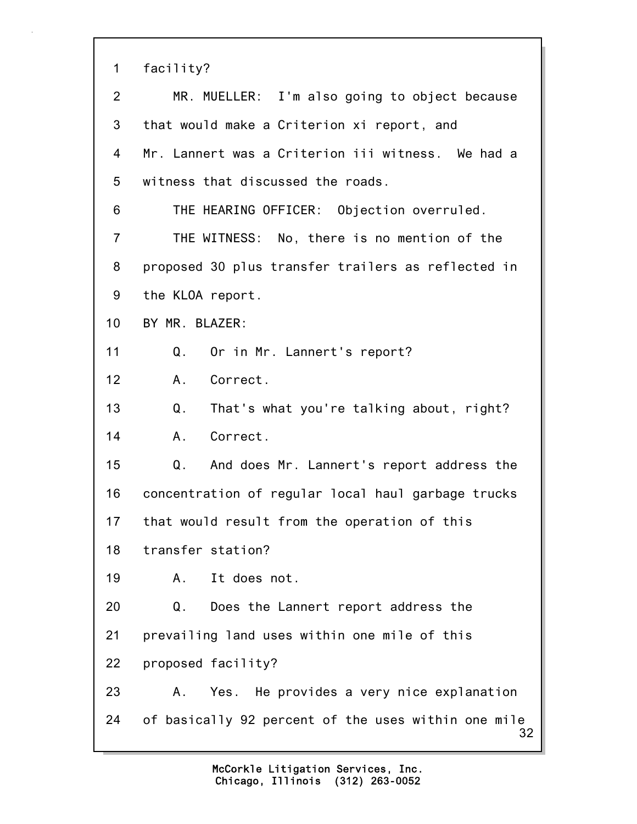| 1              | facility?                                                  |
|----------------|------------------------------------------------------------|
| 2              | MR. MUELLER: I'm also going to object because              |
| 3              | that would make a Criterion xi report, and                 |
| 4              | Mr. Lannert was a Criterion iii witness. We had a          |
| 5              | witness that discussed the roads.                          |
| 6              | THE HEARING OFFICER: Objection overruled.                  |
| $\overline{7}$ | THE WITNESS: No, there is no mention of the                |
| 8              | proposed 30 plus transfer trailers as reflected in         |
| 9              | the KLOA report.                                           |
| 10             | BY MR. BLAZER:                                             |
| 11             | Or in Mr. Lannert's report?<br>Q.                          |
| 12             | Correct.<br>Α.                                             |
| 13             | Q <sub>1</sub><br>That's what you're talking about, right? |
| 14             | A.<br>Correct.                                             |
| 15             | Q.<br>And does Mr. Lannert's report address the            |
| 16             | concentration of regular local haul garbage trucks         |
| 17             | that would result from the operation of this               |
| 18             | transfer station?                                          |
| 19             | It does not.<br>Α.                                         |
| 20             | Q.<br>Does the Lannert report address the                  |
| 21             | prevailing land uses within one mile of this               |
| 22             | proposed facility?                                         |
| 23             | Yes. He provides a very nice explanation<br>Α.             |
| 24             | of basically 92 percent of the uses within one mile<br>32  |
|                |                                                            |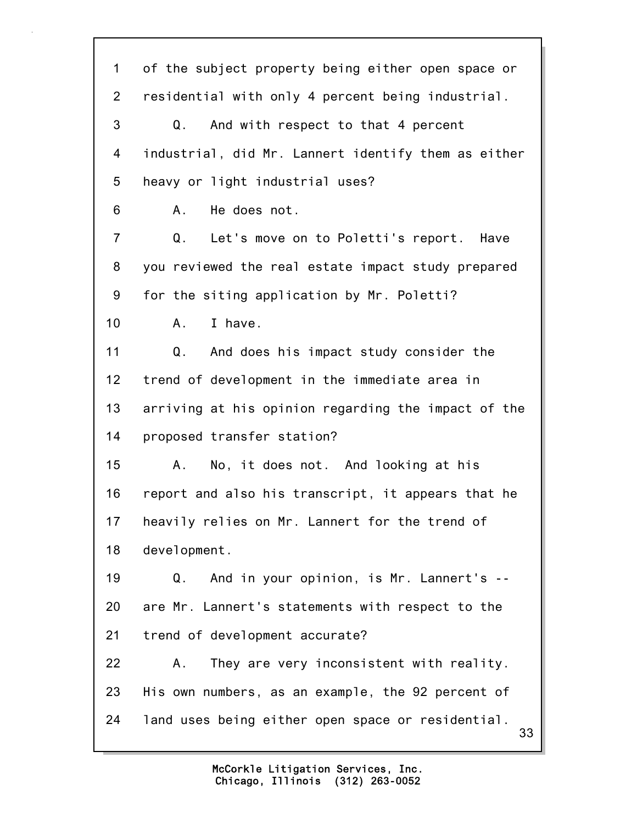33 1 of the subject property being either open space or 2 residential with only 4 percent being industrial. 3 Q. And with respect to that 4 percent 4 industrial, did Mr. Lannert identify them as either 5 heavy or light industrial uses? 6 A. He does not. 7 Q. Let's move on to Poletti's report. Have 8 you reviewed the real estate impact study prepared 9 for the siting application by Mr. Poletti? 10 A. I have. 11 Q. And does his impact study consider the 12 trend of development in the immediate area in 13 arriving at his opinion regarding the impact of the 14 proposed transfer station? 15 A. No, it does not. And looking at his 16 report and also his transcript, it appears that he 17 heavily relies on Mr. Lannert for the trend of 18 development. 19 Q. And in your opinion, is Mr. Lannert's -- 20 are Mr. Lannert's statements with respect to the 21 trend of development accurate? 22 A. They are very inconsistent with reality. 23 His own numbers, as an example, the 92 percent of 24 land uses being either open space or residential.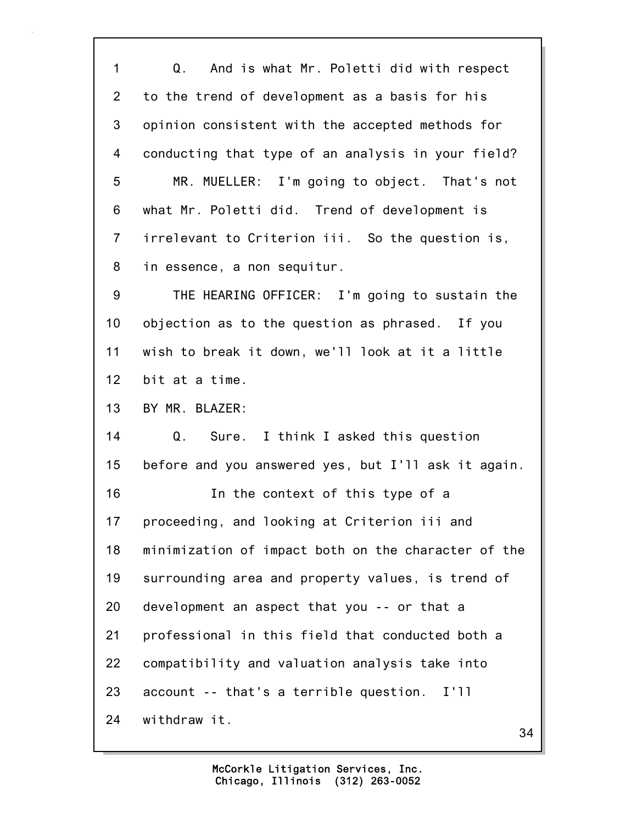1 Q. And is what Mr. Poletti did with respect 2 to the trend of development as a basis for his 3 opinion consistent with the accepted methods for 4 conducting that type of an analysis in your field? 5 MR. MUELLER: I'm going to object. That's not 6 what Mr. Poletti did. Trend of development is 7 irrelevant to Criterion iii. So the question is, 8 in essence, a non sequitur. 9 THE HEARING OFFICER: I'm going to sustain the 10 objection as to the question as phrased. If you 11 wish to break it down, we'll look at it a little 12 bit at a time. 13 BY MR. BLAZER: 14 Q. Sure. I think I asked this question 15 before and you answered yes, but I'll ask it again. 16 In the context of this type of a

17 proceeding, and looking at Criterion iii and 18 minimization of impact both on the character of the 19 surrounding area and property values, is trend of 20 development an aspect that you -- or that a 21 professional in this field that conducted both a 22 compatibility and valuation analysis take into 23 account -- that's a terrible question. I'll 24 withdraw it.

34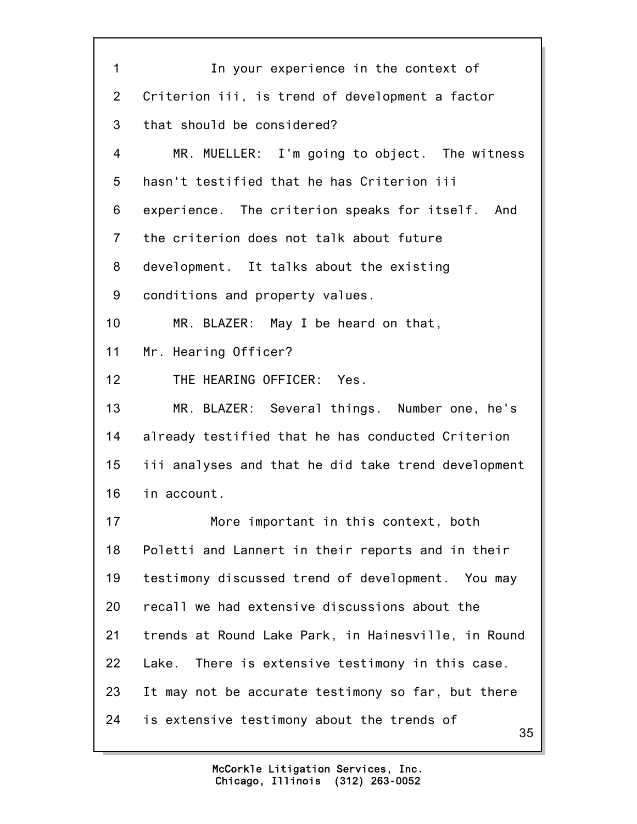35 1 In your experience in the context of 2 Criterion iii, is trend of development a factor 3 that should be considered? 4 MR. MUELLER: I'm going to object. The witness 5 hasn't testified that he has Criterion iii 6 experience. The criterion speaks for itself. And 7 the criterion does not talk about future 8 development. It talks about the existing 9 conditions and property values. 10 MR. BLAZER: May I be heard on that, 11 Mr. Hearing Officer? 12 THE HEARING OFFICER: Yes. 13 MR. BLAZER: Several things. Number one, he's 14 already testified that he has conducted Criterion 15 iii analyses and that he did take trend development 16 in account. 17 More important in this context, both 18 Poletti and Lannert in their reports and in their 19 testimony discussed trend of development. You may 20 recall we had extensive discussions about the 21 trends at Round Lake Park, in Hainesville, in Round 22 Lake. There is extensive testimony in this case. 23 It may not be accurate testimony so far, but there 24 is extensive testimony about the trends of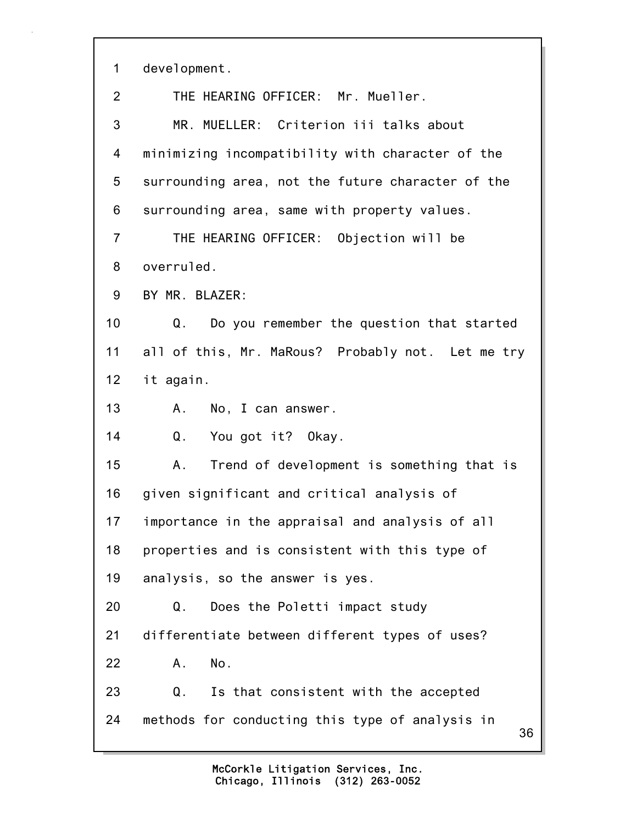1 development.

| 2              | THE HEARING OFFICER: Mr. Mueller.                     |
|----------------|-------------------------------------------------------|
| 3              | MR. MUELLER: Criterion iii talks about                |
| 4              | minimizing incompatibility with character of the      |
| 5              | surrounding area, not the future character of the     |
| 6              | surrounding area, same with property values.          |
| $\overline{7}$ | THE HEARING OFFICER: Objection will be                |
| 8              | overruled.                                            |
| 9              | BY MR. BLAZER:                                        |
| 10             | Q.<br>Do you remember the question that started       |
| 11             | all of this, Mr. MaRous? Probably not. Let me try     |
| 12             | it again.                                             |
| 13             | No, I can answer.<br>A.,                              |
| 14             | Q.<br>You got it? Okay.                               |
| 15             | Trend of development is something that is<br>Α.       |
| 16             | given significant and critical analysis of            |
| 17             | importance in the appraisal and analysis of all       |
| 18             | properties and is consistent with this type of        |
| 19             | analysis, so the answer is yes.                       |
| 20             | Does the Poletti impact study<br>Q.                   |
| 21             | differentiate between different types of uses?        |
| 22             | No.<br>Α.                                             |
| 23             | Q.<br>Is that consistent with the accepted            |
| 24             | methods for conducting this type of analysis in<br>36 |
|                |                                                       |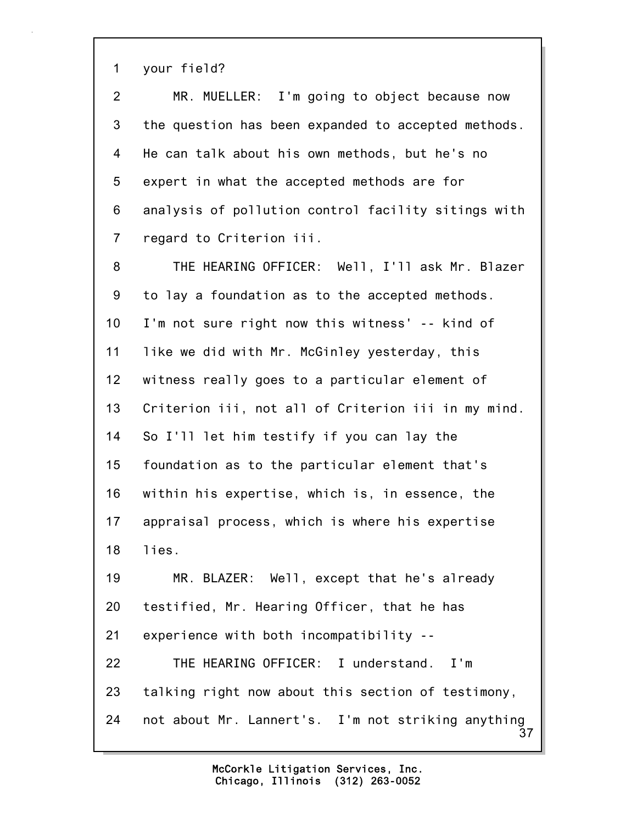1 your field?

| $\overline{2}$   | MR. MUELLER: I'm going to object because now        |
|------------------|-----------------------------------------------------|
| 3                | the question has been expanded to accepted methods. |
| 4                | He can talk about his own methods, but he's no      |
| 5                | expert in what the accepted methods are for         |
| 6                | analysis of pollution control facility sitings with |
| $\overline{7}$   | regard to Criterion iii.                            |
| 8                | THE HEARING OFFICER: Well, I'll ask Mr. Blazer      |
| $\boldsymbol{9}$ | to lay a foundation as to the accepted methods.     |
| 10 <sub>1</sub>  | I'm not sure right now this witness' -- kind of     |
| 11               | like we did with Mr. McGinley yesterday, this       |
| 12               | witness really goes to a particular element of      |
| 13               | Criterion iii, not all of Criterion iii in my mind. |
| 14               | So I'll let him testify if you can lay the          |
| 15               | foundation as to the particular element that's      |

16 within his expertise, which is, in essence, the 17 appraisal process, which is where his expertise 18 lies.

19 MR. BLAZER: Well, except that he's already 20 testified, Mr. Hearing Officer, that he has 21 experience with both incompatibility -- 22 THE HEARING OFFICER: I understand. I'm

37 23 talking right now about this section of testimony, 24 not about Mr. Lannert's. I'm not striking anything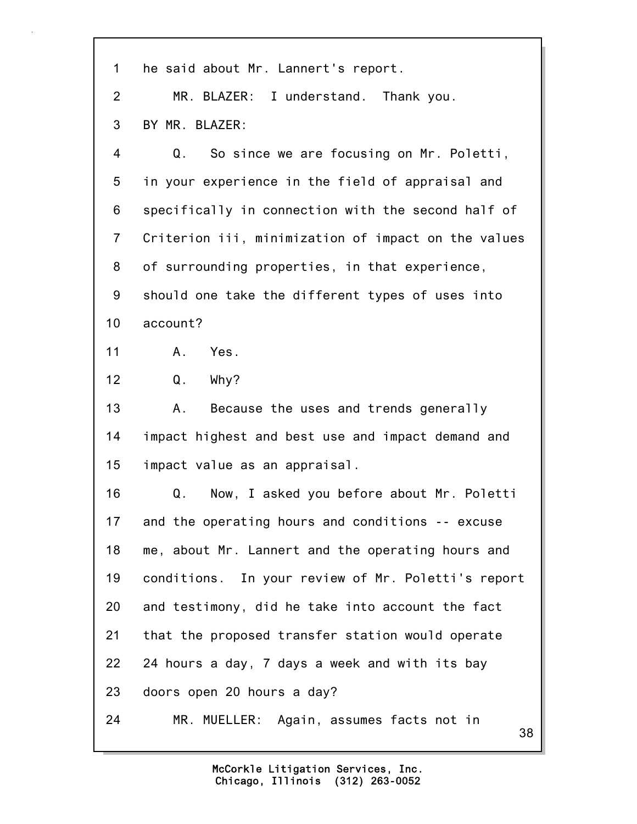| 1               | he said about Mr. Lannert's report.                 |
|-----------------|-----------------------------------------------------|
| 2               | MR. BLAZER: I understand. Thank you.                |
| 3               | BY MR. BLAZER:                                      |
| 4               | So since we are focusing on Mr. Poletti,<br>Q.      |
| 5               | in your experience in the field of appraisal and    |
| 6               | specifically in connection with the second half of  |
| $\overline{7}$  | Criterion iii, minimization of impact on the values |
| 8               | of surrounding properties, in that experience,      |
| 9               | should one take the different types of uses into    |
| 10 <sub>1</sub> | account?                                            |
| 11              | A. Yes.                                             |
| 12              | Q.<br>Why?                                          |
| 13              | Because the uses and trends generally<br>Α.         |
| 14              | impact highest and best use and impact demand and   |
| 15              | impact value as an appraisal.                       |
| 16              | Now, I asked you before about Mr. Poletti<br>Q.     |
| 17              | and the operating hours and conditions -- excuse    |
| 18              | me, about Mr. Lannert and the operating hours and   |
| 19              | conditions. In your review of Mr. Poletti's report  |
| 20              | and testimony, did he take into account the fact    |
| 21              | that the proposed transfer station would operate    |
| 22              | 24 hours a day, 7 days a week and with its bay      |
| 23              | doors open 20 hours a day?                          |
| 24              | MR. MUELLER: Again, assumes facts not in<br>38      |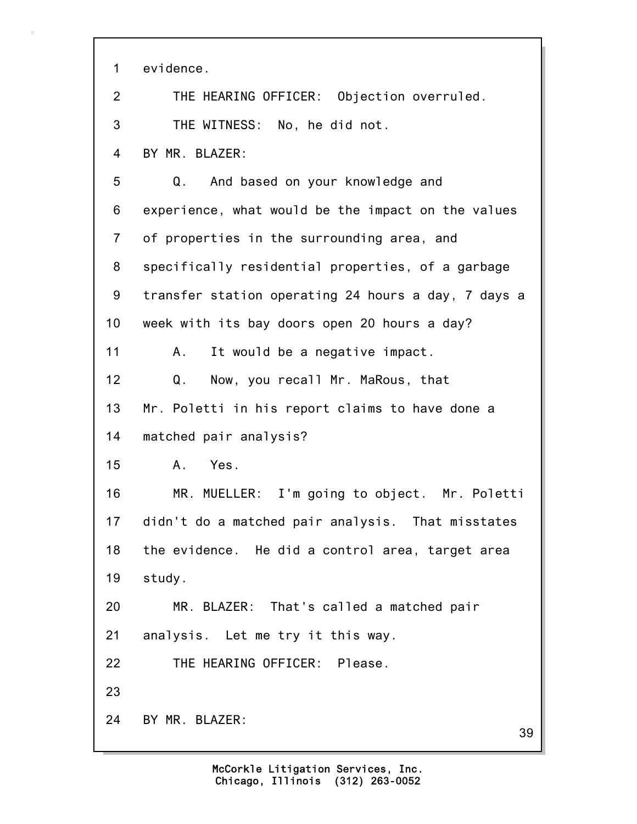39 1 evidence. 2 THE HEARING OFFICER: Objection overruled. 3 THE WITNESS: No, he did not. 4 BY MR. BLAZER: 5 Q. And based on your knowledge and 6 experience, what would be the impact on the values 7 of properties in the surrounding area, and 8 specifically residential properties, of a garbage 9 transfer station operating 24 hours a day, 7 days a 10 week with its bay doors open 20 hours a day? 11 A. It would be a negative impact. 12 Q. Now, you recall Mr. MaRous, that 13 Mr. Poletti in his report claims to have done a 14 matched pair analysis? 15 A. Yes. 16 MR. MUELLER: I'm going to object. Mr. Poletti 17 didn't do a matched pair analysis. That misstates 18 the evidence. He did a control area, target area 19 study. 20 MR. BLAZER: That's called a matched pair 21 analysis. Let me try it this way. 22 THE HEARING OFFICER: Please. 23 24 BY MR. BLAZER: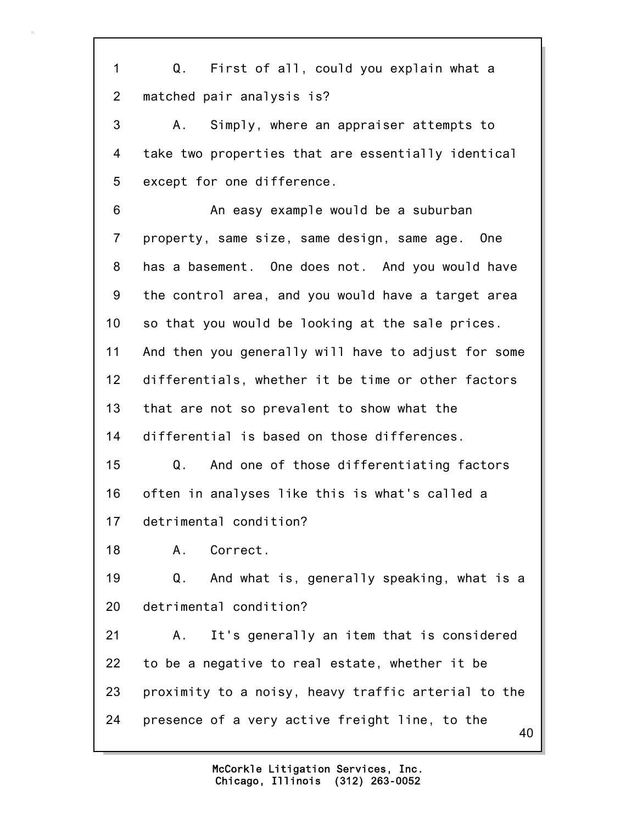40 1 Q. First of all, could you explain what a 2 matched pair analysis is? 3 A. Simply, where an appraiser attempts to 4 take two properties that are essentially identical 5 except for one difference. 6 An easy example would be a suburban 7 property, same size, same design, same age. One 8 has a basement. One does not. And you would have 9 the control area, and you would have a target area 10 so that you would be looking at the sale prices. 11 And then you generally will have to adjust for some 12 differentials, whether it be time or other factors 13 that are not so prevalent to show what the 14 differential is based on those differences. 15 Q. And one of those differentiating factors 16 often in analyses like this is what's called a 17 detrimental condition? 18 A. Correct. 19 Q. And what is, generally speaking, what is a 20 detrimental condition? 21 A. It's generally an item that is considered 22 to be a negative to real estate, whether it be 23 proximity to a noisy, heavy traffic arterial to the 24 presence of a very active freight line, to the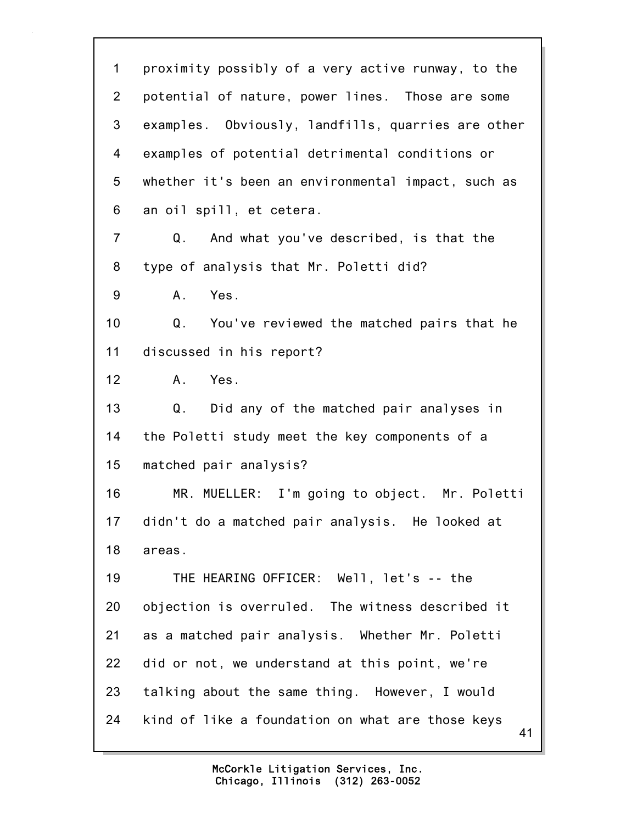41 1 proximity possibly of a very active runway, to the 2 potential of nature, power lines. Those are some 3 examples. Obviously, landfills, quarries are other 4 examples of potential detrimental conditions or 5 whether it's been an environmental impact, such as 6 an oil spill, et cetera. 7 Q. And what you've described, is that the 8 type of analysis that Mr. Poletti did? 9 A. Yes. 10 Q. You've reviewed the matched pairs that he 11 discussed in his report? 12 A. Yes. 13 Q. Did any of the matched pair analyses in 14 the Poletti study meet the key components of a 15 matched pair analysis? 16 MR. MUELLER: I'm going to object. Mr. Poletti 17 didn't do a matched pair analysis. He looked at 18 areas. 19 THE HEARING OFFICER: Well, let's -- the 20 objection is overruled. The witness described it 21 as a matched pair analysis. Whether Mr. Poletti 22 did or not, we understand at this point, we're 23 talking about the same thing. However, I would 24 kind of like a foundation on what are those keys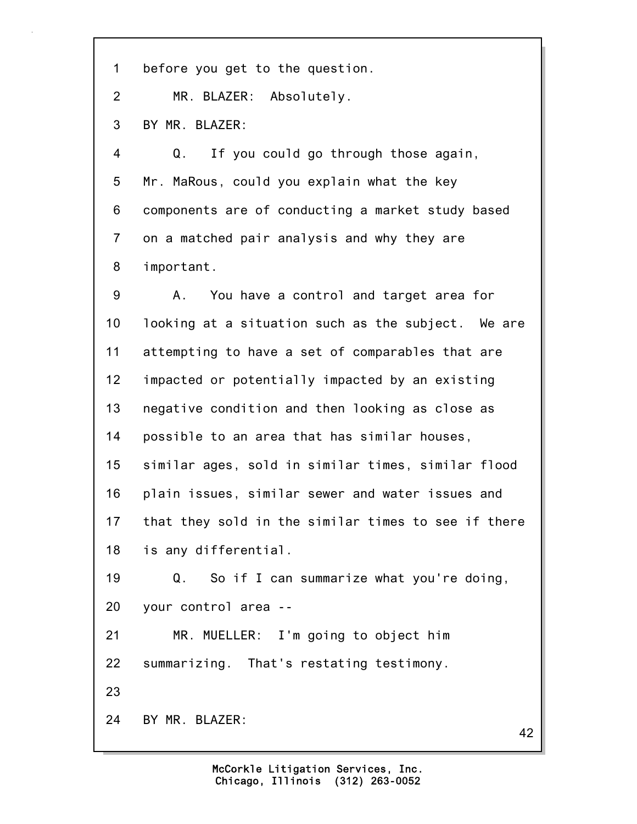1 before you get to the question.

2 MR. BLAZER: Absolutely.

3 BY MR. BLAZER:

4 Q. If you could go through those again, 5 Mr. MaRous, could you explain what the key 6 components are of conducting a market study based 7 on a matched pair analysis and why they are 8 important.

9 A. You have a control and target area for 10 looking at a situation such as the subject. We are 11 attempting to have a set of comparables that are 12 impacted or potentially impacted by an existing 13 negative condition and then looking as close as 14 possible to an area that has similar houses, 15 similar ages, sold in similar times, similar flood 16 plain issues, similar sewer and water issues and 17 that they sold in the similar times to see if there 18 is any differential. 19 Q. So if I can summarize what you're doing, 20 your control area -- 21 MR. MUELLER: I'm going to object him 22 summarizing. That's restating testimony.

23

24 BY MR. BLAZER:

42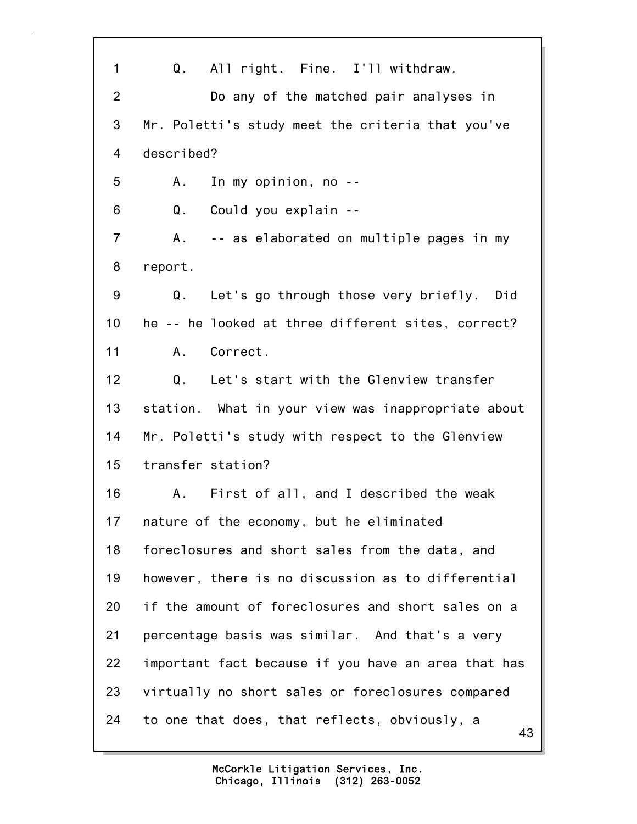| 1              | All right. Fine. I'll withdraw.<br>Q.               |
|----------------|-----------------------------------------------------|
| $\overline{2}$ | Do any of the matched pair analyses in              |
| 3              | Mr. Poletti's study meet the criteria that you've   |
| 4              | described?                                          |
| 5              | In my opinion, no --<br>A.,                         |
| 6              | Could you explain --<br>Q.                          |
| $\overline{7}$ | -- as elaborated on multiple pages in my<br>A.,     |
| 8              | report.                                             |
| 9              | Let's go through those very briefly. Did<br>Q.      |
| 10             | he -- he looked at three different sites, correct?  |
| 11             | Correct.<br>A.                                      |
| 12             | Let's start with the Glenview transfer<br>Q.        |
| 13             | station. What in your view was inappropriate about  |
| 14             | Mr. Poletti's study with respect to the Glenview    |
| 15             | transfer station?                                   |
| 16             | First of all, and I described the weak<br>A.,       |
| 17             | nature of the economy, but he eliminated            |
| 18             | foreclosures and short sales from the data, and     |
| 19             | however, there is no discussion as to differential  |
| 20             | if the amount of foreclosures and short sales on a  |
| 21             | percentage basis was similar. And that's a very     |
| 22             | important fact because if you have an area that has |
| 23             | virtually no short sales or foreclosures compared   |
| 24             | to one that does, that reflects, obviously, a<br>43 |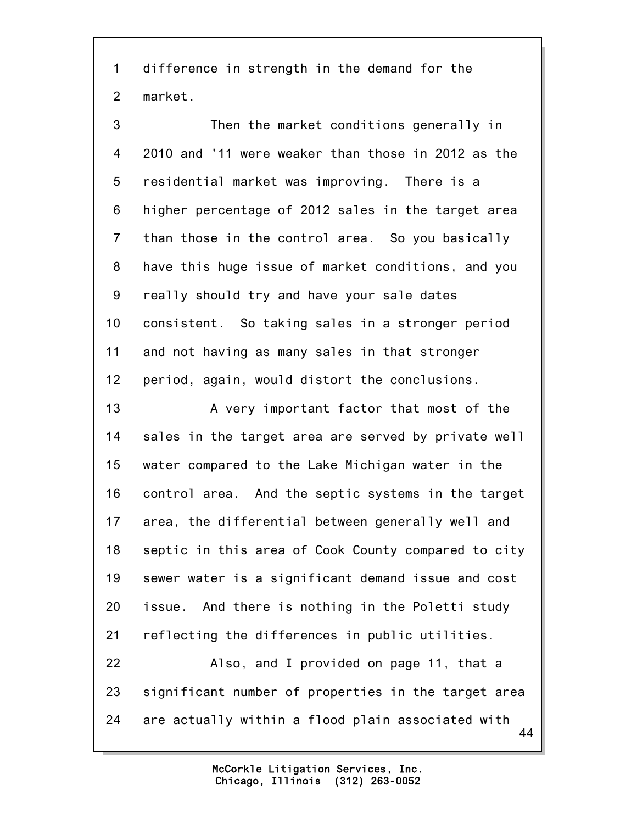1 difference in strength in the demand for the 2 market.

3 Then the market conditions generally in 4 2010 and '11 were weaker than those in 2012 as the 5 residential market was improving. There is a 6 higher percentage of 2012 sales in the target area 7 than those in the control area. So you basically 8 have this huge issue of market conditions, and you 9 really should try and have your sale dates 10 consistent. So taking sales in a stronger period 11 and not having as many sales in that stronger 12 period, again, would distort the conclusions. 13 A very important factor that most of the 14 sales in the target area are served by private well 15 water compared to the Lake Michigan water in the

16 control area. And the septic systems in the target 17 area, the differential between generally well and 18 septic in this area of Cook County compared to city 19 sewer water is a significant demand issue and cost 20 issue. And there is nothing in the Poletti study 21 reflecting the differences in public utilities.

44 22 Also, and I provided on page 11, that a 23 significant number of properties in the target area 24 are actually within a flood plain associated with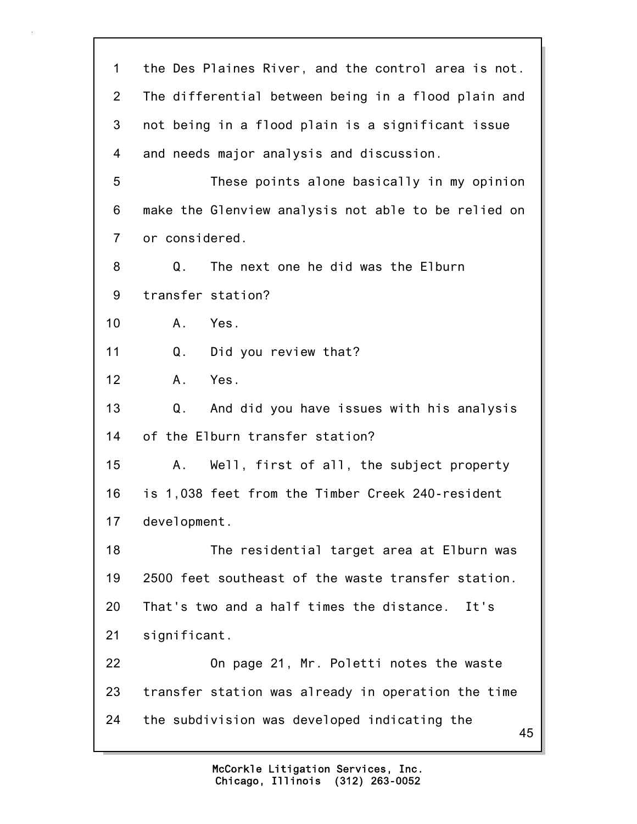| 1              | the Des Plaines River, and the control area is not. |
|----------------|-----------------------------------------------------|
| $\overline{2}$ | The differential between being in a flood plain and |
| 3              | not being in a flood plain is a significant issue   |
| 4              | and needs major analysis and discussion.            |
| 5              | These points alone basically in my opinion          |
| 6              | make the Glenview analysis not able to be relied on |
| $\overline{7}$ | or considered.                                      |
| 8              | Q.<br>The next one he did was the Elburn            |
| 9              | transfer station?                                   |
| 10             | Yes.<br>A.                                          |
| 11             | Did you review that?<br>Q.                          |
| 12             | Yes.<br>Α.                                          |
| 13             | And did you have issues with his analysis<br>Q.     |
| 14             | of the Elburn transfer station?                     |
| 15             | Well, first of all, the subject property<br>Α.      |
| 16             | is 1,038 feet from the Timber Creek 240-resident    |
| 17             | development.                                        |
| 18             | The residential target area at Elburn was           |
| 19             | 2500 feet southeast of the waste transfer station.  |
| 20             | That's two and a half times the distance.<br>It's   |
| 21             | significant.                                        |
| 22             | On page 21, Mr. Poletti notes the waste             |
| 23             | transfer station was already in operation the time  |
| 24             | the subdivision was developed indicating the<br>45  |
|                |                                                     |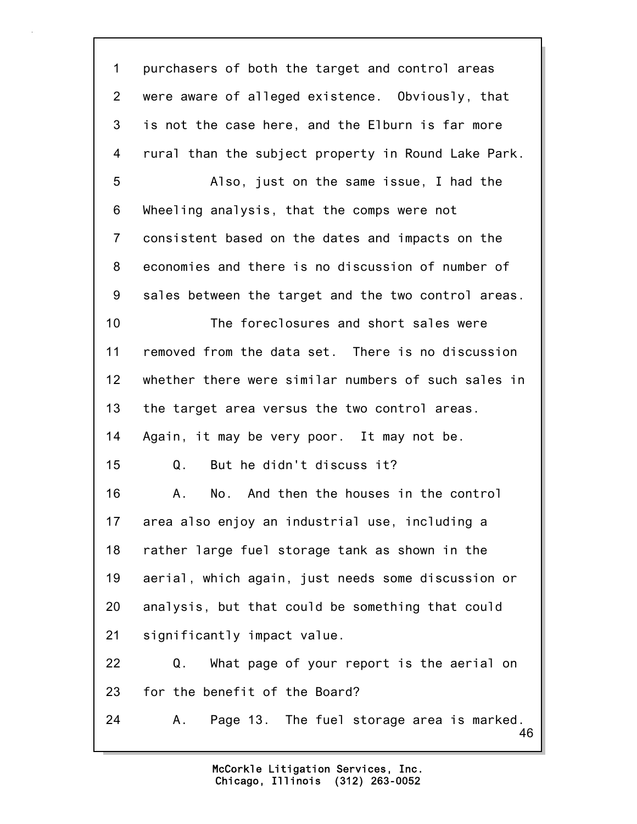46 1 purchasers of both the target and control areas 2 were aware of alleged existence. Obviously, that 3 is not the case here, and the Elburn is far more 4 rural than the subject property in Round Lake Park. 5 Also, just on the same issue, I had the 6 Wheeling analysis, that the comps were not 7 consistent based on the dates and impacts on the 8 economies and there is no discussion of number of 9 sales between the target and the two control areas. 10 The foreclosures and short sales were 11 removed from the data set. There is no discussion 12 whether there were similar numbers of such sales in 13 the target area versus the two control areas. 14 Again, it may be very poor. It may not be. 15 Q. But he didn't discuss it? 16 A. No. And then the houses in the control 17 area also enjoy an industrial use, including a 18 rather large fuel storage tank as shown in the 19 aerial, which again, just needs some discussion or 20 analysis, but that could be something that could 21 significantly impact value. 22 Q. What page of your report is the aerial on 23 for the benefit of the Board? 24 A. Page 13. The fuel storage area is marked.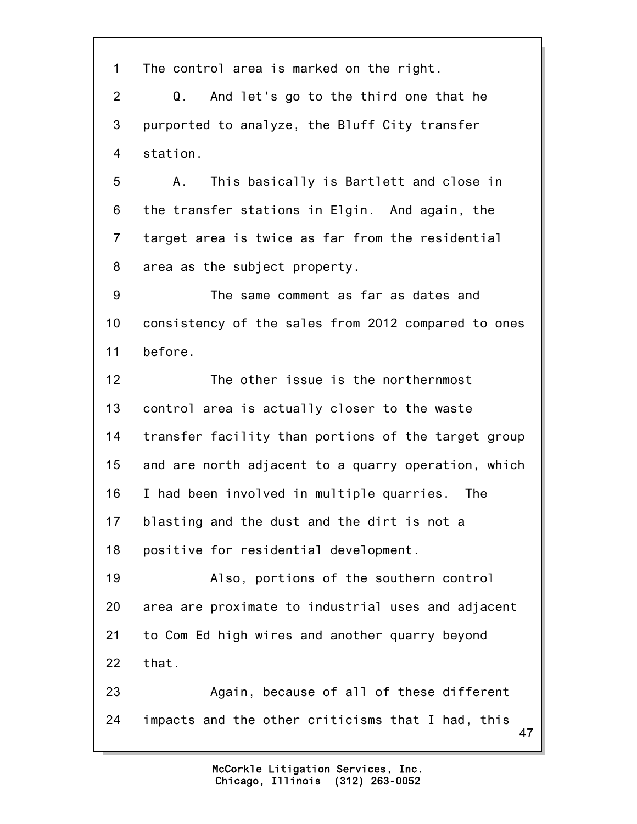1 The control area is marked on the right.

2 Q. And let's go to the third one that he 3 purported to analyze, the Bluff City transfer 4 station.

5 A. This basically is Bartlett and close in 6 the transfer stations in Elgin. And again, the 7 target area is twice as far from the residential 8 area as the subject property.

9 The same comment as far as dates and 10 consistency of the sales from 2012 compared to ones 11 before.

12 The other issue is the northernmost 13 control area is actually closer to the waste 14 transfer facility than portions of the target group 15 and are north adjacent to a quarry operation, which 16 I had been involved in multiple quarries. The 17 blasting and the dust and the dirt is not a 18 positive for residential development.

19 Also, portions of the southern control 20 area are proximate to industrial uses and adjacent 21 to Com Ed high wires and another quarry beyond 22 that.

47 23 Again, because of all of these different 24 impacts and the other criticisms that I had, this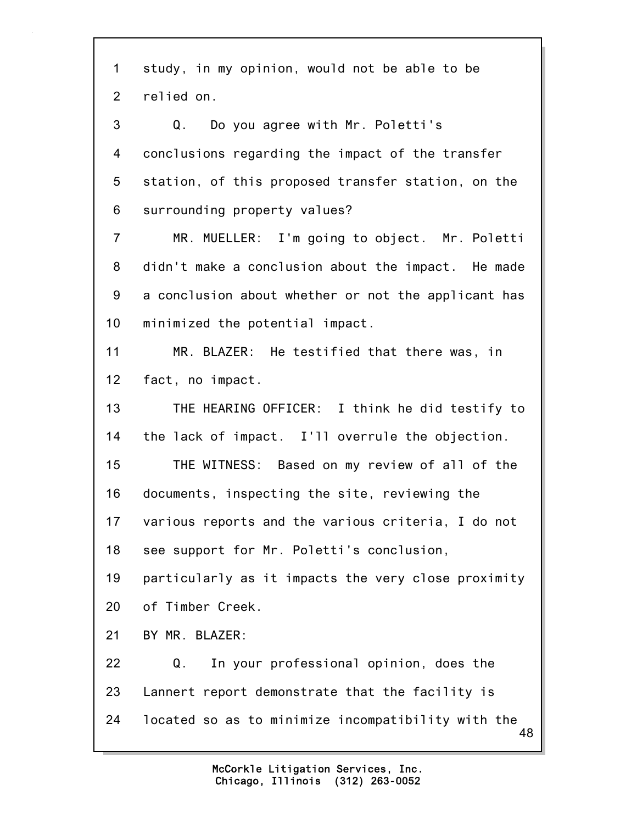48 1 study, in my opinion, would not be able to be 2 relied on. 3 Q. Do you agree with Mr. Poletti's 4 conclusions regarding the impact of the transfer 5 station, of this proposed transfer station, on the 6 surrounding property values? 7 MR. MUELLER: I'm going to object. Mr. Poletti 8 didn't make a conclusion about the impact. He made 9 a conclusion about whether or not the applicant has 10 minimized the potential impact. 11 MR. BLAZER: He testified that there was, in 12 fact, no impact. 13 THE HEARING OFFICER: I think he did testify to 14 the lack of impact. I'll overrule the objection. 15 THE WITNESS: Based on my review of all of the 16 documents, inspecting the site, reviewing the 17 various reports and the various criteria, I do not 18 see support for Mr. Poletti's conclusion, 19 particularly as it impacts the very close proximity 20 of Timber Creek. 21 BY MR. BLAZER: 22 Q. In your professional opinion, does the 23 Lannert report demonstrate that the facility is 24 located so as to minimize incompatibility with the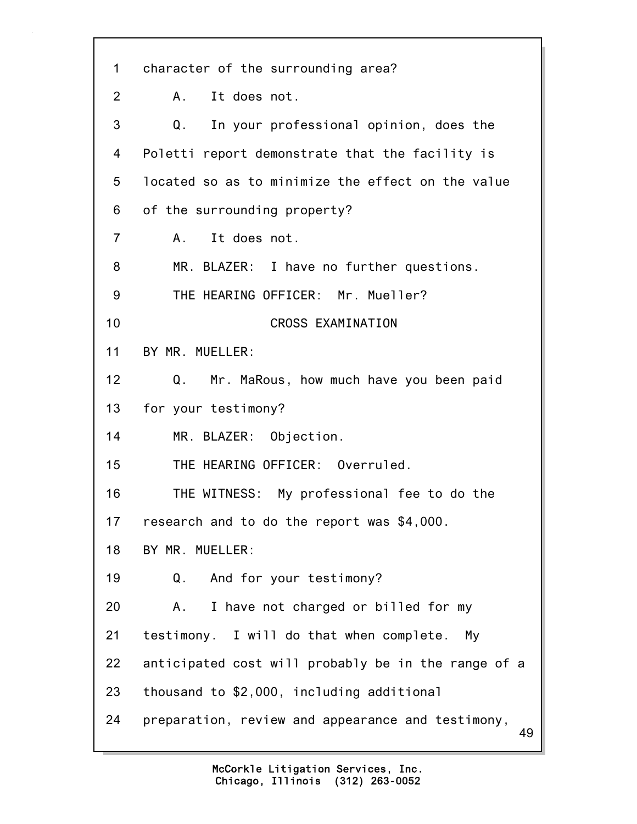49 1 character of the surrounding area? 2 A. It does not. 3 Q. In your professional opinion, does the 4 Poletti report demonstrate that the facility is 5 located so as to minimize the effect on the value 6 of the surrounding property? 7 A. It does not. 8 MR. BLAZER: I have no further questions. 9 THE HEARING OFFICER: Mr. Mueller? 10 CROSS EXAMINATION 11 BY MR. MUELLER: 12 Q. Mr. MaRous, how much have you been paid 13 for your testimony? 14 MR. BLAZER: Objection. 15 THE HEARING OFFICER: Overruled. 16 THE WITNESS: My professional fee to do the 17 research and to do the report was \$4,000. 18 BY MR. MUELLER: 19 Q. And for your testimony? 20 A. I have not charged or billed for my 21 testimony. I will do that when complete. My 22 anticipated cost will probably be in the range of a 23 thousand to \$2,000, including additional 24 preparation, review and appearance and testimony,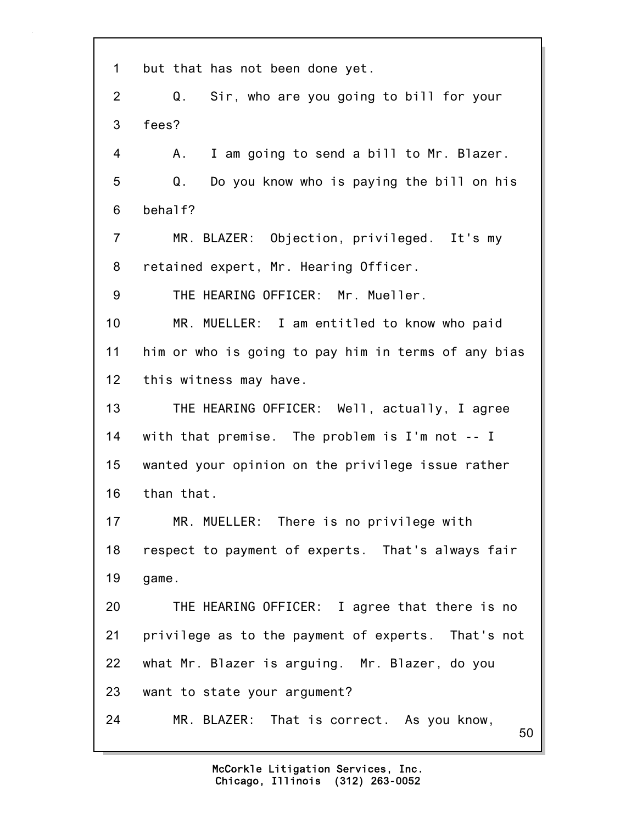50 1 but that has not been done yet. 2 Q. Sir, who are you going to bill for your 3 fees? 4 A. I am going to send a bill to Mr. Blazer. 5 Q. Do you know who is paying the bill on his 6 behalf? 7 MR. BLAZER: Objection, privileged. It's my 8 retained expert, Mr. Hearing Officer. 9 THE HEARING OFFICER: Mr. Mueller. 10 MR. MUELLER: I am entitled to know who paid 11 him or who is going to pay him in terms of any bias 12 this witness may have. 13 THE HEARING OFFICER: Well, actually, I agree 14 with that premise. The problem is I'm not -- I 15 wanted your opinion on the privilege issue rather 16 than that. 17 MR. MUELLER: There is no privilege with 18 respect to payment of experts. That's always fair 19 game. 20 THE HEARING OFFICER: I agree that there is no 21 privilege as to the payment of experts. That's not 22 what Mr. Blazer is arguing. Mr. Blazer, do you 23 want to state your argument? 24 MR. BLAZER: That is correct. As you know,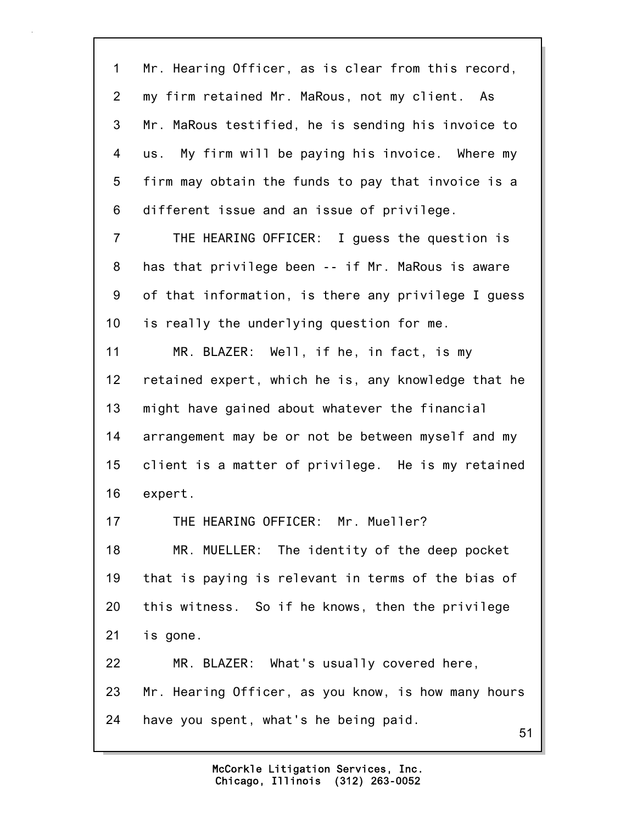51 1 Mr. Hearing Officer, as is clear from this record, 2 my firm retained Mr. MaRous, not my client. As 3 Mr. MaRous testified, he is sending his invoice to 4 us. My firm will be paying his invoice. Where my 5 firm may obtain the funds to pay that invoice is a 6 different issue and an issue of privilege. 7 THE HEARING OFFICER: I guess the question is 8 has that privilege been -- if Mr. MaRous is aware 9 of that information, is there any privilege I guess 10 is really the underlying question for me. 11 MR. BLAZER: Well, if he, in fact, is my 12 retained expert, which he is, any knowledge that he 13 might have gained about whatever the financial 14 arrangement may be or not be between myself and my 15 client is a matter of privilege. He is my retained 16 expert. 17 THE HEARING OFFICER: Mr. Mueller? 18 MR. MUELLER: The identity of the deep pocket 19 that is paying is relevant in terms of the bias of 20 this witness. So if he knows, then the privilege 21 is gone. 22 MR. BLAZER: What's usually covered here, 23 Mr. Hearing Officer, as you know, is how many hours 24 have you spent, what's he being paid.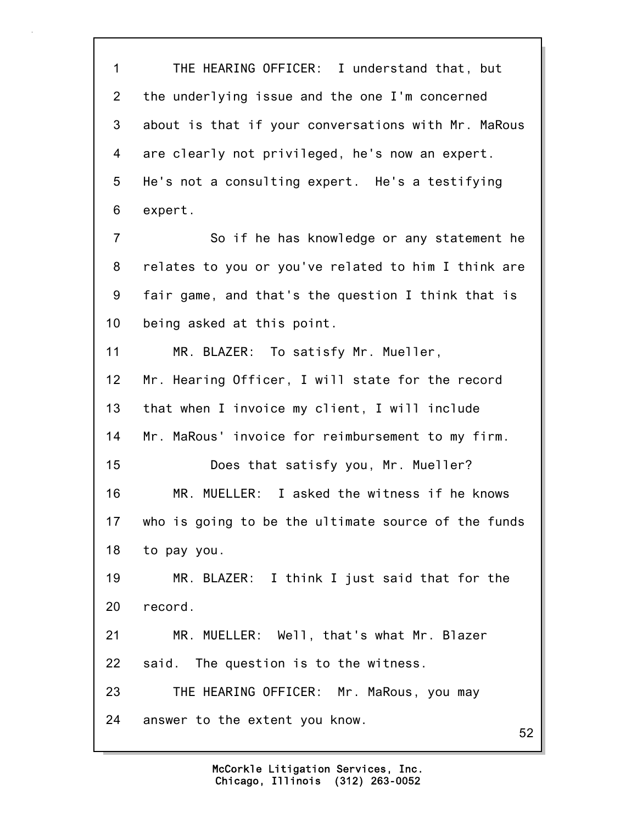52 1 THE HEARING OFFICER: I understand that, but 2 the underlying issue and the one I'm concerned 3 about is that if your conversations with Mr. MaRous 4 are clearly not privileged, he's now an expert. 5 He's not a consulting expert. He's a testifying 6 expert. 7 So if he has knowledge or any statement he 8 relates to you or you've related to him I think are 9 fair game, and that's the question I think that is 10 being asked at this point. 11 MR. BLAZER: To satisfy Mr. Mueller, 12 Mr. Hearing Officer, I will state for the record 13 that when I invoice my client, I will include 14 Mr. MaRous' invoice for reimbursement to my firm. 15 Does that satisfy you, Mr. Mueller? 16 MR. MUELLER: I asked the witness if he knows 17 who is going to be the ultimate source of the funds 18 to pay you. 19 MR. BLAZER: I think I just said that for the 20 record. 21 MR. MUELLER: Well, that's what Mr. Blazer 22 said. The question is to the witness. 23 THE HEARING OFFICER: Mr. MaRous, you may 24 answer to the extent you know.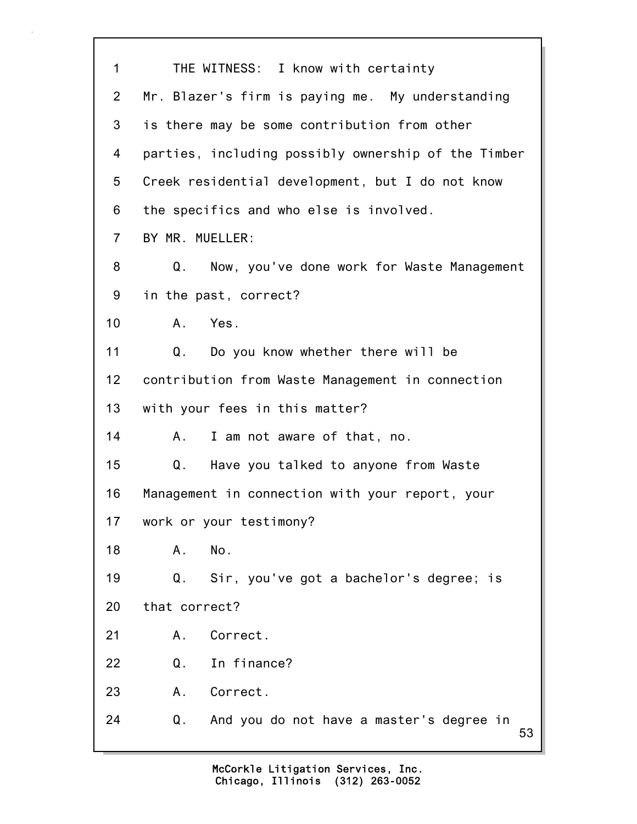| 1              | THE WITNESS: I know with certainty                   |
|----------------|------------------------------------------------------|
| $\overline{2}$ | Mr. Blazer's firm is paying me. My understanding     |
| 3              | is there may be some contribution from other         |
| 4              | parties, including possibly ownership of the Timber  |
| 5              | Creek residential development, but I do not know     |
| 6              | the specifics and who else is involved.              |
| $\overline{7}$ | BY MR. MUELLER:                                      |
| 8              | Now, you've done work for Waste Management<br>Q.     |
| 9              | in the past, correct?                                |
| 10             | Yes.<br>A.                                           |
| 11             | Q. Do you know whether there will be                 |
| 12             | contribution from Waste Management in connection     |
| 13             | with your fees in this matter?                       |
| 14             | I am not aware of that, no.<br>A.,                   |
| 15             | Have you talked to anyone from Waste<br>Q.           |
| 16             | Management in connection with your report, your      |
| 17             | work or your testimony?                              |
| 18             | No.<br>Α.                                            |
| 19             | Sir, you've got a bachelor's degree; is<br>Q.        |
| 20             | that correct?                                        |
| 21             | Correct.<br>Α.                                       |
| 22             | In finance?<br>Q.                                    |
| 23             | Correct.<br>Α.                                       |
| 24             | Q.<br>And you do not have a master's degree in<br>53 |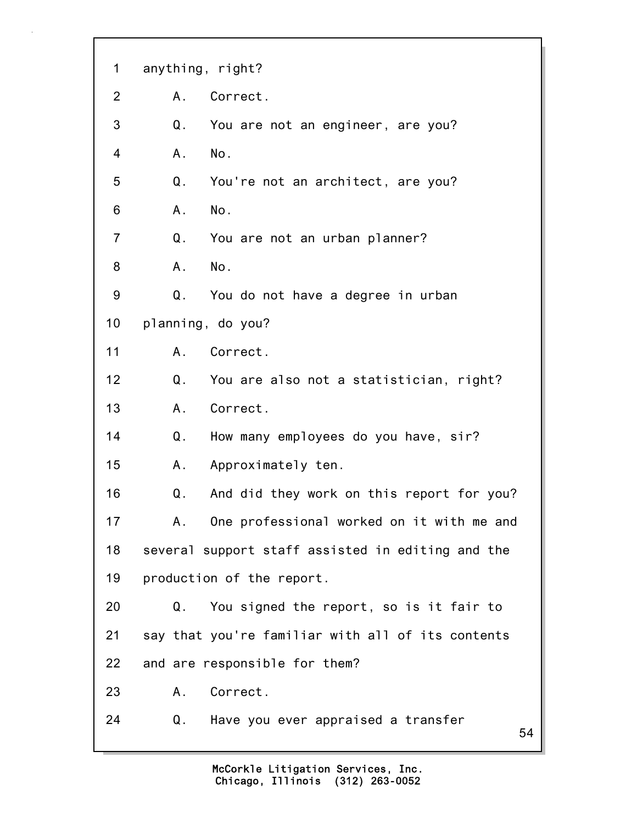| 1              | anything, right?                                  |
|----------------|---------------------------------------------------|
| 2              | Correct.<br>A.,                                   |
| 3              | Q.<br>You are not an engineer, are you?           |
| 4              | No.<br>А.                                         |
| 5              | Q.<br>You're not an architect, are you?           |
| 6              | No.<br>Α.                                         |
| $\overline{7}$ | Q.<br>You are not an urban planner?               |
| 8              | No.<br>A.,                                        |
| 9              | Q.<br>You do not have a degree in urban           |
| 10             | planning, do you?                                 |
| 11             | Correct.<br>A.                                    |
| 12             | Q.<br>You are also not a statistician, right?     |
| 13             | Correct.<br>Α.                                    |
| 14             | Q.<br>How many employees do you have, sir?        |
| 15             | Approximately ten.<br>A.                          |
| 16             | Q.<br>And did they work on this report for you?   |
| 17             | One professional worked on it with me and<br>Α.   |
| 18             | several support staff assisted in editing and the |
| 19             | production of the report.                         |
| 20             | Q.<br>You signed the report, so is it fair to     |
| 21             | say that you're familiar with all of its contents |
| 22             | and are responsible for them?                     |
| 23             | Correct.<br>Α.                                    |
| 24             | Q.<br>Have you ever appraised a transfer<br>54    |
|                |                                                   |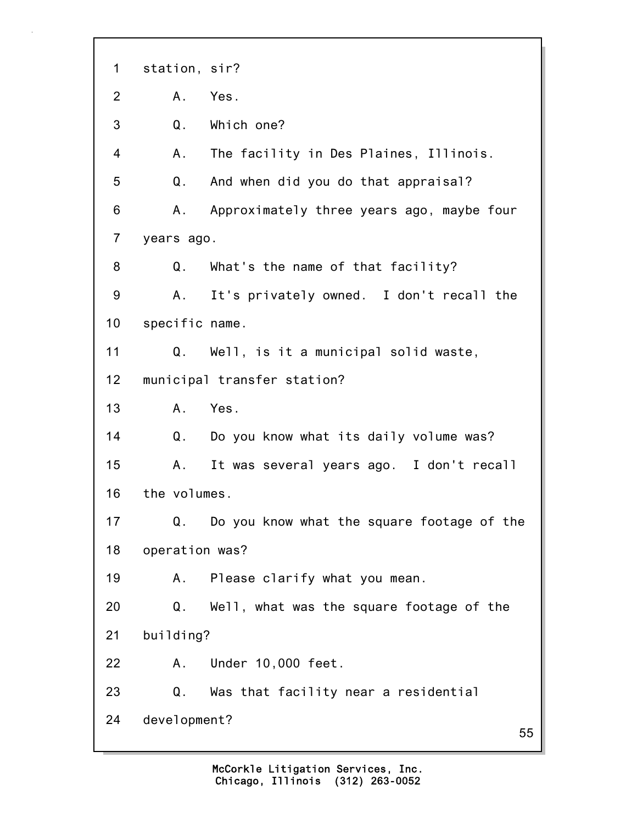55 1 station, sir? 2 A. Yes. 3 Q. Which one? 4 A. The facility in Des Plaines, Illinois. 5 Q. And when did you do that appraisal? 6 A. Approximately three years ago, maybe four 7 years ago. 8 Q. What's the name of that facility? 9 A. It's privately owned. I don't recall the 10 specific name. 11 Q. Well, is it a municipal solid waste, 12 municipal transfer station? 13 A. Yes. 14 Q. Do you know what its daily volume was? 15 A. It was several years ago. I don't recall 16 the volumes. 17 Q. Do you know what the square footage of the 18 operation was? 19 A. Please clarify what you mean. 20 Q. Well, what was the square footage of the 21 building? 22 A. Under 10,000 feet. 23 Q. Was that facility near a residential 24 development?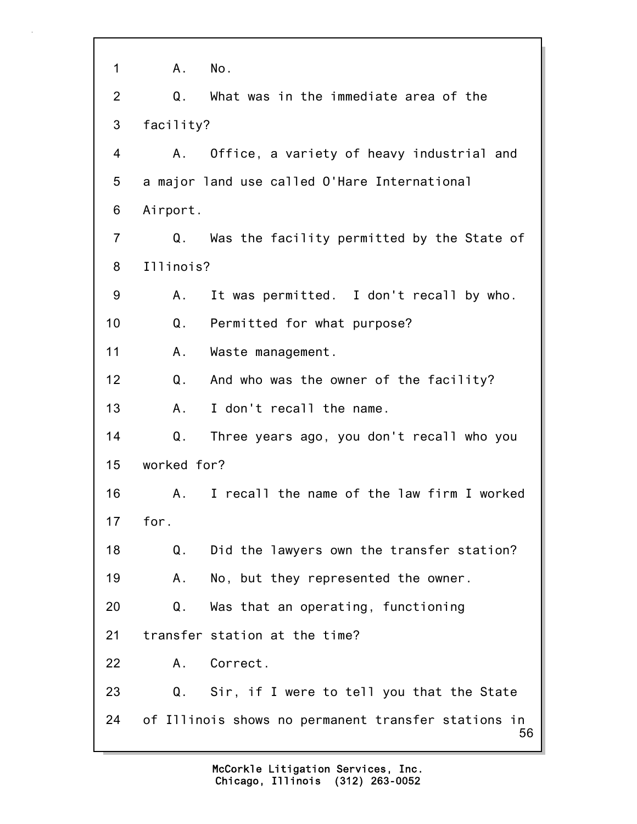| 1              | Α.          | No.                                                       |
|----------------|-------------|-----------------------------------------------------------|
| $\overline{2}$ | Q.          | What was in the immediate area of the                     |
| 3              | facility?   |                                                           |
| 4              | A.,         | Office, a variety of heavy industrial and                 |
| 5              |             | a major land use called O'Hare International              |
| 6              | Airport.    |                                                           |
| $\overline{7}$ | Q.          | Was the facility permitted by the State of                |
| 8              | Illinois?   |                                                           |
| 9              | A.,         | It was permitted. I don't recall by who.                  |
| 10             | Q.          | Permitted for what purpose?                               |
| 11             | Α.          | Waste management.                                         |
| 12             | Q.          | And who was the owner of the facility?                    |
| 13             | A.,         | I don't recall the name.                                  |
| 14             | $Q$ .       | Three years ago, you don't recall who you                 |
| 15             | worked for? |                                                           |
| 16             | A.          | I recall the name of the law firm I worked                |
| 17             | for.        |                                                           |
| 18             | Q.          | Did the lawyers own the transfer station?                 |
| 19             | Α.          | No, but they represented the owner.                       |
| 20             | Q.          | Was that an operating, functioning                        |
| 21             |             | transfer station at the time?                             |
| 22             |             | A. Correct.                                               |
| 23             |             | Q. Sir, if I were to tell you that the State              |
| 24             |             | of Illinois shows no permanent transfer stations in<br>56 |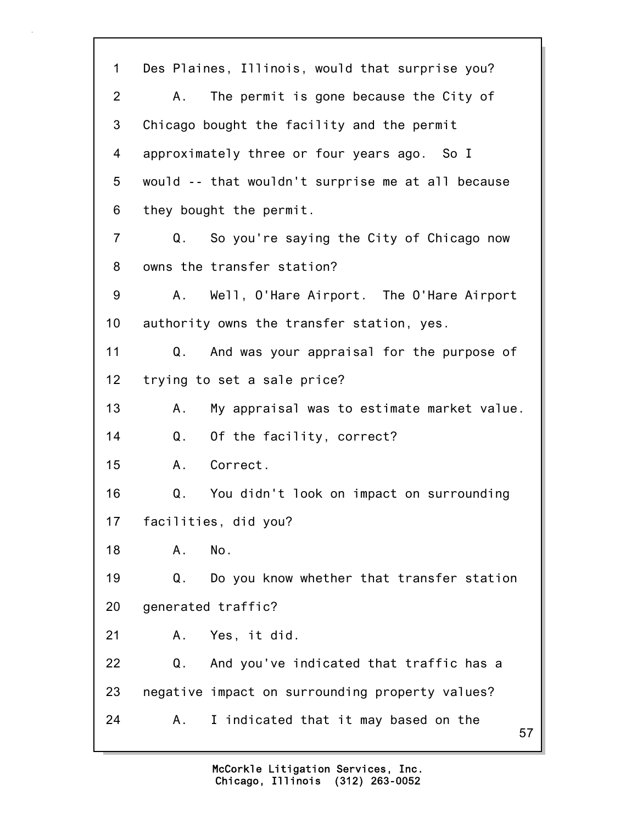57 1 Des Plaines, Illinois, would that surprise you? 2 A. The permit is gone because the City of 3 Chicago bought the facility and the permit 4 approximately three or four years ago. So I 5 would -- that wouldn't surprise me at all because 6 they bought the permit. 7 Q. So you're saying the City of Chicago now 8 owns the transfer station? 9 A. Well, O'Hare Airport. The O'Hare Airport 10 authority owns the transfer station, yes. 11 Q. And was your appraisal for the purpose of 12 trying to set a sale price? 13 A. My appraisal was to estimate market value. 14 Q. Of the facility, correct? 15 A. Correct. 16 Q. You didn't look on impact on surrounding 17 facilities, did you? 18 A. No. 19 Q. Do you know whether that transfer station 20 generated traffic? 21 A. Yes, it did. 22 Q. And you've indicated that traffic has a 23 negative impact on surrounding property values? 24 A. I indicated that it may based on the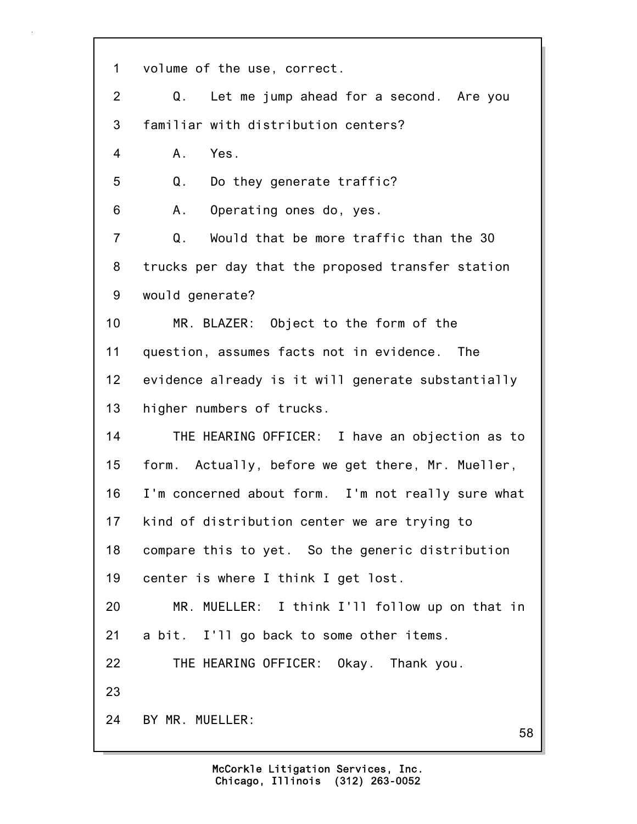| 1              | volume of the use, correct.                        |
|----------------|----------------------------------------------------|
| $\overline{2}$ | Q.<br>Let me jump ahead for a second. Are you      |
| 3              | familiar with distribution centers?                |
| 4              | A. Yes.                                            |
| 5              | Q.<br>Do they generate traffic?                    |
| 6              | Operating ones do, yes.<br>Α.                      |
| $\overline{7}$ | Would that be more traffic than the 30<br>Q.       |
| 8              | trucks per day that the proposed transfer station  |
| 9              | would generate?                                    |
| 10             | MR. BLAZER: Object to the form of the              |
| 11             | question, assumes facts not in evidence. The       |
| 12             | evidence already is it will generate substantially |
| 13             | higher numbers of trucks.                          |
| 14             | THE HEARING OFFICER: I have an objection as to     |
| 15             | form. Actually, before we get there, Mr. Mueller,  |
| 16             | I'm concerned about form. I'm not really sure what |
| 17             | kind of distribution center we are trying to       |
| 18             | compare this to yet. So the generic distribution   |
| 19             | center is where I think I get lost.                |
| 20             | MR. MUELLER: I think I'll follow up on that in     |
| 21             | a bit. I'll go back to some other items.           |
| 22             | THE HEARING OFFICER: Okay. Thank you.              |
| 23             |                                                    |
| 24             | BY MR. MUELLER:<br>58                              |
|                |                                                    |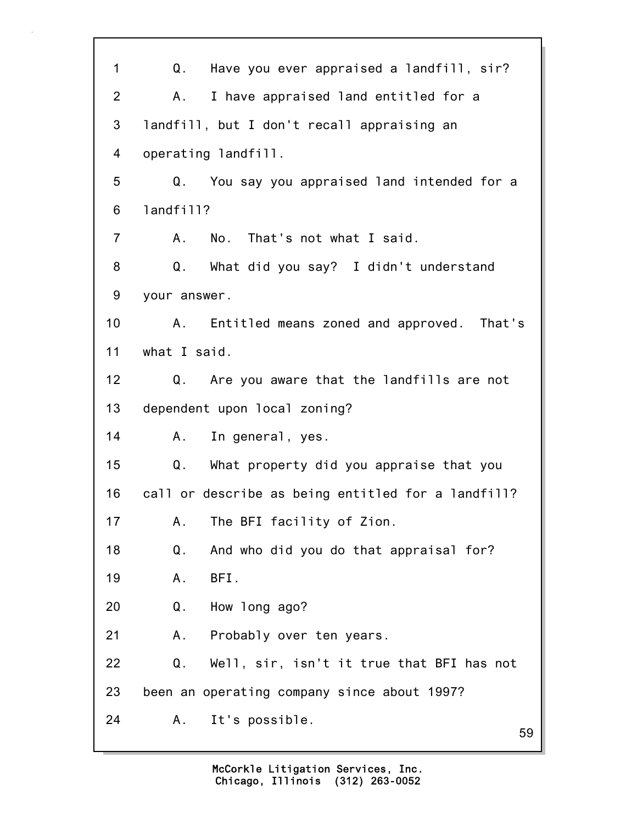| 1               | Q.<br>Have you ever appraised a landfill, sir?     |
|-----------------|----------------------------------------------------|
| 2               | I have appraised land entitled for a<br>Α.         |
| 3               | landfill, but I don't recall appraising an         |
| 4               | operating landfill.                                |
| 5               | You say you appraised land intended for a<br>Q.    |
| 6               | landfill?                                          |
| $\overline{7}$  | A. No. That's not what I said.                     |
| 8               | Q. What did you say? I didn't understand           |
| 9               | your answer.                                       |
| 10 <sub>1</sub> | A. Entitled means zoned and approved. That's       |
| 11              | what I said.                                       |
| 12 <sub>2</sub> | Q. Are you aware that the landfills are not        |
| 13              | dependent upon local zoning?                       |
| 14              | In general, yes.<br>A.,                            |
| 15              | Q.<br>What property did you appraise that you      |
| 16              | call or describe as being entitled for a landfill? |
| 17              | The BFI facility of Zion.<br>Α.                    |
| 18              | Q.<br>And who did you do that appraisal for?       |
| 19              | BFI.<br>Α.                                         |
| 20              | How long ago?<br>Q.                                |
| 21              | Probably over ten years.<br>Α.                     |
| 22              | Q.<br>Well, sir, isn't it true that BFI has not    |
| 23              | been an operating company since about 1997?        |
| 24              | It's possible.<br>A.,<br>59                        |
|                 |                                                    |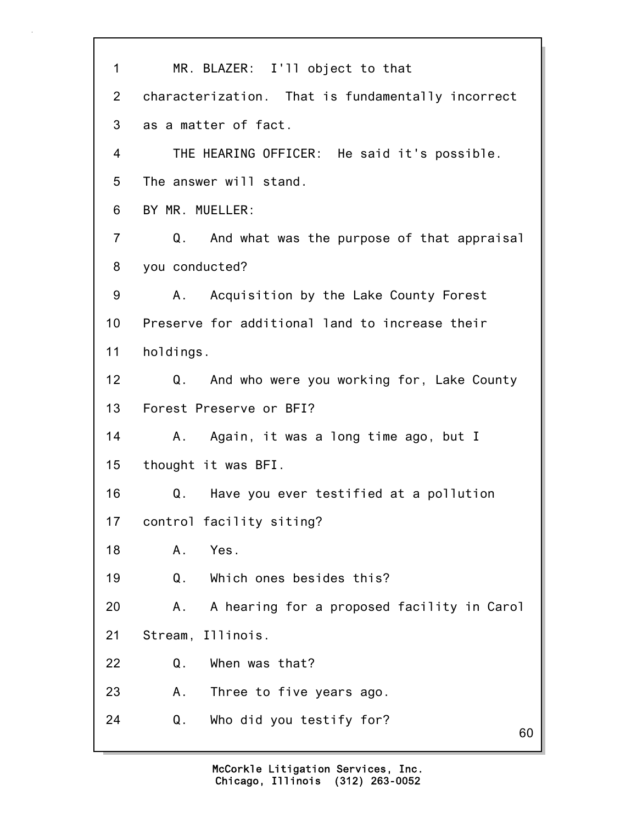60 1 MR. BLAZER: I'll object to that 2 characterization. That is fundamentally incorrect 3 as a matter of fact. 4 THE HEARING OFFICER: He said it's possible. 5 The answer will stand. 6 BY MR. MUELLER: 7 Q. And what was the purpose of that appraisal 8 you conducted? 9 A. Acquisition by the Lake County Forest 10 Preserve for additional land to increase their 11 holdings. 12 Q. And who were you working for, Lake County 13 Forest Preserve or BFI? 14 A. Again, it was a long time ago, but I 15 thought it was BFI. 16 Q. Have you ever testified at a pollution 17 control facility siting? 18 A. Yes. 19 Q. Which ones besides this? 20 A. A hearing for a proposed facility in Carol 21 Stream, Illinois. 22 Q. When was that? 23 A. Three to five years ago. 24 Q. Who did you testify for?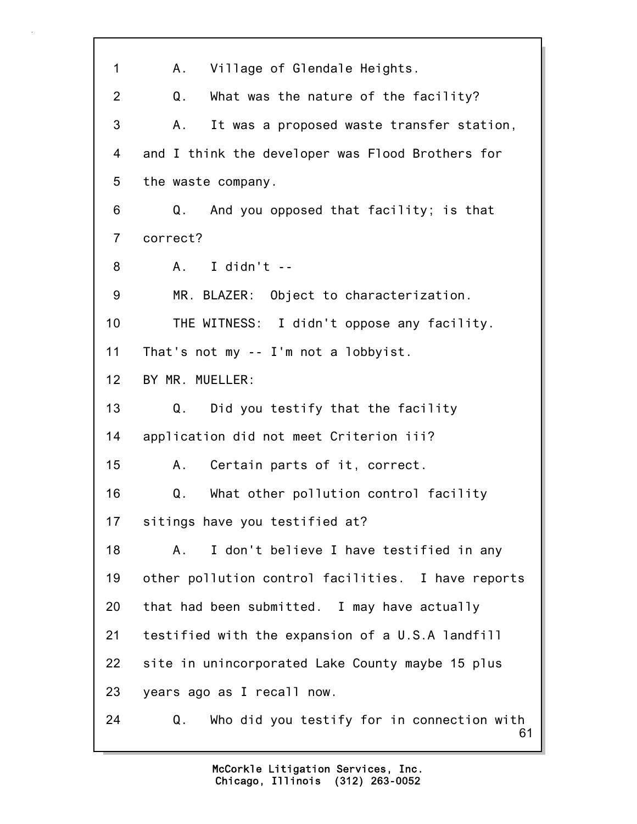| 1              | Village of Glendale Heights.<br>A.,                    |
|----------------|--------------------------------------------------------|
| $\overline{2}$ | What was the nature of the facility?<br>Q.             |
| 3              | It was a proposed waste transfer station,<br>Α.        |
| 4              | and I think the developer was Flood Brothers for       |
| 5              | the waste company.                                     |
| 6              | And you opposed that facility; is that<br>Q.           |
| $\overline{7}$ | correct?                                               |
| 8              | I didn't $-$<br>A.                                     |
| 9              | MR. BLAZER: Object to characterization.                |
| 10             | THE WITNESS: I didn't oppose any facility.             |
| 11             | That's not my -- I'm not a lobbyist.                   |
| 12             | BY MR. MUELLER:                                        |
| 13             | Did you testify that the facility<br>Q.                |
| 14             | application did not meet Criterion iii?                |
| 15             | Certain parts of it, correct.<br>А.                    |
| 16             | What other pollution control facility<br>Q.            |
| 17             | sitings have you testified at?                         |
| 18             | I don't believe I have testified in any<br>Α.          |
| 19             | other pollution control facilities. I have reports     |
| 20             | that had been submitted. I may have actually           |
| 21             | testified with the expansion of a U.S.A landfill       |
| 22             | site in unincorporated Lake County maybe 15 plus       |
| 23             | years ago as I recall now.                             |
| 24             | Who did you testify for in connection with<br>Q.<br>61 |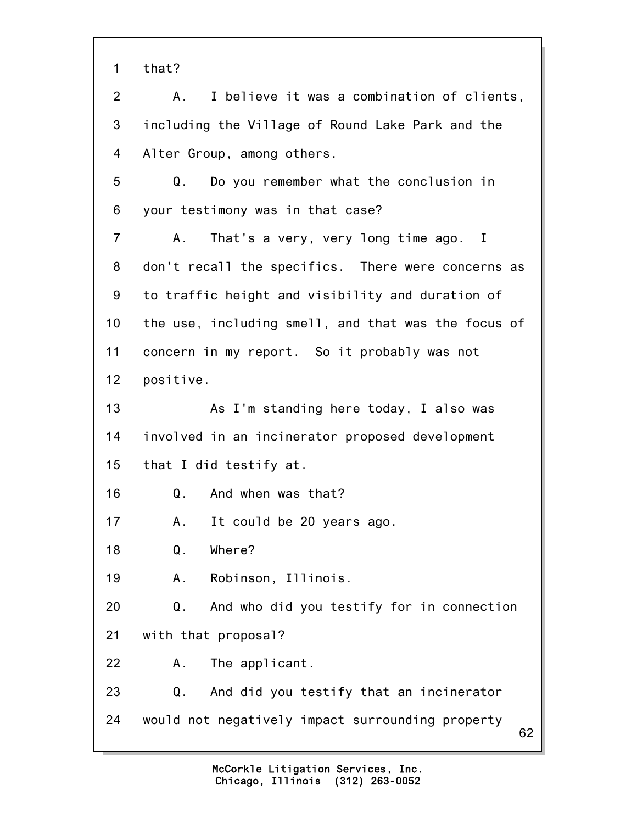1 that?

62 2 A. I believe it was a combination of clients, 3 including the Village of Round Lake Park and the 4 Alter Group, among others. 5 Q. Do you remember what the conclusion in 6 your testimony was in that case? 7 A. That's a very, very long time ago. I 8 don't recall the specifics. There were concerns as 9 to traffic height and visibility and duration of 10 the use, including smell, and that was the focus of 11 concern in my report. So it probably was not 12 positive. 13 As I'm standing here today, I also was 14 involved in an incinerator proposed development 15 that I did testify at. 16 Q. And when was that? 17 A. It could be 20 years ago. 18 Q. Where? 19 A. Robinson, Illinois. 20 Q. And who did you testify for in connection 21 with that proposal? 22 A. The applicant. 23 Q. And did you testify that an incinerator 24 would not negatively impact surrounding property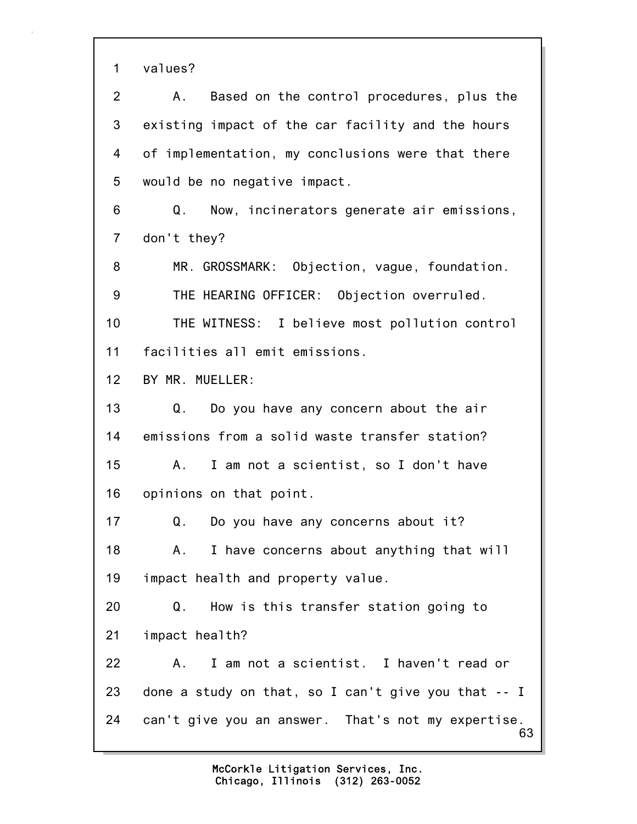1 values?

63 2 A. Based on the control procedures, plus the 3 existing impact of the car facility and the hours 4 of implementation, my conclusions were that there 5 would be no negative impact. 6 Q. Now, incinerators generate air emissions, 7 don't they? 8 MR. GROSSMARK: Objection, vague, foundation. 9 THE HEARING OFFICER: Objection overruled. 10 THE WITNESS: I believe most pollution control 11 facilities all emit emissions. 12 BY MR. MUELLER: 13 Q. Do you have any concern about the air 14 emissions from a solid waste transfer station? 15 A. I am not a scientist, so I don't have 16 opinions on that point. 17 Q. Do you have any concerns about it? 18 A. I have concerns about anything that will 19 impact health and property value. 20 Q. How is this transfer station going to 21 impact health? 22 A. I am not a scientist. I haven't read or 23 done a study on that, so I can't give you that -- I 24 can't give you an answer. That's not my expertise.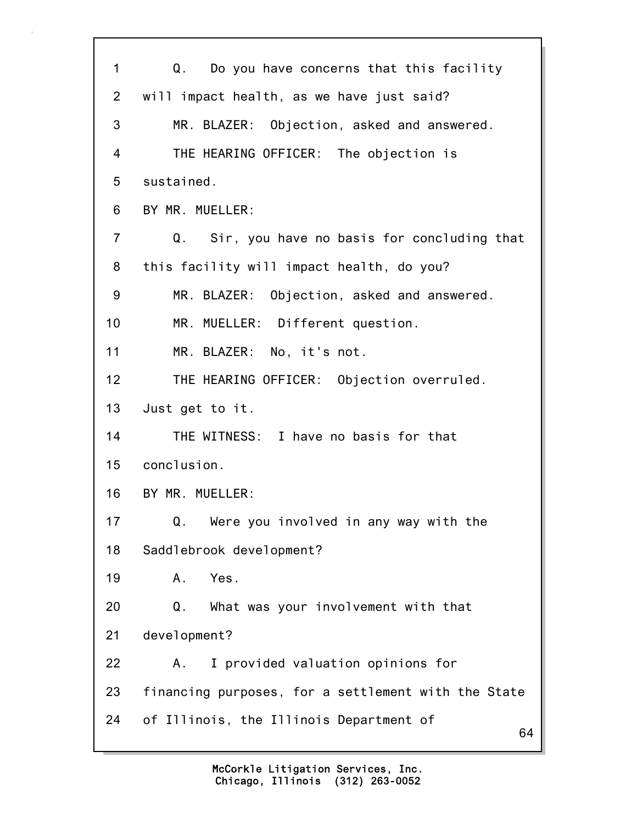64 1 Q. Do you have concerns that this facility 2 will impact health, as we have just said? 3 MR. BLAZER: Objection, asked and answered. 4 THE HEARING OFFICER: The objection is 5 sustained. 6 BY MR. MUELLER: 7 Q. Sir, you have no basis for concluding that 8 this facility will impact health, do you? 9 MR. BLAZER: Objection, asked and answered. 10 MR. MUELLER: Different question. 11 MR. BLAZER: No, it's not. 12 THE HEARING OFFICER: Objection overruled. 13 Just get to it. 14 THE WITNESS: I have no basis for that 15 conclusion. 16 BY MR. MUELLER: 17 Q. Were you involved in any way with the 18 Saddlebrook development? 19 A. Yes. 20 Q. What was your involvement with that 21 development? 22 A. I provided valuation opinions for 23 financing purposes, for a settlement with the State 24 of Illinois, the Illinois Department of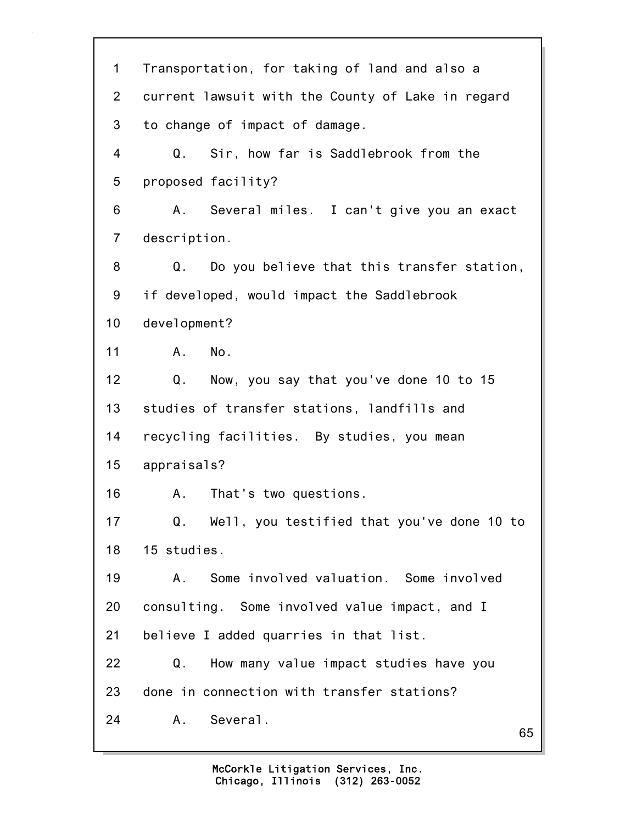65 1 Transportation, for taking of land and also a 2 current lawsuit with the County of Lake in regard 3 to change of impact of damage. 4 Q. Sir, how far is Saddlebrook from the 5 proposed facility? 6 A. Several miles. I can't give you an exact 7 description. 8 Q. Do you believe that this transfer station, 9 if developed, would impact the Saddlebrook 10 development? 11 A. No. 12 Q. Now, you say that you've done 10 to 15 13 studies of transfer stations, landfills and 14 recycling facilities. By studies, you mean 15 appraisals? 16 A. That's two questions. 17 Q. Well, you testified that you've done 10 to 18 15 studies. 19 A. Some involved valuation. Some involved 20 consulting. Some involved value impact, and I 21 believe I added quarries in that list. 22 Q. How many value impact studies have you 23 done in connection with transfer stations? 24 A. Several.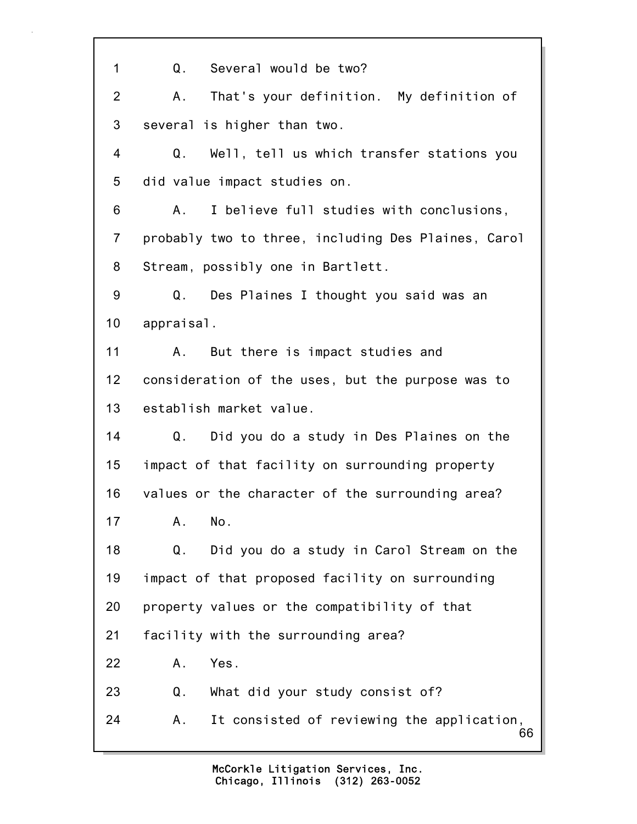66 1 Q. Several would be two? 2 A. That's your definition. My definition of 3 several is higher than two. 4 Q. Well, tell us which transfer stations you 5 did value impact studies on. 6 A. I believe full studies with conclusions, 7 probably two to three, including Des Plaines, Carol 8 Stream, possibly one in Bartlett. 9 Q. Des Plaines I thought you said was an 10 appraisal. 11 A. But there is impact studies and 12 consideration of the uses, but the purpose was to 13 establish market value. 14 Q. Did you do a study in Des Plaines on the 15 impact of that facility on surrounding property 16 values or the character of the surrounding area? 17 A. No. 18 Q. Did you do a study in Carol Stream on the 19 impact of that proposed facility on surrounding 20 property values or the compatibility of that 21 facility with the surrounding area? 22 A. Yes. 23 Q. What did your study consist of? 24 A. It consisted of reviewing the application,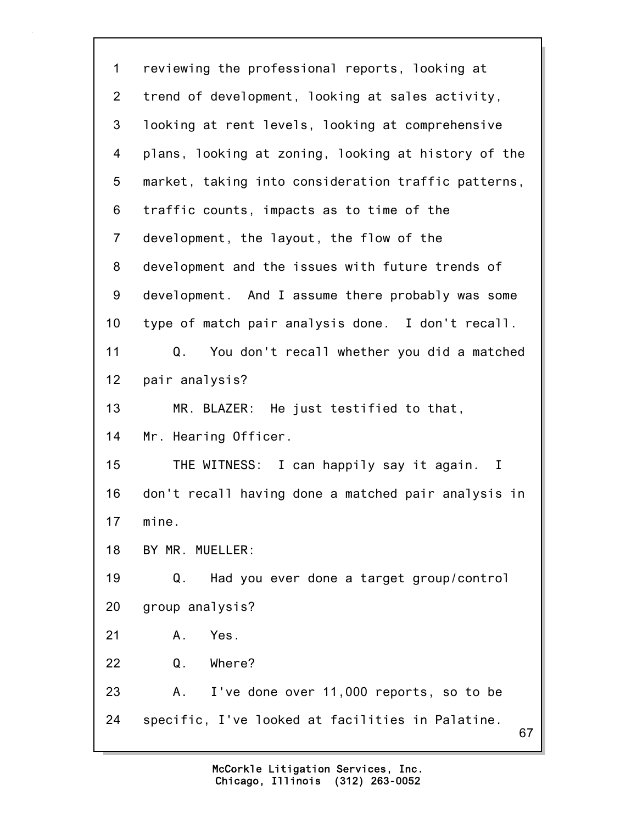| 1              | reviewing the professional reports, looking at           |
|----------------|----------------------------------------------------------|
| $\overline{2}$ | trend of development, looking at sales activity,         |
| 3              | looking at rent levels, looking at comprehensive         |
| 4              | plans, looking at zoning, looking at history of the      |
| 5              | market, taking into consideration traffic patterns,      |
| 6              | traffic counts, impacts as to time of the                |
| $\overline{7}$ | development, the layout, the flow of the                 |
| 8              | development and the issues with future trends of         |
| 9              | development. And I assume there probably was some        |
| 10             | type of match pair analysis done. I don't recall.        |
| 11             | You don't recall whether you did a matched<br>Q.         |
| 12             | pair analysis?                                           |
| 13             | MR. BLAZER: He just testified to that,                   |
| 14             | Mr. Hearing Officer.                                     |
| 15             | THE WITNESS: I can happily say it again.<br>$\mathbf{I}$ |
| 16             | don't recall having done a matched pair analysis in      |
| 17             | mine.                                                    |
| 18             | BY MR. MUELLER:                                          |
| 19             | Had you ever done a target group/control<br>Q.           |
| 20             | group analysis?                                          |
| 21             | Yes.<br>Α.                                               |
| 22             | Q.<br>Where?                                             |
| 23             | I've done over 11,000 reports, so to be<br>А.            |
| 24             | specific, I've looked at facilities in Palatine.<br>67   |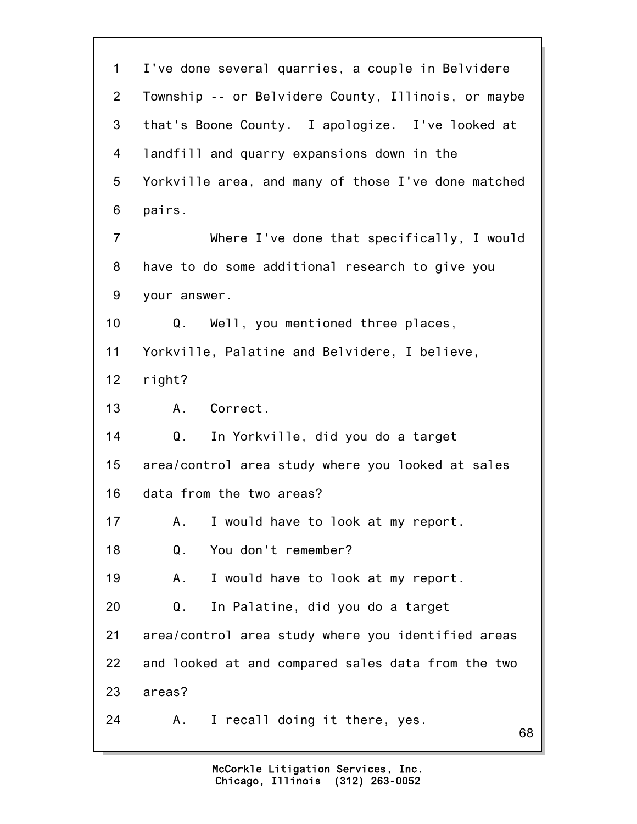68 1 I've done several quarries, a couple in Belvidere 2 Township -- or Belvidere County, Illinois, or maybe 3 that's Boone County. I apologize. I've looked at 4 landfill and quarry expansions down in the 5 Yorkville area, and many of those I've done matched 6 pairs. 7 Where I've done that specifically, I would 8 have to do some additional research to give you 9 your answer. 10 Q. Well, you mentioned three places, 11 Yorkville, Palatine and Belvidere, I believe, 12 right? 13 A. Correct. 14 Q. In Yorkville, did you do a target 15 area/control area study where you looked at sales 16 data from the two areas? 17 A. I would have to look at my report. 18 Q. You don't remember? 19 A. I would have to look at my report. 20 Q. In Palatine, did you do a target 21 area/control area study where you identified areas 22 and looked at and compared sales data from the two 23 areas? 24 A. I recall doing it there, yes.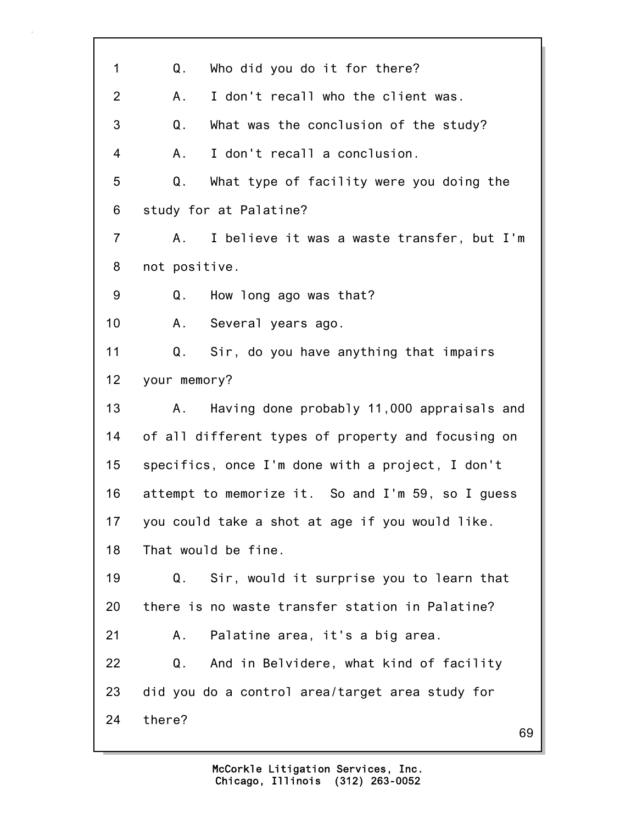69 1 Q. Who did you do it for there? 2 A. I don't recall who the client was. 3 Q. What was the conclusion of the study? 4 A. I don't recall a conclusion. 5 Q. What type of facility were you doing the 6 study for at Palatine? 7 A. I believe it was a waste transfer, but I'm 8 not positive. 9 Q. How long ago was that? 10 A. Several years ago. 11 Q. Sir, do you have anything that impairs 12 your memory? 13 A. Having done probably 11,000 appraisals and 14 of all different types of property and focusing on 15 specifics, once I'm done with a project, I don't 16 attempt to memorize it. So and I'm 59, so I guess 17 you could take a shot at age if you would like. 18 That would be fine. 19 Q. Sir, would it surprise you to learn that 20 there is no waste transfer station in Palatine? 21 A. Palatine area, it's a big area. 22 Q. And in Belvidere, what kind of facility 23 did you do a control area/target area study for 24 there?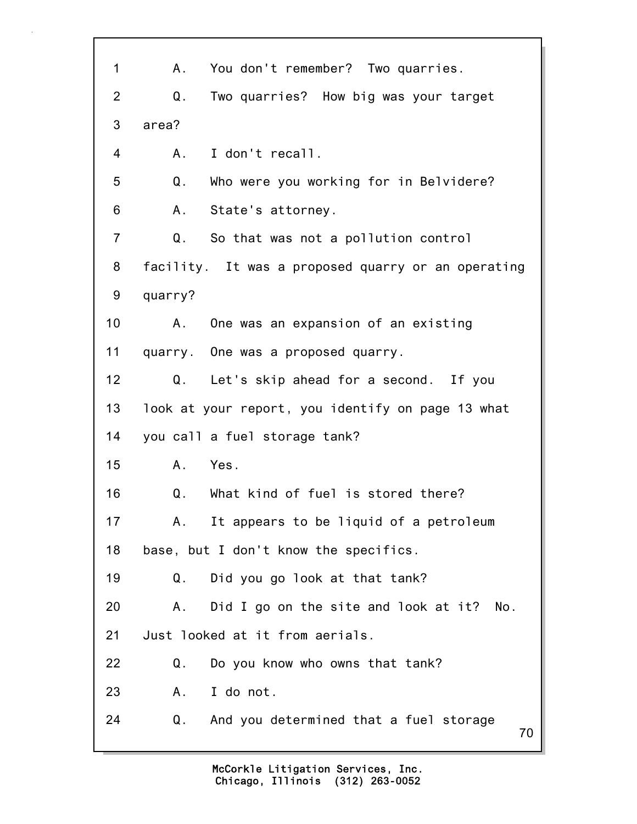| 1              | You don't remember? Two quarries.<br>А.              |
|----------------|------------------------------------------------------|
| $\overline{2}$ | Two quarries? How big was your target<br>Q.          |
| 3              | area?                                                |
| 4              | I don't recall.<br>A.                                |
| 5              | Q.<br>Who were you working for in Belvidere?         |
| 6              | State's attorney.<br>Α.                              |
| $\overline{7}$ | $\mathsf Q$ .<br>So that was not a pollution control |
| 8              | facility. It was a proposed quarry or an operating   |
| 9              | quarry?                                              |
| 10             | One was an expansion of an existing<br>Α.            |
| 11             | quarry. One was a proposed quarry.                   |
| 12             | Let's skip ahead for a second. If you<br>Q.          |
| 13             | look at your report, you identify on page 13 what    |
| 14             | you call a fuel storage tank?                        |
| 15             | A. Yes.                                              |
| 16             | What kind of fuel is stored there?<br>Q.             |
| 17             | It appears to be liquid of a petroleum<br>А.         |
| 18             | base, but I don't know the specifics.                |
| 19             | Q.<br>Did you go look at that tank?                  |
| 20             | Did I go on the site and look at it?<br>А.<br>No.    |
| 21             | Just looked at it from aerials.                      |
| 22             | Do you know who owns that tank?<br>Q.                |
| 23             | I do not.<br>Α.                                      |
| 24             | Q.<br>And you determined that a fuel storage<br>70   |
|                |                                                      |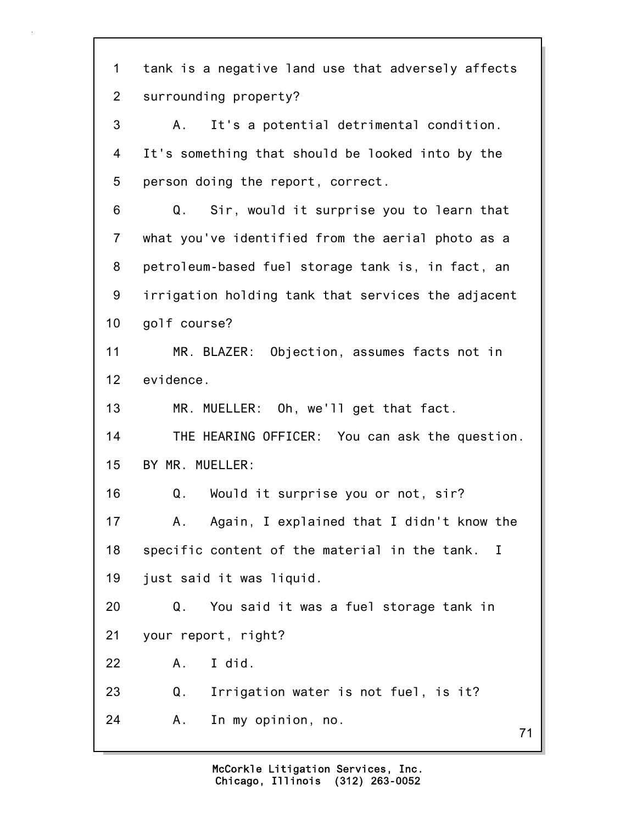71 1 tank is a negative land use that adversely affects 2 surrounding property? 3 A. It's a potential detrimental condition. 4 It's something that should be looked into by the 5 person doing the report, correct. 6 Q. Sir, would it surprise you to learn that 7 what you've identified from the aerial photo as a 8 petroleum-based fuel storage tank is, in fact, an 9 irrigation holding tank that services the adjacent 10 golf course? 11 MR. BLAZER: Objection, assumes facts not in 12 evidence. 13 MR. MUELLER: Oh, we'll get that fact. 14 THE HEARING OFFICER: You can ask the question. 15 BY MR. MUELLER: 16 Q. Would it surprise you or not, sir? 17 A. Again, I explained that I didn't know the 18 specific content of the material in the tank. I 19 just said it was liquid. 20 Q. You said it was a fuel storage tank in 21 your report, right? 22 A. I did. 23 Q. Irrigation water is not fuel, is it? 24 A. In my opinion, no.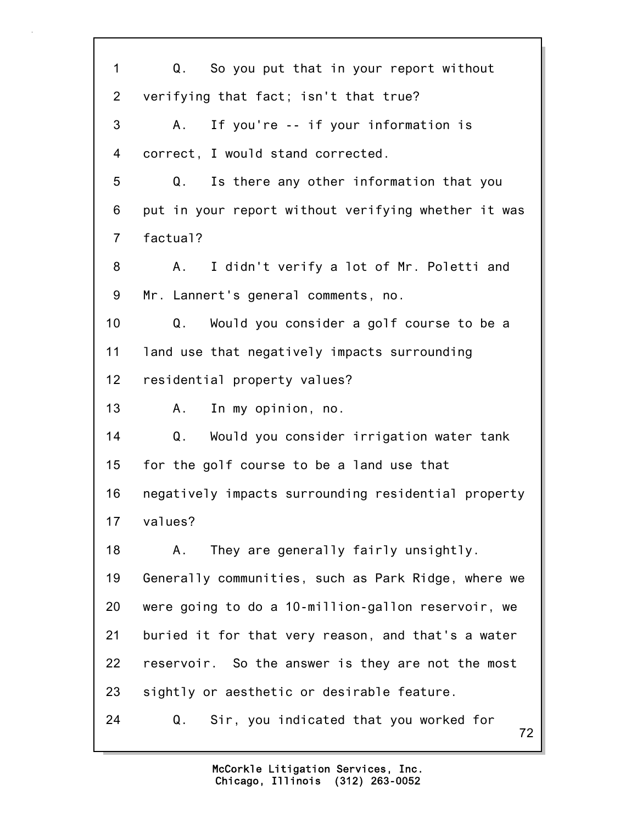| $\mathbf{1}$   | Q. So you put that in your report without           |
|----------------|-----------------------------------------------------|
| $\overline{2}$ | verifying that fact; isn't that true?               |
| 3              | If you're -- if your information is<br>А.           |
| 4              | correct, I would stand corrected.                   |
| 5              | Is there any other information that you<br>Q.       |
| 6              | put in your report without verifying whether it was |
| $\overline{7}$ | factual?                                            |
| 8              | I didn't verify a lot of Mr. Poletti and<br>A.      |
| 9              | Mr. Lannert's general comments, no.                 |
| 10             | Q. Would you consider a golf course to be a         |
| 11             | land use that negatively impacts surrounding        |
| 12             | residential property values?                        |
| 13             | In my opinion, no.<br>A.                            |
| 14             | Would you consider irrigation water tank<br>Q.      |
| 15             | for the golf course to be a land use that           |
| 16             | negatively impacts surrounding residential property |
| 17             | values?                                             |
| 18             | They are generally fairly unsightly.<br>А.          |
| 19             | Generally communities, such as Park Ridge, where we |
| 20             | were going to do a 10-million-gallon reservoir, we  |
| 21             | buried it for that very reason, and that's a water  |
| 22             | reservoir. So the answer is they are not the most   |
| 23             | sightly or aesthetic or desirable feature.          |
| 24             | Sir, you indicated that you worked for<br>Q.<br>72  |
|                |                                                     |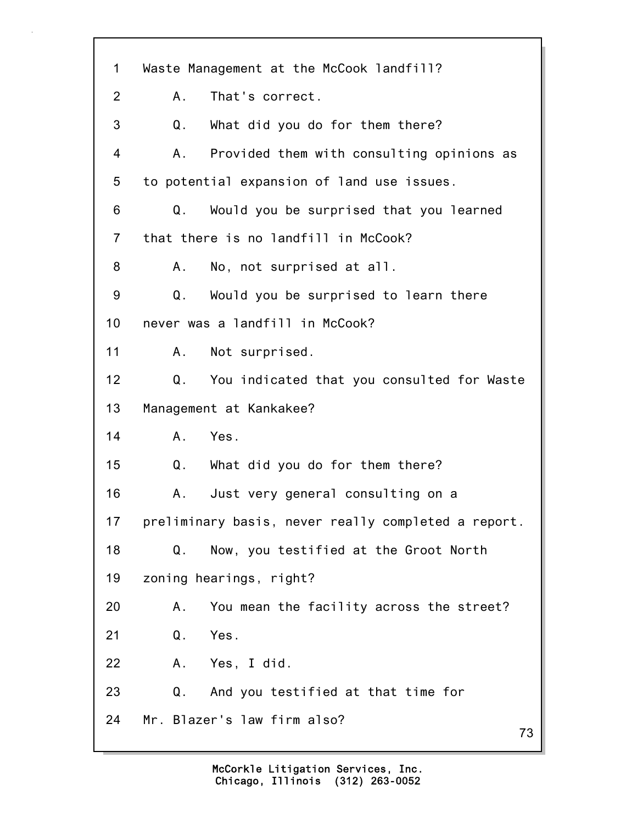73 1 Waste Management at the McCook landfill? 2 A. That's correct. 3 Q. What did you do for them there? 4 A. Provided them with consulting opinions as 5 to potential expansion of land use issues. 6 Q. Would you be surprised that you learned 7 that there is no landfill in McCook? 8 A. No, not surprised at all. 9 Q. Would you be surprised to learn there 10 never was a landfill in McCook? 11 A. Not surprised. 12 Q. You indicated that you consulted for Waste 13 Management at Kankakee? 14 A. Yes. 15 Q. What did you do for them there? 16 A. Just very general consulting on a 17 preliminary basis, never really completed a report. 18 Q. Now, you testified at the Groot North 19 zoning hearings, right? 20 A. You mean the facility across the street? 21 Q. Yes. 22 A. Yes, I did. 23 Q. And you testified at that time for 24 Mr. Blazer's law firm also?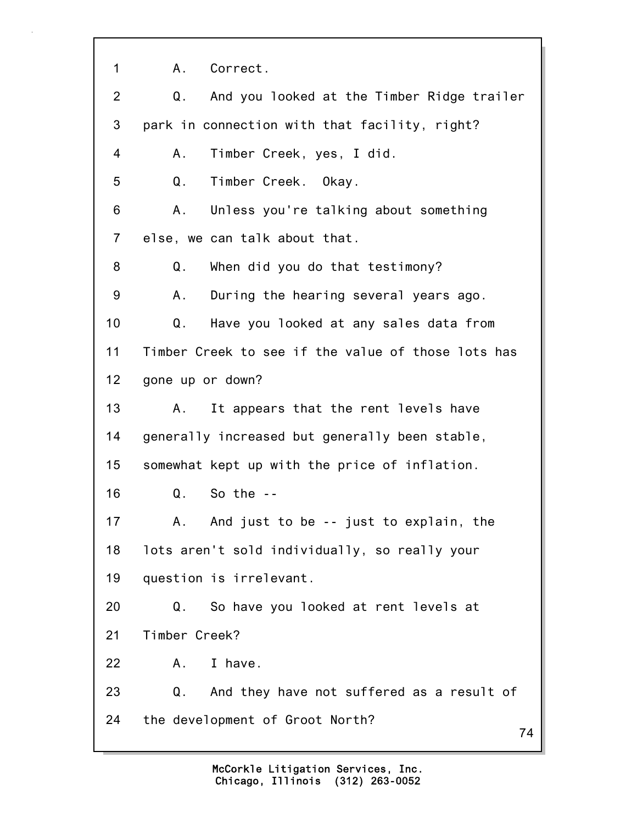74 1 A. Correct. 2 Q. And you looked at the Timber Ridge trailer 3 park in connection with that facility, right? 4 A. Timber Creek, yes, I did. 5 Q. Timber Creek. Okay. 6 A. Unless you're talking about something 7 else, we can talk about that. 8 Q. When did you do that testimony? 9 A. During the hearing several years ago. 10 Q. Have you looked at any sales data from 11 Timber Creek to see if the value of those lots has 12 gone up or down? 13 A. It appears that the rent levels have 14 generally increased but generally been stable, 15 somewhat kept up with the price of inflation. 16 Q. So the -- 17 A. And just to be -- just to explain, the 18 lots aren't sold individually, so really your 19 question is irrelevant. 20 Q. So have you looked at rent levels at 21 Timber Creek? 22 A. I have. 23 Q. And they have not suffered as a result of 24 the development of Groot North?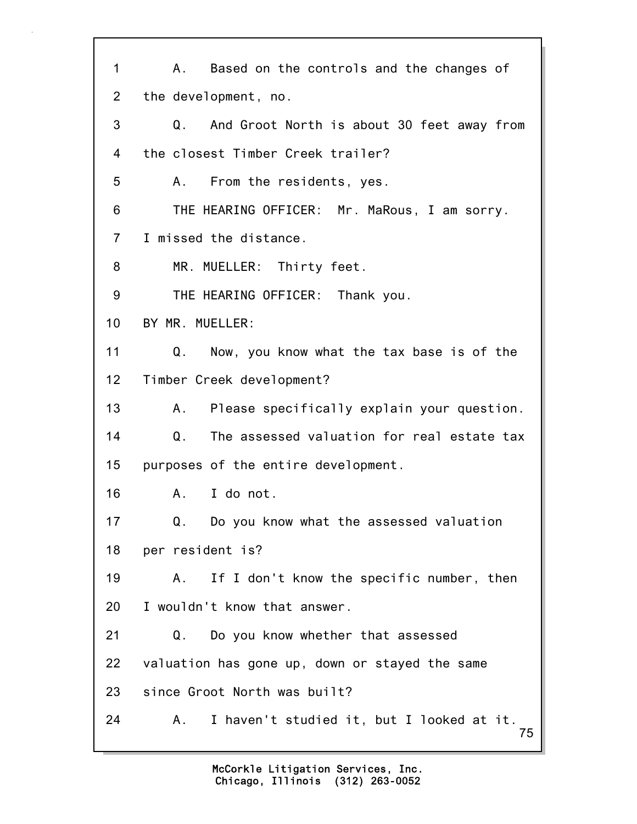75 1 A. Based on the controls and the changes of 2 the development, no. 3 Q. And Groot North is about 30 feet away from 4 the closest Timber Creek trailer? 5 A. From the residents, yes. 6 THE HEARING OFFICER: Mr. MaRous, I am sorry. 7 I missed the distance. 8 MR. MUELLER: Thirty feet. 9 THE HEARING OFFICER: Thank you. 10 BY MR. MUELLER: 11 Q. Now, you know what the tax base is of the 12 Timber Creek development? 13 A. Please specifically explain your question. 14 Q. The assessed valuation for real estate tax 15 purposes of the entire development. 16 A. I do not. 17 Q. Do you know what the assessed valuation 18 per resident is? 19 A. If I don't know the specific number, then 20 I wouldn't know that answer. 21 Q. Do you know whether that assessed 22 valuation has gone up, down or stayed the same 23 since Groot North was built? 24 A. I haven't studied it, but I looked at it.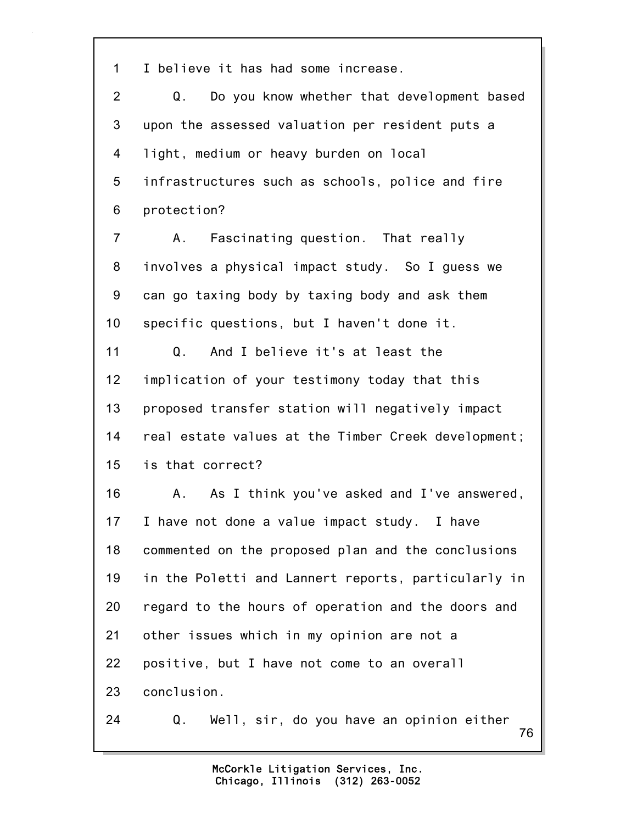1 I believe it has had some increase.

2 Q. Do you know whether that development based 3 upon the assessed valuation per resident puts a 4 light, medium or heavy burden on local 5 infrastructures such as schools, police and fire 6 protection?

7 A. Fascinating question. That really 8 involves a physical impact study. So I guess we 9 can go taxing body by taxing body and ask them 10 specific questions, but I haven't done it.

11 Q. And I believe it's at least the 12 implication of your testimony today that this 13 proposed transfer station will negatively impact 14 real estate values at the Timber Creek development; 15 is that correct?

16 A. As I think you've asked and I've answered, 17 I have not done a value impact study. I have 18 commented on the proposed plan and the conclusions 19 in the Poletti and Lannert reports, particularly in 20 regard to the hours of operation and the doors and 21 other issues which in my opinion are not a 22 positive, but I have not come to an overall 23 conclusion.

24 Q. Well, sir, do you have an opinion either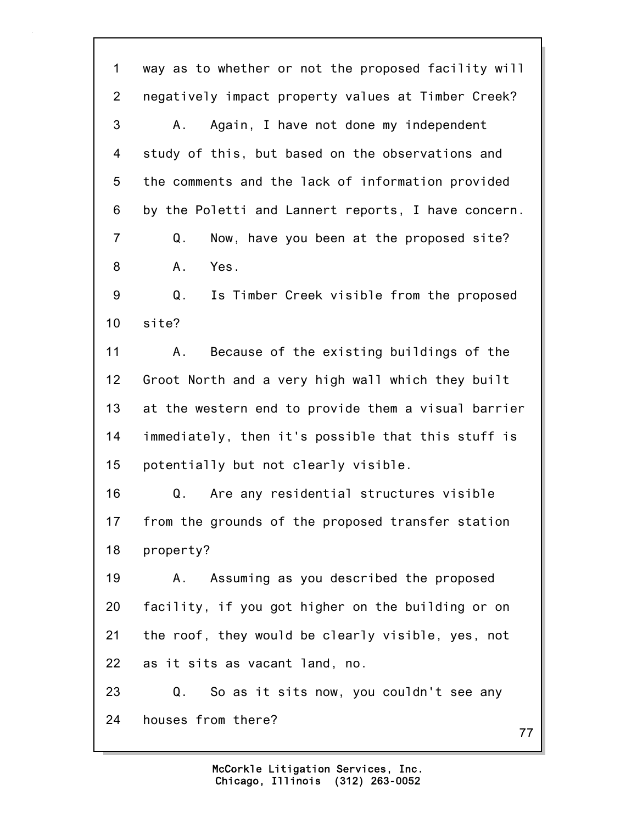77 1 way as to whether or not the proposed facility will 2 negatively impact property values at Timber Creek? 3 A. Again, I have not done my independent 4 study of this, but based on the observations and 5 the comments and the lack of information provided 6 by the Poletti and Lannert reports, I have concern. 7 Q. Now, have you been at the proposed site? 8 A. Yes. 9 Q. Is Timber Creek visible from the proposed 10 site? 11 A. Because of the existing buildings of the 12 Groot North and a very high wall which they built 13 at the western end to provide them a visual barrier 14 immediately, then it's possible that this stuff is 15 potentially but not clearly visible. 16 Q. Are any residential structures visible 17 from the grounds of the proposed transfer station 18 property? 19 A. Assuming as you described the proposed 20 facility, if you got higher on the building or on 21 the roof, they would be clearly visible, yes, not 22 as it sits as vacant land, no. 23 Q. So as it sits now, you couldn't see any 24 houses from there?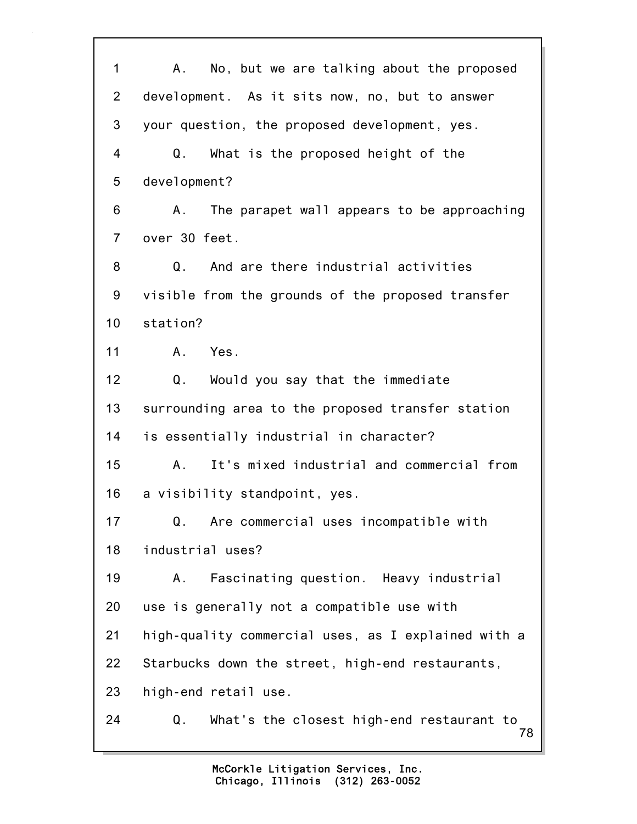| 1               | No, but we are talking about the proposed<br>A.,      |
|-----------------|-------------------------------------------------------|
| $\overline{2}$  | development. As it sits now, no, but to answer        |
| 3               | your question, the proposed development, yes.         |
| 4               | Q.<br>What is the proposed height of the              |
| 5               | development?                                          |
| 6               | The parapet wall appears to be approaching<br>А.      |
| $\overline{7}$  | over 30 feet.                                         |
| 8               | And are there industrial activities<br>Q.             |
| 9               | visible from the grounds of the proposed transfer     |
| 10 <sub>1</sub> | station?                                              |
| 11              | Yes.<br>A.                                            |
| 12              | Q.<br>Would you say that the immediate                |
| 13              | surrounding area to the proposed transfer station     |
| 14              | is essentially industrial in character?               |
| 15              | It's mixed industrial and commercial from<br>Α.       |
| 16              | a visibility standpoint, yes.                         |
| 17              | Are commercial uses incompatible with<br>Q.           |
| 18              | industrial uses?                                      |
| 19              | Fascinating question. Heavy industrial<br>А.          |
| 20              | use is generally not a compatible use with            |
| 21              | high-quality commercial uses, as I explained with a   |
| 22              | Starbucks down the street, high-end restaurants,      |
| 23              | high-end retail use.                                  |
| 24              | What's the closest high-end restaurant to<br>Q.<br>78 |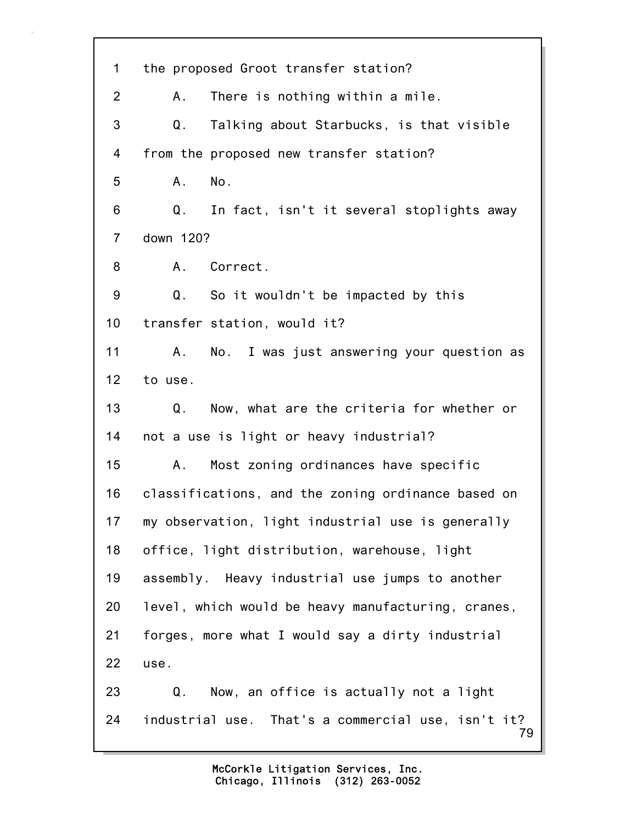79 1 the proposed Groot transfer station? 2 A. There is nothing within a mile. 3 Q. Talking about Starbucks, is that visible 4 from the proposed new transfer station? 5 A. No. 6 Q. In fact, isn't it several stoplights away 7 down 120? 8 A. Correct. 9 Q. So it wouldn't be impacted by this 10 transfer station, would it? 11 A. No. I was just answering your question as 12 to use. 13 Q. Now, what are the criteria for whether or 14 not a use is light or heavy industrial? 15 A. Most zoning ordinances have specific 16 classifications, and the zoning ordinance based on 17 my observation, light industrial use is generally 18 office, light distribution, warehouse, light 19 assembly. Heavy industrial use jumps to another 20 level, which would be heavy manufacturing, cranes, 21 forges, more what I would say a dirty industrial 22 use. 23 Q. Now, an office is actually not a light 24 industrial use. That's a commercial use, isn't it?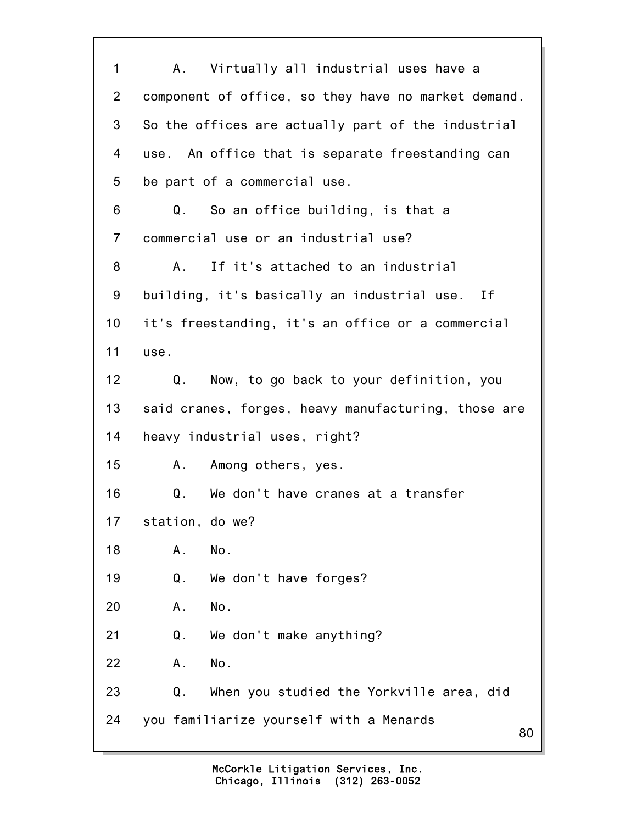80 1 A. Virtually all industrial uses have a 2 component of office, so they have no market demand. 3 So the offices are actually part of the industrial 4 use. An office that is separate freestanding can 5 be part of a commercial use. 6 Q. So an office building, is that a 7 commercial use or an industrial use? 8 A. If it's attached to an industrial 9 building, it's basically an industrial use. If 10 it's freestanding, it's an office or a commercial 11 use. 12 Q. Now, to go back to your definition, you 13 said cranes, forges, heavy manufacturing, those are 14 heavy industrial uses, right? 15 A. Among others, yes. 16 Q. We don't have cranes at a transfer 17 station, do we? 18 A. No. 19 Q. We don't have forges? 20 A. No. 21 Q. We don't make anything? 22 A. No. 23 Q. When you studied the Yorkville area, did 24 you familiarize yourself with a Menards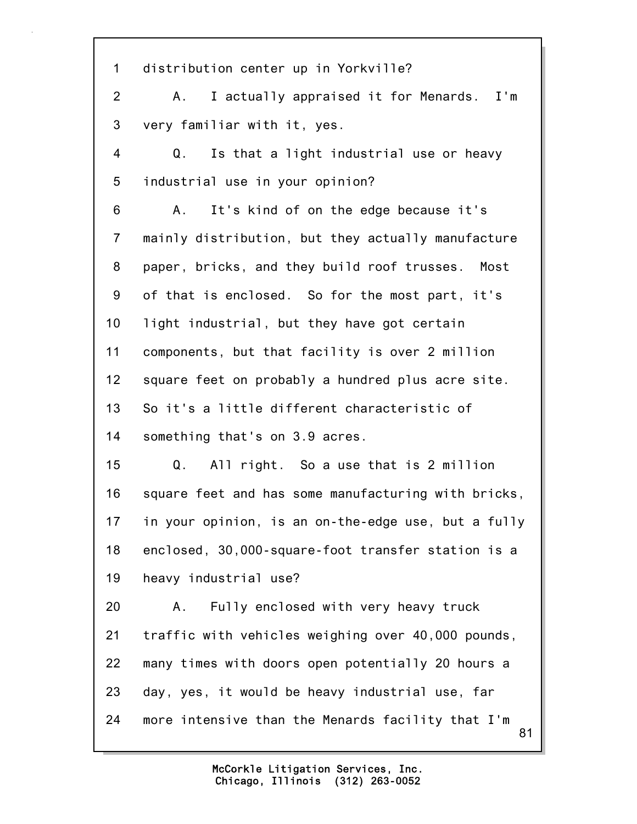81 1 distribution center up in Yorkville? 2 A. I actually appraised it for Menards. I'm 3 very familiar with it, yes. 4 Q. Is that a light industrial use or heavy 5 industrial use in your opinion? 6 A. It's kind of on the edge because it's 7 mainly distribution, but they actually manufacture 8 paper, bricks, and they build roof trusses. Most 9 of that is enclosed. So for the most part, it's 10 light industrial, but they have got certain 11 components, but that facility is over 2 million 12 square feet on probably a hundred plus acre site. 13 So it's a little different characteristic of 14 something that's on 3.9 acres. 15 Q. All right. So a use that is 2 million 16 square feet and has some manufacturing with bricks, 17 in your opinion, is an on-the-edge use, but a fully 18 enclosed, 30,000-square-foot transfer station is a 19 heavy industrial use? 20 A. Fully enclosed with very heavy truck 21 traffic with vehicles weighing over 40,000 pounds, 22 many times with doors open potentially 20 hours a 23 day, yes, it would be heavy industrial use, far 24 more intensive than the Menards facility that I'm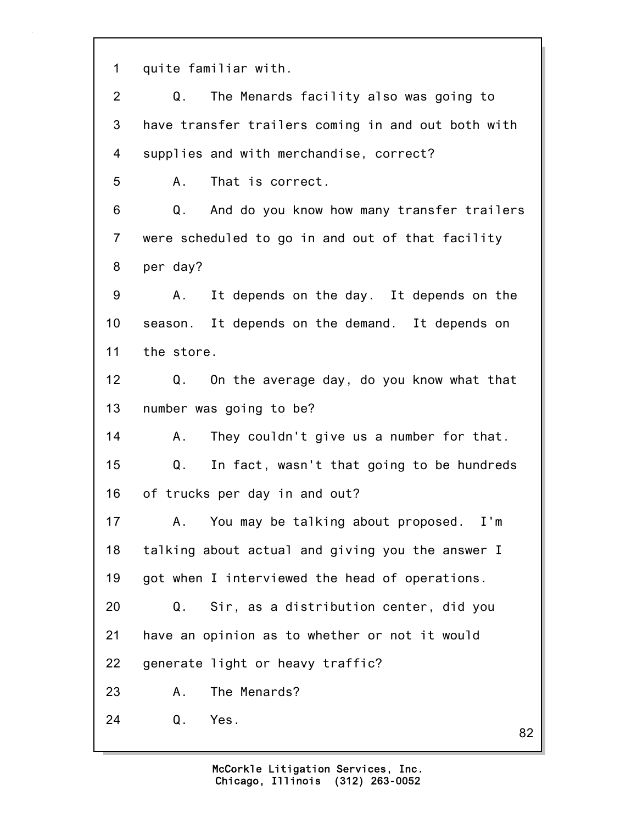1 quite familiar with.

2 Q. The Menards facility also was going to 3 have transfer trailers coming in and out both with 4 supplies and with merchandise, correct? 5 A. That is correct. 6 Q. And do you know how many transfer trailers 7 were scheduled to go in and out of that facility 8 per day? 9 A. It depends on the day. It depends on the 10 season. It depends on the demand. It depends on 11 the store. 12 Q. On the average day, do you know what that 13 number was going to be? 14 A. They couldn't give us a number for that. 15 Q. In fact, wasn't that going to be hundreds 16 of trucks per day in and out? 17 A. You may be talking about proposed. I'm 18 talking about actual and giving you the answer I 19 got when I interviewed the head of operations. 20 Q. Sir, as a distribution center, did you 21 have an opinion as to whether or not it would 22 generate light or heavy traffic? 23 A. The Menards? 24 Q. Yes.

82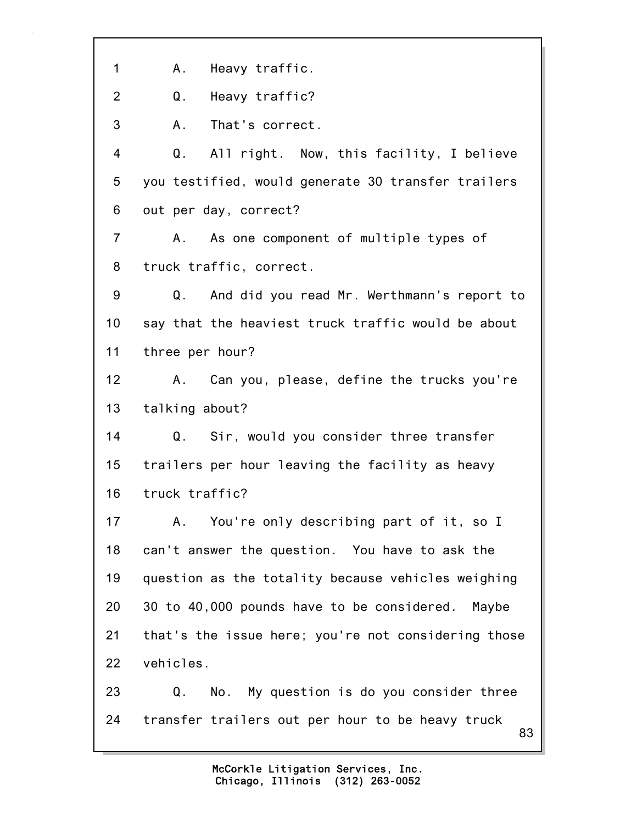83 1 A. Heavy traffic. 2 Q. Heavy traffic? 3 A. That's correct. 4 Q. All right. Now, this facility, I believe 5 you testified, would generate 30 transfer trailers 6 out per day, correct? 7 A. As one component of multiple types of 8 truck traffic, correct. 9 Q. And did you read Mr. Werthmann's report to 10 say that the heaviest truck traffic would be about 11 three per hour? 12 A. Can you, please, define the trucks you're 13 talking about? 14 Q. Sir, would you consider three transfer 15 trailers per hour leaving the facility as heavy 16 truck traffic? 17 A. You're only describing part of it, so I 18 can't answer the question. You have to ask the 19 question as the totality because vehicles weighing 20 30 to 40,000 pounds have to be considered. Maybe 21 that's the issue here; you're not considering those 22 vehicles. 23 Q. No. My question is do you consider three 24 transfer trailers out per hour to be heavy truck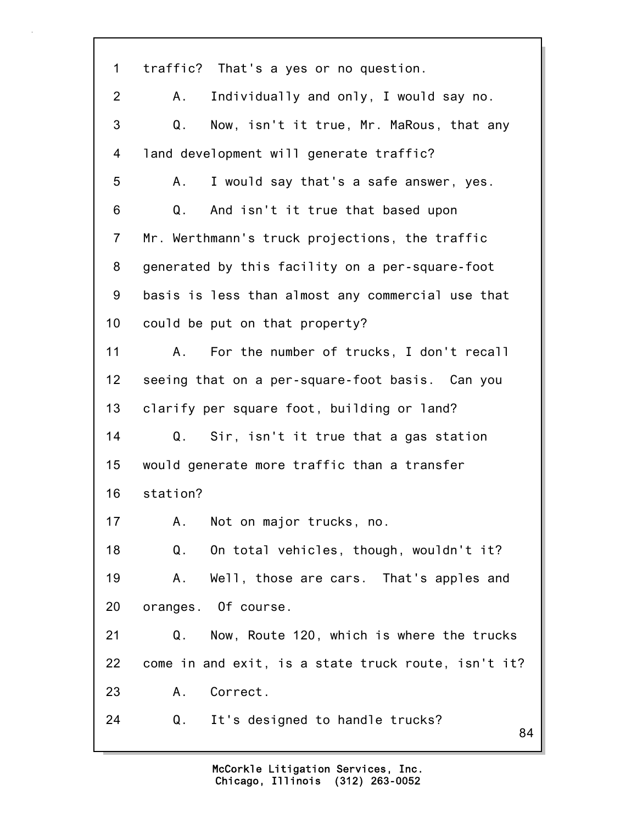| $\mathbf 1$    | traffic? That's a yes or no question.               |
|----------------|-----------------------------------------------------|
| $\overline{2}$ | Individually and only, I would say no.<br>A.        |
| 3              | Q.<br>Now, isn't it true, Mr. MaRous, that any      |
| 4              | land development will generate traffic?             |
| 5              | I would say that's a safe answer, yes.<br>Α.        |
| 6              | Q <sub>1</sub><br>And isn't it true that based upon |
| $\overline{7}$ | Mr. Werthmann's truck projections, the traffic      |
| 8              | generated by this facility on a per-square-foot     |
| 9              | basis is less than almost any commercial use that   |
| 10             | could be put on that property?                      |
| 11             | For the number of trucks, I don't recall<br>А.      |
| 12             | seeing that on a per-square-foot basis. Can you     |
| 13             | clarify per square foot, building or land?          |
| 14             | Q.<br>Sir, isn't it true that a gas station         |
| 15             | would generate more traffic than a transfer         |
| 16             | station?                                            |
| 17             | A. Not on major trucks, no.                         |
| 18             | On total vehicles, though, wouldn't it?<br>Q.       |
| 19             | Well, those are cars. That's apples and<br>Α.       |
| 20             | oranges. Of course.                                 |
| 21             | Now, Route 120, which is where the trucks<br>Q.     |
| 22             | come in and exit, is a state truck route, isn't it? |
| 23             | Correct.<br>Α.                                      |
| 24             | It's designed to handle trucks?<br>Q.<br>84         |
|                |                                                     |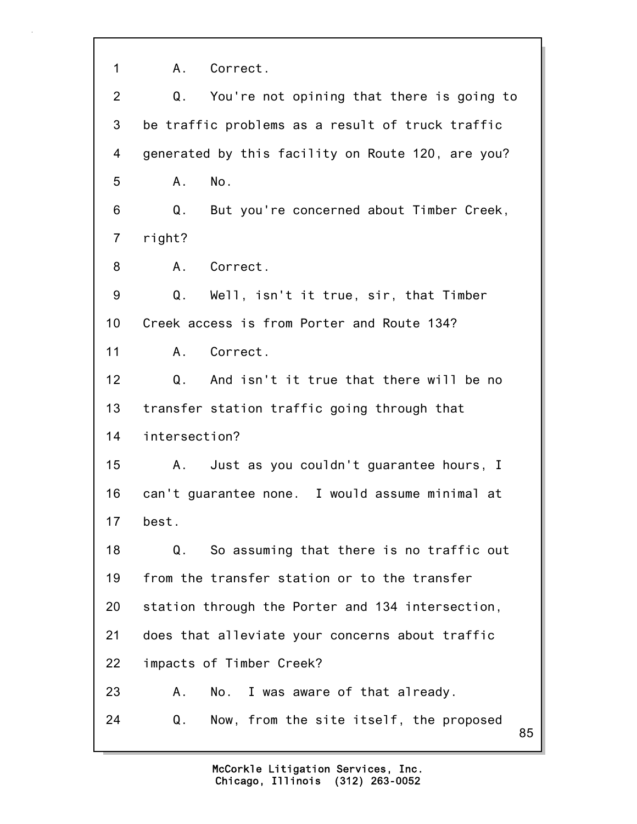1 A. Correct.

| $\overline{2}$ | Q.<br>You're not opining that there is going to            |    |
|----------------|------------------------------------------------------------|----|
| 3              | be traffic problems as a result of truck traffic           |    |
| 4              | generated by this facility on Route 120, are you?          |    |
| 5              | No.<br>Α.                                                  |    |
| 6              | Q.<br>But you're concerned about Timber Creek,             |    |
| $\overline{7}$ | right?                                                     |    |
| 8              | Correct.<br>А.                                             |    |
| 9              | Q.<br>Well, isn't it true, sir, that Timber                |    |
| 10             | Creek access is from Porter and Route 134?                 |    |
| 11             | Correct.<br>A.,                                            |    |
| 12             | And isn't it true that there will be no<br>Q.              |    |
| 13             | transfer station traffic going through that                |    |
| 14             | intersection?                                              |    |
| 15             | Just as you couldn't guarantee hours, I<br>A.,             |    |
| 16             | can't guarantee none. I would assume minimal at            |    |
| 17             | best.                                                      |    |
| 18             | So assuming that there is no traffic out<br>Q <sub>1</sub> |    |
| 19             | from the transfer station or to the transfer               |    |
| 20             | station through the Porter and 134 intersection,           |    |
| 21             | does that alleviate your concerns about traffic            |    |
| 22             | impacts of Timber Creek?                                   |    |
| 23             | I was aware of that already.<br>Α.<br>No.                  |    |
| 24             | Now, from the site itself, the proposed<br>Q.              | 85 |
|                |                                                            |    |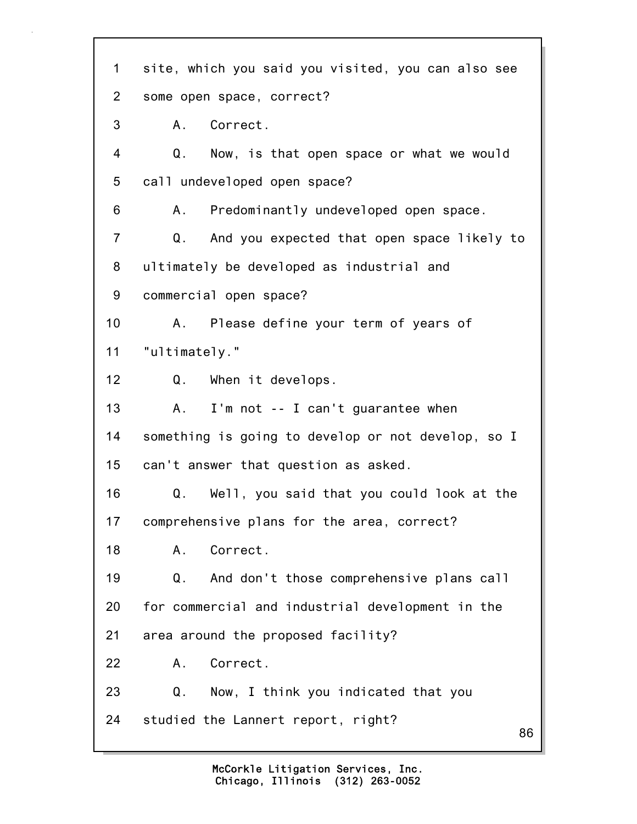86 1 site, which you said you visited, you can also see 2 some open space, correct? 3 A. Correct. 4 Q. Now, is that open space or what we would 5 call undeveloped open space? 6 A. Predominantly undeveloped open space. 7 Q. And you expected that open space likely to 8 ultimately be developed as industrial and 9 commercial open space? 10 A. Please define your term of years of 11 "ultimately." 12 Q. When it develops. 13 A. I'm not -- I can't guarantee when 14 something is going to develop or not develop, so I 15 can't answer that question as asked. 16 Q. Well, you said that you could look at the 17 comprehensive plans for the area, correct? 18 A. Correct. 19 Q. And don't those comprehensive plans call 20 for commercial and industrial development in the 21 area around the proposed facility? 22 A. Correct. 23 Q. Now, I think you indicated that you 24 studied the Lannert report, right?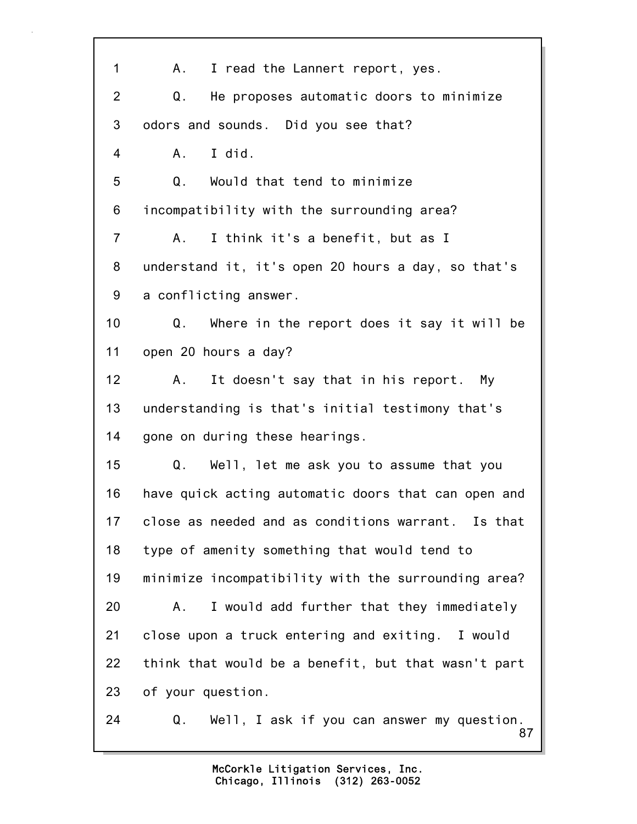87 1 A. I read the Lannert report, yes. 2 Q. He proposes automatic doors to minimize 3 odors and sounds. Did you see that? 4 A. I did. 5 Q. Would that tend to minimize 6 incompatibility with the surrounding area? 7 A. I think it's a benefit, but as I 8 understand it, it's open 20 hours a day, so that's 9 a conflicting answer. 10 Q. Where in the report does it say it will be 11 open 20 hours a day? 12 A. It doesn't say that in his report. My 13 understanding is that's initial testimony that's 14 gone on during these hearings. 15 Q. Well, let me ask you to assume that you 16 have quick acting automatic doors that can open and 17 close as needed and as conditions warrant. Is that 18 type of amenity something that would tend to 19 minimize incompatibility with the surrounding area? 20 A. I would add further that they immediately 21 close upon a truck entering and exiting. I would 22 think that would be a benefit, but that wasn't part 23 of your question. 24 Q. Well, I ask if you can answer my question.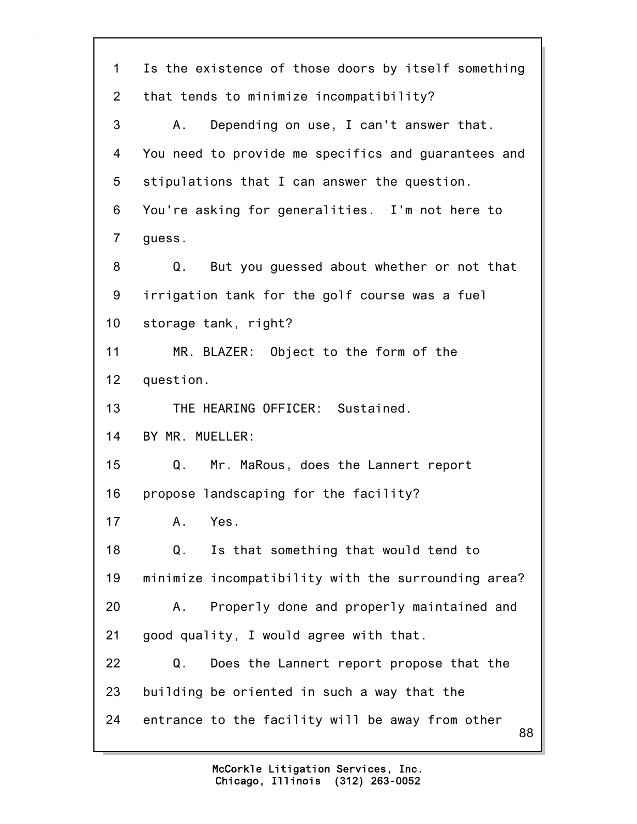| 1              | Is the existence of those doors by itself something    |
|----------------|--------------------------------------------------------|
| $\overline{2}$ | that tends to minimize incompatibility?                |
| 3              | Depending on use, I can't answer that.<br>Α.           |
| 4              | You need to provide me specifics and guarantees and    |
| 5              | stipulations that I can answer the question.           |
| 6              | You're asking for generalities. I'm not here to        |
| $\overline{7}$ | guess.                                                 |
| 8              | Q.<br>But you guessed about whether or not that        |
| 9              | irrigation tank for the golf course was a fuel         |
| 10             | storage tank, right?                                   |
| 11             | MR. BLAZER: Object to the form of the                  |
| 12             | question.                                              |
| 13             | THE HEARING OFFICER: Sustained.                        |
| 14             | BY MR. MUELLER:                                        |
| 15             | Q.<br>Mr. MaRous, does the Lannert report              |
| 16             | propose landscaping for the facility?                  |
| 17             | A.<br>Yes.                                             |
| 18             | $Q$ .<br>Is that something that would tend to          |
| 19             | minimize incompatibility with the surrounding area?    |
| 20             | Properly done and properly maintained and<br>Α.        |
| 21             | good quality, I would agree with that.                 |
| 22             | Q.<br>Does the Lannert report propose that the         |
| 23             | building be oriented in such a way that the            |
| 24             | entrance to the facility will be away from other<br>88 |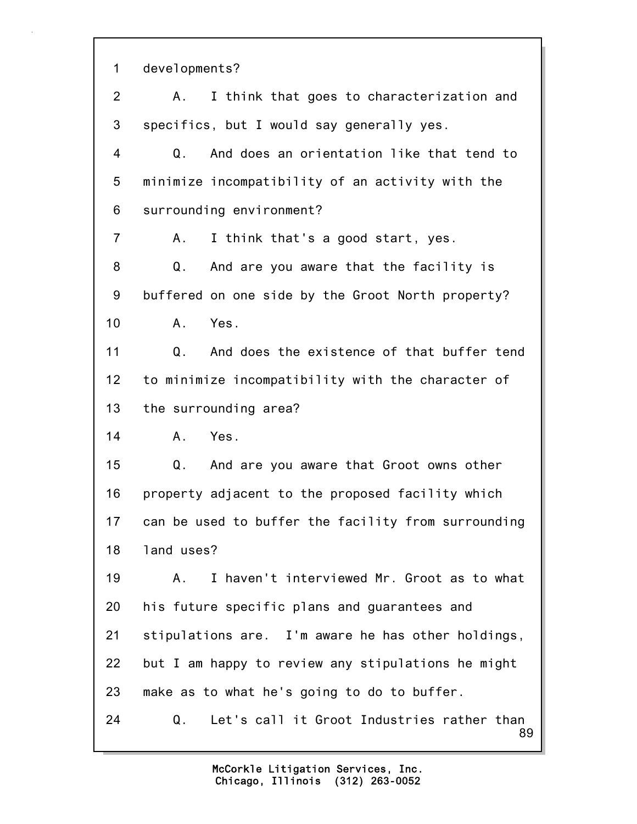89 1 developments? 2 A. I think that goes to characterization and 3 specifics, but I would say generally yes. 4 Q. And does an orientation like that tend to 5 minimize incompatibility of an activity with the 6 surrounding environment? 7 A. I think that's a good start, yes. 8 Q. And are you aware that the facility is 9 buffered on one side by the Groot North property? 10 A. Yes. 11 Q. And does the existence of that buffer tend 12 to minimize incompatibility with the character of 13 the surrounding area? 14 A. Yes. 15 Q. And are you aware that Groot owns other 16 property adjacent to the proposed facility which 17 can be used to buffer the facility from surrounding 18 land uses? 19 A. I haven't interviewed Mr. Groot as to what 20 his future specific plans and guarantees and 21 stipulations are. I'm aware he has other holdings, 22 but I am happy to review any stipulations he might 23 make as to what he's going to do to buffer. 24 Q. Let's call it Groot Industries rather than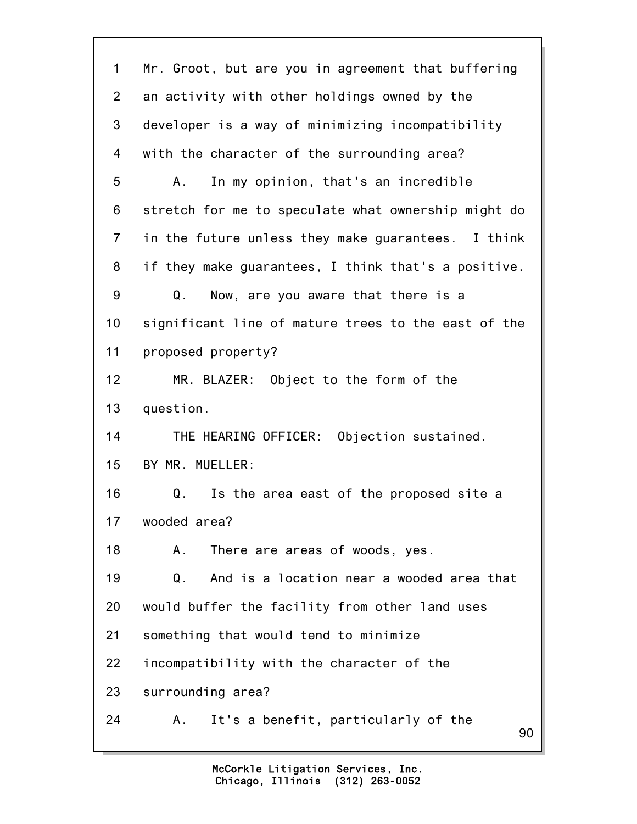90 1 Mr. Groot, but are you in agreement that buffering 2 an activity with other holdings owned by the 3 developer is a way of minimizing incompatibility 4 with the character of the surrounding area? 5 A. In my opinion, that's an incredible 6 stretch for me to speculate what ownership might do 7 in the future unless they make guarantees. I think 8 if they make guarantees, I think that's a positive. 9 Q. Now, are you aware that there is a 10 significant line of mature trees to the east of the 11 proposed property? 12 MR. BLAZER: Object to the form of the 13 question. 14 THE HEARING OFFICER: Objection sustained. 15 BY MR. MUELLER: 16 Q. Is the area east of the proposed site a 17 wooded area? 18 A. There are areas of woods, yes. 19 Q. And is a location near a wooded area that 20 would buffer the facility from other land uses 21 something that would tend to minimize 22 incompatibility with the character of the 23 surrounding area? 24 A. It's a benefit, particularly of the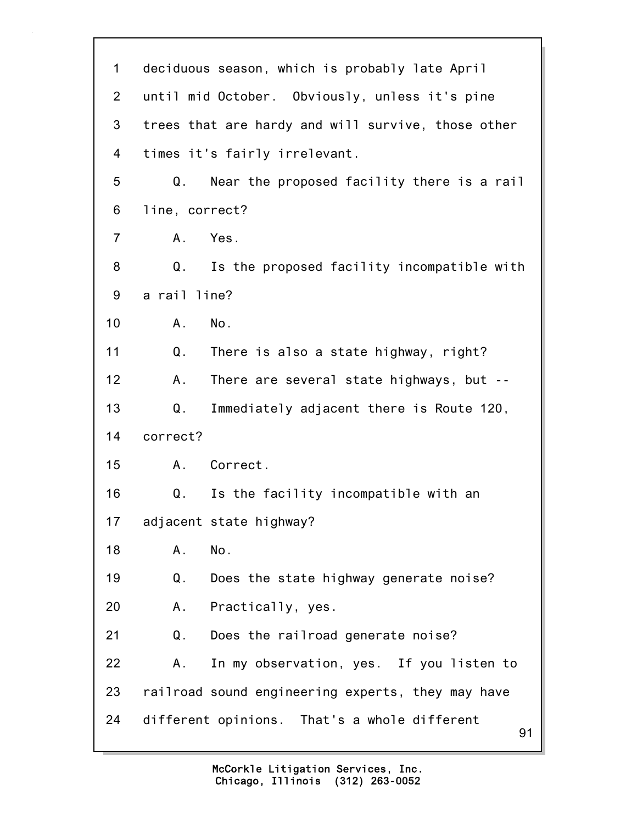| $\mathbf 1$     | deciduous season, which is probably late April     |
|-----------------|----------------------------------------------------|
| $\overline{2}$  | until mid October. Obviously, unless it's pine     |
| 3               | trees that are hardy and will survive, those other |
| 4               | times it's fairly irrelevant.                      |
| 5               | Near the proposed facility there is a rail<br>Q.   |
| 6               | line, correct?                                     |
| 7               | Yes.<br>Α.                                         |
| 8               | Q.<br>Is the proposed facility incompatible with   |
| 9               | a rail line?                                       |
| 10 <sup>1</sup> | No.<br>Α.                                          |
| 11              | Q.<br>There is also a state highway, right?        |
| 12              | There are several state highways, but --<br>Α.     |
| 13              | Q.<br>Immediately adjacent there is Route 120,     |
| 14              | correct?                                           |
| 15              | Correct.<br>A.                                     |
| 16              | Is the facility incompatible with an<br>Q.         |
| 17              | adjacent state highway?                            |
| 18              | No.<br>Α.                                          |
| 19              | Does the state highway generate noise?<br>Q.       |
| 20              | Practically, yes.<br>Α.                            |
| 21              | Q.<br>Does the railroad generate noise?            |
| 22              | In my observation, yes. If you listen to<br>Α.     |
| 23              | railroad sound engineering experts, they may have  |
| 24              | different opinions. That's a whole different<br>91 |
|                 |                                                    |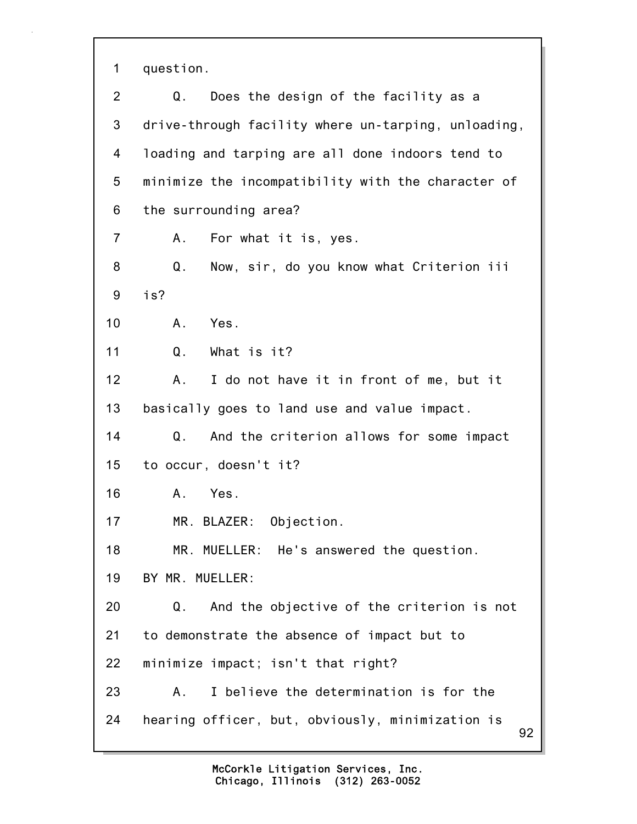1 question.

92 2 Q. Does the design of the facility as a 3 drive-through facility where un-tarping, unloading, 4 loading and tarping are all done indoors tend to 5 minimize the incompatibility with the character of 6 the surrounding area? 7 A. For what it is, yes. 8 Q. Now, sir, do you know what Criterion iii 9 is? 10 A. Yes. 11 Q. What is it? 12 A. I do not have it in front of me, but it 13 basically goes to land use and value impact. 14 Q. And the criterion allows for some impact 15 to occur, doesn't it? 16 A. Yes. 17 MR. BLAZER: Objection. 18 MR. MUELLER: He's answered the question. 19 BY MR. MUELLER: 20 Q. And the objective of the criterion is not 21 to demonstrate the absence of impact but to 22 minimize impact; isn't that right? 23 A. I believe the determination is for the 24 hearing officer, but, obviously, minimization is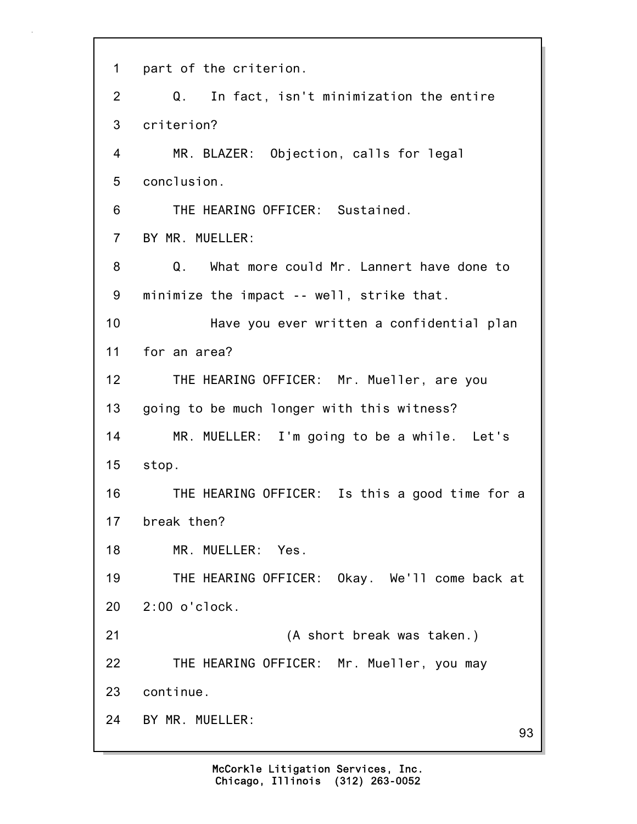| $\mathbf 1$    | part of the criterion.                         |
|----------------|------------------------------------------------|
| 2              | In fact, isn't minimization the entire<br>Q.   |
| 3              | criterion?                                     |
| 4              | MR. BLAZER: Objection, calls for legal         |
| 5              | conclusion.                                    |
| 6              | THE HEARING OFFICER: Sustained.                |
| $\overline{7}$ | BY MR. MUELLER:                                |
| 8              | Q. What more could Mr. Lannert have done to    |
| 9              | minimize the impact -- well, strike that.      |
| 10             | Have you ever written a confidential plan      |
| 11             | for an area?                                   |
| 12             | THE HEARING OFFICER: Mr. Mueller, are you      |
| 13             | going to be much longer with this witness?     |
| 14             | MR. MUELLER: I'm going to be a while. Let's    |
| 15             | stop.                                          |
| 16             | THE HEARING OFFICER: Is this a good time for a |
| 17             | break then?                                    |
| 18             | MR. MUELLER: Yes.                              |
| 19             | THE HEARING OFFICER: Okay. We'll come back at  |
| 20             | $2:00$ o'clock.                                |
| 21             | (A short break was taken.)                     |
| 22             | THE HEARING OFFICER: Mr. Mueller, you may      |
| 23             | continue.                                      |
| 24             | BY MR. MUELLER:<br>93                          |
|                |                                                |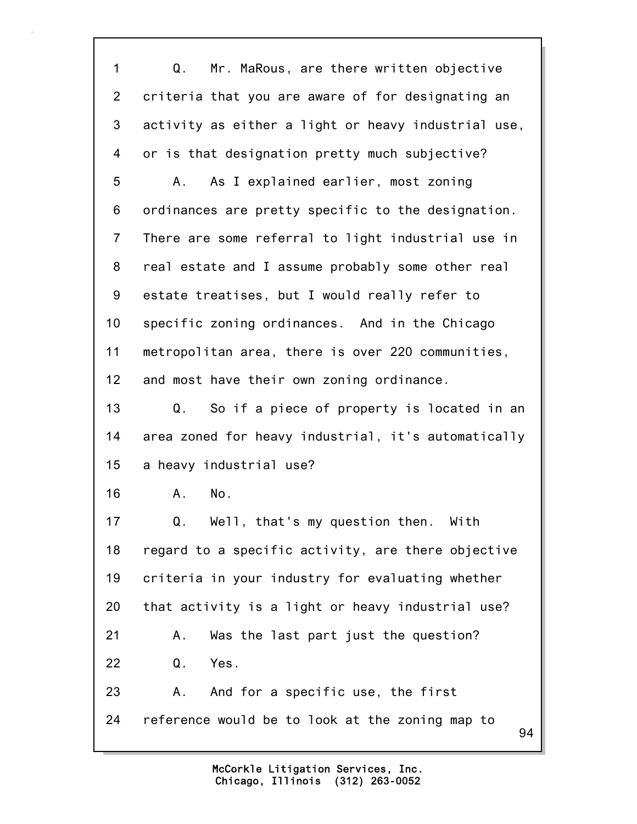94 1 Q. Mr. MaRous, are there written objective 2 criteria that you are aware of for designating an 3 activity as either a light or heavy industrial use, 4 or is that designation pretty much subjective? 5 A. As I explained earlier, most zoning 6 ordinances are pretty specific to the designation. 7 There are some referral to light industrial use in 8 real estate and I assume probably some other real 9 estate treatises, but I would really refer to 10 specific zoning ordinances. And in the Chicago 11 metropolitan area, there is over 220 communities, 12 and most have their own zoning ordinance. 13 Q. So if a piece of property is located in an 14 area zoned for heavy industrial, it's automatically 15 a heavy industrial use? 16 A. No. 17 Q. Well, that's my question then. With 18 regard to a specific activity, are there objective 19 criteria in your industry for evaluating whether 20 that activity is a light or heavy industrial use? 21 A. Was the last part just the question? 22 Q. Yes. 23 A. And for a specific use, the first 24 reference would be to look at the zoning map to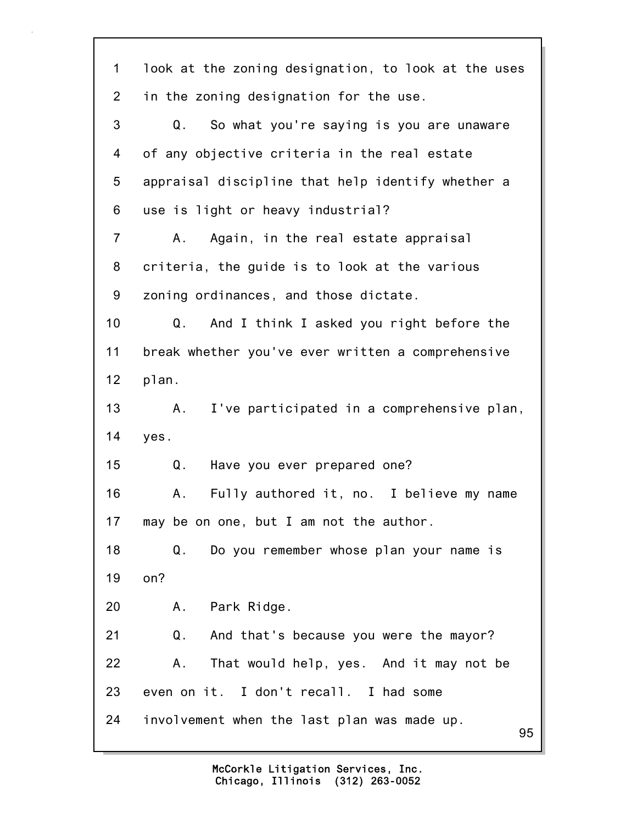| 1              | look at the zoning designation, to look at the uses |
|----------------|-----------------------------------------------------|
| $\overline{2}$ | in the zoning designation for the use.              |
| 3              | So what you're saying is you are unaware<br>Q.      |
| 4              | of any objective criteria in the real estate        |
| 5              | appraisal discipline that help identify whether a   |
| 6              | use is light or heavy industrial?                   |
| 7              | Again, in the real estate appraisal<br>Α.           |
| 8              | criteria, the guide is to look at the various       |
| 9              | zoning ordinances, and those dictate.               |
| 10             | And I think I asked you right before the<br>Q.      |
| 11             | break whether you've ever written a comprehensive   |
| 12             | plan.                                               |
| 13             | I've participated in a comprehensive plan,<br>Α.    |
| 14             | yes.                                                |
| 15             | Q.<br>Have you ever prepared one?                   |
| 16             | Fully authored it, no. I believe my name<br>Α.      |
| 17             | may be on one, but I am not the author.             |
| 18             | Do you remember whose plan your name is<br>Q.       |
| 19             | on?                                                 |
| 20             | Park Ridge.<br>А.                                   |
| 21             | Q.<br>And that's because you were the mayor?        |
| 22             | That would help, yes. And it may not be<br>Α.       |
| 23             | even on it. I don't recall. I had some              |
| 24             | involvement when the last plan was made up.<br>95   |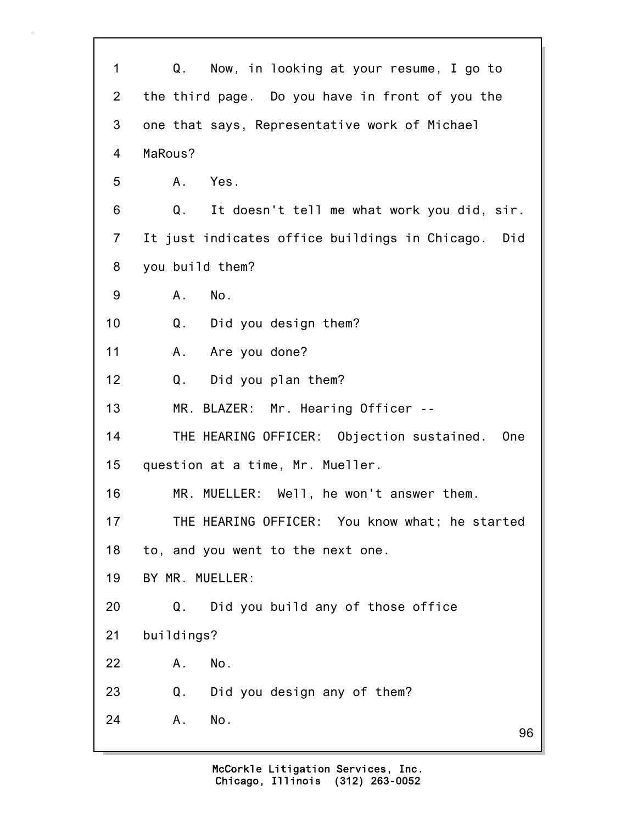| $\mathbf 1$    | Q.<br>Now, in looking at your resume, I go to                |
|----------------|--------------------------------------------------------------|
| $\overline{2}$ | the third page. Do you have in front of you the              |
| 3              | one that says, Representative work of Michael                |
| 4              | MaRous?                                                      |
| 5              | A. Yes.                                                      |
| 6              | Q.<br>It doesn't tell me what work you did, sir.             |
| $\overline{7}$ | It just indicates office buildings in Chicago. Did           |
| 8              | you build them?                                              |
| 9              | A. No.                                                       |
| 10             | Q. Did you design them?                                      |
| 11             | A. Are you done?                                             |
| 12             | Did you plan them?<br>Q.                                     |
| 13             | MR. BLAZER: Mr. Hearing Officer --                           |
| 14             | THE HEARING OFFICER: Objection sustained.<br>0 <sub>ne</sub> |
| 15             | question at a time, Mr. Mueller.                             |
| 16             | MR. MUELLER: Well, he won't answer them.                     |
| 17             | THE HEARING OFFICER: You know what; he started               |
| 18             | to, and you went to the next one.                            |
| 19             | BY MR. MUELLER:                                              |
| 20             | Did you build any of those office<br>Q.                      |
| 21             | buildings?                                                   |
| 22             | No.<br>Α.                                                    |
| 23             | Did you design any of them?<br>Q.                            |
| 24             | No.<br>Α.<br>96                                              |
|                |                                                              |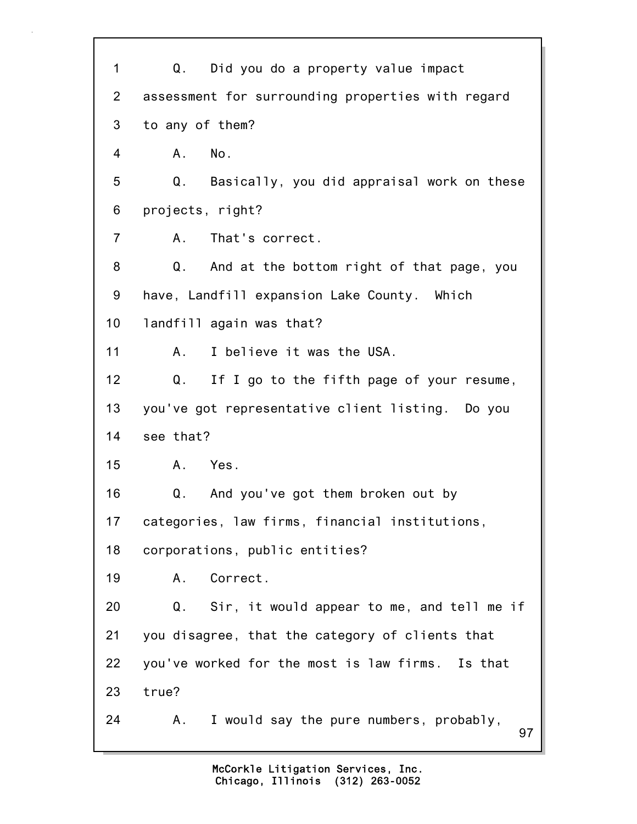| 1              | Q. Did you do a property value impact               |
|----------------|-----------------------------------------------------|
| $\overline{2}$ | assessment for surrounding properties with regard   |
| 3              | to any of them?                                     |
| 4              | A. No.                                              |
| 5              | Basically, you did appraisal work on these<br>Q.    |
| 6              | projects, right?                                    |
| $\overline{7}$ | A. That's correct.                                  |
| 8              | And at the bottom right of that page, you<br>Q.     |
| 9              | have, Landfill expansion Lake County. Which         |
| 10             | landfill again was that?                            |
| 11             | I believe it was the USA.<br>Α.                     |
| 12             | Q.<br>If I go to the fifth page of your resume,     |
| 13             | you've got representative client listing. Do you    |
| 14             | see that?                                           |
| 15             | A. Yes.                                             |
| 16             | And you've got them broken out by<br>Q.             |
| 17             | categories, law firms, financial institutions,      |
| 18             | corporations, public entities?                      |
| 19             | Correct.<br>Α.                                      |
| 20             | Q.<br>Sir, it would appear to me, and tell me if    |
| 21             | you disagree, that the category of clients that     |
| 22             | you've worked for the most is law firms. Is that    |
| 23             | true?                                               |
| 24             | I would say the pure numbers, probably,<br>Α.<br>97 |
|                |                                                     |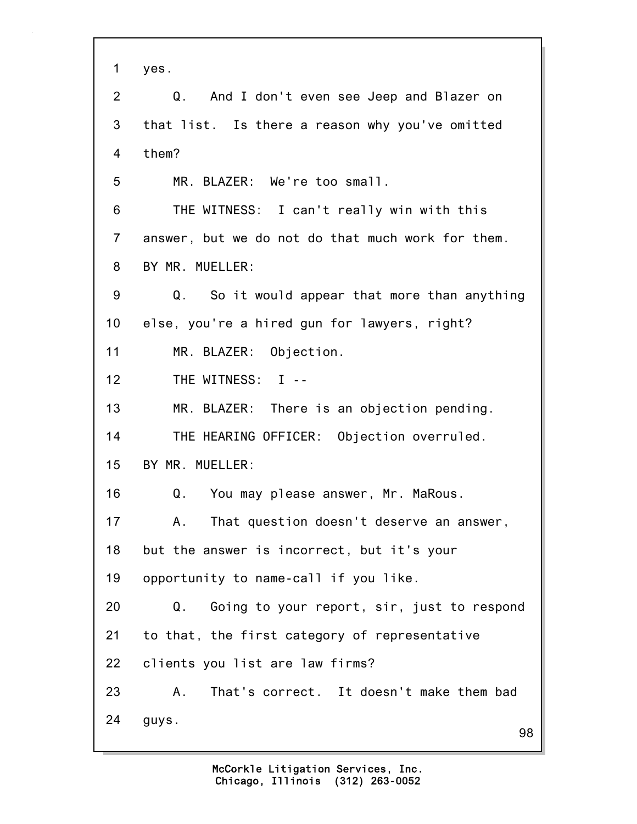| 1              | yes.                                              |
|----------------|---------------------------------------------------|
| 2              | And I don't even see Jeep and Blazer on<br>Q.     |
| 3              | that list. Is there a reason why you've omitted   |
| $\overline{4}$ | them?                                             |
| 5              | MR. BLAZER: We're too small.                      |
| 6              | THE WITNESS: I can't really win with this         |
| $\overline{7}$ | answer, but we do not do that much work for them. |
| 8              | BY MR. MUELLER:                                   |
| 9              | So it would appear that more than anything<br>Q.  |
| 10             | else, you're a hired gun for lawyers, right?      |
| 11             | MR. BLAZER: Objection.                            |
| 12             | THE WITNESS: I --                                 |
| 13             | MR. BLAZER: There is an objection pending.        |
| 14             | THE HEARING OFFICER: Objection overruled.         |
| 15             | BY MR. MUELLER:                                   |
| 16             | Q. You may please answer, Mr. MaRous.             |
| 17             | That question doesn't deserve an answer,<br>А.    |
| 18             | but the answer is incorrect, but it's your        |
| 19             | opportunity to name-call if you like.             |
| 20             | Q.<br>Going to your report, sir, just to respond  |
| 21             | to that, the first category of representative     |
| 22             | clients you list are law firms?                   |
| 23             | That's correct. It doesn't make them bad<br>Α.    |
| 24             | guys.<br>98                                       |
|                |                                                   |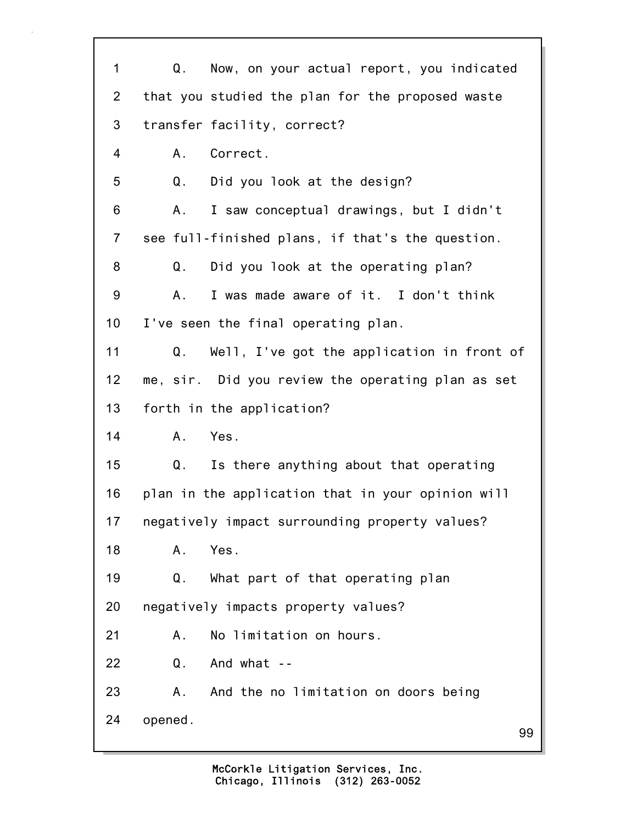| $\mathbf 1$    | Now, on your actual report, you indicated<br>Q.   |
|----------------|---------------------------------------------------|
| $\overline{2}$ | that you studied the plan for the proposed waste  |
| 3              | transfer facility, correct?                       |
| 4              | Correct.<br>A.                                    |
| 5              | Q.<br>Did you look at the design?                 |
| 6              | I saw conceptual drawings, but I didn't<br>А.     |
| $\overline{7}$ | see full-finished plans, if that's the question.  |
| 8              | Q. Did you look at the operating plan?            |
| 9              | I was made aware of it. I don't think<br>А.       |
| 10             | I've seen the final operating plan.               |
| 11             | Q.<br>Well, I've got the application in front of  |
| 12             | me, sir. Did you review the operating plan as set |
| 13             | forth in the application?                         |
| 14             | Yes.<br>Α.                                        |
| 15             | Q.<br>Is there anything about that operating      |
| 16             | plan in the application that in your opinion will |
| 17             | negatively impact surrounding property values?    |
| 18             | Yes.<br>Α.                                        |
| 19             | What part of that operating plan<br>Q.            |
| 20             | negatively impacts property values?               |
| 21             | No limitation on hours.<br>Α.                     |
| 22             | And what --<br>Q.                                 |
| 23             | And the no limitation on doors being<br>Α.        |
| 24             | opened.<br>99                                     |
|                |                                                   |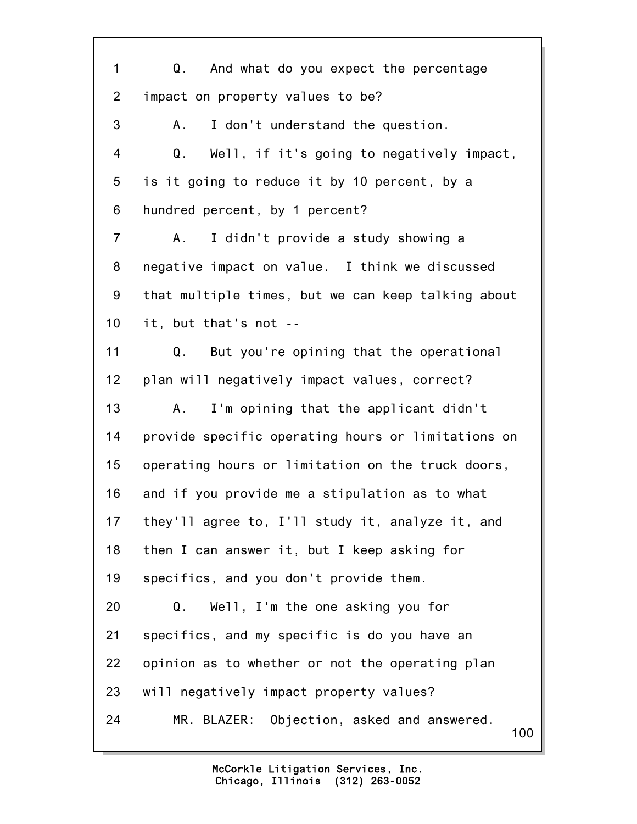100 1 Q. And what do you expect the percentage 2 impact on property values to be? 3 A. I don't understand the question. 4 Q. Well, if it's going to negatively impact, 5 is it going to reduce it by 10 percent, by a 6 hundred percent, by 1 percent? 7 A. I didn't provide a study showing a 8 negative impact on value. I think we discussed 9 that multiple times, but we can keep talking about 10 it, but that's not -- 11 Q. But you're opining that the operational 12 plan will negatively impact values, correct? 13 A. I'm opining that the applicant didn't 14 provide specific operating hours or limitations on 15 operating hours or limitation on the truck doors, 16 and if you provide me a stipulation as to what 17 they'll agree to, I'll study it, analyze it, and 18 then I can answer it, but I keep asking for 19 specifics, and you don't provide them. 20 Q. Well, I'm the one asking you for 21 specifics, and my specific is do you have an 22 opinion as to whether or not the operating plan 23 will negatively impact property values? 24 MR. BLAZER: Objection, asked and answered.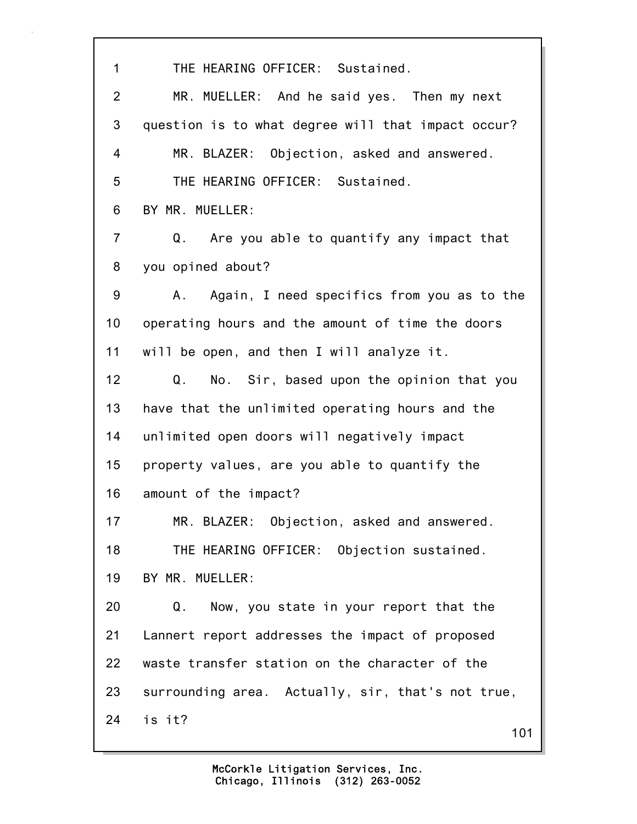1 THE HEARING OFFICER: Sustained. 2 MR. MUELLER: And he said yes. Then my next 3 question is to what degree will that impact occur? 4 MR. BLAZER: Objection, asked and answered. 5 THE HEARING OFFICER: Sustained. 6 BY MR. MUELLER: 7 Q. Are you able to quantify any impact that 8 you opined about? 9 A. Again, I need specifics from you as to the 10 operating hours and the amount of time the doors 11 will be open, and then I will analyze it. 12 Q. No. Sir, based upon the opinion that you 13 have that the unlimited operating hours and the 14 unlimited open doors will negatively impact 15 property values, are you able to quantify the 16 amount of the impact? 17 MR. BLAZER: Objection, asked and answered. 18 THE HEARING OFFICER: Objection sustained. 19 BY MR. MUELLER: 20 Q. Now, you state in your report that the 21 Lannert report addresses the impact of proposed 22 waste transfer station on the character of the 23 surrounding area. Actually, sir, that's not true, 24 is it?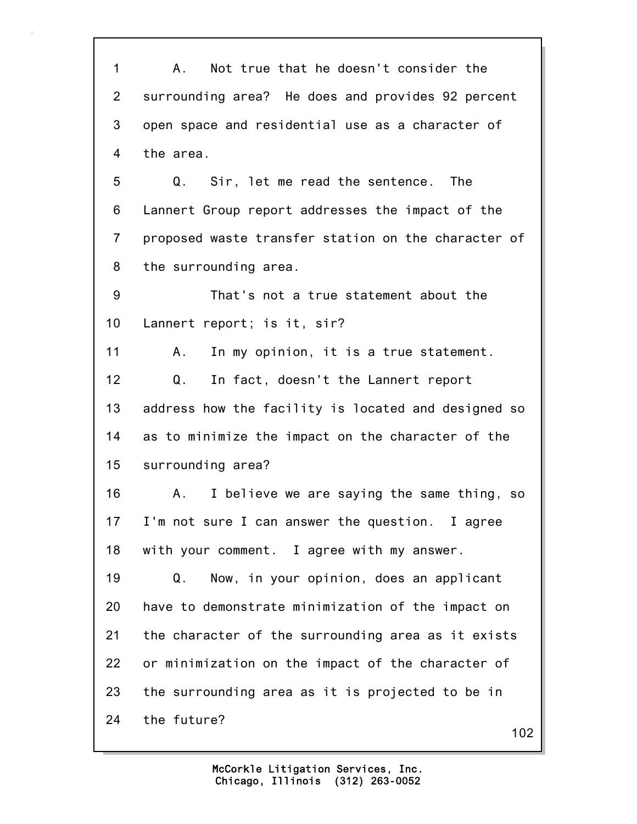1 A. Not true that he doesn't consider the 2 surrounding area? He does and provides 92 percent 3 open space and residential use as a character of 4 the area. 5 Q. Sir, let me read the sentence. The 6 Lannert Group report addresses the impact of the 7 proposed waste transfer station on the character of 8 the surrounding area. 9 That's not a true statement about the 10 Lannert report; is it, sir? 11 A. In my opinion, it is a true statement. 12 Q. In fact, doesn't the Lannert report 13 address how the facility is located and designed so 14 as to minimize the impact on the character of the 15 surrounding area? 16 A. I believe we are saying the same thing, so 17 I'm not sure I can answer the question. I agree 18 with your comment. I agree with my answer. 19 Q. Now, in your opinion, does an applicant 20 have to demonstrate minimization of the impact on 21 the character of the surrounding area as it exists 22 or minimization on the impact of the character of 23 the surrounding area as it is projected to be in 24 the future?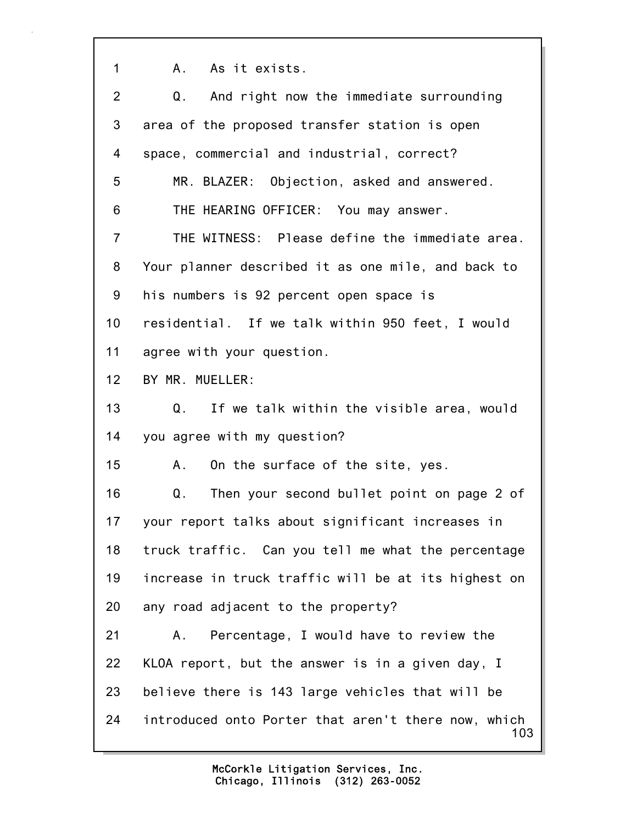1 A. As it exists.

| 2              | Q.<br>And right now the immediate surrounding              |
|----------------|------------------------------------------------------------|
| 3              | area of the proposed transfer station is open              |
| 4              | space, commercial and industrial, correct?                 |
| 5              | MR. BLAZER: Objection, asked and answered.                 |
| 6              | THE HEARING OFFICER: You may answer.                       |
| $\overline{7}$ | THE WITNESS: Please define the immediate area.             |
| 8              | Your planner described it as one mile, and back to         |
| 9              | his numbers is 92 percent open space is                    |
| 10             | residential. If we talk within 950 feet, I would           |
| 11             | agree with your question.                                  |
| 12             | BY MR. MUELLER:                                            |
| 13             | If we talk within the visible area, would<br>Q.            |
| 14             | you agree with my question?                                |
| 15             | On the surface of the site, yes.<br>A.,                    |
| 16             | Then your second bullet point on page 2 of<br>Q.           |
| 17             | your report talks about significant increases in           |
| 18             | truck traffic. Can you tell me what the percentage         |
| 19             | increase in truck traffic will be at its highest on        |
| 20             | any road adjacent to the property?                         |
| 21             | Percentage, I would have to review the<br>Α.               |
| 22             | KLOA report, but the answer is in a given day, I           |
| 23             | believe there is 143 large vehicles that will be           |
| 24             | introduced onto Porter that aren't there now, which<br>103 |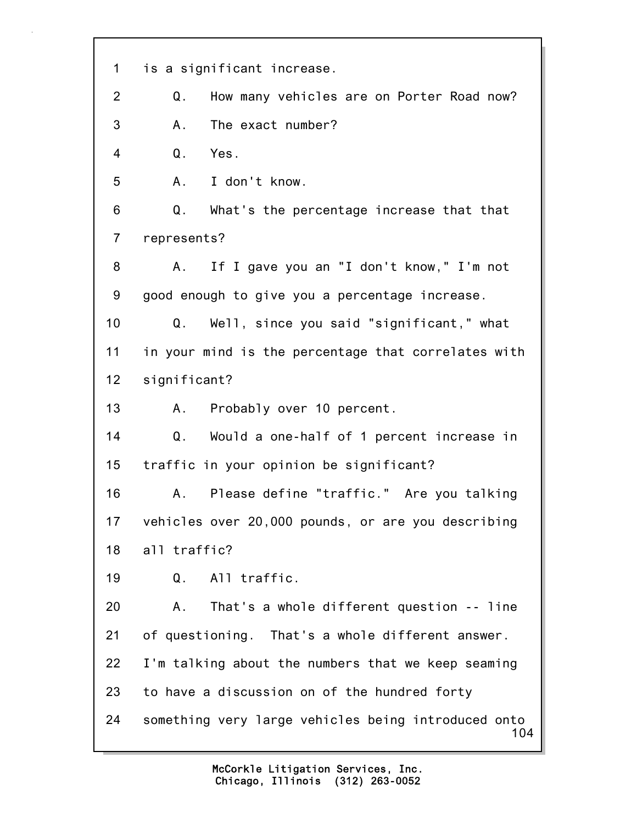| 1              | is a significant increase.                                 |
|----------------|------------------------------------------------------------|
| 2              | How many vehicles are on Porter Road now?<br>Q.            |
| 3              | The exact number?<br>Α.                                    |
| 4              | $\mathsf Q$ .<br>Yes.                                      |
| 5              | I don't know.<br>A.                                        |
| 6              | Q.<br>What's the percentage increase that that             |
| $\overline{7}$ | represents?                                                |
| 8              | If I gave you an "I don't know," I'm not<br>A.             |
| 9              | good enough to give you a percentage increase.             |
| 10             | Well, since you said "significant," what<br>Q.             |
| 11             | in your mind is the percentage that correlates with        |
| 12             | significant?                                               |
| 13             | A. Probably over 10 percent.                               |
| 14             | Q.<br>Would a one-half of 1 percent increase in            |
| 15             | traffic in your opinion be significant?                    |
| 16             | A. Please define "traffic." Are you talking                |
| 17             | vehicles over 20,000 pounds, or are you describing         |
| 18             | all traffic?                                               |
| 19             | All traffic.<br>Q.                                         |
| 20             | That's a whole different question -- line<br>Α.            |
| 21             | of questioning. That's a whole different answer.           |
| 22             | I'm talking about the numbers that we keep seaming         |
| 23             | to have a discussion on of the hundred forty               |
| 24             | something very large vehicles being introduced onto<br>104 |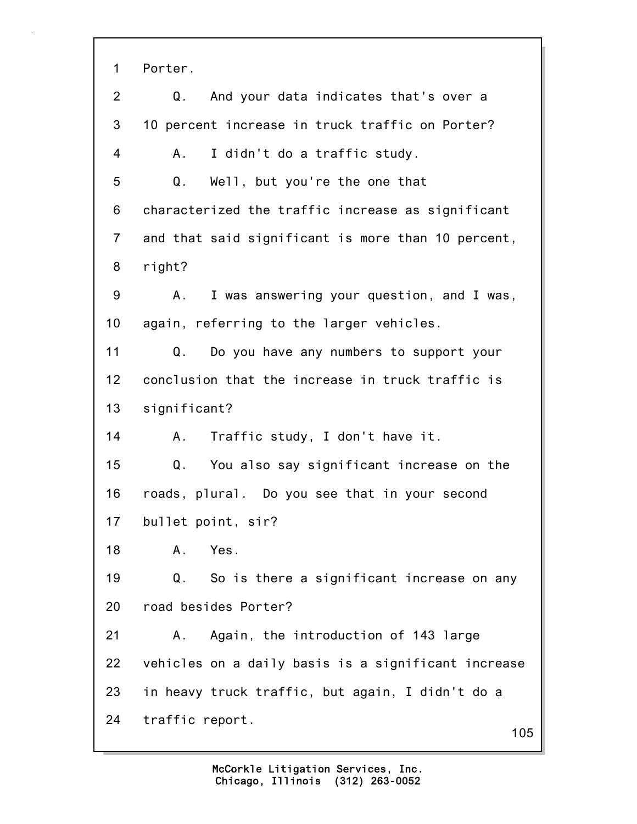1 Porter. 2 Q. And your data indicates that's over a 3 10 percent increase in truck traffic on Porter? 4 A. I didn't do a traffic study. 5 Q. Well, but you're the one that 6 characterized the traffic increase as significant 7 and that said significant is more than 10 percent, 8 right? 9 A. I was answering your question, and I was, 10 again, referring to the larger vehicles. 11 Q. Do you have any numbers to support your 12 conclusion that the increase in truck traffic is 13 significant? 14 A. Traffic study, I don't have it. 15 Q. You also say significant increase on the 16 roads, plural. Do you see that in your second 17 bullet point, sir? 18 A. Yes. 19 Q. So is there a significant increase on any 20 road besides Porter? 21 A. Again, the introduction of 143 large 22 vehicles on a daily basis is a significant increase 23 in heavy truck traffic, but again, I didn't do a 24 traffic report.

105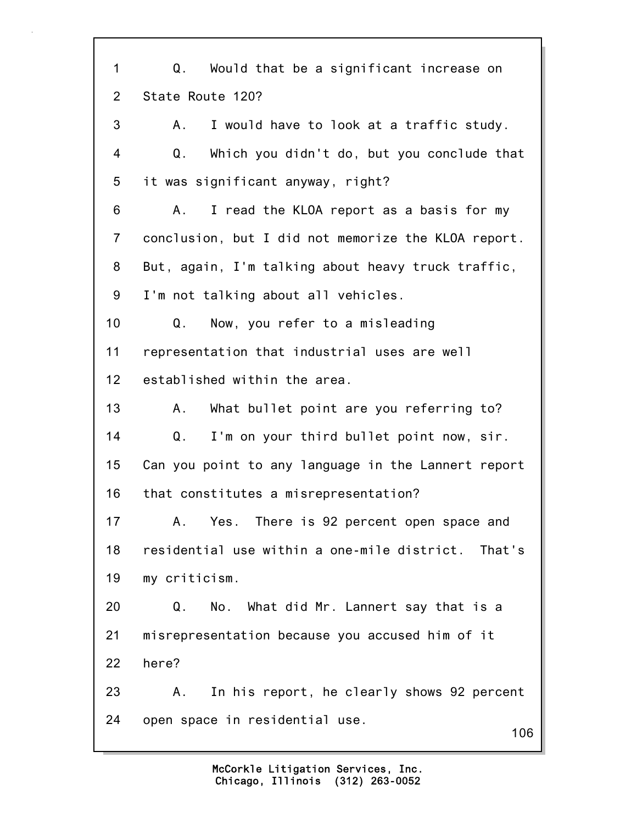106 1 Q. Would that be a significant increase on 2 State Route 120? 3 A. I would have to look at a traffic study. 4 Q. Which you didn't do, but you conclude that 5 it was significant anyway, right? 6 A. I read the KLOA report as a basis for my 7 conclusion, but I did not memorize the KLOA report. 8 But, again, I'm talking about heavy truck traffic, 9 I'm not talking about all vehicles. 10 Q. Now, you refer to a misleading 11 representation that industrial uses are well 12 established within the area. 13 A. What bullet point are you referring to? 14 Q. I'm on your third bullet point now, sir. 15 Can you point to any language in the Lannert report 16 that constitutes a misrepresentation? 17 A. Yes. There is 92 percent open space and 18 residential use within a one-mile district. That's 19 my criticism. 20 Q. No. What did Mr. Lannert say that is a 21 misrepresentation because you accused him of it 22 here? 23 A. In his report, he clearly shows 92 percent 24 open space in residential use.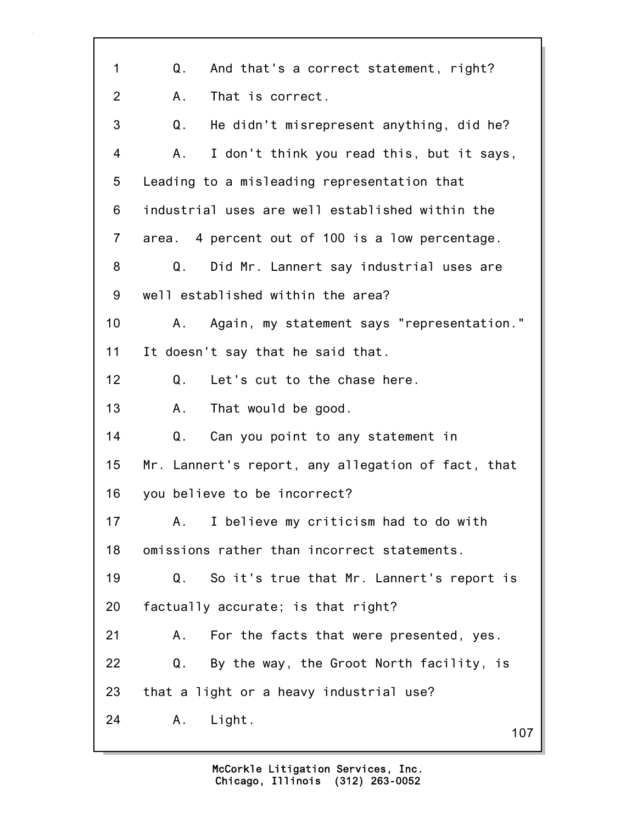| 1              | And that's a correct statement, right?<br>Q.       |
|----------------|----------------------------------------------------|
| $\overline{2}$ | That is correct.<br>Α.                             |
| 3              | Q.<br>He didn't misrepresent anything, did he?     |
| 4              | I don't think you read this, but it says,<br>Α.    |
| 5              | Leading to a misleading representation that        |
| 6              | industrial uses are well established within the    |
| $\overline{7}$ | area. 4 percent out of 100 is a low percentage.    |
| 8              | Did Mr. Lannert say industrial uses are<br>Q.      |
| 9              | well established within the area?                  |
| 10             | Again, my statement says "representation."<br>Α.   |
| 11             | It doesn't say that he said that.                  |
| 12             | Let's cut to the chase here.<br>Q.                 |
| 13             | That would be good.<br>A.,                         |
| 14             | Q.<br>Can you point to any statement in            |
| 15             | Mr. Lannert's report, any allegation of fact, that |
| 16             | you believe to be incorrect?                       |
| 17             | I believe my criticism had to do with<br>Α.        |
| 18             | omissions rather than incorrect statements.        |
| 19             | So it's true that Mr. Lannert's report is<br>Q.    |
| 20             | factually accurate; is that right?                 |
| 21             | For the facts that were presented, yes.<br>Α.      |
| 22             | By the way, the Groot North facility, is<br>Q.     |
| 23             | that a light or a heavy industrial use?            |
| 24             | Α.<br>Light.<br>107                                |
|                |                                                    |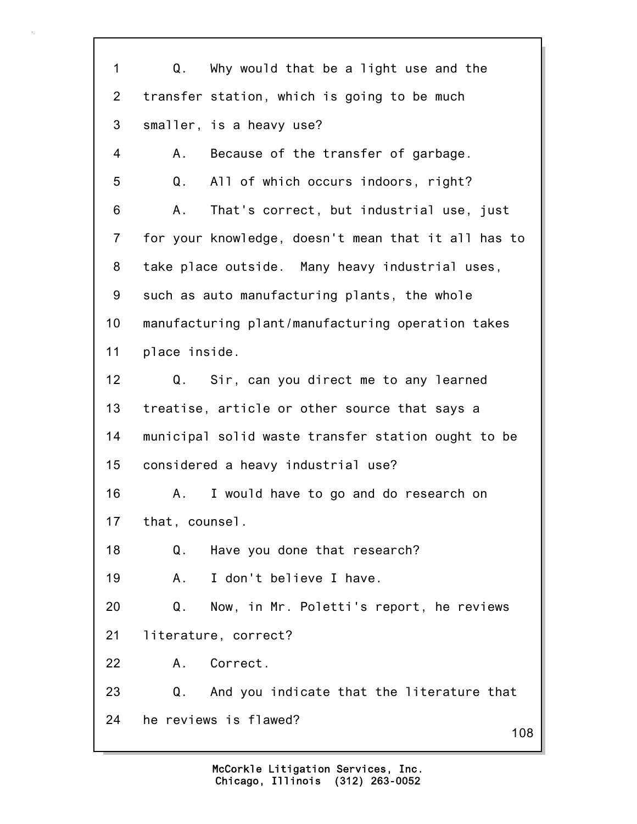108 1 Q. Why would that be a light use and the 2 transfer station, which is going to be much 3 smaller, is a heavy use? 4 A. Because of the transfer of garbage. 5 Q. All of which occurs indoors, right? 6 A. That's correct, but industrial use, just 7 for your knowledge, doesn't mean that it all has to 8 take place outside. Many heavy industrial uses, 9 such as auto manufacturing plants, the whole 10 manufacturing plant/manufacturing operation takes 11 place inside. 12 Q. Sir, can you direct me to any learned 13 treatise, article or other source that says a 14 municipal solid waste transfer station ought to be 15 considered a heavy industrial use? 16 A. I would have to go and do research on 17 that, counsel. 18 Q. Have you done that research? 19 A. I don't believe I have. 20 Q. Now, in Mr. Poletti's report, he reviews 21 literature, correct? 22 A. Correct. 23 Q. And you indicate that the literature that 24 he reviews is flawed?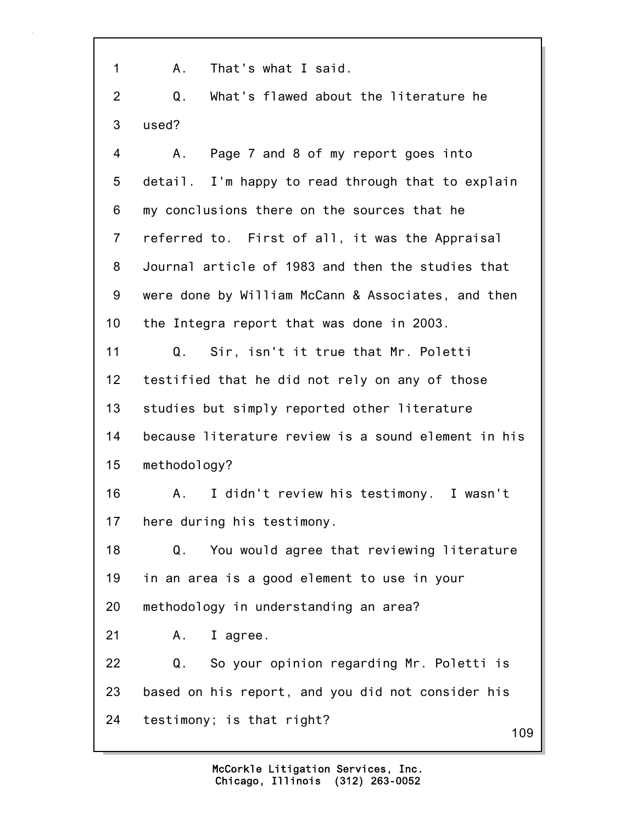1 A. That's what I said.

2 Q. What's flawed about the literature he 3 used?

109 4 A. Page 7 and 8 of my report goes into 5 detail. I'm happy to read through that to explain 6 my conclusions there on the sources that he 7 referred to. First of all, it was the Appraisal 8 Journal article of 1983 and then the studies that 9 were done by William McCann & Associates, and then 10 the Integra report that was done in 2003. 11 Q. Sir, isn't it true that Mr. Poletti 12 testified that he did not rely on any of those 13 studies but simply reported other literature 14 because literature review is a sound element in his 15 methodology? 16 A. I didn't review his testimony. I wasn't 17 here during his testimony. 18 Q. You would agree that reviewing literature 19 in an area is a good element to use in your 20 methodology in understanding an area? 21 A. I agree. 22 Q. So your opinion regarding Mr. Poletti is 23 based on his report, and you did not consider his 24 testimony; is that right?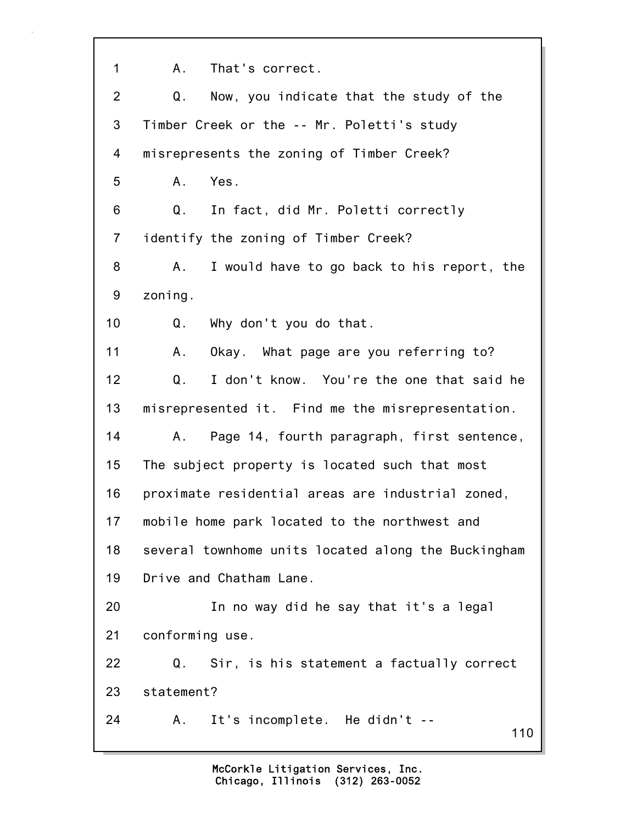110 1 A. That's correct. 2 Q. Now, you indicate that the study of the 3 Timber Creek or the -- Mr. Poletti's study 4 misrepresents the zoning of Timber Creek? 5 A. Yes. 6 Q. In fact, did Mr. Poletti correctly 7 identify the zoning of Timber Creek? 8 A. I would have to go back to his report, the 9 zoning. 10 Q. Why don't you do that. 11 A. Okay. What page are you referring to? 12 Q. I don't know. You're the one that said he 13 misrepresented it. Find me the misrepresentation. 14 A. Page 14, fourth paragraph, first sentence, 15 The subject property is located such that most 16 proximate residential areas are industrial zoned, 17 mobile home park located to the northwest and 18 several townhome units located along the Buckingham 19 Drive and Chatham Lane. 20 In no way did he say that it's a legal 21 conforming use. 22 Q. Sir, is his statement a factually correct 23 statement? 24 A. It's incomplete. He didn't --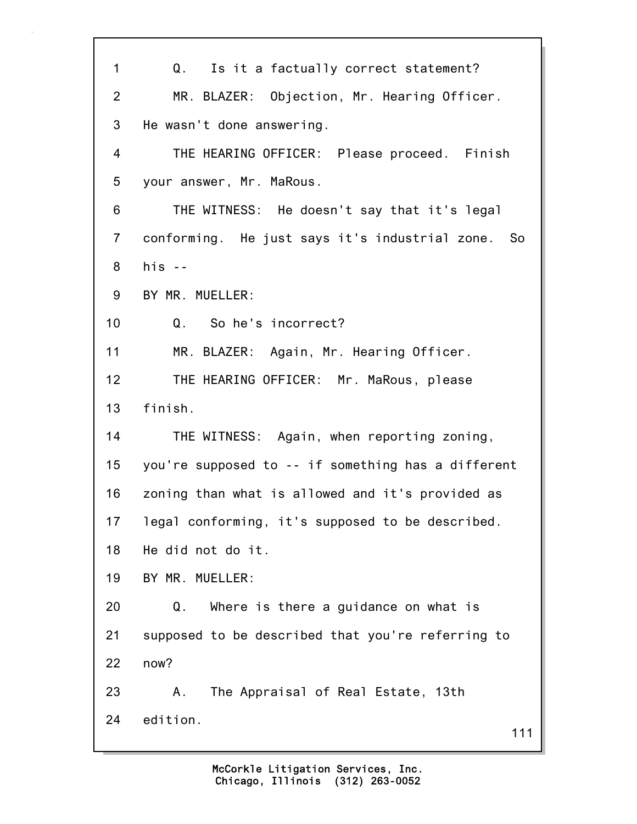111 1 Q. Is it a factually correct statement? 2 MR. BLAZER: Objection, Mr. Hearing Officer. 3 He wasn't done answering. 4 THE HEARING OFFICER: Please proceed. Finish 5 your answer, Mr. MaRous. 6 THE WITNESS: He doesn't say that it's legal 7 conforming. He just says it's industrial zone. So 8 his -- 9 BY MR. MUELLER: 10 Q. So he's incorrect? 11 MR. BLAZER: Again, Mr. Hearing Officer. 12 THE HEARING OFFICER: Mr. MaRous, please 13 finish. 14 THE WITNESS: Again, when reporting zoning, 15 you're supposed to -- if something has a different 16 zoning than what is allowed and it's provided as 17 legal conforming, it's supposed to be described. 18 He did not do it. 19 BY MR. MUELLER: 20 Q. Where is there a guidance on what is 21 supposed to be described that you're referring to 22 now? 23 A. The Appraisal of Real Estate, 13th 24 edition.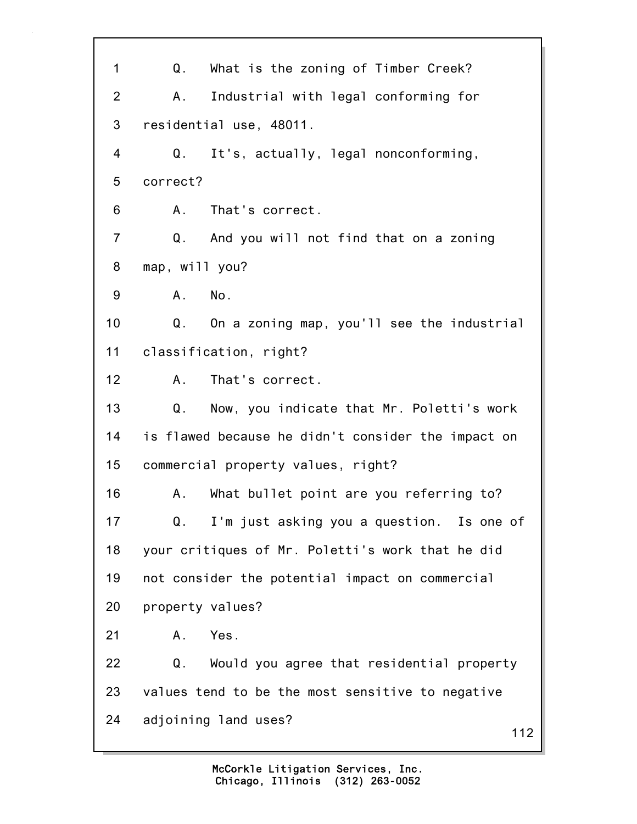112 1 Q. What is the zoning of Timber Creek? 2 A. Industrial with legal conforming for 3 residential use, 48011. 4 Q. It's, actually, legal nonconforming, 5 correct? 6 A. That's correct. 7 Q. And you will not find that on a zoning 8 map, will you? 9 A. No. 10 Q. On a zoning map, you'll see the industrial 11 classification, right? 12 A. That's correct. 13 Q. Now, you indicate that Mr. Poletti's work 14 is flawed because he didn't consider the impact on 15 commercial property values, right? 16 A. What bullet point are you referring to? 17 Q. I'm just asking you a question. Is one of 18 your critiques of Mr. Poletti's work that he did 19 not consider the potential impact on commercial 20 property values? 21 A. Yes. 22 Q. Would you agree that residential property 23 values tend to be the most sensitive to negative 24 adjoining land uses?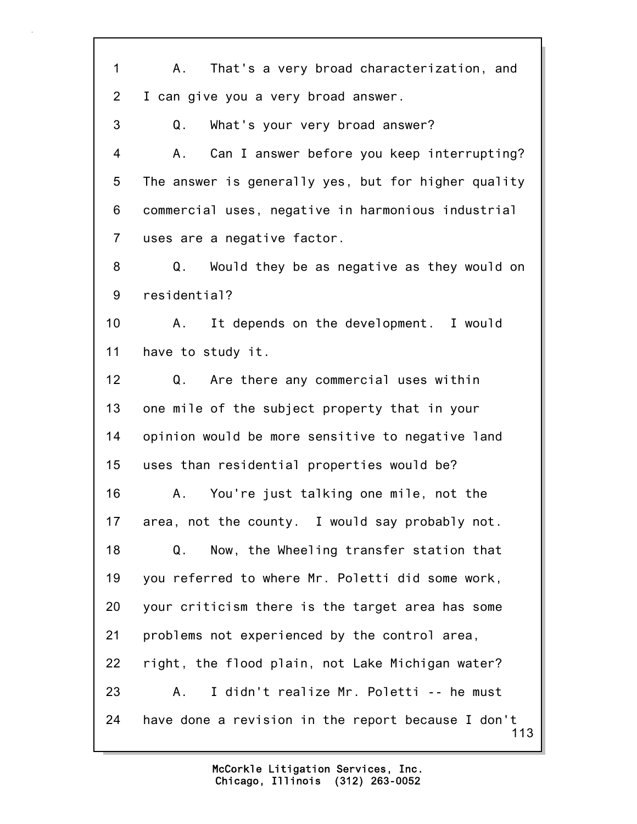113 1 A. That's a very broad characterization, and 2 I can give you a very broad answer. 3 Q. What's your very broad answer? 4 A. Can I answer before you keep interrupting? 5 The answer is generally yes, but for higher quality 6 commercial uses, negative in harmonious industrial 7 uses are a negative factor. 8 Q. Would they be as negative as they would on 9 residential? 10 A. It depends on the development. I would 11 have to study it. 12 Q. Are there any commercial uses within 13 one mile of the subject property that in your 14 opinion would be more sensitive to negative land 15 uses than residential properties would be? 16 A. You're just talking one mile, not the 17 area, not the county. I would say probably not. 18 Q. Now, the Wheeling transfer station that 19 you referred to where Mr. Poletti did some work, 20 your criticism there is the target area has some 21 problems not experienced by the control area, 22 right, the flood plain, not Lake Michigan water? 23 A. I didn't realize Mr. Poletti -- he must 24 have done a revision in the report because I don't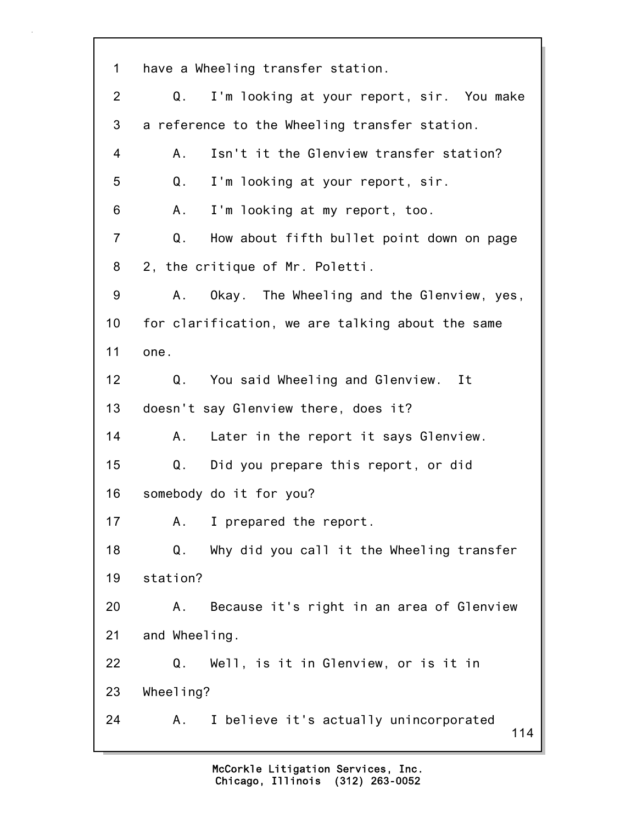114 1 have a Wheeling transfer station. 2 Q. I'm looking at your report, sir. You make 3 a reference to the Wheeling transfer station. 4 A. Isn't it the Glenview transfer station? 5 Q. I'm looking at your report, sir. 6 A. I'm looking at my report, too. 7 Q. How about fifth bullet point down on page 8 2, the critique of Mr. Poletti. 9 A. Okay. The Wheeling and the Glenview, yes, 10 for clarification, we are talking about the same 11 one. 12 Q. You said Wheeling and Glenview. It 13 doesn't say Glenview there, does it? 14 A. Later in the report it says Glenview. 15 Q. Did you prepare this report, or did 16 somebody do it for you? 17 A. I prepared the report. 18 Q. Why did you call it the Wheeling transfer 19 station? 20 A. Because it's right in an area of Glenview 21 and Wheeling. 22 Q. Well, is it in Glenview, or is it in 23 Wheeling? 24 A. I believe it's actually unincorporated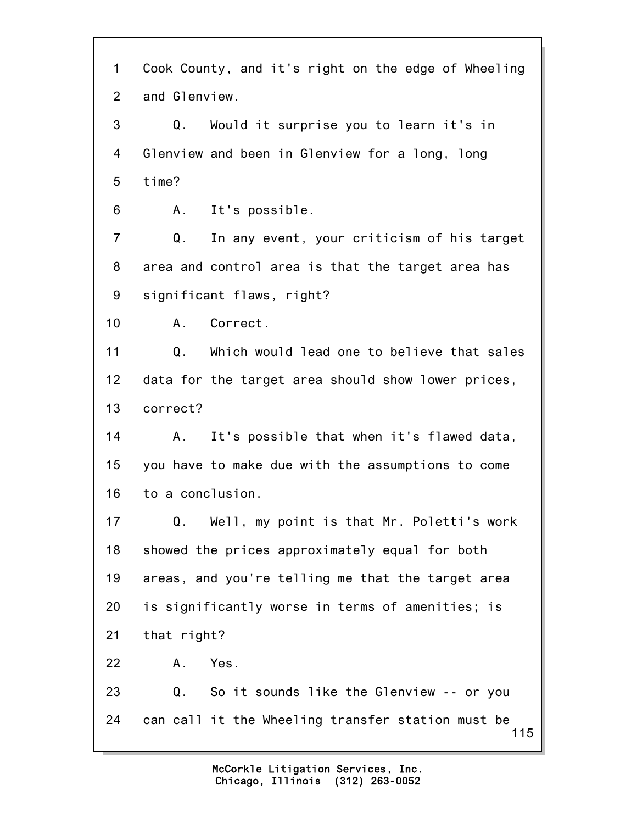115 1 Cook County, and it's right on the edge of Wheeling 2 and Glenview. 3 Q. Would it surprise you to learn it's in 4 Glenview and been in Glenview for a long, long 5 time? 6 A. It's possible. 7 Q. In any event, your criticism of his target 8 area and control area is that the target area has 9 significant flaws, right? 10 A. Correct. 11 Q. Which would lead one to believe that sales 12 data for the target area should show lower prices, 13 correct? 14 A. It's possible that when it's flawed data, 15 you have to make due with the assumptions to come 16 to a conclusion. 17 Q. Well, my point is that Mr. Poletti's work 18 showed the prices approximately equal for both 19 areas, and you're telling me that the target area 20 is significantly worse in terms of amenities; is 21 that right? 22 A. Yes. 23 Q. So it sounds like the Glenview -- or you 24 can call it the Wheeling transfer station must be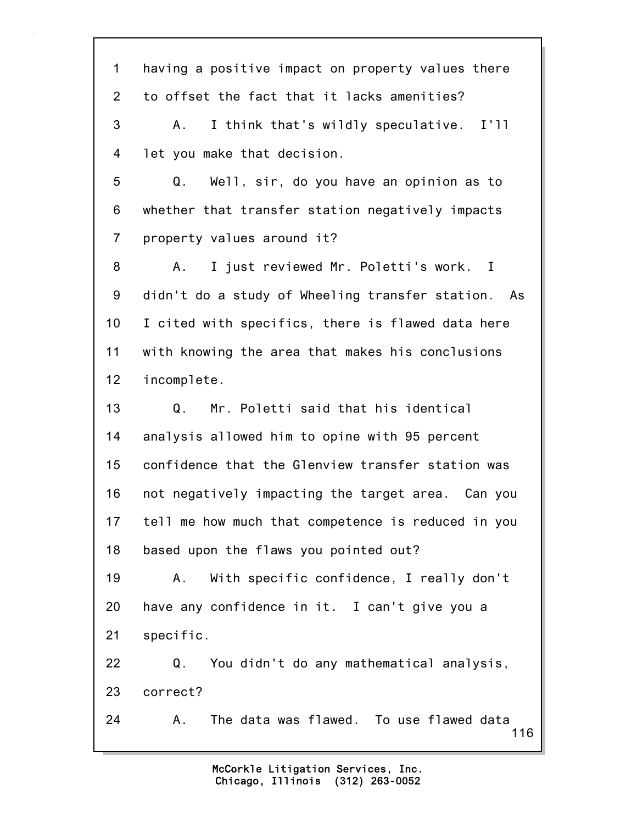116 1 having a positive impact on property values there 2 to offset the fact that it lacks amenities? 3 A. I think that's wildly speculative. I'll 4 let you make that decision. 5 Q. Well, sir, do you have an opinion as to 6 whether that transfer station negatively impacts 7 property values around it? 8 A. I just reviewed Mr. Poletti's work. I 9 didn't do a study of Wheeling transfer station. As 10 I cited with specifics, there is flawed data here 11 with knowing the area that makes his conclusions 12 incomplete. 13 Q. Mr. Poletti said that his identical 14 analysis allowed him to opine with 95 percent 15 confidence that the Glenview transfer station was 16 not negatively impacting the target area. Can you 17 tell me how much that competence is reduced in you 18 based upon the flaws you pointed out? 19 A. With specific confidence, I really don't 20 have any confidence in it. I can't give you a 21 specific. 22 Q. You didn't do any mathematical analysis, 23 correct? 24 A. The data was flawed. To use flawed data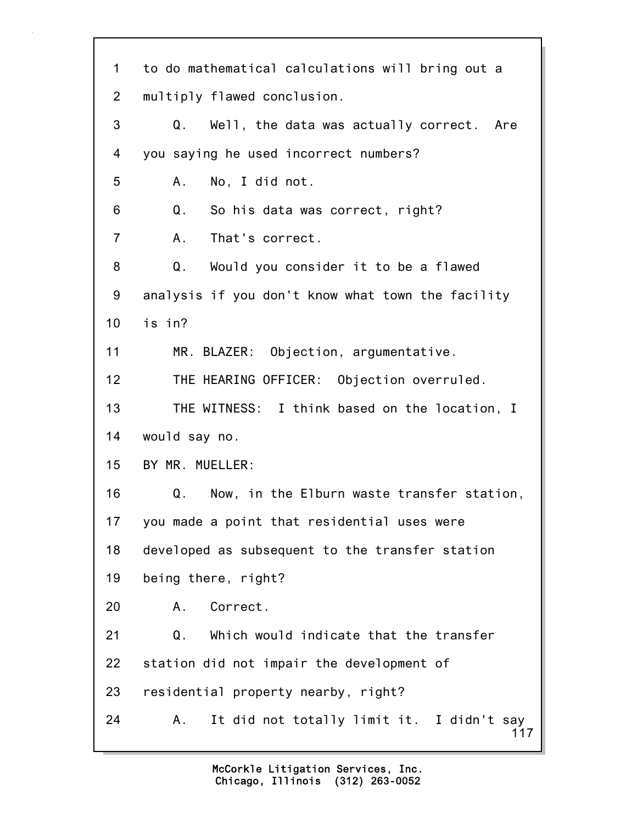117 1 to do mathematical calculations will bring out a 2 multiply flawed conclusion. 3 Q. Well, the data was actually correct. Are 4 you saying he used incorrect numbers? 5 A. No, I did not. 6 Q. So his data was correct, right? 7 A. That's correct. 8 Q. Would you consider it to be a flawed 9 analysis if you don't know what town the facility 10 is in? 11 MR. BLAZER: Objection, argumentative. 12 THE HEARING OFFICER: Objection overruled. 13 THE WITNESS: I think based on the location, I 14 would say no. 15 BY MR. MUELLER: 16 Q. Now, in the Elburn waste transfer station, 17 you made a point that residential uses were 18 developed as subsequent to the transfer station 19 being there, right? 20 A. Correct. 21 Q. Which would indicate that the transfer 22 station did not impair the development of 23 residential property nearby, right? 24 A. It did not totally limit it. I didn't say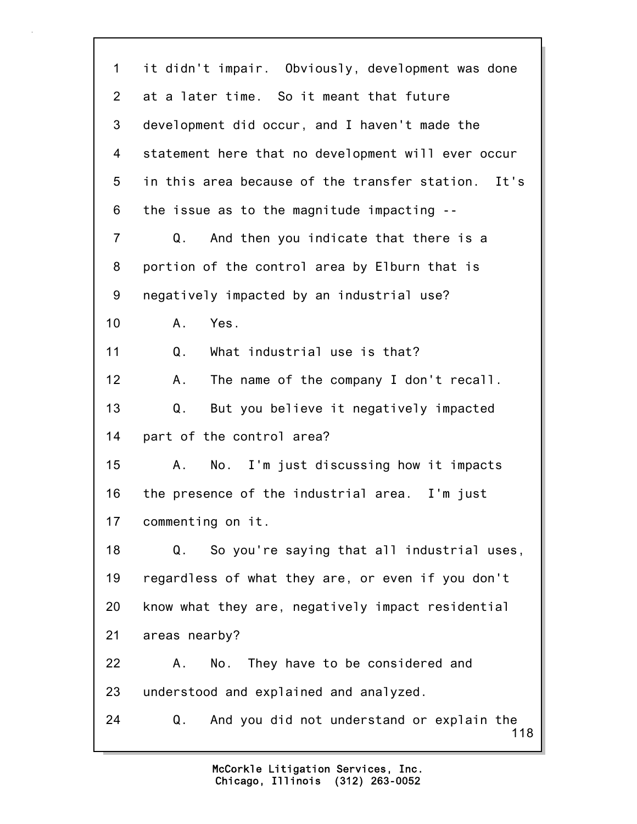118 1 it didn't impair. Obviously, development was done 2 at a later time. So it meant that future 3 development did occur, and I haven't made the 4 statement here that no development will ever occur 5 in this area because of the transfer station. It's 6 the issue as to the magnitude impacting -- 7 Q. And then you indicate that there is a 8 portion of the control area by Elburn that is 9 negatively impacted by an industrial use? 10 A. Yes. 11 Q. What industrial use is that? 12 A. The name of the company I don't recall. 13 Q. But you believe it negatively impacted 14 part of the control area? 15 A. No. I'm just discussing how it impacts 16 the presence of the industrial area. I'm just 17 commenting on it. 18 Q. So you're saying that all industrial uses, 19 regardless of what they are, or even if you don't 20 know what they are, negatively impact residential 21 areas nearby? 22 A. No. They have to be considered and 23 understood and explained and analyzed. 24 Q. And you did not understand or explain the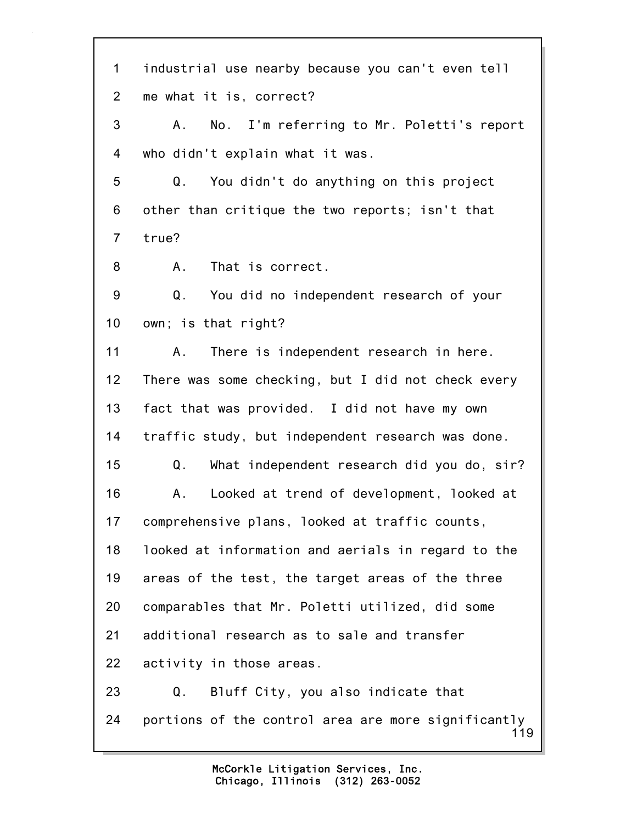119 1 industrial use nearby because you can't even tell 2 me what it is, correct? 3 A. No. I'm referring to Mr. Poletti's report 4 who didn't explain what it was. 5 Q. You didn't do anything on this project 6 other than critique the two reports; isn't that 7 true? 8 A. That is correct. 9 Q. You did no independent research of your 10 own; is that right? 11 A. There is independent research in here. 12 There was some checking, but I did not check every 13 fact that was provided. I did not have my own 14 traffic study, but independent research was done. 15 Q. What independent research did you do, sir? 16 A. Looked at trend of development, looked at 17 comprehensive plans, looked at traffic counts, 18 looked at information and aerials in regard to the 19 areas of the test, the target areas of the three 20 comparables that Mr. Poletti utilized, did some 21 additional research as to sale and transfer 22 activity in those areas. 23 Q. Bluff City, you also indicate that 24 portions of the control area are more significantly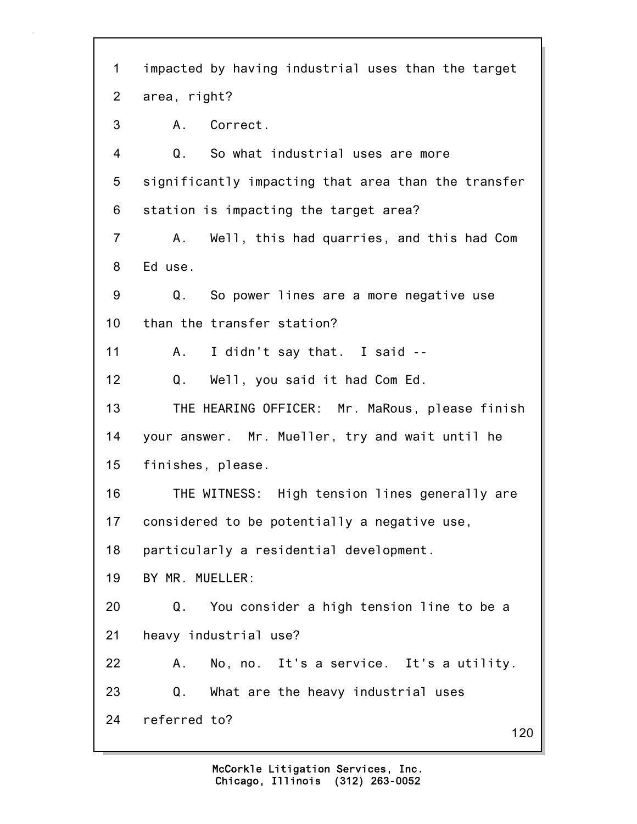120 1 impacted by having industrial uses than the target 2 area, right? 3 A. Correct. 4 Q. So what industrial uses are more 5 significantly impacting that area than the transfer 6 station is impacting the target area? 7 A. Well, this had quarries, and this had Com 8 Ed use. 9 Q. So power lines are a more negative use 10 than the transfer station? 11 A. I didn't say that. I said -- 12 Q. Well, you said it had Com Ed. 13 THE HEARING OFFICER: Mr. MaRous, please finish 14 your answer. Mr. Mueller, try and wait until he 15 finishes, please. 16 THE WITNESS: High tension lines generally are 17 considered to be potentially a negative use, 18 particularly a residential development. 19 BY MR. MUELLER: 20 Q. You consider a high tension line to be a 21 heavy industrial use? 22 A. No, no. It's a service. It's a utility. 23 Q. What are the heavy industrial uses 24 referred to?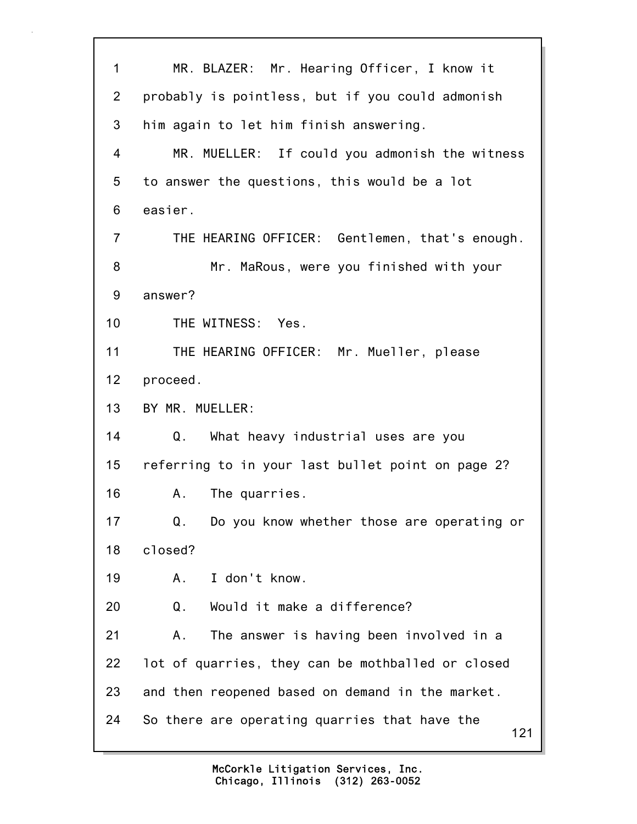121 1 MR. BLAZER: Mr. Hearing Officer, I know it 2 probably is pointless, but if you could admonish 3 him again to let him finish answering. 4 MR. MUELLER: If could you admonish the witness 5 to answer the questions, this would be a lot 6 easier. 7 THE HEARING OFFICER: Gentlemen, that's enough. 8 Mr. MaRous, were you finished with your 9 answer? 10 THE WITNESS: Yes. 11 THE HEARING OFFICER: Mr. Mueller, please 12 proceed. 13 BY MR. MUELLER: 14 Q. What heavy industrial uses are you 15 referring to in your last bullet point on page 2? 16 A. The quarries. 17 Q. Do you know whether those are operating or 18 closed? 19 A. I don't know. 20 Q. Would it make a difference? 21 A. The answer is having been involved in a 22 lot of quarries, they can be mothballed or closed 23 and then reopened based on demand in the market. 24 So there are operating quarries that have the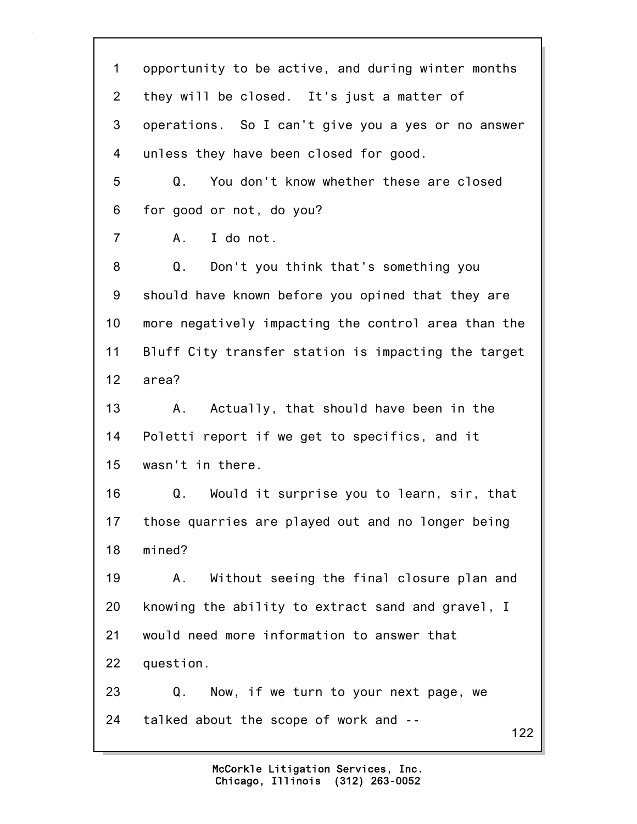122 1 opportunity to be active, and during winter months 2 they will be closed. It's just a matter of 3 operations. So I can't give you a yes or no answer 4 unless they have been closed for good. 5 Q. You don't know whether these are closed 6 for good or not, do you? 7 A. I do not. 8 Q. Don't you think that's something you 9 should have known before you opined that they are 10 more negatively impacting the control area than the 11 Bluff City transfer station is impacting the target 12 area? 13 A. Actually, that should have been in the 14 Poletti report if we get to specifics, and it 15 wasn't in there. 16 Q. Would it surprise you to learn, sir, that 17 those quarries are played out and no longer being 18 mined? 19 A. Without seeing the final closure plan and 20 knowing the ability to extract sand and gravel, I 21 would need more information to answer that 22 question. 23 Q. Now, if we turn to your next page, we 24 talked about the scope of work and --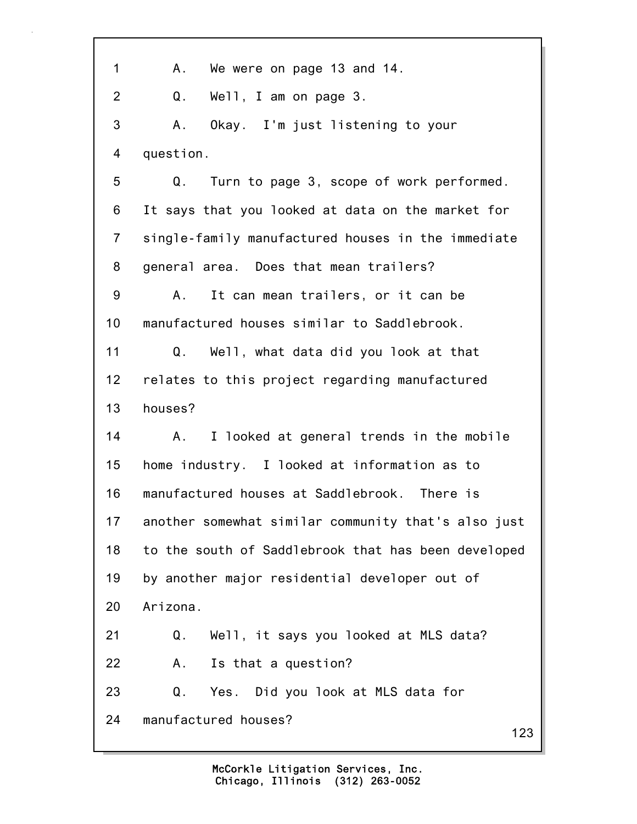123 1 A. We were on page 13 and 14. 2 Q. Well, I am on page 3. 3 A. Okay. I'm just listening to your 4 question. 5 Q. Turn to page 3, scope of work performed. 6 It says that you looked at data on the market for 7 single-family manufactured houses in the immediate 8 general area. Does that mean trailers? 9 A. It can mean trailers, or it can be 10 manufactured houses similar to Saddlebrook. 11 Q. Well, what data did you look at that 12 relates to this project regarding manufactured 13 houses? 14 A. I looked at general trends in the mobile 15 home industry. I looked at information as to 16 manufactured houses at Saddlebrook. There is 17 another somewhat similar community that's also just 18 to the south of Saddlebrook that has been developed 19 by another major residential developer out of 20 Arizona. 21 Q. Well, it says you looked at MLS data? 22 A. Is that a question? 23 Q. Yes. Did you look at MLS data for 24 manufactured houses?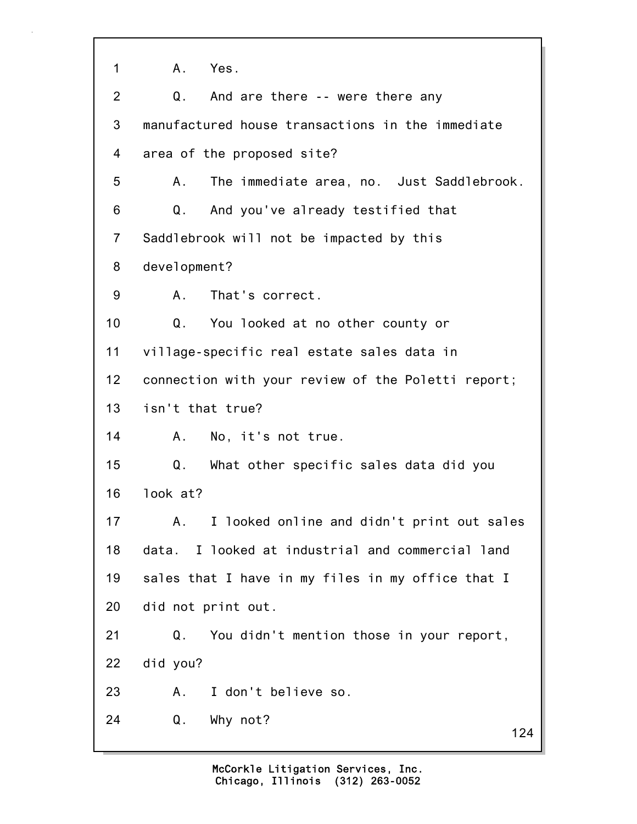124 1 A. Yes. 2 Q. And are there -- were there any 3 manufactured house transactions in the immediate 4 area of the proposed site? 5 A. The immediate area, no. Just Saddlebrook. 6 Q. And you've already testified that 7 Saddlebrook will not be impacted by this 8 development? 9 A. That's correct. 10 Q. You looked at no other county or 11 village-specific real estate sales data in 12 connection with your review of the Poletti report; 13 isn't that true? 14 A. No, it's not true. 15 Q. What other specific sales data did you 16 look at? 17 A. I looked online and didn't print out sales 18 data. I looked at industrial and commercial land 19 sales that I have in my files in my office that I 20 did not print out. 21 Q. You didn't mention those in your report, 22 did you? 23 A. I don't believe so. 24 Q. Why not?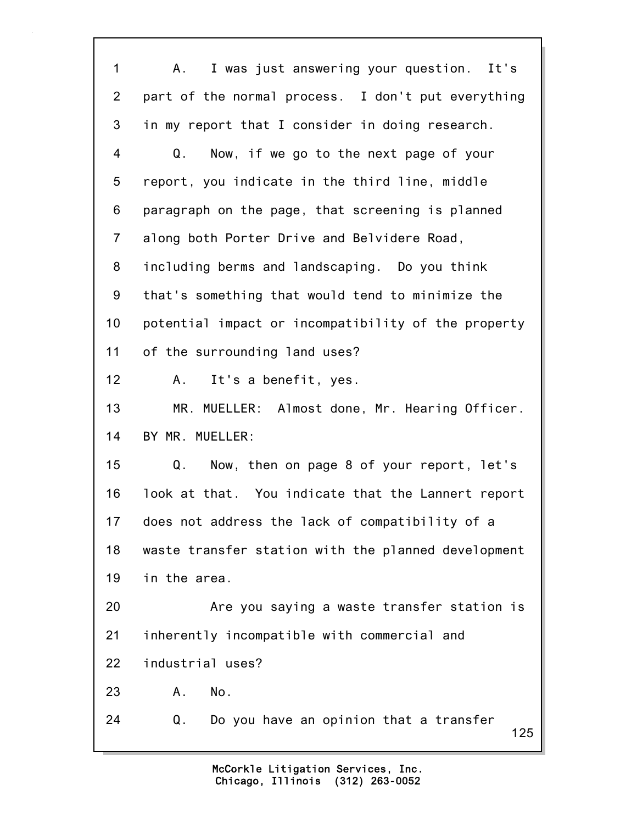125 1 A. I was just answering your question. It's 2 part of the normal process. I don't put everything 3 in my report that I consider in doing research. 4 Q. Now, if we go to the next page of your 5 report, you indicate in the third line, middle 6 paragraph on the page, that screening is planned 7 along both Porter Drive and Belvidere Road, 8 including berms and landscaping. Do you think 9 that's something that would tend to minimize the 10 potential impact or incompatibility of the property 11 of the surrounding land uses? 12 A. It's a benefit, yes. 13 MR. MUELLER: Almost done, Mr. Hearing Officer. 14 BY MR. MUELLER: 15 Q. Now, then on page 8 of your report, let's 16 look at that. You indicate that the Lannert report 17 does not address the lack of compatibility of a 18 waste transfer station with the planned development 19 in the area. 20 Are you saying a waste transfer station is 21 inherently incompatible with commercial and 22 industrial uses? 23 A. No. 24 Q. Do you have an opinion that a transfer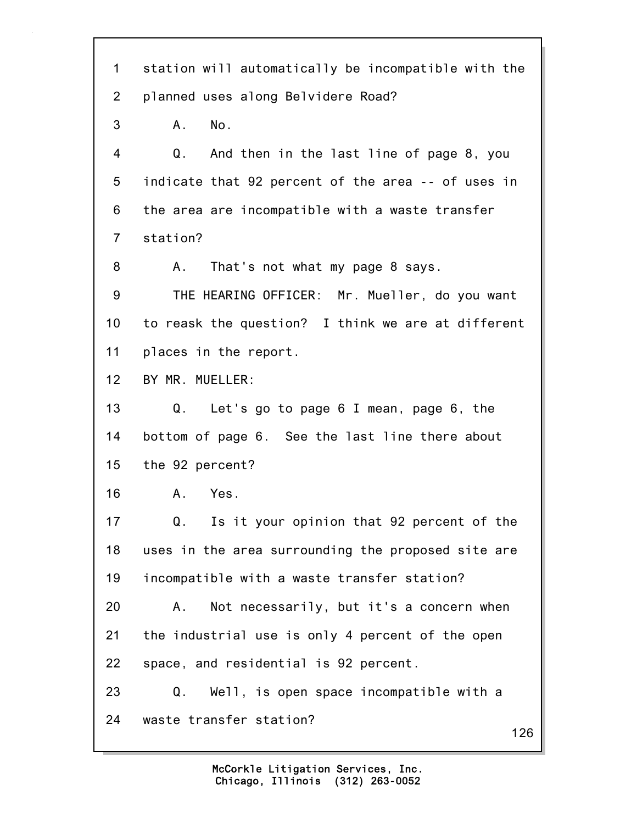| $\mathbf 1$    | station will automatically be incompatible with the |
|----------------|-----------------------------------------------------|
| $\overline{2}$ | planned uses along Belvidere Road?                  |
| 3              | No.<br>A.                                           |
| 4              | Q.<br>And then in the last line of page 8, you      |
| 5              | indicate that 92 percent of the area -- of uses in  |
| 6              | the area are incompatible with a waste transfer     |
| $\overline{7}$ | station?                                            |
| 8              | That's not what my page 8 says.<br>A.,              |
| 9              | THE HEARING OFFICER: Mr. Mueller, do you want       |
| 10             | to reask the question? I think we are at different  |
| 11             | places in the report.                               |
| 12             | BY MR. MUELLER:                                     |
| 13             | Q. Let's go to page 6 I mean, page 6, the           |
| 14             | bottom of page 6. See the last line there about     |
| 15             | the 92 percent?                                     |
| 16             | Yes.<br>Α.                                          |
| 17             | Is it your opinion that 92 percent of the<br>Q.     |
| 18             | uses in the area surrounding the proposed site are  |
| 19             | incompatible with a waste transfer station?         |
| 20             | Not necessarily, but it's a concern when<br>Α.      |
| 21             | the industrial use is only 4 percent of the open    |
| 22             | space, and residential is 92 percent.               |
| 23             | Well, is open space incompatible with a<br>Q.       |
| 24             | waste transfer station?<br>126                      |
|                |                                                     |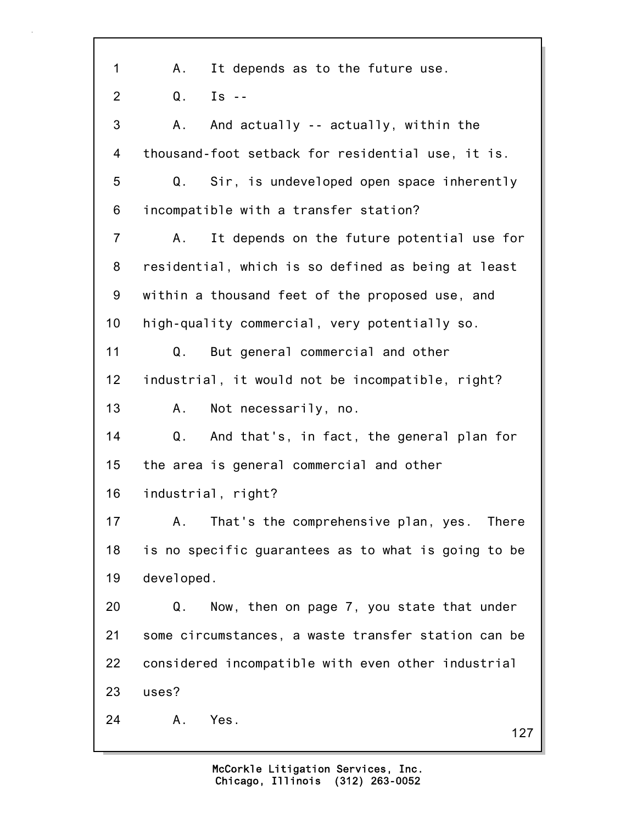127 1 A. It depends as to the future use.  $2 \t 0 \t Is -$ 3 A. And actually -- actually, within the 4 thousand-foot setback for residential use, it is. 5 Q. Sir, is undeveloped open space inherently 6 incompatible with a transfer station? 7 A. It depends on the future potential use for 8 residential, which is so defined as being at least 9 within a thousand feet of the proposed use, and 10 high-quality commercial, very potentially so. 11 Q. But general commercial and other 12 industrial, it would not be incompatible, right? 13 A. Not necessarily, no. 14 Q. And that's, in fact, the general plan for 15 the area is general commercial and other 16 industrial, right? 17 A. That's the comprehensive plan, yes. There 18 is no specific guarantees as to what is going to be 19 developed. 20 Q. Now, then on page 7, you state that under 21 some circumstances, a waste transfer station can be 22 considered incompatible with even other industrial 23 uses? 24 A. Yes.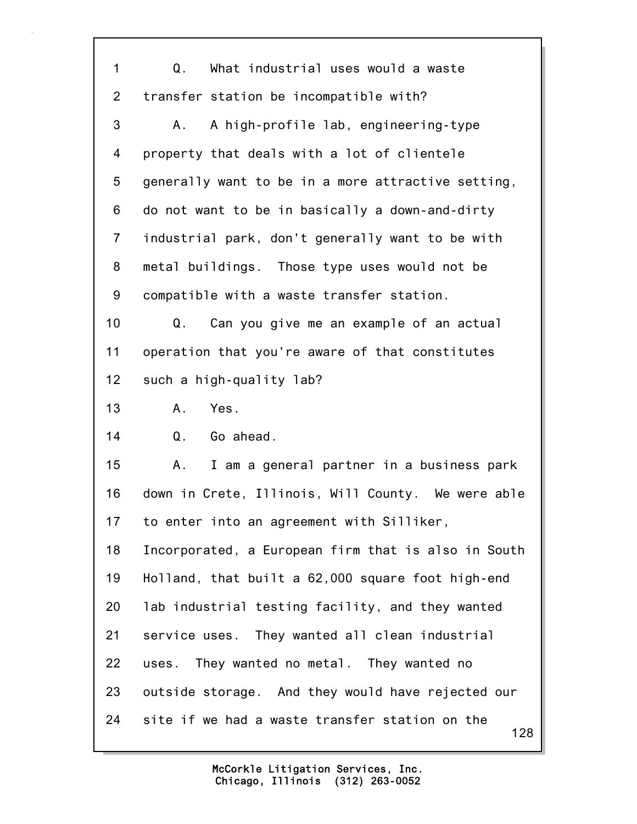| 1               | What industrial uses would a waste<br>Q.            |
|-----------------|-----------------------------------------------------|
| $\overline{2}$  | transfer station be incompatible with?              |
| 3               | A high-profile lab, engineering-type<br>A.,         |
| 4               | property that deals with a lot of clientele         |
| 5               | generally want to be in a more attractive setting,  |
| 6               | do not want to be in basically a down-and-dirty     |
| $\overline{7}$  | industrial park, don't generally want to be with    |
| 8               | metal buildings. Those type uses would not be       |
| 9               | compatible with a waste transfer station.           |
| 10              | Can you give me an example of an actual<br>Q.       |
| 11              | operation that you're aware of that constitutes     |
| 12 <sub>2</sub> | such a high-quality lab?                            |
| 13              | Yes.<br>Α.                                          |
| 14              | Q <sub>1</sub><br>Go ahead.                         |
| 15              | I am a general partner in a business park<br>Α.     |
| 16              | down in Crete, Illinois, Will County. We were able  |
| 17              | to enter into an agreement with Silliker,           |
| 18              | Incorporated, a European firm that is also in South |
| 19              | Holland, that built a 62,000 square foot high-end   |
| 20              | lab industrial testing facility, and they wanted    |
| 21              | service uses. They wanted all clean industrial      |
| 22              | uses. They wanted no metal. They wanted no          |
| 23              | outside storage. And they would have rejected our   |
|                 |                                                     |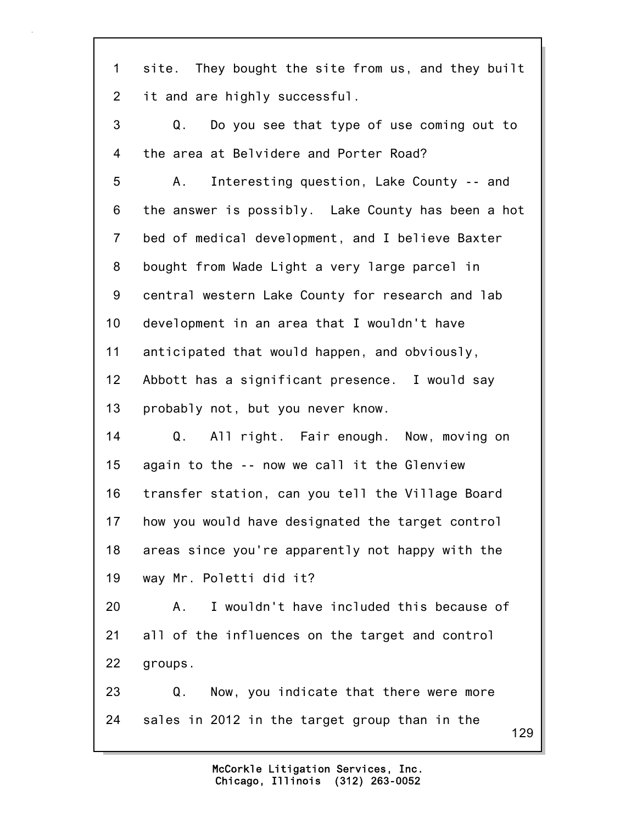129 1 site. They bought the site from us, and they built 2 it and are highly successful. 3 Q. Do you see that type of use coming out to 4 the area at Belvidere and Porter Road? 5 A. Interesting question, Lake County -- and 6 the answer is possibly. Lake County has been a hot 7 bed of medical development, and I believe Baxter 8 bought from Wade Light a very large parcel in 9 central western Lake County for research and lab 10 development in an area that I wouldn't have 11 anticipated that would happen, and obviously, 12 Abbott has a significant presence. I would say 13 probably not, but you never know. 14 Q. All right. Fair enough. Now, moving on 15 again to the -- now we call it the Glenview 16 transfer station, can you tell the Village Board 17 how you would have designated the target control 18 areas since you're apparently not happy with the 19 way Mr. Poletti did it? 20 A. I wouldn't have included this because of 21 all of the influences on the target and control 22 groups. 23 Q. Now, you indicate that there were more 24 sales in 2012 in the target group than in the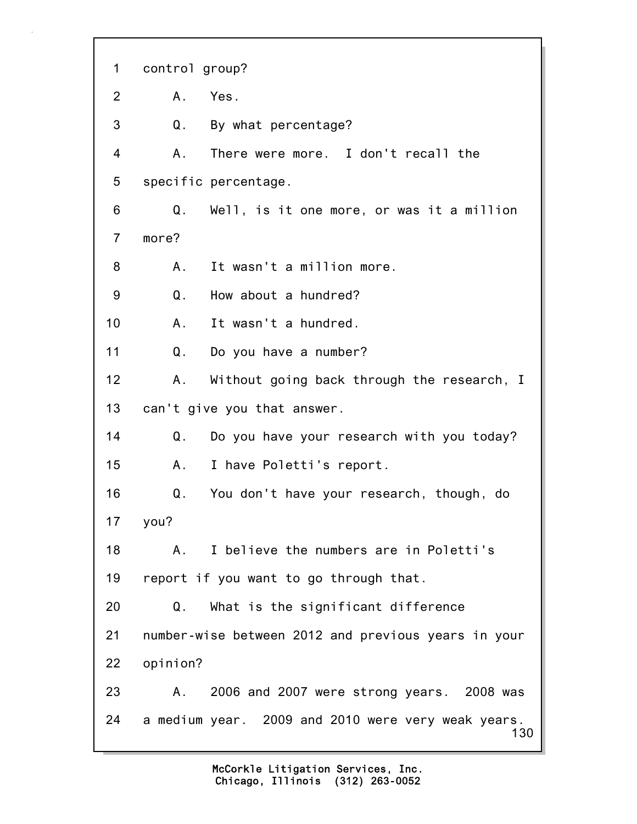130 1 control group? 2 A. Yes. 3 Q. By what percentage? 4 A. There were more. I don't recall the 5 specific percentage. 6 Q. Well, is it one more, or was it a million 7 more? 8 A. It wasn't a million more. 9 Q. How about a hundred? 10 A. It wasn't a hundred. 11 Q. Do you have a number? 12 A. Without going back through the research, I 13 can't give you that answer. 14 Q. Do you have your research with you today? 15 A. I have Poletti's report. 16 Q. You don't have your research, though, do 17 you? 18 A. I believe the numbers are in Poletti's 19 report if you want to go through that. 20 Q. What is the significant difference 21 number-wise between 2012 and previous years in your 22 opinion? 23 A. 2006 and 2007 were strong years. 2008 was 24 a medium year. 2009 and 2010 were very weak years.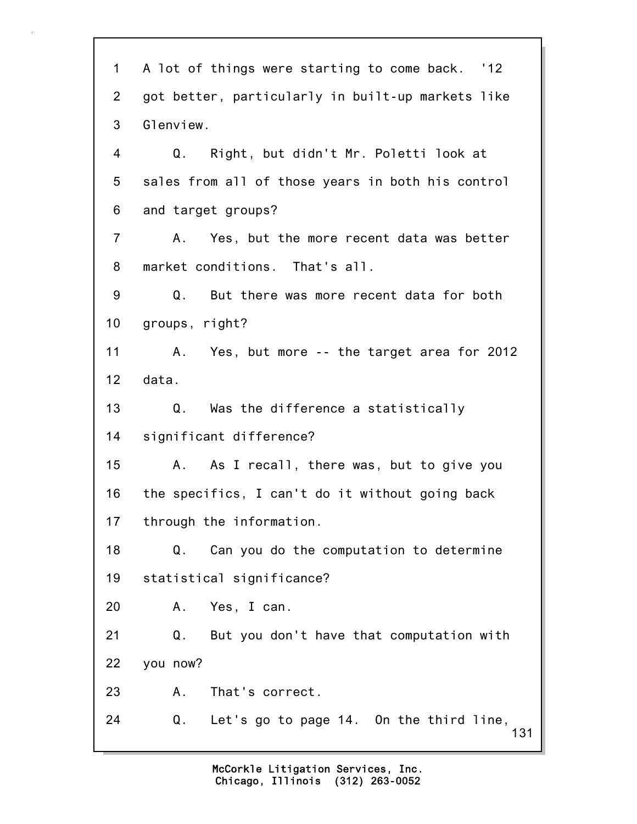131 1 A lot of things were starting to come back. '12 2 got better, particularly in built-up markets like 3 Glenview. 4 Q. Right, but didn't Mr. Poletti look at 5 sales from all of those years in both his control 6 and target groups? 7 A. Yes, but the more recent data was better 8 market conditions. That's all. 9 Q. But there was more recent data for both 10 groups, right? 11 A. Yes, but more -- the target area for 2012 12 data. 13 Q. Was the difference a statistically 14 significant difference? 15 A. As I recall, there was, but to give you 16 the specifics, I can't do it without going back 17 through the information. 18 Q. Can you do the computation to determine 19 statistical significance? 20 A. Yes, I can. 21 Q. But you don't have that computation with 22 you now? 23 A. That's correct. 24 Q. Let's go to page 14. On the third line,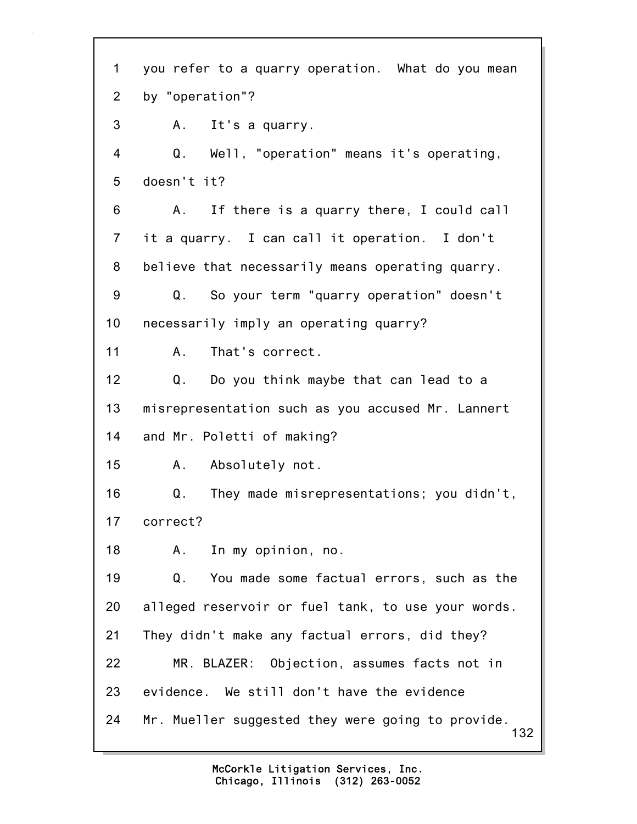132 1 you refer to a quarry operation. What do you mean 2 by "operation"? 3 A. It's a quarry. 4 Q. Well, "operation" means it's operating, 5 doesn't it? 6 A. If there is a quarry there, I could call 7 it a quarry. I can call it operation. I don't 8 believe that necessarily means operating quarry. 9 Q. So your term "quarry operation" doesn't 10 necessarily imply an operating quarry? 11 A. That's correct. 12 Q. Do you think maybe that can lead to a 13 misrepresentation such as you accused Mr. Lannert 14 and Mr. Poletti of making? 15 A. Absolutely not. 16 Q. They made misrepresentations; you didn't, 17 correct? 18 A. In my opinion, no. 19 Q. You made some factual errors, such as the 20 alleged reservoir or fuel tank, to use your words. 21 They didn't make any factual errors, did they? 22 MR. BLAZER: Objection, assumes facts not in 23 evidence. We still don't have the evidence 24 Mr. Mueller suggested they were going to provide.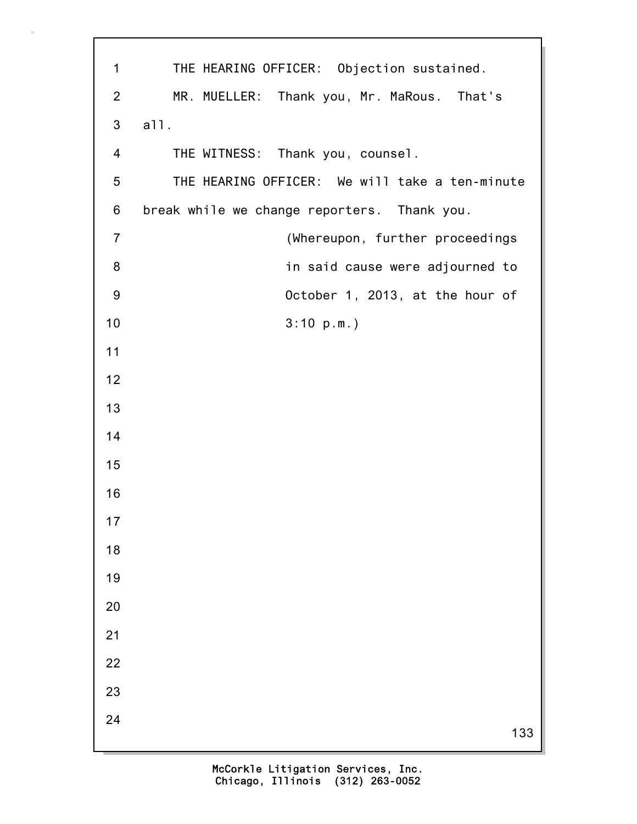| $\mathbf 1$    | THE HEARING OFFICER: Objection sustained.      |
|----------------|------------------------------------------------|
|                |                                                |
| $\overline{2}$ | MR. MUELLER: Thank you, Mr. MaRous. That's     |
| 3              | a11.                                           |
| $\overline{4}$ | THE WITNESS: Thank you, counsel.               |
| 5              | THE HEARING OFFICER: We will take a ten-minute |
| 6              | break while we change reporters. Thank you.    |
| $\overline{7}$ | (Whereupon, further proceedings                |
| 8              | in said cause were adjourned to                |
| 9              | October 1, 2013, at the hour of                |
| 10             | 3:10 p.m.                                      |
| 11             |                                                |
| 12             |                                                |
| 13             |                                                |
| 14             |                                                |
| 15             |                                                |
| 16             |                                                |
| 17             |                                                |
| 18             |                                                |
| 19             |                                                |
| 20             |                                                |
| 21             |                                                |
| 22             |                                                |
| 23             |                                                |
| 24             | 133                                            |
|                |                                                |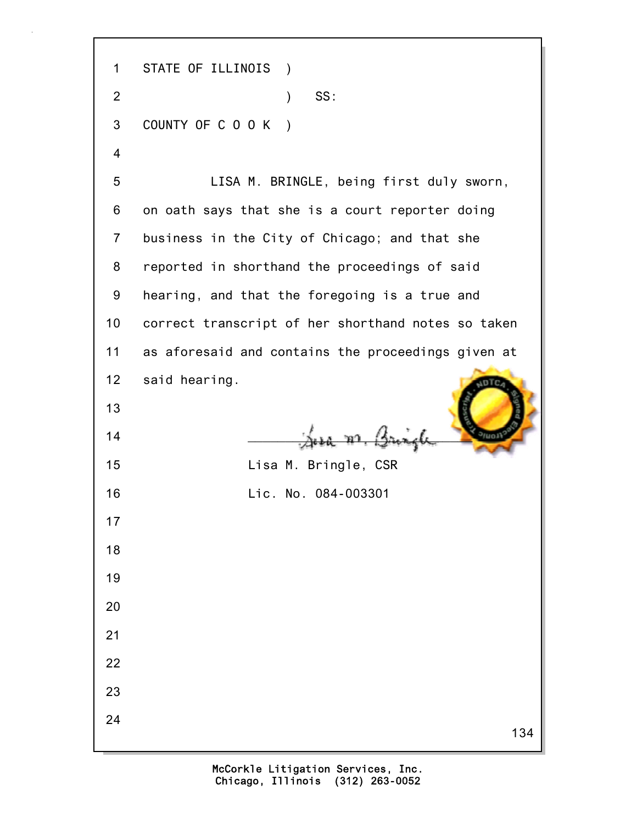134 1 STATE OF ILLINOIS ) 2 ) SS: 3 COUNTY OF C O O K ) 4 5 LISA M. BRINGLE, being first duly sworn, 6 on oath says that she is a court reporter doing 7 business in the City of Chicago; and that she 8 reported in shorthand the proceedings of said 9 hearing, and that the foregoing is a true and 10 correct transcript of her shorthand notes so taken 11 as aforesaid and contains the proceedings given at 12 said hearing. 13  $\frac{14}{\sqrt{2}}$   $\frac{14}{\sqrt{2}}$   $\frac{14}{\sqrt{2}}$ 15 Lisa M. Bringle, CSR 16 Lic. No. 084-003301 17 18 19 20 21 22 23 24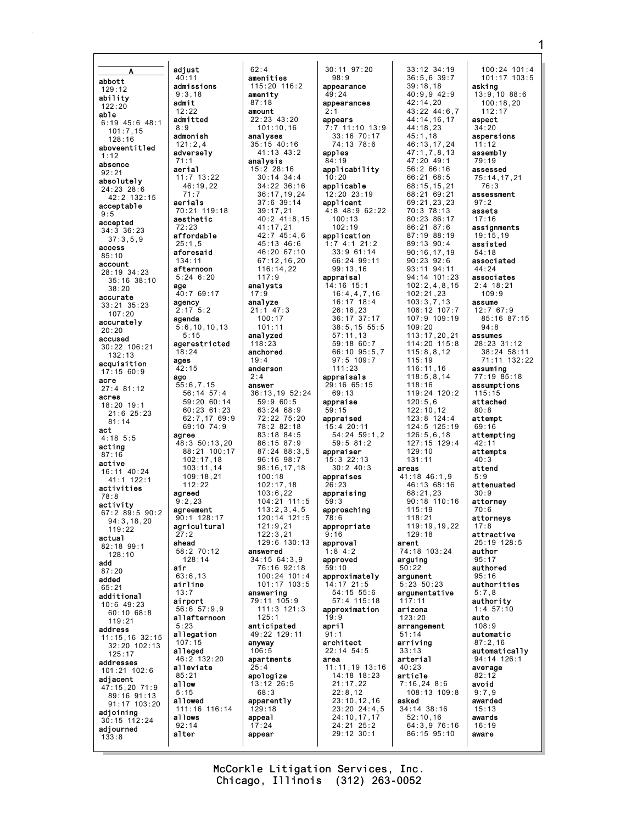adiust  $40:11$ abbott admissions  $129:12$  $9:3.18$ ability  $admit$  $122:20$  $12:22$ able admitted  $6:19$  45:6 48:1  $8:9$  $101 \cdot 7$  15 admonish  $128.16$  $121:2.4$ aboveentitled adverselv  $1:12$  $71:1$ absence aerial  $92:21$  $11:7$   $13:22$ absolutely 46:19,22  $24:23$   $28:6$  $71.7$ 42:2 132:15 aerials acceptable 70:21 119:18  $9:5$ aesthetic accepted  $34:3$   $36:23$ affordable  $37:3,5,9$  $25:1.5$ access aforesaid  $85:10$  $134:11$ account afternoon 28:19 34:23  $5:24$  6:20 35:16 38:10 age  $38:20$ 40:7 69:17 accurate agency 33:21 35:23  $2:17$  $107:20$ agenda accurately  $5:6, 10, 10, 13$  $20:20$  $5:15$ accused agerestricted 30:22 106:21  $18:24$  $132:13$ ages acquisition  $42:15$  $17:15.60:9$ ago acre  $55:6,7,15$  $27:4$  81:12  $56:14$   $57:4$ acres  $59:20$  60:14  $18:20$  19:1  $60:23$   $61:23$  $21:6$   $25:23$ 62:7,17 69:9  $81.14$ 69:10 74:9 act agree  $4:18.5:5$ 48:3 50:13,20 acting 88:21 100:17  $87.16$  $102:17,18$ active  $103:11,14$ 16:11 40:24  $109:18.21$  $11.1$  122.1  $112.22$ activities agreed  $78:8$  $9:2.23$ activity agreement  $67:2$   $89:5$   $90:2$  $90:1$  128:17  $94:3,18,20$ agricultural  $119:22$ actual ahead  $82:18$  99:1 58:2 70:12  $128:10$  $128.14$ add air  $87:20$  $63:6,13$ added airline  $65:21$  $13:7$ additional airport 10:6 49:23 56:6 57:9,9  $60:1068:8$ allafternoon  $119:21$  $5.23$ address allegation 11:15,16 32:15  $107:15$ 32:20 102:13 alleged  $125:17$  $46:2$ addresses alleviate  $101:21$   $102:6$  $85:21$ adiacent allow 47:15.20 71:9  $5:15$  $89:16.91:13$ allowed  $91:17$  103:20 111:16 116:14 adjoining allows  $30:15$  112:24  $92:14$ adiourned alter  $133:8$ 

 $5:2$ 

 $132:20$ 

 $62:4$ amenities  $115:20$   $116:2$ amenity  $87:18$ amount  $22:23$  43:20  $101:10.16$ analyses  $35 \cdot 15$  40 16  $41:13$   $43:2$ analysis  $15.223.16$  $30:14$   $34:4$ 34:22 36:16  $36:17.19.24$  $37:6$  39:14  $39:17.21$  $40:2$   $41:8.15$  $41:17,21$  $42:7$   $45:4.6$  $45:13.46:6$ 46:20 67:10  $67:12.16.20$  $116:14,22$  $117:9$ analysts  $17:9$ analyze  $21:1$  47:3  $100:17$  $101:11$ analyzed  $118:23$ anchored  $19:4$ anderson  $2 \cdot 4$ answer 36:13.19 52:24  $59:960:5$  $63:24.68:9$  $72:22$   $75:20$ 78:2 82:18  $83:18$   $84:5$ 86:15 87:9  $87:24$   $88:3.5$  $96:16$   $98:7$  $98.16$  17 18  $100:18$  $102:17.18$  $103:6.22$  $104:21$  111:5  $113.2345$  $120:14$   $121:5$  $121:9.21$  $122:3.21$  $129:6$  130:13 answered  $34.1564.39$ 76:16 92:18 100:24 101:4 101:17 103:5 answering 79:11 105:9  $111:3$   $121:3$  $125:1$ anticipated 49:22 129:11 anvway  $106 - 5$ apartments  $25:4$ apologize  $13:12$  26:5 68:3 apparently  $129:18$ appeal  $17:24$ appear

30:11 97:20  $98:9$ appearance  $49:24$ appearances  $2:1$ appears  $7:7$  11:10 13:9 33:16 70:17  $74.1378.6$ apples 84:19 applicability  $10:20$ applicable  $12:20.23:19$ applicant  $4:8$   $48:9$   $62.22$  $100:13$  $102:19$ application  $1:74:121:2$  $33:961:14$ 66:24 99:11  $99:13,16$ appraisal  $14:16$  15:1  $16:4,4,7,16$  $16:17 \ 18:4$  $26:16,23$  $36:17.37:17$  $38:5, 15$  55:5  $57:11,13$ 59:18 60:7 66:10 95:5.7  $97:5$  109:7  $111:23$ appraisals 29:16 65:15  $69:13$ appraise  $59:15$ appraised  $15:4$  20:11 54:24 59:1,2  $59:581:2$ appraiser  $15:3$  22:13  $30:2$  40:3 appraises  $26:23$ appraising  $59:3$ approaching  $78:6$ appropriate  $9:16$ approval  $1:8$  4:2 approved  $59:10$ approximately  $14:17$  21:5 54:15 55:6 57:4 115:18 approximation  $19:9$ april  $91:1$ architect  $22:14$  54:5 area 11:11,19 13:16  $14:18$  18:23  $21:17.22$  $22:8,12$  $23:10, 12, 16$ 23:20 24:4,5 24:10.17.17  $24:21$   $25:2$ 29:12 30:1

 $33:12$   $34:19$  $36:5.6$  39:7  $39:18.18$  $40:9.942:9$  $42:14.20$ 43:22 44:6,7<br>44:14.16.17  $44:18.23$  $45:1.18$ 46:13.17.24  $47:1.7.8.13$  $47:20$   $49:1$  $56.266.16$  $66:2168:5$  $68:15, 15, 21$ 68:21 69:21 69:21,23,23  $70.378.13$  $80:23.86:17$ 86:21 87:6  $87.19$   $88.19$  $89:13.90:4$  $90:16,17,19$  $90:23.92:6$ 93:11 94:11 94:14 101:23  $102:2,4,8,15$  $102:21,23$  $103:3,7,13$ 106:12 107:7 107:9 109:19  $109:20$ 113:17,20,21 114:20 115:8  $115:8.8.12$  $115:19$ 116:11,16  $118:5.8.14$  $118:16$  $119:24$   $120:2$  $120:5,6$  $122:10.12$  $123:8$  124:4  $124:5$  125:19  $126:5.6.18$  $127:15$  129:4  $129:10$  $131:11$ areas  $41:18$   $46:1.9$ 46:13 68:16  $68:21.23$  $90:18$  110:16  $115:19$  $118:21$ 119:19.19.22  $129.18$ arent 74:18 103:24 arguing  $50:22$ argument  $5:23:50:23$ argumentative  $117:11$ arizona  $123:20$ arrangement  $51:14$ arriving  $33 \cdot 13$ arterial  $40:23$ article  $7:16,248:6$ 108:13 109:8 asked 34:14 38:16  $52:10,16$  $64:3,976:16$ 86:15 95:10

100:24 101:4<br>101:17 103:5 asking 13:9,10 88:6  $100:18.20$  $112:17$ aspect  $34:20$ aspersions  $11:12$ assembly 79:19 assessed 75:14,17,21  $76:3$ assessment  $97:2$ assets  $17:16$ assignments  $19:15,19$ assisted  $54:18$ associated  $44:24$ associates  $2:4$  18:21  $109:9$ assume  $12:767:9$ 85:16 87:15  $94:8$ assumes 28:23 31:12  $38:24$  58:11 71:11 132:22 assuming  $77:19.85:18$ assumptions  $115:15$ attached  $80:8$ attempt  $69:16$ attempting  $42:11$ attempts  $40:3$ attend  $5:9$ attenuated  $30:9$ attorney  $70.6$ attornevs  $17:8$ attractive  $25:19$  128:5 author  $Q5.17$ authored  $95:16$ authorities  $5:7.8$ authority  $1:4$  57:10 auto  $108.9$ automatic  $87:2,16$ automatically 94:14 126:1 average  $82:12$ avoid  $9:7.9$ awarded  $15:13$ awards  $16:19$ aware

McCorkle Litigation Services, Inc. Chicago, Illinois (312) 263-0052

1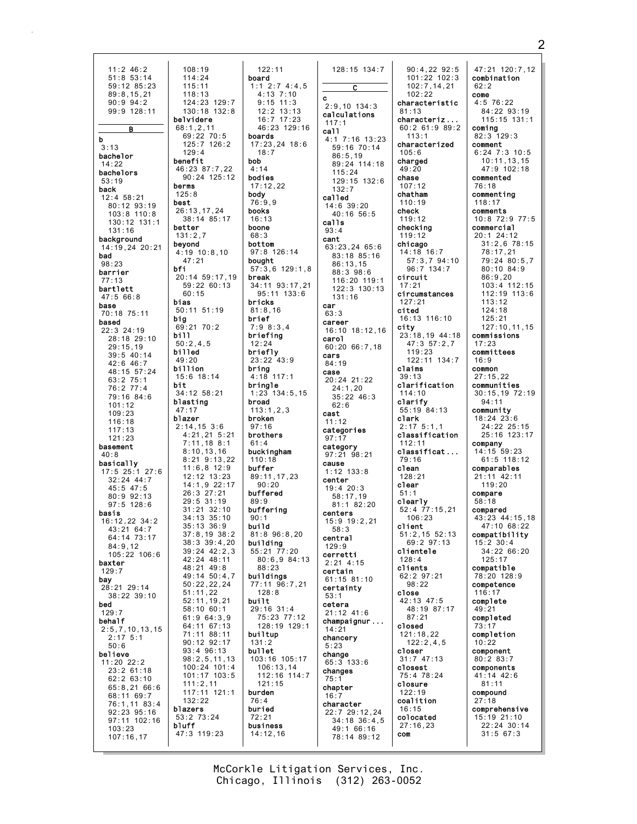$108:19$  $11:2$  46:2  $51:8$  53:14  $114:24$  $59:12.85:23$  $115:11$  $89:8.15.21$  $118:13$  $124:23$  129:7  $90:9.94:2$ 99:9 128:11  $130:18$   $132:8$ belvidere  $68:1.2.11$ B 69:22 70:5<br>125:7 126:2 b  $3:13$  $129:4$ bachelor benefit  $14:22$  $46.23$   $87.7$  22 bachelors  $90:24$  125:12  $53:19$ berms back  $125.8$  $12:4.58.21$ best 80:12 93:19 26:13.17.24  $103:8$   $110:8$ 38:14 85:17 130:12 131:1 better 131:16  $131:2,7$ background beyond 14:19.24 20:21  $4:19$  10:8,10 bad  $47.21$  $98:23$ bfi barrier 20:14 59:17,19  $77:13$  $59:22 60:13$ bartlett  $60:15$  $47:566:8$ bias base 50:11 51:19 70:18 75:11 big based  $69:21$  70:2  $22:3$  24:19 bi11  $28:18$  29:10  $50:2,4,5$  $29:15.19$ billed 39:5 40:14 49:20  $42:6$  46:7 billion  $48:15$  57:24  $15:6$  18:14 63:2 75:1<br>76:2 77:4 bit 34:12 58:21  $79:16.84:6$ blasting  $101.12$  $47:17$  $109:23$ blazer  $116.18$  $2:14.15$  3:6  $117.13$  $4:21,21$  5:21  $121:23$  $7:11, 18$  8:1 basement  $8:10.13.16$  $40.8$  $8:21$   $9:13,22$ basically  $11.6$   $8$   $12.9$  $17:5$  25:1 27:6  $12:12$   $13:23$  $32:24$  44:7 14:1,9 22:17<br>26:3 27:21  $45:5$  47:5 80:9 92:13  $29:5.31:19$  $97:5$  128:6  $31:21$   $32:10$ basis  $34:13$   $35:10$ 16:12,22 34:2  $35:13$   $36:9$ 43:21 64:7  $37:8,19$   $38:2$ 64:14 73:17  $38:3.39:4.20$  $84.912$  $39:24$   $42:2.3$  $105:22$  106:6  $42.2448:11$ baxter  $48:21$   $49:8$  $129:7$ 49:14 50:4,7 bav  $50:22.22.24$ 28:21 29:14  $51:11,22$ 38:22 39:10  $52:11, 19, 21$ <br> $58:10, 60:1$ **bed**  $129:7$  $61:964:3,9$ behalf 64:11 67:13  $2:5,7,10,13,15$ 71:11 88:11  $2:17$  5:1 90:12 92:17  $50:6$ 93:4 96:13 believe  $98:2,5,11,13$  $11:20$  22:2 100:24 101:4<br>101:17 103:5  $23:2$  61:18  $62:263:10$  $111:2,11$  $65:8,2166:6$ 117:11 121:1 68:11 69:7  $132:22$ 76:1,11 83:4<br>92:23 95:16 blazers 53:2 73:24 97:11 102:16 bluff  $103:23$ 47:3 119:23  $107:16.17$ 

 $122:11$ board  $1:1$  2:7 4:4.5  $4:13$   $7:10$ <br> $9:15$   $11:3$  $12:2$  13:13  $16:7$  17:23  $46:23$   $129:16$ boards  $17:23.24$  18:6  $18:7$ bob  $4.14$ bodies  $17:12.22$ body  $76:9.9$ books  $16:13$ boone  $68.3$ bottom 97:8 126:14 bought  $57:3,6$  129:1,8 break 34:11 93:17,21 95:11 133:6 bricks  $81:8.16$ brief  $7:98:3.4$ briefing  $12:24$ briefly  $23:22$  43:9 bring  $4:18$  117:1 bringle  $1:23$  134:5.15 broad  $113:1.2.3$ broken  $97:16$ brothers  $61:4$ buckingham  $110:18$ **buffer** 89:11.17.23  $90:20$ buffered  $89:9$ buffering  $90:1$ build  $81.896.820$ building  $55:21$   $77:20$  $80:6.984:13$  $88:23$ buildings 77:11 96:7,21  $128:8$ built  $29:16$  31:4 75:23 77:12 128:19 129:1 builtup  $131:2$ bullet 103:16 105:17  $106:13,14$ 112:16 114:7  $121:15$ burden  $76:4$ buried  $72:21$ business  $14:12.16$ 

128:15 134:7 C  $\mathbf c$  $2.9$  10 134 3 calculations  $117:1$ call 4:1 7:16 13:23 59:16 70:14  $86:5.19$ 89:24 114:18  $115:24$  $129:15$   $132:6$  $132:7$ called 14:6 39:20  $40:1656:5$  $c$ alls  $93:4$ cant 63:23.24 65:6 83:18 85:16  $86:13,15$  $88:3.98:6$ 116:20 119:1 122:3 130:13  $131:16$ car  $63:3$ career 16:10 18:12,16 carol  $60:2066:7.18$ cars  $84:19$ case  $20:24$  21:22  $24:1.20$  $35:2246:3$  $62.6$ cast  $11.12$ categories  $97:17$ category  $97:21$  98:21 cause  $1:12$   $133:8$ center  $19:420:3$  $58:17,19$ 81:1 82:20 centers  $15:9$  19:2.21  $58:3$ central  $129:9$ cerretti  $2:21$  4:15 certain  $61:15$  81:10 certainty  $53:1$ cetera  $21:12$  41:6  $champ$ aignur...  $14:21$ chancery  $5:23$ change  $65:3$  133:6 changes  $75:1$ chapter  $16:7$ character 22:7 29:12.24  $34:18$   $36:4$  5 49:1 66:16 78:14 89:12

 $90:4,22$   $92:5$  $101:22$  102:3  $102:7, 14, 21$  $102:22$ characteristic  $81:13$ characteriz.  $60:261:989:2$  $113.1$ characterized  $105:6$ charged  $49:20$ chase  $107:12$ chatham  $110:19$ check  $119:12$ checking  $119:12$ chicago 14:18 16:7 57:3.7 94:10  $96:7$  134:7 circuit  $17:21$ circumstances  $127:21$ cited 16:13 116:10 city 23:18,19 44:18  $47:357:2,7$  $119:23$  $122:11$   $134:7$ claims  $39:13$ clarification  $114:10$ clarify  $55:19$   $84:13$ clark  $2:175:1.1$ classification  $112:11$ classificat...  $79:16$ clean  $128:21$ clear  $51:1$ clearly  $52:4$  77:15.21  $106:23$ client  $51:2,15$  52:13  $69:297:13$ clientele  $128.1$ clients 62:2 97:21  $98:22$ close 42:13 47:5 48:19 87:17  $87:21$ closed  $121:18,22$  $122:2,4,5$ closer  $31:7$  47:13 closest 75:4 78:24 closure  $122:19$ coalition  $16:15$ colocated  $27:16.23$ com

47:21 120:7.12 combination  $62:2$ come  $4:5$  76:22  $84:229.93:19$  $31.22$   $331:1$ coming  $82:3$  129:3 comment  $6:24$  7:3 10:5 10:11,13,15<br>47:9 102:18 commented 76:18 commenting  $118:17$ comments  $10:8$  72:9 77:5 commercial 20:1 24:12  $31:2.678:15$ 78:17,21 79:24 80:5.7 80:10 84:9  $86:9.20$ 103:4 112:15 112:19 113:6  $113.12$  $124:18$  $125:21$ 127:10.11.15 commissions  $17:23$ committees  $16:9$ common  $27:15.22$ communities  $30:15,19$  72:19  $94:11$ community  $18:24$   $23:6$ 24:22 25:15  $25:16$  123:17 company  $14:15$  59:23  $61:5$  118:12 comparables  $21:11$  42:11  $119.20$ compare  $58:18$ compared 43:23 44:15.18  $47:10.68:22$ compatibility  $15:2$  30:4  $34:2266:20$  $125.17$ compatible 78:20 128:9 competence  $116:1$ complete  $49:21$ completed completion  $10:22$ component  $80:283:7$ components  $41:14$   $42:6$  $81:11$ compound  $27:18$ comprehensive  $15:19$  21:10 22:24 30:14  $31:5$  67:3

McCorkle Litigation Services, Inc. Chicago, Illinois (312) 263-0052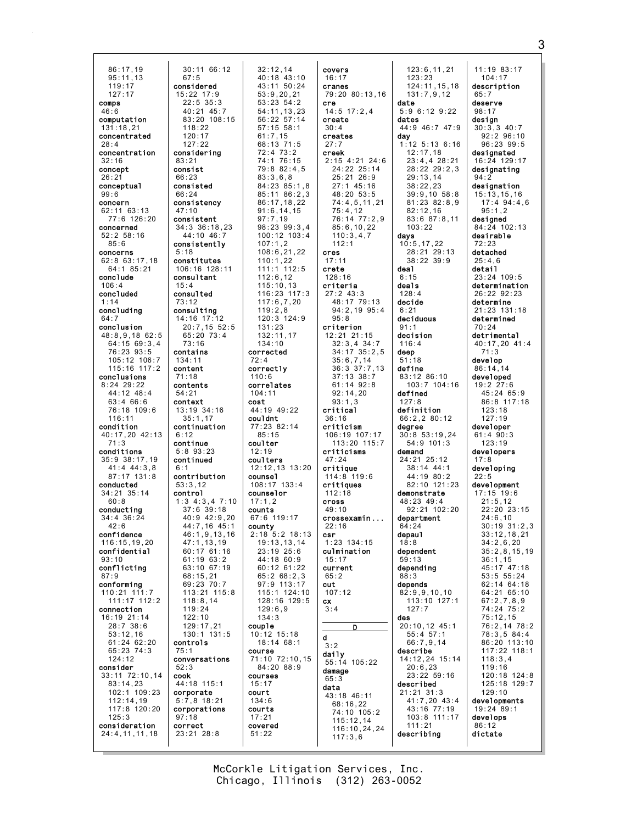86:17,19 95:11,13 119:17 127:17 comps 46:6 computation 131:18,21 concentrated  $28.4$ concentration 32:16 concept 26:21 conceptual 99:6 concern 62:11 63:13 77:6 126:20 concerned 52:2 58:16 85:6 concerns 62:8 63:17,18 64:1 85:21 conclude 106:4 concluded 1:14 concluding 64:7 conclusion 48:8,9,18 62:5 64:15 69:3,4 76:23 93:5 105:12 106:7 115:16 117:2 conclusions 8:24 29:22 44:12 48:4 63:4 66:6 76:18 109:6 116:11 condition 40:17,20 42:13 71:3 conditions 35:9 38:17,19  $41 \cdot 4 \cdot 44 \cdot 3 \cdot 8$ 87:17 131:8 conducted 34:21 35:14 60:8 conducting 34:4 36:24  $42.6$ confidence 116:15,19,20 confidential  $93:10$ conflicting 87:9 conforming 110:21 111:7 111:17 112:2 connection 16:19 21:14 28:7 38:6 53:12,16 61:24 62:20 65:23 74:3 124:12 consider 33:11 72:10,14 83:14,23 102:1 109:23 112:14,19 117:8 120:20 125:3 consideration 24:4,11,11,18 30:11 66:12 67:5 considered 15:22 17:9  $22:5$  35:3 40:21 45:7 83:20 108:15 118:22 120:17  $127.22$ considering 83:21 consist 66:23 consisted 66:24 consistency 47:10 consistent 34:3 36:18,23 44:10 46:7 consistently 5:18 constitutes 106:16 128:11 consultant 15:4 consulted 73:12 consulting 14:16 17:12 20:7,15 52:5 65:20 73:4 73:16 contains 134:11 content 71:18 contents 54:21 context 13:19 34:16 35:1,17 continuation 6:12 continue 5:8 93:23 continued  $6:1$ contribution 53:3,12 control 1:3 4:3,4 7:10  $37:6$  39:18 40:9 42:9,20 44:7,16 45:1 46:1,9,13,16 47:1,13,19 60:17 61:16 61:19 63:2 63:10 67:19 68:15,21 69:23 70:7 113:21 115:8 118:8,14 119:24 122:10 129:17,21 130:1 131:5 controls 75:1 conversations 52:3 cook 44:18 115:1 corporate 5:7,8 18:21 corporations 97:18 correct 23:21 28:8

32:12,14 40:18 43:10 43:11 50:24 53:9,20,21 53:23 54:2 54:11,13,23 56:22 57:14 57:15 58:1 61:7,15 68:13 71:5 72:4 73:2 74:1 76:15 79:8 82:4,5 83:3,6,8 84:23 85:1,8 85:11 86:2,3 86:17,18,22 91:6,14,15 97:7,19 98:23 99:3,4 100:12 103:4 107:1,2 108:6,21,22 110:1,22 111:1 112:5 112:6,12 115:10,13 116:23 117:3 117:6,7,20 119:2,8 120:3 124:9 131:23 132:11,17 134:10 corrected 72:4 correctly  $110.6$ correlates 104:11 cost 44:19 49:22 couldnt 77:23 82:14 85:15 coulter 12:19 coulters 12:12,13 13:20 counsel  $108 \cdot 17$   $133 \cdot 4$ counselor 17:1,2 counts 67:6 119:17 county 2:18 5:2 18:13 19:13,13,14 23:19 25:6  $44.1860:9$ 60:12 61:22 65:2 68:2,3 97:9 113:17 115:1 124:10 128:16 129:5 129:6,9 134:3 couple 10:12 15:18 18:14 68:1 course 71:10 72:10,15 84:20 88:9 courses 15:17 court 134:6 courts 17:21 covered 51:22

covers 16:17 cranes 79:20 80:13,16 cre 14:5 17:2,4 create 30:4 creates  $27:7$ creek 2:15 4:21 24:6 24:22 25:14 25:21 26:9 27:1 45:16 48:20 53:5 74:4,5,11,21  $75 \cdot 4$ , 12 76:14 77:2,9 85:6,10,22 110:3,4,7 112:1 cres 17:11 crete 128:16 criteria 27:2 43:3 48:17 79:13 94:2,19 95:4 95:8 criterion 12:21 21:15 32:3,4 34:7 34:17 35:2,5 35:6,7,14 36:3 37:7,13 37:13 38:7 61:14 92:8 92:14,20 93:1,3 critical 36:16 criticism 106:19 107:17 113:20 115:7 criticisms 47:24 critique 114:8 119:6 critiques 112:18 cross 49:10 crossexamin ... 22:16 csr 1:23 134:15 culmination 15:17 current 65:2 cut 107:12 cx 3:4 D d 3:2 daily 55:14 105:22 damage 65:3 data 43:18 46:11 68:16,22 74:10 105:2 115:12,14 116:10,24,24 117:3,6

123:6,11,21 123:23 124:11,15,18 131:7,9,12 date 5:9 6:12 9:22 dates 44:9 46:7 47:9 day 1:12 5:13 6:16 12:17,18 23:4,4 28:21 28:22 29:2,3 29:13,14 38:22,23 39:9,10 58:8 81:23 82:8,9  $82 \cdot 12$ , 16 83:6 87:8,11 103:22 days 10:5,17,22 28:21 29:13 38:22 39:9 deal 6:15 deals 128:4 decide 6:21 deciduous 91:1 decision 116:4 deep 51:18 define 83:12 86:10 103:7 104:16 defined 127:8 definition 66:2,2 80:12 degree 30:8 53:19,24 54:9 101:3 demand 24:21 25:12 38:14 44:1 44:19 80:2 82:10 121:23 demonstrate 48:23 49:4  $92.21 102.20$ department 64:24 depaul 18:8 dependent 59:13 depending 88:3 depends 82:9,9,10,10 113:10 127:1 127:7 des 20:10,12 45:1 55:4 57:1 66:7,9,14 describe 14:12,24 15:14 20:6,23 23:22 59:16 described 21:21 31:3 41:7,20 43:4 43:16 77:19 103:8 111:17 111:21 describing dictate

11:19 83:17 104:17 description 65:7 deserve 98:17 design 30:3,3 40:7 92:2 96:10 96:23 99:5 designated 16:24 129:17 designating 94:2 designation 15:13,15,16 17:4 94:4,6  $05:1,2$ designed 84:24 102:13 desirable 72:23 detached  $25:4.6$ detail 23:24 109:5 determination 26:22 92:23 determine 21:23 131:18 determined 70:24 detrimental 40:17,20 41:4 71:3 develop 86:14,14 developed 19:2 27:6 45:24 65:9 86:8 117:18 123:18  $127.19$ developer 61:4 90:3 123:19 developers 17:8 developing  $22:5$ development 17:15 19:6 21:5,12  $22 \cdot 20$   $23 \cdot 15$ 24:6,10 30:19 31:2,3 33:12,18,21 34:2,6,20 35:2,8,15,19  $36:1,15$ 45:17 47:18 53:5 55:24 62:14 64:18 64:21 65:10 67:2,7,8,9 74:24 75:2 75:12,15 76:2,14 78:2 78:3,5 84:4 86:20 113:10 117:22 118:1 118:3,4 119:16 120:18 124:8 125:18 129:7 129:10 developments 19:24 89:1 develops 86:12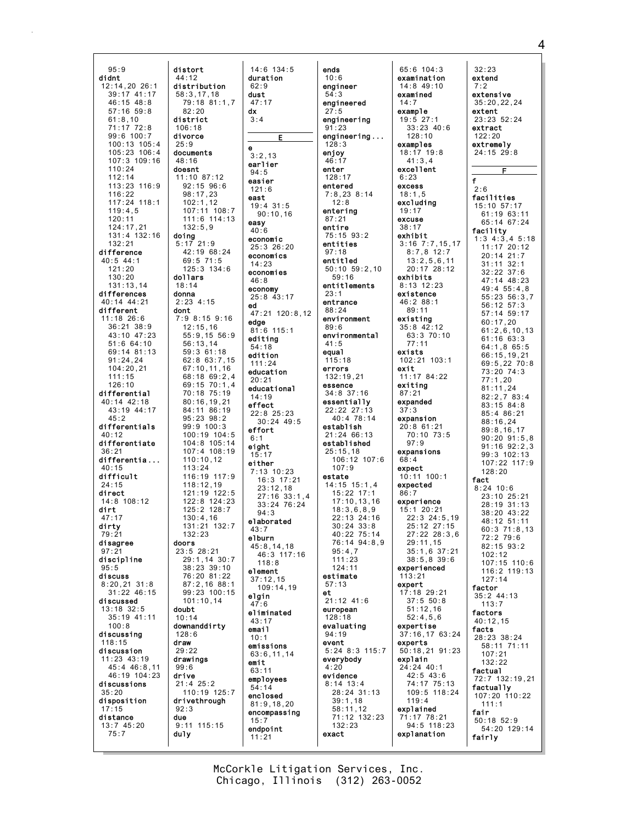distort  $95:9$ didnt  $44:12$  $12:14.20.26:1$  $39:17$  41:17  $46:15$  48:8  $57:16$   $59:8$ district  $61.810$  $71:17$   $72:8$  $106:18$  $99:6 100:7$ divorce  $100:13$   $105:4$  $25.9$  $105:23$  106:4 documents 107:3 109:16 48:16  $110:24$ doesnt  $112:14$ 113:23 116:9  $116:22$  $117:24$  118:1  $119.45$  $120:11$ 124:17,21  $131:4$   $132:16$ doing  $5:17$  21:9  $132:21$ difference  $40:5$  44:1  $121:20$ dollars  $130:20$  $131:13.14$ differences donna  $2:23$  4:15 40:14 44:21 different dont  $11:18$  26:6  $36:21$   $38:9$ 43:10 47:23  $51:664:10$ 69:14 81:13  $91:24,24$  $104:20,21$  $111:15$  $126:10$ differential 40:14 42:18 43:19 44:17  $45.2$ differentials  $40:12$ differentiate  $36:21$ differentia...  $40.15$ difficult  $24.15$ direct  $14:8$  108:12  $dirt$  $47:17$ dirty  $79.21$ disagree doors  $97:21$ discipline  $95:5$ discuss  $8:20,21$  31:8  $31:22$  46:15 discussed  $13:18$  32:5 doubt 35:19 41:11  $100.8$ discussing  $118:15$ draw discussion  $11:23$   $43:19$ drawings 45:4 46:8,11  $99:6$ 46:19 104:23 drive discussions  $21:4$  25:2  $35:20$ disposition  $92:3$  $17:15$ distance due  $13:745:20$  $75:7$ du<sub>1y</sub>

 $14:6$  134:5 duration distribution  $62:9$  $58:3.17.18$ dust  $47:17$ dx  $3 \cdot 4$  $3.213$ earlier  $94:5$ 11:10 87:12 easier 92:15 96:6  $121:6$  $98:17.23$ east  $102:1,12$  $19:4$  31:5  $107:11$   $108:7$  $90:10.16$ 111:6 114:13 easy  $40:6$ economic  $25:3$  26:20 42:19 68:24 economics  $69:5$  71:5  $14:23$  $125:3$   $134:6$ economies  $46:8$ economy  $25:8$  43:17 ed  $47.21$  120.8 12 7:9 8:15 9:16 edge  $12:15,16$  $81:6$  115:1  $55:9.1556:9$ editing  $56:13,14$  $54:18$  $59:361:18$ edition  $62:8$  63:7,15  $111:24$ 67:10.11.16 education  $68:1869:2.4$  $20:21$ 69:15 70:1,4 educational 70:18 75:19  $14:19$  $80:16, 19, 21$ effect 84:11 86:19  $22:8$   $25:23$ 95:23 98:2  $30:24$  49:5 99:9 100:3 effort  $100:19$   $104:5$  $6.$ 104:8 105:14 eight  $107:4$  108:19  $15.17$  $110:10.12$ either  $7:13$  10:23  $116:19$   $117:9$  $16:3$  17:21 118:12,19<br>121:19 122:5  $23:12.18$ 27:16 33:1,4 122:8 124:23  $33:24$  76:24 125:2 128:7  $94:3$  $130:4.16$ elaborated 131:21 132:7  $43:7$ elburn  $45:8, 14, 18$ 23:5 28:21 46:3 117:16 29:1,14 30:7  $118:8$ 38:23 39:10 element 76:20 81:22  $37:12.15$  $87:2.16$   $88:1$  $109:14.19$  $99:23:100:15$ elgin  $101:10,14$  $7:6$ eliminated  $43:17$ downanddirty email  $10:1$ emissions 63:6, 11, 14 emit  $63:11$ emplovees  $54:14$ 110:19 125:7 enclosed drivethrough  $81:9, 18, 20$ encompassing  $15:7$  $9:11$  115:15 endpoint  $11:21$ 

 $82:20$ 

 $132:5.9$ 

 $18:14$ 

 $113.24$ 

 $132.23$ 

 $10:14$ 

 $128:6$ 

 $29.22$ 

ends  $10:6$ engineer  $54:3$ engineered  $27:5$ engineering  $91:23$ engineering...  $128.3$ enjoy  $46:17$ enter  $128:17$ entered  $7:8,238:14$  $12:8$ entering  $87:21$ entire 75:15 93:2 entities  $97:18$ entitled  $50:10$   $59:2,10$  $59:16$ entitlements  $23:1$ entrance  $88:24$ environment  $89:6$ environmental  $41:5$ equal  $115:18$ errors  $132:19,21$ essence  $34:8$  37:16 essentially  $22:22.27:13$ 40:4 78:14 establish 21:24 66:13 established  $25:15,18$  $106:12$   $107:6$  $107.9$ estate  $14:15$   $15:1.4$  $15:22$   $17:1$  $17:10.13.16$  $18.3689$ 22:13 24:16  $30:24$   $33:8$  $40.2275.14$ 76:14 94:8.9  $95:4.7$  $111.23$  $124:11$ estimate  $57:13$  $et$  $21:12$  41:6 european  $128:18$ evaluating  $94:19$ event  $5:24$  8:3 115:7 everybody  $4:20$ evidence  $8:14$  13:4 28:24 31:13  $39:1,18$  $58:11,12$ 71:12 132:23  $132:23$ exact

 $65:6$  104:3 examination  $14:8$  49:10 examined  $14:7$ example  $19:5$  27:1  $33:23.40:6$  $128.10$ examples  $18:17$   $19:8$  $41:3.4$ excellent  $6.23$ excess  $18:1.5$ excluding  $19.17$ excuse  $38:17$ exhibit  $3:16$   $7:7,15,17$  $8:7,8$  12:7  $13:2,5,6,11$  $20:17$  28:12 exhibits 8:13 12:23 existence  $46:288:1$  $89:11$ existing  $35:8$  42:12 63:3 70:10  $77:11$ exists 102:21 103:1 exit  $11:17$  84:22 exiting  $87:21$ expanded  $37:3$ expansion  $20:8$  61:21 70:10 73:5  $97.9$ expansions  $68:4$ expect  $10:11$   $100:1$ expected  $86:7$ experience  $15:120:21$  $22:3$   $24:5.19$ 25:12 27:15  $27.22228.36$  $29:11.15$  $35:1,6$  37:21  $38.58396$ experienced  $113:21$ expert  $17:18$  29:21  $37:5 50:8$  $51:12.16$  $52:4,5,6$ expertise 37:16,17 63:24 experts 50:18,21 91:23 explain 24:24 40:1  $42:5$   $43:6$ 74:17 75:13 109:5 118:24  $119:4$ explained 71:17 78:21  $94:5$  118:23 explanation

 $32:23$ extend  $7:2$ extensive  $35:20.22.24$ extent 23:23 52:24 extract  $122:20$ extremely  $24:15$   $29:8$  $\mathsf f$  $2:6$ facilities 15:10 57:17  $61:19$   $63:11$ 65:14 67:24 facility  $1:3$  4:3,4 5:18  $11:17$  20:12  $20:14$   $21:7$  $31:11$   $32:1$  $32:22$  37:6 47:14 48:23 49:4 55:4.8  $55:23$   $56:3,7$ 56:12 57:3 57:14 59:17  $60:17,20$  $61:2.6.10.13$  $61:16$  63:3  $64:1.865:5$ 66:15.19.21  $69:5.2270:8$  $73:20.74:3$  $77:1.20$  $81:11.24$  $82:2.783:4$  $83:15$   $84:8$  $85:486:21$ 88:16.24  $89:8, 16, 17$  $90:20.91:5.8$  $91:16$   $92:2.3$  $99.3 102.13$ 107:22 117:9  $128:20$ fact  $8:24$  10:6 23:10 25:21 28:19 31:13 38:20 43:22  $48.12$  51.11  $60:371:8,13$ 72:2 79:6  $82.1593.2$  $102:12$ 107:15 110:6  $116 \cdot 2 119 \cdot 13$  $127:14$ factor  $35:2$  44:13  $113:7$ factors  $40:12,15$ facts 28:23 38:24  $58:11$  71:11  $107:21$  $132.22$ factual 72:7 132:19.21 factually  $107:20$   $110:22$  $111:1$ fair  $50:18$  52:9 54:20 129:14 fairly

McCorkle Litigation Services, Inc. Chicago, Illinois (312) 263-0052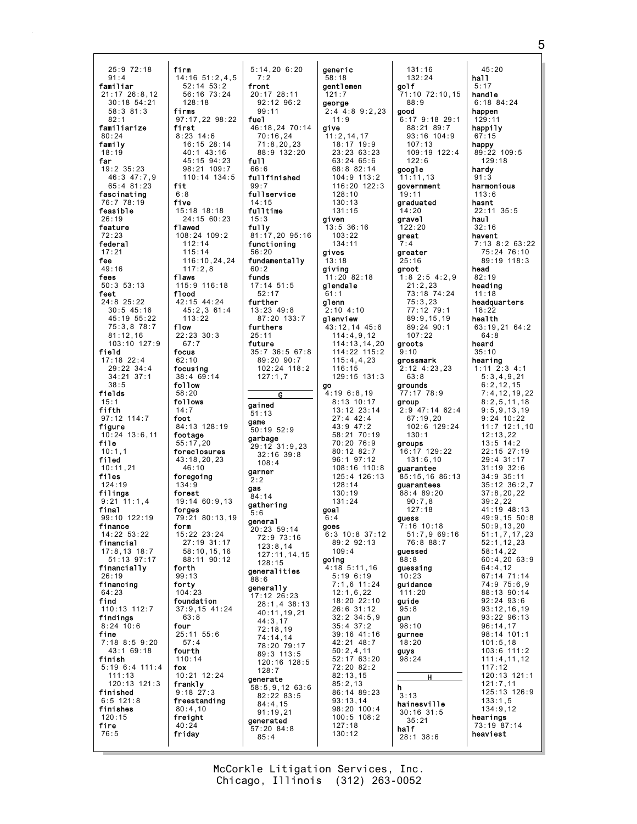25:9 72:18 91:4 familiar 21:17 26:8,12 30:18 54:21 58:3 81:3  $82.1$ familiarize  $80.24$ family 18:19 far 19:2 35:23 46:3 47:7,9 65:4 81:23 fascinating 76:7 78:19 feasible 26:19 feature 72:23 federal 17:21 fee 49:16 fees 50:3 53:13 feet 24:8 25:22 30:5 45:16 45:19 55:22 75:3,8 78:7 81:12,16 103:10 127:9 field 17:18 22:4 29:22 34:4 34:21 37:1 38:5 fields 15:1 fifth 97:12 114:7 figure 10:24 13:6,11 file  $10:1.1$ filed 10:11,21 files  $124.19$ filings 9:21 11:1,4<br>**final** 99:10 122:19 finance  $14.22$  53.22 financial 17:8,13 18:7  $51.13$  07.17 financially 26:19 financing 64:23 find 110:13 112:7 findings 8:24 10:6 fine 7:18 8:5 9:20 43:1 69:18 finish 5:19 6:4 111:4 111:13 120:13 121:3 finished 6:5 121:8 finishes 120:15 fire 76:5

firm  $14:16$  51:2,4,5 52:14 53:2 56:16 73:24 128:18 firms 97:17,22 98:22 first 8:23 14:6 16:15 28:14 40:1 43:16 45:15 94:23 98:21 109:7 110:14 134:5 fit 6:8 five 15:18 18:18 24:15 60:23 flawed 108:24 109:2 112:14 115:14 116:10,24,24 117:2,8 flaws 115:9 116:18 flood 42:15 44:24 45:2,3 61:4 113:22 flow 22:23 30:3 67:7 focus 62:10 focusing 38:4 69:14 follow 58:20 follows 14:7 foot 84:13 128:19 footage 55:17,20 foreclosures 43:18,20,23  $46:10$ foregoing 134:9 forest 19:14 60:9,13 forges 79:21 80:13,19 form 15:22 23:24 27:19 31:17 58:10,15,16 88:11 90:12 forth 99:13 forty 104:23 foundation 37:9,15 41:24 63:8 four 25:11 55:6 57:4 fourth 110:14 fox 10:21 12:24 frankly 9:18 27:3 freestanding 80:4,10 freight  $40:24$ friday front fuel full. 66:6  $99.7$ 14:15  $15.3$ fully 56:20 60:2 funds 25:11 future gained 51:13 game garner  $2.2$ gas 84:14  $5:6$ general 88:6

7:2

5:14,20 6:20 20:17 28:11 92:12 96:2 99:11 46:18,24 70:14 70:16,24 71:8,20,23 88:9 132:20 fullfinished fullservice fulltime 81:17,20 95:16 functioning fundamentally 17:14 51:5 52:17 further 13:23 49:8 87:20 133:7 furthers 35:7 36:5 67:8 89:20 90:7 102:24 118:2 127:1,7 G 50:19 52:9 garbage 29:12 31:9,23  $32 \cdot 16$   $39 \cdot 8$  $108 \cdot 4$ gathering 20:23 59:14 72:9 73:16 123:8,14 127:11,14,15 128:15 generalities generally 17:12 26:23 28:1,4 38:13 40:11,19,21 44:3,17 72:18,19 74:14,14 78:20 79:17 89:3 113:5 120:16 128:5 128:7 generate 58:5,9,12 63:6 82:22 83:5 84:4,15 91:19,21 generated 57:20 84:8 85:4 generic 58:18 gentlemen 121:7 george 2:4 4:8 9:2,23  $11.9$ give 11:2,14,17 18:17 19:9 23:23 63:23 63:24 65:6 68:8 82:14 104:9 113:2 116:20 122:3 128:10 130:13 131:15 given 13:5 36:16  $103.22$ 134:11 gives  $13:18$ giving 11:20 82:18 glendale 61:1 glenn  $2:10$  4:10 glenview 43:12,14 45:6 114:4,9,12 114:13,14,20 114:22 115:2 115:4,4,23 116:15 129:15 131:3 go 4:19 6:8,19 8:13 10:17 13:12 23:14 27:4 42:4 43:9 47:2 58:21 70:19 70:20 76:9 80:12 82:7 96:1 97:12 108:16 110:8 125:4 126:13 128:14 130:19 131:24 goal 6:4 goes 6:3 10:8 37:12 89:2 92:13 109:4 going 4:18 5:11,16 5:19 6:19 7:1,6 11:24 12:1,6,22 18:20 22:10 26:6 31:12 32:2 34:5,9 35:4 37:2 39:16 41:16 42:21 48:7 50:2,4,11 52:17 63:20 72:20 82:2 82:13,15 85:2,13 86:14 89:23 93:13,14 98:20 100:4 100:5 108:2 127:18 130:12

131:16 132:24 golf 71:10 72:10,15 88:9 good 6:17 9:18 29:1 88:21 89:7 93:16 104:9  $107 \cdot 13$ 109:19 122:4 122:6 google 11:11,13 government 19:11 graduated 14:20 gravel 122:20 great 7:4 greater  $25:16$ groot 1:8 2:5 4:2,9 21:2,23 73:18 74:24 75:3,23 77:12 79:1 89:9,15,19 89:24 90:1 107:22 groots 9:10 grossmark 2:12 4:23,23 63:8 grounds 77:17 78:9 group 2:9 47:14 62:4  $67:19,20$ 102:6 129:24 130:1 groups 16:17 129:22 131:6,10 guarantee 85:15,16 86:13 guarantees 88:4 89:20 90:7,8  $127 \cdot 18$ guess 7:16 10:18 51:7,9 69:16 76:8 88:7 guessed  $88.8$ guessing  $10:23$ guidance 111:20 guide 95:8 gun 98:10 gurnee 18:20 guys 98:24 H h 3:13 hainesville 30:16 31:5 35:21 half 28:1 38:6

45:20 hall 5:17 handle 6:18 84:24 happen  $129.11$ happily 67:15 happy 89:22 109:5 129:18 hardy 91:3 harmonious 113:6 hasnt  $22:11 \t35.5$ haul 32:16 havent 7:13 8:2 63:22 75:24 76:10 89:19 118:3 head 82:19 heading 11:18 headquarters 18:22 health 63:19,21 64:2 64:8 heard 35:10 hearing 1:11 2:3 4:1 5:3,4,9,21 6:2,12,15 7:4,12,19,22 8:2,5,11,18 9:5,9,13,19 9:24 10:22  $11:7$  12:1,10 12:13,22 13:5 14:2 22:15 27:19 29:4 31:17 31:19 32:6 34:9 35:11 35:12 36:2,7 37:8,20,22 39:2,22  $41 \cdot 19 \quad 48 \cdot 13$ 49:9,15 50:8 50:9,13,20 51:1,7,17,23 52:1,12,23 58:14,22 60:4,20 63:9 64:4,12 67:14 71:14 74:9 75:6,9 88:13 90:14 92:24 93:6 93:12,16,19 93:22 96:13 96:14,17 98:14 101:1 101:5,18 103:6 111:2 111:4,11,12 117:12 120:13 121:1 121:7,11 125:13 126:9 133:1,5 134:9,12 hearings 73:19 87:14 heaviest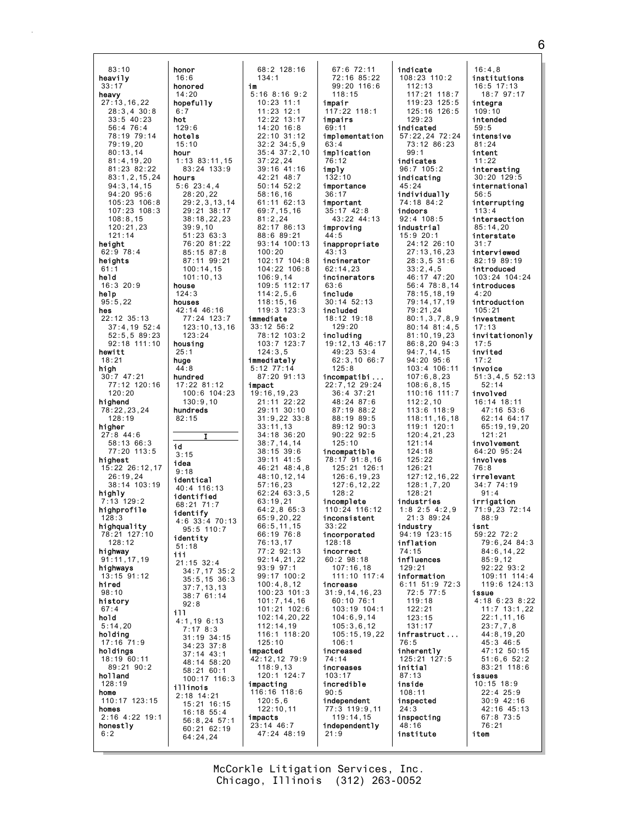honor  $83:10$ heavily honored  $33:17$ heavy hopefully  $27:13.16.22$  $28:3.4$  30:8  $6:7$  $\frac{25.5}{33:5}$  40:23 hot  $56:4$  76:4 78:19 79:14 hotels  $79.19.20$  $80:13.14$ hour  $81:4,19,20$ 81:23 82:22  $83:1, 2, 15, 24$ hours  $94:3,14,15$  $94:20.95:6$  $105:23$   $106:8$  $107.23$   $108.3$  $108:8,15$  $120:21,23$  $121:14$ height 62:9 78:4 heights held  $16:320:9$ house help  $95:5,22$ houses hes  $22:12$  35:13  $37:4,19$  52:4  $52:5.5.89:23$ 92:18 111:10 housing hewitt  $18:21$ huae high  $30:7$  47:21 hundred  $77:12$  120:16  $120:20$ highend 78:22.23.24 hundreds  $128:19$ higher  $27:8$  44:6 58:13 66:3 id  $77:20$  113:5  $3.15$ highest idea  $15:22$  26:12.17  $26:19.24$ identical  $38:14$  103:19 highly<br> $7:13$  129:2 identified highprofile highquality 78:21 127:10 identity  $128:12$  $51:18$ **highway**<br>91:11.17.19  $111$ highways  $13:15$  91:12 hired  $98:10$ history  $67:4$ 111 hold  $5:14.20$ holding  $17:16$   $71:9$ holdings 18:19 60:11 89:21 90:2 holland  $128:19$ illinois home  $2:18$  14:21 110:17 123:15 homes  $2:16$  4:22 19:1 honestly  $6:2$ 

 $16:6$ 

 $14:20$ 

 $129:6$ 

 $15.10$ 

 $28:20,22$ 

 $39:9,10$ 

 $124:3$ 

 $25:1$ 

 $44:8$ 

 $82.15$ 

 $9:18$ 

68:21 71:7

 $92:8$ 

64:24.24

 $123:24$ 

 $130:9,10$ 

68:2 128:16  $134:1$ im  $5:16$  8:16 9:2  $10:23:11:1$ 11:23 12:1<br>12:22 13:17  $14:20$  16:8  $22:10$  31:12  $32:2$   $34:5.9$  $35:4$   $37:2.10$ 1:13 83:11.15  $37:22,24$  $83:24$  133:9  $39:16$  41:16 42:21 48:7  $5:6$  23:4,4  $50:14$   $52:2$  $58:16.16$  $29:2,3,13,14$ 61:11 62:13 29:21 38:17  $69:7, 15, 16$  $38:18,22,23$  $81:2.24$ 82:17 86:13  $51:2363:3$ 88:6 89:21 76:20 81:22 93:14 100:13 85:15 87:8  $100:20$ 87:11 99:21 102:17 104:8  $100:14,15$ 104:22 106:8  $101:10.13$  $106:9,14$ 109:5 112:17  $114:2,5,6$  $118:15.16$ 42:14 46:16  $119:3$  123:3 77:24 123:7 immediate  $123:10, 13, 16$  $33:12$   $56:2$ 78:12 103:2  $103:7$   $123:7$  $124:3.5$ immediately  $5:12$   $77:14$  $87:20$  91:13 17:22 81:12 impact 100:6 104:23 19:16.19.23  $21:11$   $22:22$ 29:11 30:10  $31:9,22$   $33:8$  $33:11.13$  $34:18.36:20$  $38:7, 14, 14$  $38:15.39:6$  $39:11$  41:5  $46.21$   $48.4$  8 48:10.12.14  $57:16,23$ 40:4 116:13  $62:24$   $63:3.5$  $63:19.21$  $64:2.865:3$ **identify**<br>4:6 33:4 70:13  $65:9, 20, 22$  $66:5, 11, 15$ 95:5 110:7 66:19 76:8  $76:13.17$ 77:2 92:13  $92.14$  21 22  $21:15$  32:4  $93:997:1$  $34:7,17$   $35:2$ 99:17 100:2  $35:5, 15$  36:3  $100:4.8.12$  $37:7,13,13$  $100:23:101:3$  $38:7^{6}61:14$  $101:7, 14, 16$ 101:21 102:6  $102:14, 20, 22$  $4:1.196:13$  $112:14.19$  $7:178:3$ 116:1 118:20  $31:19$   $34:15$  $125:10$  $34:23$  37:8 impacted  $37:14$  43:1 42:12,12 79:9 48:14 58:20  $118:9,13$ 58:21 60:1 120:1 124:7 100:17 116:3 impacting 116:16 118:6  $120:5,6$  $15:21$  16:15  $122:10,11$  $16:18$  55:4 impacts  $56:8, 24$  57:1 23:14 46:7  $60:21$  62:19 47:24 48:19

 $67:6$  72:11 72:16 85:22 99:20 116:6  $118:15$ impair  $117:22$  118:1 impairs  $69:11$ implementation  $63 \cdot 4$ implication  $76:12$ imply  $132:10$ importance  $36:17$ important  $35:17$  42:8 43:22 44:13 improving  $44:5$ inappropriate  $43:13$ incinerator  $62:14.23$ incinerators  $63:6$ include  $30:14$   $52:13$ included 18:12 19:18  $129:20$ including 19:12,13 46:17 49:23 53:4  $62:3,1066:7$  $125:8$ incompatibi... 22:7,12 29:24  $36:4$  37:21 48:24 87:6 87:19 88:2 88:19 89:5 89:12 90:3  $90:22$   $92:5$  $125:10$ incompatible 78:17 91:8,16  $125:21$  126:1  $126:6.19.23$  $127:6, 12, 22$  $128:2$ incomplete  $110.24$   $116.12$ inconsistent  $33:22$ incorporated  $128:18$ incorrect  $60.298.18$  $107:16.18$ 111:10 117:4 increase  $31:9, 14, 16, 23$ 60:10 76:1 103:19 104:1  $104:6, 9, 14$  $105:3.6.12$  $105:15,19,22$  $106:1$ increased  $74:14$ increases  $103:17$ incredible  $90:5$ independent 77:3 119:9,11<br>119:14,15 independently  $21:9$ 

indicate  $108:23$   $110:2$  $112:13$  $117:21$  118:7  $119:23$   $125:5$  $125:16$   $126:5$  $129.23$ indicated 57:22,24 72:24<br>73:12 86:23  $99:1$ indicates  $96:7$  105:2 indicating  $45:24$ individually 74:18 84:2 indoors  $92:4$  108:5 industrial  $15:920:1$  $24:12.26:10$  $27:13, 16, 23$  $28:3.531:6$  $33:2,4,5$ 46:17 47:20  $56:478:8,14$ 78:15,18,19 79:14,17,19  $79:21,24$  $80:1,3,7,8,9$  $80:14$   $81:4.5$  $81:10, 19, 23$ 86:8,20 94:3  $94:7.14.15$  $94:20$   $95:6$ 103:4 106:11  $107:6.8.23$  $108:6, 8, 15$  $110:16$  111:7  $112:2,10$ 113:6 118:9 118:11, 16, 18  $119:1$  120:1  $120:4,21,23$  $121:14$  $124:18$  $125:22$  $126.21$  $127:12.16.22$  $128:1,7,20$  $128:21$ industries  $1:8$  2:5 4:2.9  $21:389:24$ industry<br>94:19 123:15 inflation 74:15 influences  $129:21$ information 6:11 51:9 72:3  $72:5$  77:5  $119:18$  $122:21$  $123:15$  $131:17$ infrastruct...  $76:5$ inherently 125:21 127:5 initial  $87:13$ inside  $108:11$ inspected  $24:3$ inspecting 48:16 institute item

 $16:4.8$ institutions  $16:5$  17:13  $18:7$  97:17 integra  $109:10$ intended  $59:5$ intensive  $81.24$ intent  $11:22$ interesting 30:20 129:5 international  $56:5$ interrupting  $113 \cdot 4$ intersection  $85:14,20$ interstate  $31:7$ interviewed  $82:19 89:19$ introduced 103:24 104:24 introduces  $4:20$ introduction  $105:21$ investment  $17:13$ invitationonly  $17:5$ invited  $17:2$ invoice  $51:3,4,5$  52:13  $52:14$ involved 16:14 18:11  $47:16.53:6$ 62:14 64:17 65:19.19.20  $121:21$ involvement  $64:20.95:24$ involves  $76.8$ irrelevant  $34:7$   $74:19$ <br>91:4 irrigation 71:9,23 72:14  $88:9$ isnt  $59:22$   $72:2$ 79:6.24 84:3  $84:6, 14, 22$  $85.912$  $92:22.93:2$ 109:11 114:4 119:6 124:13 issue 4:18 6:23 8:22  $11:7$  13:1,22  $22:1, 11, 16$  $23:7.7.8$  $44:8,19,20$  $45:3$   $46:5$ 47:12 50:15  $51:6,652:2$ 83:21 118:6 issues  $10:15$  18:9  $22:4$  25:9  $30:9$  42:16 42:16 45:13  $67:8$  73:5  $76:21$ 

McCorkle Litigation Services, Inc. Chicago, Illinois (312) 263-0052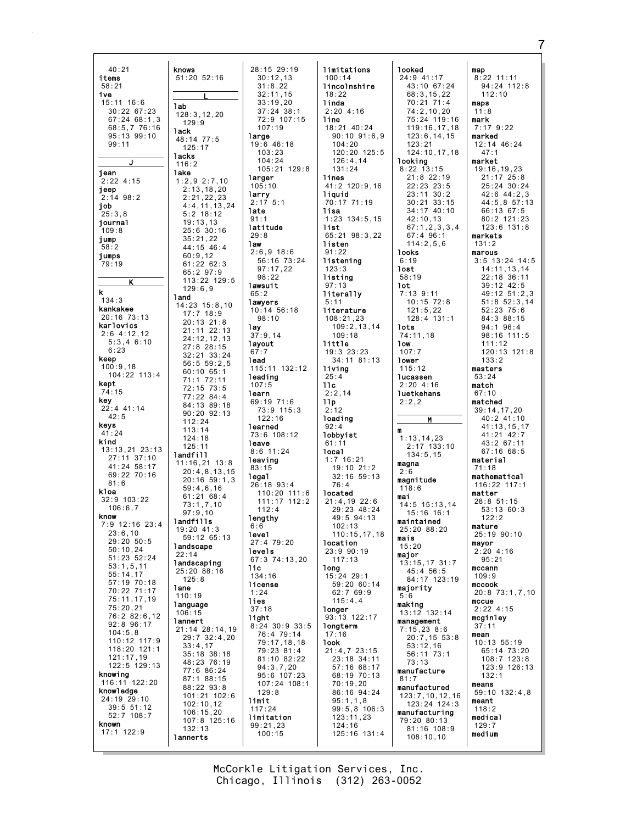$40:21$ knows  $51:20$   $52:16$ items  $58:21$ ive  $15:11$  16:6 **lab**  $30:22.67:23$  $128:3.12.20$  $67:24$  68:1.3  $129:9$  $68:5.776:16$ **lack**  $95:13$   $99:10$ 48:14 77:5  $99.11$  $125:17$ lacks  $116:2$ jean lake  $2:22$  4:15  $1:2,9$  2:7,10  $2:13,18,20$ јеер  $2:14$  98:2  $2:21.22.23$ job  $4:4,11,13,24$ ,<br>25:3.8  $5:2$  18:12  $19:13.13$ journal  $25:6$  30:16  $109:8$ jump  $35:21,22$  $44:15$  46:4  $58:2$ jumps  $60:9,12$ 79:19  $61:2262:3$  $65:297:9$ 113:22 129:5 К  $129:6.9$  $\mathbf k$ **land**  $134:3$  $14:23$   $15:8,10$ kankakee  $17:7$  18:9  $20:16$  73:13  $20:13$  21:8 karlovics  $21:11$   $22:13$  $2:6$  4:12.12  $24:12,12,13$  $5:3,46:10$  $27:8$  28:15  $6.23$  $32:21$   $33:24$ keep  $56:559:2.5$  $100:9.18$  $60:10.65:1$  $104:22$  113:4 71:1 72:11 kept  $72:15$  73:5 74:15  $77:22.84:4$ **key**<br>22:4 41:14 84:13 89:18  $90:20.92:13$  $A2.5$  $112.24$ keys  $113.14$  $41:24$  $124:18$ kind  $125:11$ 13:13,21 23:13 landfill  $27:11$  37:10  $11:16,21$   $13:8$  $41:24$  58:17  $20:4,8,13,15$ 69:22 70:16  $20:16$  59:1,3  $81:6$  $59:4.6.16$ kloa  $61:21$   $68:4$ 32:9 103:22  $73:1,7,10$  $106:6.7$  $97:9,10$ know landfills 7:9 12:16 23:4 19:20 41:3  $23:6.10$ 59:12 65:13  $29:20$  50:5 landscape  $50:10,24$  $22:14$  $51:23.52:24$ landscaping  $53:1,5,11$  $25:20$  88:16  $55:14.17$  $125:8$  $57:19$  70:18 lane 70:22 71:17  $110:19$ 75:11,17,19 language  $75:20,21$  $106:15$ 76:2 82:6.12 lannert  $92:8$   $96:17$ 21:14 28:14,19  $104:5.8$  $29:7$  32:4,20 110:12 117:9<br>118:20 121:1  $33:4,17$ 35:18 38:18  $121:17.19$ 48:23 76:19  $122:5$  129:13 77:6 86:24 knowing  $87:188:15$  $116:11$   $122:20$ 88:22 93:8 knowledge  $101:21$   $102:6$  $24:19$   $29:10$  $102:10.12$  $39:5$   $51:12$ <br> $52:7$   $108:7$  $106:15.20$  $107:8$  125:16 known  $132:13$  $17:1$  122:9 lannerts

28:15 29:19  $30:12.13$  $31:8.22$  $32:11,15$  $33:19.20$  $37:24$  38:1  $72:9$  107:15  $107:19$ large  $19:6$  46:18  $103:23$  $104:24$  $105 \cdot 21$   $129 \cdot 8$ larger  $105:10$ larry  $2:17$  5:1 late  $91:1$ latitude  $29:8$ 1aw  $2:6,9$  18:6 56:16 73:24  $97:17,22$  $98:22$ lawsuit  $65:2$ lawyers  $10:14$  56:18  $98:10$ 1ay  $37:9.14$ layout 1ead 115:11 132:12 leading  $107:5$ learn 69:19 71:6 73:9 115:3  $122:16$ learned 73:6 108:12 **leave**  $8:6$  11:24 leaving  $83.15$ 1ega1  $26:18$  93:4  $110:20$   $111:6$  $111:17$   $112:2$  $112.4$ lengthy  $6:6$ level 27:4 79:20 levels  $67.3$   $74.13$  20 1ic  $134:16$ license  $1:24$ lies  $37:18$ light  $8:24$  30:9 33:5 76:4 79:14 79:17,18,18 79:23 81:4 81:10 82:22  $94:3,7,20$  $95:6$  107:23  $107:24$  108:1  $129:8$ limit  $117:24$ limitation  $99:21,23$  $100:15$ 

limitations  $100:14$ lincolnshire  $18:22$ linda  $2:204:16$ line  $18:21$   $40:24$  $90:10$   $91:6,9$  $104.20$  $120:20.125:5$  $126:4,14$  $131:24$ lines 41:2 120:9,16 liquid 70:17 71:19 lisa  $1:23$  134:5,15 list 65:21 98:3,22 listen  $91:22$ listening  $123:3$ listing  $97:13$ literally  $5:11$ literature  $108:21,23$  $109:2,13,14$  $109:18$ little  $19:3$  23:23 34:11 81:13 living  $25:4$  $11c$  $2:2.14$  $11p$  $2:12$ loading  $92:4$ lobbyist  $61:11$ local  $1:7$  16:21  $19:10$   $21:2$  $32:16.59:13$  $76.4$ located 21:4,19 22:6<br>29:23 48:24  $49:5$  94:13  $102:13$  $110 \cdot 15$  17 18 location 23:9 90:19  $117.13$ long  $15:24$  29:1 59:20 60:14  $62:769:9$  $115:4,4$ **longer** 93:13 122:17 longterm  $17:16$ **look**  $21:4.723:15$ 23:18 34:11 57:16 68:17 68:19 70:13  $70:19.20$ 86:16 94:24  $95:1,1,8$  $99:5,8$  106:3  $123:11,23$  $124:16$ 125:16 131:4

**looked** 24:9 41:17 43:10 67:24 68:3.15.22  $70:21:71:4$ 74:2,10,20<br>75:24 119:16  $119:16.17.18$  $123:6, 14, 15$  $123.21$  $124:10.17.18$ looking  $8.22 \times 13.15$  $21:8$  22:19 22:23 23:5  $23:11$   $30:2$  $30:21$   $33:15$  $34.17$   $40.10$  $42:10.13$  $67:1, 2, 3, 3, 4$  $67:496:1$  $114:2.5.6$ **looks**  $6:19$ **lost** 58:19 1ot  $7:13$  9:11  $10:15$  72:8  $121:5,22$  $128:4$  131:1 **lots**  $74:11,18$ 1ow  $107:7$ lower  $115:12$ **lucassen**  $2:204:16$ **luetkehans**  $2:2.2$ M  $\mathbf{m}$  $1:13.14.23$  $2:17$  133:10<br>134:5.15 magna  $2:6$ magnitude  $118:6$ mai  $14:5$  15:13.14  $15:16$  16:1 maintained 25:20 88:20 mais  $15:20$ maior  $13:15,17$  31:7  $45:4$  56:5 84:17 123:19 majority  $5:6$ making 13:12 132:14 management  $7:15,238:6$  $20:7,15$  53:8  $53:12,16$ 56:11 73:1  $73.13$ manufacture  $81:7$ manufactured 123:7.10.12.16  $123:24$  124:3 manufacturing  $79:20.80:13$ 81:16 108:9  $108:10.10$ 

map  $8:22$  11:11 94:24 112:8  $112:10$ mans  $11:8$ mark  $7:179:22$ marked 12:14 46:24  $47:1$ market  $19:16.19.23$  $21:17$   $25:8$ 25:24 30:24  $42:6$   $44:2.3$ 44:5.8 57:13  $66:1367:5$ 80:2 121:23 123:6 131:8 markets  $131:2$ marous  $3:5$  13:24 14:5  $14:11, 13, 14$ 22:18 36:11 39:12 42:5 49:12 51:2,3  $51:8$   $52:3,14$  $52:23$  75:6 84:3 88:15 94:1 96:4 98:16 111:5  $111:12$  $120:13$   $121:8$  $133:2$ masters  $53:24$ match  $67:10$ matched 39:14,17,20<br>40:2 41:10  $41:13.15.17$ 41:21 42:7  $43:267:11$  $67:16.68:5$ material  $71.18$ mathematical  $116:22$  117:1 matter  $28:8.51:15$  $53.13.60.3$  $122:2$ mature  $25.1990.10$ mayor  $2:204:16$  $05.21$ mccann  $109:9$ mccook 20:8 73:1,7,10 mccue  $2:224:15$ mcginley  $37:11$ mean 10:13 55:19 65:14 73:20  $108:7$  123:8 123:9 126:13  $132:1$ means 59:10 132:4,8 meant  $118:2$ medical  $129:7$ medium

McCorkle Litigation Services, Inc. Chicago, Illinois (312) 263-0052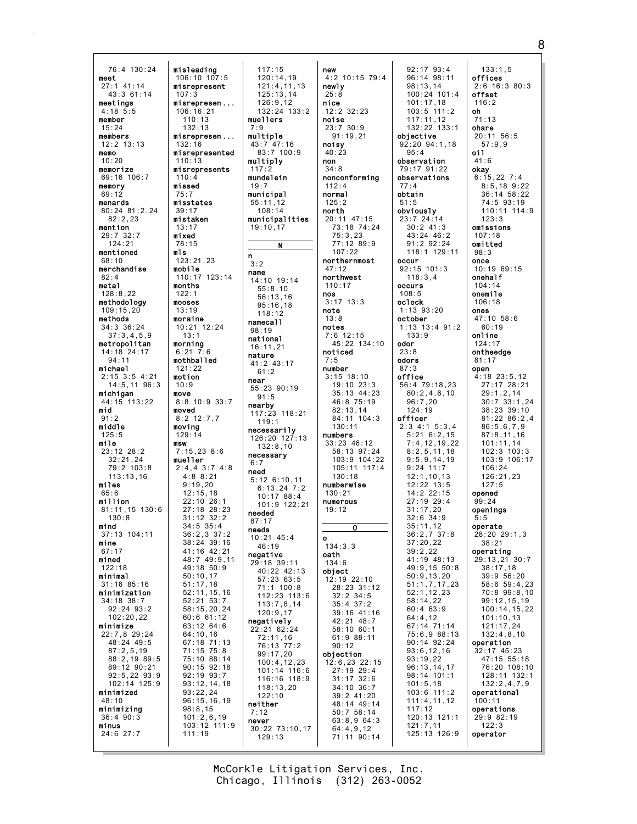76:4 130:24 meet 27:1 41:14 43:3 61:14 meetings 4:18 5:5 member 15:24 members  $12.2$   $13.13$ memo 10:20 memorize 69:16 106:7 memory 69:12 menards 80:24 81:2,24 82:2,23 mention 29:7 32:7 124:21 mentioned 68:10 merchandise 82:4 metal 128:8,22 methodology 109:15,20 methods 34:3 36:24 37:3,4,5,9 metropolitan 14:18 24:17 94:11 michael 2:15 3:5 4:21 14:5,11 96:3 michigan 44:15 113:22 mid  $91.2$ middle 125:5 mile  $23:12$   $28:2$ 32:21,24 79:2 103:8 113:13,16 miles 65:6 million 81:11,15 130:6 130:8 mind 37:13 104:11 mine 67:17 mined 122:18 minimal 31:16 85:16 minimization 34:18 38:7 92:24 93:2 102:20,22 minimize 22:7,8 29:24 48:24 49:5 87:2,5,19 88:2,19 89:5 89:12 90:21 92:5,22 93:9 102:14 125:9 minimized 48:10 minimizing 36:4 90:3 minus 24:6 27:7 misleading 106:10 107:5 misrepresent 107:3 misrepresen ... 106:16,21  $110 \cdot 13$ 132:13 misrepresen ... 132:16 misrepresented 110:13 misrepresents  $110:4$ missed 75:7 misstates 39:17 mistaken 13:17 mixed 78:15 mls  $123 \cdot 21, 23$ mobile 110:17 123:14 months 122:1 mooses 13:19 moraine 10:21 12:24 13:1 morning 6:21 7:6 mothballed 121:22 motion 10:9 move 8:8 10:9 33:7 moved 8:2 12:7,7 moving 129:14 msw  $7:15.23$  8:6 mueller 2:4,4 3:7 4:8 4:8 8:21 9:19,20 12:15,18 22:10 26:1 27:18 28:23 31:12 32:2 34:5 35:4 36:2,3 37:2 38:24 39:16 41:16 42:21  $48.7$   $49.9$  11 49:18 50:9 50:10,17 51:17,18 52:11,15,16 52:21 53:7 58:15,20,24 60:6 61:12 63:12 64:6 64:10,16 67:18 71:13 71:15 75:8 75:10 88:14 90:15 92:18 92:19 93:7 93:12,14,18 93:22,24 96:15,16,19 98:8,15 101:2,6,19 103:12 111:9 111:19

117:15 120:14,19 121:4,11,13 125:13,14 126:9,12 132:24 133:2 muellers 7:9 multiple 43:7 47:16 83:7 100:9 multiply  $117:2$ mundelein 19:7 municipal 55:11,12 108:14 municipalities 19:10,17 N n 3:2 name 14:10 19:14 55:8,10 56:13,16 95:16,18  $118.12$ namecall 98:19 national 16:11,21 nature 41:2 43:17 61:2 near 55:23 90:19 91:5 nearby 117:23 118:21 119:1 necessarily 126:20 127:13 132:8,10 necessary 6:7 need 5:12 6:10,11 6:13,24 7:2 10:17 88:4 101:9 122:21 needed 87:17 needs 10:21 45:4 46:19 negative 29:18 39:11 40:22 42:13 57:23 63:5 71:1 100:8 112:23 113:6 113:7,8,14 120:9,17 negatively 22:21 62:24 72:11,16 76:13 77:2 99:17,20 100:4,12,23 101:14 116:6 116:16 118:9 118:13,20 122:10 neither 7:12 never 30:22 73:10,17 129:13

new 4:2 10:15 79:4 newly 25:8 nice 12:2 32:23 noise  $23:7$  30:9 91:19,21 noisy  $40:23$ non  $34.8$ nonconforming 112:4 normal 125:2 north 20:11 47:15 73:18 74:24 75:3,23 77:12 89:9 107:22 northernmost 47:12 northwest 110:17 nos 3:17 13:3 note 13:8 notes 7:6 12:15 45:22 134:10 noticed 7:5 number 3:15 18:10 19:10 23:3 35:13 44:23 46:8 75:19 82:13,14 84:11 104:3 130:11 numbers 33:23 46:12 58:13 97:24 103:9 104:22  $105 \cdot 11$   $117 \cdot 4$ 130:18 numberwise 130:21 numerous  $19:12$  $\overline{\mathbf{o}}$ o  $134.3.3$ oath 134:6 object 12:19 22:10 28:23 31:12 32:2 34:5 35:4 37:2 39:16 41:16 42:21 48:7 58:10 60:1 61:9 88:11 90:12 objection 12:6,23 22:15 27:19 29:4 31:17 32:6 34:10 36:7 39:2 41:20 48:14 49:14 50:7 58:14 63:8,9 64:3 64:4,9,12 71:11 90:14 obtain occur occurs oclock odor odors office

92:17 93:4 96:14 98:11 98:13,14 100:24 101:4 101:17,18 103:5 111:2  $117 \cdot 11$ , 12 132:22 133:1 objective  $92.20$   $94.1$  18 observation 79:17 91:22 observations obviously 23:7 24:14 30:2 41:3  $43.24$   $46.2$ 91:2 92:24 118:1 129:11 92:15 101:3 118:3,4 1:13 93:20 october 1:13 13:4 91:2 133:9 56:4 79:18,23 80:2,4,6,10 96:7,20 124:19 officer 2:3 4:1 5:3,4 5:21 6:2,15 7:4,12,19,22 8:2,5,11,18 9:5,9,14,19  $9:24$  11:7 12:1,10,13 12:22 13:5 14:2 22:15 27:19 29:4  $31:17,20$ 32:6 34:9 35:11,12  $36 \cdot 2, 7, 37 \cdot 8$ 37:20,22 39:2,22 41:19 48:13 49:9,15 50:8 50:9,13,20 51:1,7,17,23 52:1,12,23 58:14,22 60:4 63:9 64:4,12 67:14 71:14 75:6,9 88:13 90:14 92:24 93:6,12,16 93:19,22 96:13,14,17 98:14 101:1 101:5,18 103:6 111:2 111:4,11,12 117:12 120:13 121:1 121:7,11 125:13 126:9 133:1,5 offices 2:6 16:3 80:3 offset 116:2 oh 71:13 ohare 20:11 56:5 57:9,9 oil 41:6 okay 6:15,22 7:4 8:5,18 9:22 36:14 58:22 74:5 93:19 110:11 114:9  $123.3$ omissions 107:18 omitted 98:3 once 10:19 69:15 onehalf 104:14 onemile 106:18 ones 47:10 58:6 60:19 online 124:17 ontheedge 81:17 open 4:18 23:5,12 27:17 28:21 29:1,2,14  $30:7$  33:1, 24 38:23 39:10 81:22 86:2,4 86:5,6,7,9 87:8,11,16 101:11,14 102:3 103:3 103:9 106:17  $106:24$ 126:21,23  $127.5$ opened 99:24 openings 5:5 operate  $28.20$   $29.1$ , 3 38:21 operating 29:13,21 30:7 38:17,18 39:9 56:20 58:6 59:4,23 70:8 99:8,10 99:12,15,19 100:14,15,22 101:10,13 121:17,24 132:4,8,10 operation 32:17 45:23 47:15 55:18 76:20 108:10 128:11 132:1 132:2,4,7,9 operational 100:11 operations 29:9 82:19  $122:3$ operator

95:4

77:4

51:5

108:5

23:8

87:3

Chicago, Illinois (312) 263-0052 McCorkle Litigation Services, Inc. 8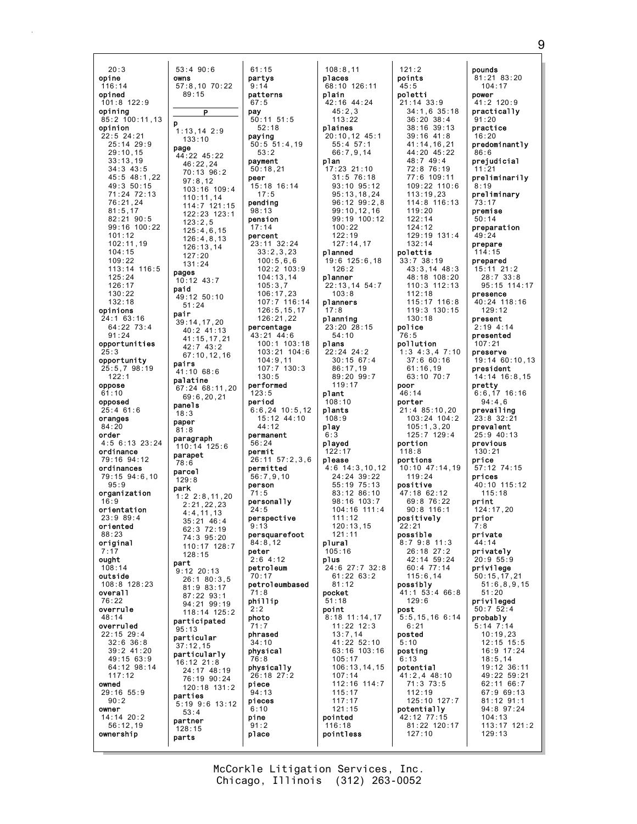$53:490:$  $20:3$  $opine$ owns  $57:8.10$  $116:14$ opined  $101:8$  122:9 opining  $85:2$  100:11.13 p opinion  $1:13.14$ 22:5 24:21<br>25:14 29:9 page  $29:10.15$  $44:22$  45  $33:13,19$  $34:343:5$ 45:5 48:1.22 49:3 50:15 71:24 72:13 76:21,24  $81:5,17$ 82:21 90:5 99:16 100:22  $101:12$  $102:11,19$  $104:15$  $109:22$ 113:14 116:5 pages  $125:24$  $10:12$  43  $126:17$ paid  $130:22$  $49:12$  50  $132:18$ opinions pair  $24:1$  63:16 39:14,17  $64:22$  73:4  $91:24$ opportunities opportunity pairs 25:5,7 98:19  $41:10$  68  $122:1$ palatine oppose  $67:2468$  $61:10$ opposed panels  $25:4$  61:6  $18:3$ oranges paper  $84:20$  $81:8$ order paragraph  $4:5$  6:13 23:24  $110:14$ ordinance parapet 79:16 94:12 78:6 ordinances parcel 79:15 94:6.10  $129:8$  $95:9$ park organization  $1:2 2:8$  $16:9$ orientation  $23:989:4$ oriented  $88.23$ original  $7:17$ ought part  $108:14$  $9:12$  20: outside 108:8 128:23 overall 76:22 overrule  $48:14$ participa overruled  $95:13$ 22:15 29:4 particula  $32:6$   $36:8$  $37:12.15$ 39:2 41:20 particula 49:15 63:9 16:12 21 64:12 98:14  $117:12$ owned 29:16 55:9 parties  $90:2$  $5:19$   $9:6$ owner  $14:14$  20:2 partner  $56:12,19$  $128:15$ ownership parts

| 3:4 90:6                  | 61:15                         |
|---------------------------|-------------------------------|
| ms                        | partys                        |
| 7:8,10 70:22              | 9:14                          |
| 89:15                     | patterns                      |
|                           | 67:5                          |
| Ρ                         | pay                           |
|                           | 50:11 51:5                    |
| $: 13, 14$ 2:9            | 52:18                         |
| 133:10                    | paying                        |
| ıge                       | 50:5 51:4,19                  |
| 4:22 45:22                | 53:2                          |
| 46:22,24                  | payment                       |
| 70:13 96:2                | 50:18,21<br>peer              |
| 97:8,12                   | 15:18 16:14                   |
| 103:16 109:4<br>110:11,14 | 17:5                          |
| 114:7 121:15              | pending                       |
| 122:23 123:1              | 98:13                         |
| 123:2,5                   | pension                       |
| 125:4,6,15                | 17:14                         |
| 126:4,8,13                | percent                       |
| 126:13,14                 | 23:11 32:24                   |
| 127:20                    | 33:2,3,23<br>100:5,6,6        |
| 131:24                    | 102:2 103:9                   |
| ıges                      | 104:13,14                     |
| 0:12 43:7                 | 105:3,7                       |
| ıid<br>$9:12$ 50:10       | 106:17,23                     |
| 51:24                     | 107:7 116:1<br>126:5,15,17    |
| ıir                       |                               |
| 9:14,17,20                | 126:21,22                     |
| 40:2 41:13                | percentage                    |
| 41:15,17,21               | 43:21 44:6<br>$100:1$ $103:1$ |
| 42:743:2                  | 103:21 104:                   |
| 67:10, 12, 16             | 104:9,11                      |
| ıirs                      | 107:7<br>130:3                |
| 1:10 68:6                 | 130:5                         |
| ılatine<br>7:24 68:11,20  | performed                     |
| 69:6, 20, 21              | 123:5                         |
|                           |                               |
|                           | period                        |
| nnels                     | $6:6, 24$ 10:5,1              |
| 8:3                       | 15:12 44:10                   |
| ıper<br>1:8               | 44:12                         |
| ıragraph                  | permanent                     |
| 10:14 125:6               | 56:24                         |
| ırapet                    | permit                        |
| 8:6                       | 26:11<br>57:2,3,<br>permitted |
| ırcel                     | 56:7,9,10                     |
| 29:8                      | person                        |
| ırk                       | 71:5                          |
| $: 2 \; 2: 8, 11, 20$     | personally                    |
| 2:21,22,23<br>4:4,11,13   | 24:5                          |
| $35:21$ $46:4$            | perspective                   |
| 62:3 72:19                | 9:13                          |
| 74:3 95:20                | persquarefoot                 |
| 110:17 128:7              | 84:8,12<br>peter              |
| 128:15                    | 2:6 4:12                      |
| ırt                       | petroleum                     |
| :12 20:13                 | 70:17                         |
| 26:180:3,5<br>81:9 83:17  | petroleumbase                 |
| 87:22 93:1                | 71:8                          |
| 94:21<br>99:19            | phillip                       |
| 118:14 125:2              | 2:2                           |
| nrticipated               | photo<br>71:7                 |
| 5:13                      | phrased                       |
| ırticular                 | 34:10                         |
| 7:12.15<br>ırticularly    | physical                      |
| 6:12 21:8                 | 76:8                          |
| 24:17 48:19               | physically                    |
| 76:19 90:24               | 26:18 27:2                    |
| 120:18 131:2              | piece                         |
| ırties                    | 94:13                         |
| : 19 9: 6 13: 12          | pieces<br>6:10                |
| 53:4                      | pine                          |
| artner                    | 91:2                          |
| 28:15<br>ırts             | place                         |

|                    | 108:8,11                       |
|--------------------|--------------------------------|
|                    | places                         |
|                    | 68:10<br>126:11<br>plain       |
|                    | 42:16 44:24                    |
|                    | 45:2,3                         |
| : 5                | 113:22<br>plaines              |
|                    | $20:10, 12$ 45:1               |
| 4,19               | 55:4 57:1<br>66:7,9,14         |
|                    | plan                           |
|                    | 17:23 21:10                    |
| : 14               | 31:5 76:18                     |
|                    | 93:10 95:12<br>95:13,18,24     |
|                    | 96:12 99:2,8                   |
|                    | 99:10,12,16<br>99:19 100:12    |
|                    | 100:22                         |
| : 24               | 122:19<br>127:14,17            |
| 23                 | planned                        |
| ,6<br>03:9         | 19:6 125:6,18<br>126:2         |
| 14                 | planner                        |
|                    | 22:13,14 54:7                  |
| 23<br>16:14        | 103:8<br>planners              |
| 5,17               | 17:8                           |
| 22<br>le           | planning<br>23:20 28:15        |
| : 6                | 54:10                          |
| 03:18              | plans                          |
| 104:6<br>$\vert$ 1 | 22:24 24:2                     |
| 30:3               | 30:15 67:4<br>86:17,19         |
|                    | 89:20 99:7<br>119:17           |
|                    | plant                          |
|                    | 108:10                         |
| 0:5,12<br>14:10    | plants<br>108:9                |
|                    | play                           |
|                    | 6:3<br>played                  |
|                    | 122:17                         |
| : 2, 3, 6          | please                         |
| D                  | 4:6 14:3,10,12<br>24:24 39:22  |
|                    | 55:19<br>75:13                 |
|                    | 83:12 86:10<br>98:16 103:7     |
| у                  | 104:16 111:4                   |
| ve                 | 111:12                         |
| foot:              | 120:13,15<br>121:11            |
|                    | plural                         |
|                    | 105:16                         |
|                    | plus<br>$27:7$ 32:8<br>24:6    |
|                    | $61:22$ $63:2$                 |
| ıbased             | 81:12<br>pocket                |
|                    | 51:18                          |
|                    | point                          |
|                    | 11:14.17<br>8:18<br>11:22 12:3 |
|                    | 13:7,14                        |
|                    | 41:22 52:10                    |
|                    | 63:16 103:16<br>105:17         |
| y<br>: 2           | 106:13,14,15                   |
|                    | 107:14<br>112:16 114:7         |
|                    | 115:17                         |
|                    | 117:17                         |
|                    | 121:15<br>pointed              |
|                    | 116:18                         |
|                    | pointless                      |
|                    |                                |

 $121:2$ points  $45:5$ poletti  $21:14$  33:9  $34:1.6$  35:18  $36:20$   $38:4$ 38:16 39:13  $39:16$   $41:8$ 41:14.16.21 44:20 45:22 48:7 49:4<br>72:8 76:19 77:6 109:11 109:22 110:6  $113:19.23$ 114:8 116:13  $119.20$  $122:14$ 124:12  $129:19$   $131:4$  $132:14$ polettis  $33:7$  38:19  $43:3,14$   $48:3$ 48:18 108:20 110:3 112:13  $112:18$ 115:17 116:8 119:3 130:15  $130:18$ police 76:5 pollution  $1:3$  4:3,4 7:10  $37:660:16$  $61:16.19$  $63:10^{7}70:7$ poor  $46:14$ porter  $21:485:10.20$  $103:24$   $104:2$  $105:1,3,20$  $125:7$  129:4 portion  $118:8$ portions 10:10 47:14.19  $119:24$ positive  $47:18$  62:12 69:8 76:22  $90:8$  116:1 positively  $22:21$ possible 8:7 9:8 11:3 26:18 27:2  $42.14$  59.24 60:4 77:14  $115:6,14$ possibly 41:1 53:4 66:8  $129:6$ post 5:5, 15, 16 6:14  $6:21$ posted  $5:10$ posting  $6:13$ potential 41:2,4 48:10  $71:3$  73:5  $112:19$ 125:10 127:7 potentially 42:12 77:15 81:22 120:17  $127:10$ 

pounds 81:21 83:20  $104:17$ power  $41:2$  120:9 practically  $91.20$ practice  $16:20$ predominantly  $86:6$ prejudicial  $11:21$ preliminarily  $8:19$ preliminary  $73:17$ premise  $50:14$ preparation  $49:24$ prepare  $114:15$ prepared  $15:11$  21:2  $28:7$  33:8 95:15 114:17 presence 40:24 118:16  $129:12$ present  $2:194:14$ presented  $107:21$ preserve 19:14 60:10,13 president 14:14 16:8,15 pretty  $6:6,17$  16:16  $94:4,6$ prevailing  $23:8$  32:21 prevalent  $25:9$  40:13 previous  $130:21$ price  $57:12$  74:15 prices 40:10 115:12  $115:18$ print 124:17.20 prior  $7.8$ private  $44:14$ privately  $20.95.9$ privilege  $50:15, 17, 21$  $51:6, 8, 9, 15$  $51:20$ privileged  $50:7$  52:4 probably  $5:14$   $7:14$  $10:19,23$  $12:15$  15:5 16:9 17:24  $18:5, 14$ 19:12 36:11 49:22 59:21 62:11 66:7 67:9 69:13 81:12 91:1 94:8 97:24  $104:13$ 113:17 121:2

 $129:13$ 

McCorkle Litigation Services, Inc. Chicago, Illinois (312) 263-0052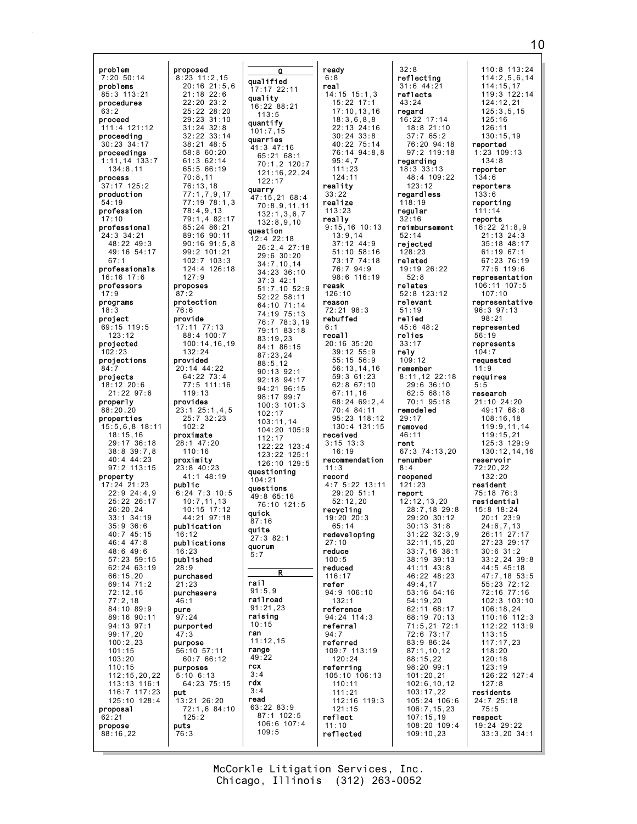problem 7:20 50:14 problems 85:3 113:21 procedures 63:2 proceed 111:4 121:12 proceeding 30:23 34:17 proceedings 1:11,14 133:7 134:8,11 process 37:17 125:2 production 54:19 profession  $:10$ professional 24:3 34:21 48:22 49:3 49:16 54:17 67:1 professionals 16:16 17:6 professors 17:9 programs 18:3 project 69:15 119:5 123:12 projected 102:23 projections 84:7 projects 18:12 20:6 21:22 97:6 properly 88:20,20 properties 15:5,6,8 18:11 18:15,16 29:17 36:18 38:8 39:7,8 40:4 44:23 97:2 113:15 property 17:24 21:23 22:9 24:4,9 25:22 26:17 26:20,24 33:1 34:19 35:9 36:6 40:7 45:15 46:4 47:8 48:6 49:6 57:23 59:15 62:24 63:19 66:15,20 69:14 71:2 72:12,16 77:2,18 84:10 89:9 89:16 90:11 94:13 97:1 99:17,20 100:2,23 101:15 103:20 110:15 112:15,20,22 113:13 116:1 116:7 117:23 125:10 128:4 proposal 62:21 propose 88:16,22 proposed 8:23 11:2,15 proposes 87:2 protection 76:6 provide 17:11 77:13 provided 20:14 44:22 provides proximate 28:1 47:20 proximity 23:8 40:23 public publication 16:12 publications 16:23 published 28:9 purchased 21:23 purchasers 46:1 pure 97:24 purported 47:3 purpose 56:10 57:11 purposes 5:10 6:13 put 13:21 26:20 puts 76:3

20:16 21:5,6 25:22 28:20 29:23 31:10 32:22 33:14 77:1,7,9,17 77:19 78:1,3 79:1,4 82:17 85:24 86:21 89:16 90:11 90:16 91:5,8 99:2 101:21 102:7 103:3 124:4 126:18 100:14,16,19 77:5 111:16 23:1 25:1,4,5 6:24 7:3 10:5 10:7,11,13 10:15 17:12 44:21 97:18 72:1,6 84:10 Q qualified 17:17 22:11 quality 16:22 88:21 113:5 quantify 101:7,15 quarries 41:3 47:16 65:21 68:1 70:1,2 120:7 121:16,22,24  $122.17$ quarry 47:15,21 68:4 70:8,9,11,11 132:1,3,6,7 132:8,9,10 question 12:4 22:18 26:2,4 27:18 29:6 30:20 34:7,10,14 34:23 36:10 37:3 42:1 51:7,10 52:9 52:22 58:11 64:10 71:14 74:19 75:13 76:7 78:3,19 79:11 83:18 83:19,23 84:1 86:15 87:23,24 88:5,12 90:13 92:1 92:18 94:17 94:21 96:15 98:17 99:7 100:3 101:3 102:17 103:11,14 104:20 105:9 112:17 122:22 123:4 123:22 125:1 126:10 129:5 questioning  $104.21$ questions 49:8 65:16 76:10 121:5 quick 87:16 quite 27:3 82:1 quorum 5:7 R rail 91:5,9 railroad 91:21,23 raising 10:15 ran 11:12,15 range 49:22 rcx  $3 \cdot 4$ rdx 3:4 read 63:22 83:9 87:1 102:5 106:6 107:4 109:5

21:18 22:6 22:20 23:2

31:24 32:8

38:21 48:5 58:8 60:20 61:3 62:14 65:5 66:19 70:8,11 76:13,18

78:4,9,13

127:9

88:4 100:7

 $64:22$  73:4

25:7 32:23 102:2

41:1 48:19

60:7 66:12

64:23 75:15

125:2

132:24

119:13

110:16

| ready                                        |
|----------------------------------------------|
| 6:8                                          |
| real                                         |
| $14:15$ 15:1,3                               |
| 15:22 17:1                                   |
|                                              |
| 17:10,<br>13,16                              |
| 18:3,6,8,8                                   |
| 22:13 24:16<br>30:24 33:8                    |
|                                              |
|                                              |
|                                              |
|                                              |
| 95:4,7                                       |
| 111:23                                       |
| 124:11                                       |
|                                              |
| reality                                      |
| 33:22                                        |
| realize                                      |
| 113:23                                       |
| really                                       |
| $9:15, 16$ 10:13                             |
|                                              |
| 13:9,14                                      |
| 37:12 44:9                                   |
| 51:10 58:16<br>73:17 74:18                   |
|                                              |
|                                              |
| 76:7 94:9<br>98:6 116:19                     |
|                                              |
| reask                                        |
| 126:10                                       |
| reason                                       |
| 72:21 98:3                                   |
|                                              |
| rebuffed                                     |
| 6:1                                          |
| reca11                                       |
| 20:16 35:20                                  |
|                                              |
| ,<br>39:12 55:9<br>55:15 56:9<br>56:13,14,16 |
|                                              |
|                                              |
| 59:3 61:23<br>62:8 67:10                     |
|                                              |
| 67:11,16                                     |
| 68:24 69:2,4                                 |
|                                              |
|                                              |
| 70:4 84:11                                   |
|                                              |
|                                              |
| 95:23 118:12<br>130:4 131:15                 |
| received                                     |
| $3:15$ 13:3                                  |
| 16:19                                        |
| recommendation                               |
| 11:3                                         |
| record                                       |
| 4:7 5:22 13:11                               |
|                                              |
| $29:20$ 51:1                                 |
| 52:12,20                                     |
| recycling                                    |
| 19:20 20:3                                   |
| 65:14                                        |
| redeveloping                                 |
| 27:10                                        |
|                                              |
| reduce                                       |
| 100:5                                        |
| reduced                                      |
| 116:17                                       |
| refer                                        |
|                                              |
| 94:9 106:10<br>132:1                         |
|                                              |
| reference                                    |
| 94:24 114:3                                  |
| referra1                                     |
| 94:7                                         |
|                                              |
|                                              |
| <b>referred</b><br>109:7 113:19              |
| 120:24                                       |
| referring                                    |
| 105:10 106:13                                |
| 110:11                                       |
| 111:21                                       |
| 112:16<br>119:3                              |
| 121:15                                       |
| reflect                                      |
| 11:10<br>reflected                           |

32:8 reflecting 31:6 44:21 reflects 43:24 regard 16:22 17:14 18:8 21:10 37:7 65:2 76:20 94:18 97:2 119:18 regarding 18:3 33:13 48:4 109:22 123:12 regardless 118:19 regular 32:16 reimbursement 52:14 rejected 128:23 related 19:19 26:22 52:8 relates 52:8 123:12 relevant 51:19 relied 45:6 48:2 relies 33:17 rely 109:12 remember 8:11,12 22:18 29:6 36:10 62:5 68:18 70:1 95:18 remodeled 29:17 removed 46:11 rent 67:3 74:13,20 renumber  $8:4$ reopened 121:23 report 12:12,13,20 28:7,18 29:8 29:20 30:12 30:13 31:8  $31:22$   $32:3$  9 32:11,15,20 33:7,16 38:1 38:19 39:13 41:11 43:8 46:22 48:23 49:4,17 53:16 54:16 54:19,20 62:11 68:17 68:19 70:13 71:5,21 72:1 72:6 73:17 83:9 86:24 87:1,10,12 88:15,22 98:20 99:1 101:20,21 102:6,10,12 103:17,22 105:24 106:6 106:7,15,23 107:15,19 108:20 109:4 109:10,23 5:5 33:3,20 34:1

110:8 113:24 114:2,5,6,14 114:15,17 119:3 122:14 124:12,21 125:3,5,15  $125 \cdot 16$ 126:11 130:15,19 reported 1:23 109:13 134:8 reporter 134:6 reporters 133:6 reporting 111:14 reports 16:22 21:8,9 21:13 24:3 35:18 48:17 61:19 67:1 67:23 76:19 77:6 119:6 representation 106:11 107:5 107:10 representative 96:3 97:13 98:21 represented 56:19 represents 104:7 requested 11:9 requires research 21:10 24:20 49:17 68:8 108:16,18 119:9,11,14 119:15,21 125:3 129:9 130:12,14,16 reservoir 72:20,22 132:20 resident 75:18 76:3 residential 15:8 18:24 20:1 23:9 24:6,7,13 26:11 27:17 27:23 29:17 30:6 31:2  $33 \cdot 2$   $24$   $39 \cdot 8$ 44:5 45:18 47:7,18 53:5 55:23 72:12 72:16 77:16 102:3 103:10 106:18,24 110:16 112:3 112:22 113:9 113:15 117:17,23 118:20 120:18 123:19 126:22 127:4 127:8 residents 24:7 25:18 75:5 respect 19:24 29:22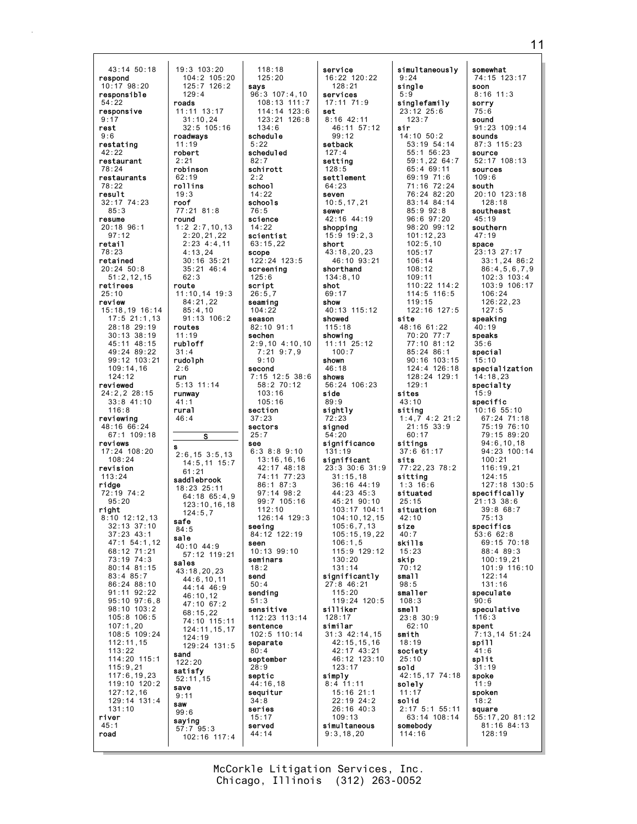43:14 50:18 respond 10:17 98:20 responsible 54:22 responsive  $9:17$ rest 9:6 restating 42:22 restaurant 78:24 restaurants 78:22 result 32:17 74:23 85:3 resume 20:18 96:1 97:12 retail 78:23 retained 20:24 50:8 51:2,12,15 retirees 25:10 review 15:18,19 16:14 17:5 21:1,13 28:18 29:19 30:13 38:19 45:11 48:15 49:24 89:22 99:12 103:21 109:14,16 124:12 reviewed 24:2,2 28:15 33:8 41:10 116:8 reviewing 48:16 66:24 67:1 109:18 reviews 17:24 108:20 108:24 revision 113:24 ridge 72:19 74:2 95:20 right 8:10 12:12,13 32:13 37:10 37:23 43:1 47:1 54:1,12 68:12 71:21 73:19 74:3 80:14 81:15 83:4 85:7 86:24 88:10 91:11 92:22 95:10 97:6,8 98:10 103:2 105:8 106:5 107:1,20 108:5 109:24 112:11,15  $113.22$ 114:20 115:1 115:9,21 117:6,19,23 119:10 120:2 127:12,16 129:14 131:4 131:10 river  $45:1$ road 19:3 103:20 104:2 105:20 125:7 126:2  $129:4$ roads 11:11 13:17  $31:10,24$ 32:5 105:16 roadways 11:19 robert  $2.21$ robinson 62:19 rollins 19:3 roof 77:21 81:8 round 1:2 2:7,10,13 2:20,21,22 2:23 4:4,11 4:13,24 30:16 35:21 35:21 46:4 62:3 route 11:10,14 19:3 84:21,22 85:4,10 91:13 106:2 routes 11:19 rubloff 31:4 rudolph 2:6 run 5:13 11:14 runway 41:1 rural 46:4 s 2:6,15 3:5,13 14:5,11 15:7 61:21 saddlebrook 18:23 25:11 64:18 65:4,9 123:10,16,18  $124:5.7$ safe 84:5 sale 40:10 44:9 57:12 119:21 sales 43:18,20,23 44:6,10,11 44:14 46:9 46:10,12 47:10 67:2 68:15,22 74:10 115:11 124:11,15,17 124:19 129:24 131:5 sand  $122.20$ satisfy 52:11,15 save 9:11 saw 99:6 saying 57:7 95:3 102:16 117:4

S

118:18 125:20 says 96:3 107:4,10 108:13 111:7 114:14 123:6 123:21 126:8 134:6 schedule  $5.22$ scheduled 82:7 schirott  $2.2$ school 14:22 schools 76:5 science 14:22 scientist 63:15,22 scope 122:24 123:5 screening 125:6 script  $26:5.7$ seaming 104:22 season 82:10 91:1 sechen 2:9,10 4:10,10 7:21 9:7,9 9:10 second 7:15 12:5 38:6 58:2 70:12 103:16 105:16 section  $37.23$ sectors 25:7 see 6:3 8:8 9:10 13:16,16,16 42:17 48:18 74:11 77:23 86:1 87:3 97:14 98:2 99:7 105:16  $112:10$ 126:14 129:3 seeing 84:12 122:19 seen 10:13 99:10 seminars 18:2 send  $50 \cdot 4$ sending 51:3 sensitive 112:23 113:14 sentence 102:5 110:14 separate  $80 \cdot 4$ september 28:9 septic 44:16,18 sequitur 34:8 series 15:17 served 44:14

service 16:22 120:22 128:21 services 17:11 71:9 set  $8:16$  42:11 46:11 57:12  $99.12$ setback 127:4 setting 128:5 settlement 64:23 seven 10:5,17,21 sewer 42:16 44:19 shopping 15:9 19:2,3 short 43:18,20,23 46:10 93:21 shorthand 134:8,10 shot 69:17 show 40:13 115:12 showed 115:18 showing 11:11 25:12 100:7 shown 46:18 shows 56:24 106:23 side 89:9 sightly 72:23 signed 54:20 significance 131:19 significant 23:3 30:6 31:9 31:15,18 36:16 44:19 44:23 45:3 45:21 90:10 103:17 104:1 104:10,12,15 105:6,7,13 105:15,19,22 106:1,5 115:9 129:12 130:20 131:14 significantly 27:8 46:21 115:20 119:24 120:5 silliker 128:17 similar 31:3 42:14,15 42:15,15,16 42:17 43:21 46:12 123:10 123:17 simply 8:4 11:11 15:16 21:1 22:19 24:2 26:16 40:3 109:13 simultaneous 9:3,18,20

simultaneously 9:24 single 5:9 singlefamily 23:12 25:6  $123:7$ sir 14:10 50:2 53:19 54:14 55:1 56:23 59:1,22 64:7 65:4 69:11 69:19 71:6 71:16 72:24 76:24 82:20 83:14 84:14  $85.992.8$ 96:6 97:20 98:20 99:12 101:12,23 102:5,10 105:17 106:14 108:12 109:11 110:22 114:2 114:5 116:5 119:15 122:16 127:5 site 48:16 61:22 70:20 77:7 77:10 81:12 85:24 86:1 90:16 103:15 124:4 126:18 128:24 129:1 129:1 sites 43:10 siting 1:4,7 4:2 21:2  $21:15$  33:9 60:17 sitings 37:6 61:17 sits 77:22,23 78:2 sitting 1:3 16:6 situated 25:15 situation 42:10 size  $40.7$ skills 15:23 skip 70:12 small  $98.5$ smaller 108:3 smell 23:8 30:9  $62 \cdot 10$ smith 18:19 society 25:10 sold 42:15,17 74:18 solely 11:17 solid 2:17 5:1 55:11 63:14 108:14 somebody 114:16

somewhat 74:15 123:17 soon 8:16 11:3 sorry 75:6 sound 91:23 109:14 sounds 87:3 115:23 source 52:17 108:13 sources  $109.6$ south 20:10 123:18 128:18 southeast 45:19 southern 47:19 space 23:13 27:17 33:1,24 86:2 86:4,5,6,7,9 102:3 103:4 103:9 106:17 106:24  $126 \cdot 22, 23$ 127:5 speaking 40:19 speaks 35:6 special 15:10 specialization 14:18,23 specialty  $15.9$ specific 10:16 55:10 67:24 71:18 75:19 76:10 79:15 89:20 94:6,10,18 94:23 100:14 100:21  $116:19.21$ 124:15 127:18 130:5 specifically 21:13 38:6 39:8 68:7 75:13 specifics 53:6 62:8 69:15 70:18 88:4 89:3  $100.19.21$ 101:9 116:10 122:14 131:16 speculate 90:6 speculative 116:3 spent 7:13,14 51:24 spill 41:6 split 31:19 spoke 11:9 spoken 18:2 square 55:17,20 81:12 81:16 84:13 128:19

Chicago, Illinois (312) 263-0052 McCorkle Litigation Services, Inc.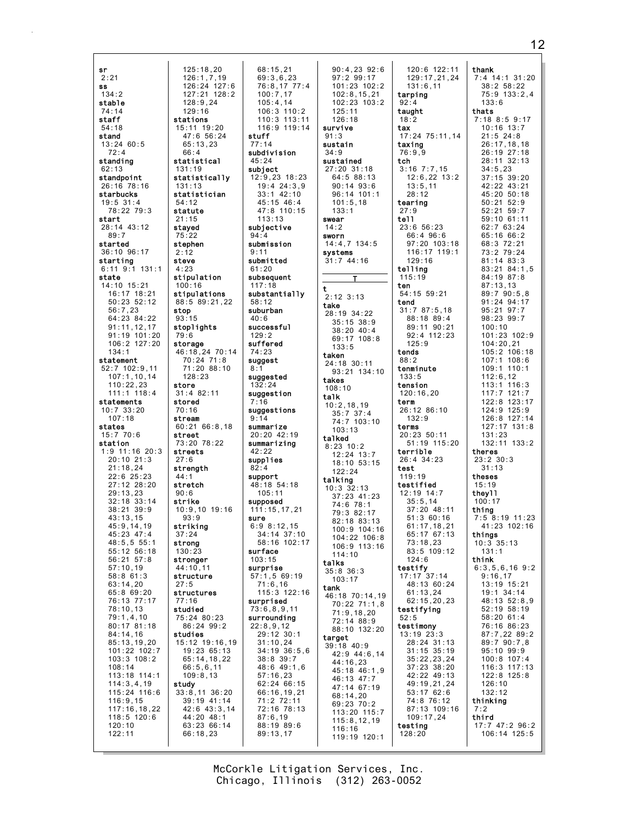| sr                            | 125:18,20                  | 68:15,21         | 90:4,23       |
|-------------------------------|----------------------------|------------------|---------------|
| 2:21                          | 126:1,7,19                 | 69:3,6,23        | 97:299:       |
| SS                            | 126:24 127:6               | 76:8,17 77:4     | 101:23:1      |
| 134:2                         | 127:21 128:2               | 100:7,17         | 102:8,15      |
| stable                        | 128:9,24                   | 105:4,14         | $102:23$ 1    |
| 74:14                         | 129:16                     | $106:3$ $110:2$  | 125:11        |
| staff                         | stations                   | 110:3 113:11     | 126:18        |
|                               |                            | 116:9 119:14     | survive       |
| 54:18                         | 15:11 19:20                |                  |               |
| stand                         | 47:6 56:24                 | stuff            | 91:3          |
| $13:24$ 60:5                  | 65:13,23                   | 77:14            | sustain       |
| 72:4                          | 66:4                       | subdivision      | 34:9          |
| standing                      | statistical                | 45:24            | sustained     |
| 62:13                         | 131:19                     | subject          | 27:20 31:1    |
| standpoint                    | statistically              | 12:9,23 18:23    | 64:588:       |
| $26:16$ $78:16$               | 131:13                     | $19:4$ $24:3.9$  | $90:14$ 93    |
|                               |                            | $33:1$ 42:10     |               |
| starbucks                     | statistician               |                  | 96:14 10      |
| $19:5$ 31:4                   | 54:12                      | 45:15 46:4       | 101:5,18      |
| 78:22 79:3                    | statute                    | 47:8 110:15      | 133:1         |
| start                         | 21:15                      | 113:13           | swear         |
| 28:14 43:12                   | stayed                     | subjective       | 14:2          |
| 89:7                          | 75:22                      | 94:4             | sworn         |
| started                       | stephen                    | submission       | $14:4,7$ 134  |
|                               | 2:12                       | 9:11             |               |
| 36:10 96:17                   |                            |                  | systems       |
| starting                      | steve                      | submitted        | 31:744:16     |
| $6:11$ 9:1 131:1              | 4:23                       | 61:20            |               |
| state                         | stipulation                | subsequent       | T.            |
| 14:10 15:21                   | 100:16                     | 117:18           | t             |
| 16:17 18:21                   | stipulations               | substantially    | $2:12$ $3:13$ |
| $50:23$ $52:12$               | 88:5 89:21,22              | 58:12            |               |
| 56:7,23                       | stop                       | suburban         | take          |
|                               | 93:15                      |                  | 28:19 34:2    |
| 64:23 84:22                   |                            | 40:6             | $35:15$ 38    |
| 91:11,12,17                   | stoplights                 | successful       | 38:20 40      |
| 91:19 101:20                  | 79:6                       | 129:2            | 69:17 10      |
| 106:2 127:20                  | storage                    | suffered         | 133:5         |
| 134:1                         | 46:18.24 70:14             | 74:23            | taken         |
| statement                     | 70:24 71:8                 | suggest          | 24:18 30:1    |
| $52:7$ 102:9,11               | 71:20 88:10                | 8:1              |               |
| 107:1, 10, 14                 | 128:23                     | suggested        | 93:21 13      |
| 110:22,23                     | store                      | 132:24           | takes         |
| $111:1$ $118:4$               |                            |                  | 108:10        |
|                               |                            |                  |               |
|                               | 31:4 82:11                 | suggestion       | talk          |
| statements                    | stored                     | 7:16             | 10:2,18,19    |
| $10:7$ 33:20                  | 70:16                      | suggestions      | 35:7 37:      |
| 107:18                        | stream                     | 9:14             | 74:7 103      |
| states                        | 60:2166:8,18               | summarize        | 103:13        |
| 15:770:6                      | street                     | 20:20 42:19      | talked        |
| station                       | 73:20 78:22                | summarizing      | $8:23$ 10:2   |
| $1:9$ 11:16 20:3              | streets                    | 42:22            |               |
| $20:10$ $21:3$                | 27:6                       | supplies         | 12:24 13      |
| 21:18,24                      | strength                   | 82:4             | 18:10 53      |
| $22:6$ $25:23$                | 44:1                       | support          | 122:24        |
|                               |                            |                  | talking       |
| 27:12 28:20                   | stretch                    | 48:18 54:18      | $10:3$ 32:13  |
| 29:13,23                      | 90:6                       | 105:11           | 37:23 41      |
| $32:18$ $33:14$               | strike                     | supposed         | 74:6 78:      |
| $38:21$ $39:9$                | 10:9,10 19:16              | 111:15,17,21     | 79:3 82:      |
| 43:13,15                      | 93:9                       | sure             | 82:18 83      |
| 45:9,14,19                    | striking                   | 6:98:12,15       | $100:9$ 10    |
| 45:23 47:4                    | 37:24                      | 34:14 37:10      | $104:22$ 1    |
| 48:5, 55:1                    | strong                     | 58:16 102:17     | 106:9 11      |
| 55:12 56:18                   | 130:23                     | surface          |               |
| $56:21$ $57:8$                | stronger                   | 103:15           | 114:10        |
| 57:10.19                      | 44:10,11                   | surprise         | talks         |
| 58:861:3                      | structure                  |                  | $35:8$ $36:3$ |
|                               |                            | 57:1,5 69:19     | 103:17        |
| 63:14,20                      | 27:5                       | 71:6,16          | tank          |
| 65:869:20                     | structures                 | 115:3 122:16     | 46:18 70:1    |
| 76:13 77:17                   | 77:16                      | surprised        | 70:22 71      |
| 78:10,13                      | studied                    | 73:6,8,9,11      | 71:9.18.      |
| 79:1,4,10                     | 75:24 80:23                | surrounding      | 72:14 88      |
| 80:17 81:18                   | 86:24 99:2                 | 22:8,9,12        | 88:10 13      |
| 84:14,16                      | studies                    | 29:12 30:1       | target        |
| 85:13,19,20                   | 15:12 19:16,19             | 31:10,24         | 39:18 40:9    |
| 101:22 102:7                  | 19:23 65:13                | $34:19$ $36:5,6$ | $42:9$ 44:    |
| $103:3$ $108:2$               | 65:14,18,22                | $38:8$ 39:7      | 44:16,23      |
| 108:14                        | 66:5, 6, 11                | 48:6 49:1,6      |               |
| 113:18 114:1                  | 109:8,13                   | 57:16,23         | 45:18 46      |
| 114:3,4,19                    | study                      | 62:24 66:15      | 46:13 47      |
| 115:24 116:6                  | $33:8,11$ $36:20$          | 66:16,19,21      | 47:14 67      |
| 116:9,15                      | 39:19 41:14                | 71:2 72:11       | 68:14,20      |
|                               |                            |                  | 69:23 70      |
| 117:16,18,22<br>$118:5$ 120:6 | 42:6 43:3,14<br>44:20 48:1 | 72:16 78:13      | 113:20 1      |
|                               |                            | 87:6,19          | 115:8,12      |
| 120:10                        | 63:23 66:14                | 88:19 89:6       | 116:16        |
| 122:11                        | 66:18,23                   | 89:13,17         | 119:19 1      |

 $120:6$  122:11  $92:6$  $129:17,21,24$  $17$  $02:2$  $131:6,11$  $.21$ tarping  $03:2$  $92:4$ taught  $18.2$ tax 17:24 75:11,14 taxing  $76:9,9$ tch  $3:16$   $7:7.15$ 18  $13$  $12:6,22$   $13:2$  $:6$  $13:5,11$  $1:1$  $28:12$ tearing  $27.9$ tell 23:6 56:23 66:4 96:6  $4:5$ 97:20 103:18 116:17 119:1  $129:16$  $\ddot{\phantom{0}}$ telling  $115:19$ ten 54:15 59:21 tend  $31:787:5,18$  $22$ 88:18 89:4  $\overline{1:9}$ 89:11 90:21  $: 4$ 92:4 112:23  $8:8$  $125:9$ tends  $88:2$  $\vert$  1 tenminute  $4:10$  $133:5$ tension  $120:16,20$ term ć 26:12 86:10 4  $132:9$  $:10$ terms 20:23 50:11 51:19 115:20 terrible  $\cdot$  7 26:4 34:23  $: 15$ test  $119:19$ testified R, 12:19 14:7  $: 23$  $35:5,14$  $\mathbf{1}$  $37:20$  48:11  $17$  $51:360:16$  $: 13$ 61:17,18,21<br>65:17 67:13  $4:16$  $06:8$  $73:18.23$  $3:16$ 83:5 109:12  $124.6$ testify  $17:17$  37:14<br>48:13 60:24  $61:13,24$ 4,19  $62:15,20,23$  $: 1, 8$ testifying  $20<sup>7</sup>$  $52:5$  $: 9$ testimony  $2:20$  $13:19$   $23:3$ 28:24 31:13  $31:15$   $35:19$ 6,14  $35:22,23,24$ 37:23 38:20  $: 1, 9$ 42:22 49:13  $\cdot$  7 49:19,21,24  $:19$ 53:17 62:6 74:8 76:12  $: 2$ 87:13 109:16  $15:7$  $109:17,24$  $, 19$ testing  $128:20$  $20:1$ 

thank  $7:4$  14:1 31:20  $38:2 58:22$ 75:9 133:2,4  $133:6$ thats<br>7:18 8:5 9:17  $10:16$  13:7  $21:5$  24:8<br>26:17,18,18 26:19 27:18 28:11 32:13  $34:5.23$ 37:15 39:20 42:22 43:21 45:20 50:18  $50:21$   $52:9$  $52:21$   $59:7$ 59:10 61:11 62:7 63:24 65:16 66:2 68:3 72:21 73:2 79:24 81:14 83:3 83:21 84:1,5 84:19 87:8  $87:13,13$  $89:790:5,8$ 91:24 94:17 95:21 97:7 98:23 99:7  $100:10$ 101:23 102:9  $104:20,21$ 105:2 106:18  $107:1$  108:6 109:1 110:1  $112:6,12$  $112.8, 12.3$ <br>113:1 116:3<br>117:7 121:7 122:8 123:17 124:9 125:9  $126:8$  127:14  $127:17$  131:8  $131:23$ 132:11 133:2 theres  $23:2$   $30:3$  $31 \cdot 13$ theses  $15:19$ theyll  $100:17$ thing  $7:5$   $8:19$  11:23 41:23 102:16 things<br> $10:3 35:13$  $131:1$ think  $6:3,5,6,16$  9:2  $9:16,17$ 13:19 15:21 19:1 34:14 48:13 52:8,9 52:19 58:19 58:20 61:4 76:16 86:23 87:7,22 89:2 89:7 90:7,8  $95:10$   $99:9$  $100:8$  107:4 116:3 117:13 122:8 125:8  $126:10$  $132:12$ thinking  $7:2$ third 17:7 47:2 96:2 106:14 125:5

McCorkle Litigation Services, Inc. Chicago, Illinois (312) 263-0052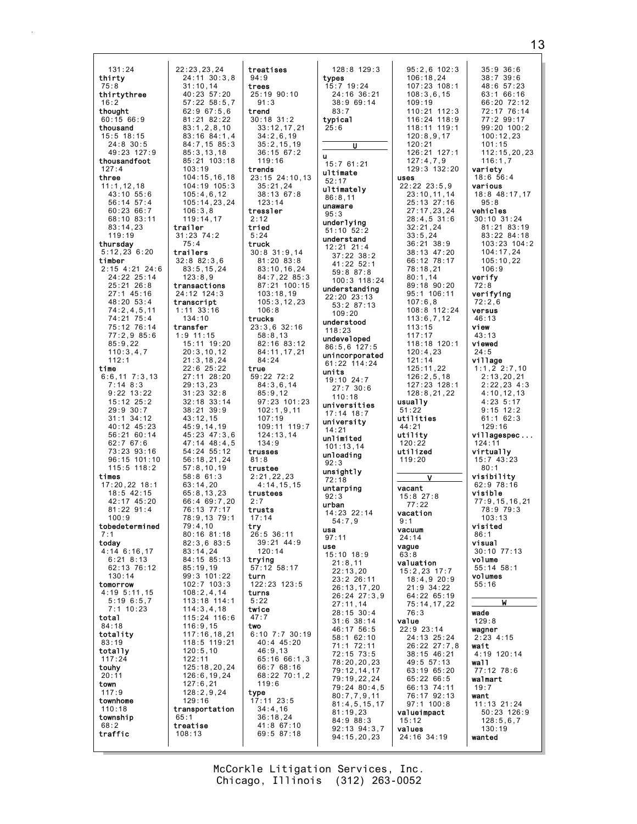$131:24$  $22:23,23,24$ thirty  $24:11 \t30:3.8$  $31:10.14$  $75:8$ thirtythree  $40:23$  57:20  $57:22$   $58:5.7$  $16:2$ thought  $62:967:56$  $60:1566:9$  $81.21$   $82.22$  $83:1.2.8.10$ thousand 15:5 18:15 83:16 84:1.4  $24:8$  30:5 84:7,15 85:3  $49:23$  127:9  $85:3.13.18$ thousandfoot 85:21 103:18  $127:4$  $103.19$ three  $104:15, 16, 18$  $11:1, 12, 18$ 104:19 105:3 43:10 55:6  $105:4.6.12$ 56:14 57:4  $105:14,23,24$  $60.23.66.7$  $106.38$ 68:10 83:11 119:14.17  $$  $83:14,23$  $119.19$ thursday  $75:4$  $5:12,23$  6:20 trailers  $32:882:3.6$ timber  $2:15$  4:21 24:6  $83:5, 15, 24$ 24:22 25:14  $123:8.9$  $25:21$   $26:8$ transactions  $27:1$  45:16 24:12 124:3 48:20 53:4 transcript  $74:2,4,5,11$  $1:11$  33:16 74:21 75:4  $134:10$ 75:12 76:14 transfer  $77:2.985:6$  $1:9$  11:15  $85:9,22$ 15:11 19:20  $110:3,4,7$  $20:3,10,12$  $112:1$  $21:3,18,24$ time  $22:6$   $25:22$  $6:6,11$   $7:3,13$ 27:11 28:20  $7:14$  8:3  $29:13,23$  $9:22$  13:22  $31:23.32:8$  $15:12$   $25:2$ 32:18 33:14  $29:9.30:7$  $38:21$  39:9  $\frac{2010}{31:1}$  34:12  $43:12.15$ 40:12 45:23  $45:9.14.19$  $56:2160:14$  $45:23$   $47:3.6$  $62:7$  67:6  $47:14$   $48:4.5$  $73:23.93:16$  $54:24$   $55:12$ 96:15 101:10 56:18,21,24  $115.5$   $118.2$  $57:8.10.19$ times  $58:861:3$  $17:20.22$  18:1  $63:14,20$  $65:8, 13, 23$  $18:5$  42:15 42:17 45:20<br>81:22 91:4  $66:469:7.20$ 76:13 77:17  $100:9$ 78:9.13 79:1 tobedetermined  $79:4.10$  $80:16$   $81:18$ today  $82:3.683:5$  $4:14$  6:16,17  $83:14,24$  $6.21$   $8.13$  $84.15$   $85.13$ 62:13 76:12  $85:19,19$  $130:14$ 99:3 101:22  $102:7$   $103:3$ tomorrow 4:19 5:11,15  $108:2, 4, 14$  $5:196:5,7$ 113:18 114:1  $7:1$  10:23  $114:3,4,18$ total 115:24 116:6  $116:9.15$  $84:18$ totality  $117:16,18,21$  $83:19$ 118:5 119:21 totally  $120:5,10$  $122:11$  $117:24$ 125:18,20,24 touhy  $20:11$  $126:6, 19, 24$ town  $127:6, 21$  $117:9$  $128:2,9,24$  $129:16$ townhome  $110:18$ transportation township  $65:1$ treatise  $68:2$ traffic  $108:13$ 

treatises  $94:9$ trees 25:19 90:10  $91:3$ trend  $30:18$  31:2  $33:12.17.21$  $34:2,6,19$  $35:2, 15, 19$  $36:15.67:2$ 119:16 trends 23:15 24:10,13  $35:21,24$  $38:13.67:8$  $123:14$ tressler  $2:12$ tried  $5:24$ truck  $30:8$  31:9,14 81:20 83:8  $83:10, 16, 24$ 84:7,22 85:3 87:21 100:15  $103:18,19$  $105:3, 12, 23$  $106:8$ trucks  $23:3.6$  32:16  $58:8,13$ 82:16 83:12 84:11,17,21 84:24 true  $59:22$  72:2  $84:3,6,14$  $85:9.12$  $97:23$  101:23  $102:1.9.11$  $107:19$ 109:11 119:7  $124:13.14$  $134:9$ trusses  $81:8$ trustee  $2:21.22.23$  $4:14,15,15$ trustees  $2:7$ trusts  $17:14$ try  $26:5$  36:11  $39:21$  44:9  $120:14$ trying  $57:12$  58:17 turn  $122:23$   $123:5$ turns  $5:22$ twice  $47:7$ two  $6:10$  7:7 30:19 40:4 45:20  $46:9.13$ 65:16 66:1,3 66:7 68:16 68:22 70:1.2  $119:6$ type  $17:11$  23:5  $34:4,16$  $36:18.24$ 41:8 67:10 69:5 87:18

| 128:8 129:3<br>types<br>15:7 19:24<br>24:16 36:21<br>38:9 69:14<br>83:7<br>typical<br>25:6 |   |
|--------------------------------------------------------------------------------------------|---|
| U<br>u                                                                                     |   |
| 15:7 61:21<br>ultimate                                                                     |   |
| 52:17<br>ultimately                                                                        |   |
| 86:8,11<br>unaware                                                                         |   |
| 95:3<br>underlying                                                                         |   |
| 51:10 52:2<br>understand                                                                   |   |
| 12:21 21:4<br>37:22 38:2<br>41:22 52:1                                                     |   |
| 59:8 87:8<br>100:3 118:24                                                                  |   |
| understanding                                                                              |   |
| 22:20 23:13<br>53:2 87:13<br>109:20                                                        |   |
| understood<br>118:23                                                                       |   |
| undeveloped<br>86:5,6 127:5                                                                |   |
| unincorporated<br>61:22 114:24                                                             |   |
| units<br>19:10 24:7<br>27:7 30:6                                                           |   |
| 110:18                                                                                     | l |
| universities<br>17:14 18:7                                                                 | ι |
| university<br>14:21                                                                        | ι |
| unlimited<br>101:13,14<br>unloading                                                        | ι |
| 92:3<br>unsightly                                                                          |   |
| 72:18<br>untarping                                                                         |   |
| 92:3<br>urban                                                                              |   |
| 14:23 22:14<br>54:7,9                                                                      |   |
| usa<br>97:11                                                                               |   |
| use<br>15:10 18:9                                                                          |   |
| 21:8,11<br>22:13,20                                                                        |   |
| 23:2 26:11<br>26:13,17<br>20<br>,                                                          |   |
| $26:24^{27}:3,9$<br>27:11,14                                                               |   |
| 28:15<br>30:4<br>$31:6$ $38:14$<br>17 56:5<br>46:                                          |   |
| 1 62:10<br>1 72:11<br>58 :<br>71:                                                          |   |
| 15 73:5<br>72:<br>78:                                                                      |   |
| 20, 20, 23<br>12, 14, 17<br>19, 22, 24<br>79:<br>79:                                       |   |
| 79:24 80:4,5                                                                               |   |
| 80:7,7,9,11<br>81:4,5,15,17<br>81:19,23                                                    |   |
| 84:9 88:3<br>92:13 94:3,<br>7                                                              |   |
| 94:15,20,23                                                                                |   |

 $95:2,6$  102:3  $35:9$  36:6  $106:18.24$  $38:7$  39:6  $107:23:108:1$  $48:657:23$  $108:3.6.15$  $63:166:16$ 66:20 72:12  $109:19$ 72:17 76:14  $110:21$   $112:3$  $116:24$   $118:9$  $77:2$  99:17  $118:11$   $119:1$  $99:20.100:2$  $120:8,9,17$  $100:12.23$  $120.21$  $101.15$ 126:21 127:1  $112:15.20.23$  $127:4.7.9$  $116:1,7$  $129.3$   $132.20$ variety uses  $18:6.56:4$  $22:22$   $23:5.9$ various  $23:10, 11, 14$ 18:8 48:17.17 25:13 27:16  $95:8$  $27:17.23.24$ vehicles  $28:4,5$  31:6 30:10 31:24  $32:21,24$ 81:21 83:19  $33:5.24$  $83.22$   $84.18$ 36:21 38:9 103:23 104:2 38:13 47:20  $104:17,24$ 66:12 78:17  $105:10.22$  $78:18,21$  $106:9$ verify  $80:1,14$ 89:18 90:20  $72:8$ 95:1 106:11 verifying  $107:6.8$  $72:2.6$ 108:8 112:24 versus  $113:6,7,12$  $46:13$  $113:15$ view  $117:17$  $43:13$ 118:18 120:1 viewed  $120:4.23$  $24:5$  $121:14$ village  $1:1,2$  2:7,10 125:11,22  $2:13,20,21$  $126:2, 5, 18$ 127:23 128:1  $2:22,23$  4:3  $128:8,21,22$  $4:10.12.13$  $4:23$  5:17 usua11v  $9:15$  12:2  $51:22$ utilities  $61:1$  62:3  $129:16$  $44:21$ utility villagespec...  $120:22$  $124:11$ utilized virtuallv  $15:7$  43:23  $119:20$  $80:1$ visibility  $\mathbf{v}$  $62:9$  78:16 vacant visible 15:8 27:8<br>77:22  $77:9, 15, 16, 21$ <br> $78:979:3$ vacation  $103:13$  $9:1$ visited vacuum  $86:1$  $24:14$ visual vague  $30:10$   $77:13$  $63:8$ volume valuation  $55:14$  58:1  $15:2,23$  17:7 volumes  $18:4,920:9$  $55:16$  $21:9$  34:22 64:22 65:19  $75:14, 17, 22$  $76:3$ wade value  $129:8$ 22:9 23:14 wagner 24:13 25:24  $2:23 \; 4:15$  $26:22$   $27:7,8$ wait 38:15 46:21 4:19 120:14 49:5 57:13 wall 63:19 65:20 77:12 78:6 65:22 66:5 walmart 66:13 74:11  $19:7$ 76:17 92:13 want  $11:13$   $21:24$  $97:1$  100:8 valueimpact  $50:23$  126:9  $128:5.6.7$  $15:12$  $130:19$ values  $24:16.34:19$ wanted

 $13$ 

McCorkle Litigation Services, Inc. Chicago, Illinois (312) 263-0052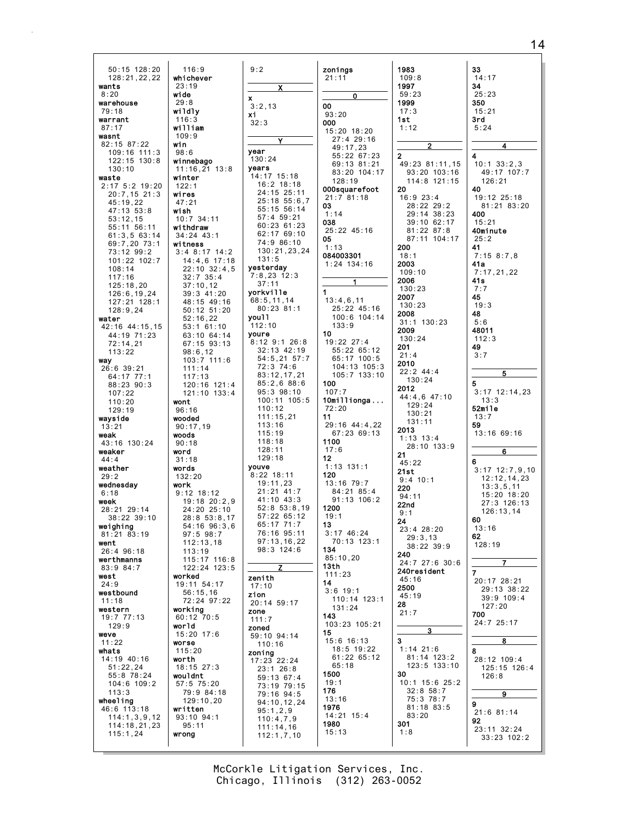14

| 50:15 128:20<br>128:21,22,22<br>wants<br>8:20<br>warehouse<br>79:18<br>warrant<br>87:17<br>wasnt<br>82:15 87:22<br>109:16 111:3<br>122:15 130:8 | 116:9<br>whichever<br>23:19<br>wide<br>29:8<br>wildly<br>116:3<br>william<br>109:9<br>win<br>98:6<br>winnebago |
|-------------------------------------------------------------------------------------------------------------------------------------------------|----------------------------------------------------------------------------------------------------------------|
| 130:10                                                                                                                                          | $11:16, 21$ $13:8$                                                                                             |
| waste                                                                                                                                           | winter                                                                                                         |
| 2:17 5:2 19:20                                                                                                                                  | 122:1                                                                                                          |
| 20:7,15 21:3                                                                                                                                    | wires                                                                                                          |
| 45:19,22                                                                                                                                        | 47:21                                                                                                          |
| 47:13 53:8                                                                                                                                      | wish                                                                                                           |
| 53:12,15<br>55:11 56:11                                                                                                                         | $10:7$ 34:11                                                                                                   |
| 61:3,563:14                                                                                                                                     | withdraw<br>34:24 43:1                                                                                         |
| 69:7,20 73:1                                                                                                                                    | witness                                                                                                        |
| 73:12 99:2                                                                                                                                      | 3:48:1714:2                                                                                                    |
| 101:22 102:7                                                                                                                                    | 14:4,6 17:18                                                                                                   |
| 108:14                                                                                                                                          | 22:10 32:4,5                                                                                                   |
| 117:16                                                                                                                                          | $32:7$ $35:4$<br>37:10, 12                                                                                     |
| 125:18,20<br>126:6,19,24                                                                                                                        | 39:3 41:20                                                                                                     |
| 127:21 128:1                                                                                                                                    | 48:15 49:16                                                                                                    |
| 128:9,24                                                                                                                                        | 50:12 51:20                                                                                                    |
| water                                                                                                                                           | 52:16,22                                                                                                       |
| 42:16 44:15,15                                                                                                                                  | 53:161:10                                                                                                      |
| 44:19 71:23<br>72:14,21                                                                                                                         | 63:10 64:14<br>67:15 93:13                                                                                     |
| 113:22                                                                                                                                          | 98:6,12                                                                                                        |
| way                                                                                                                                             | 103:7 111:6                                                                                                    |
| 26:6 39:21                                                                                                                                      | 111:14                                                                                                         |
| 64:17 77:1                                                                                                                                      | 117:13                                                                                                         |
| 88:23 90:3<br>107:22                                                                                                                            | 120:16 121:4<br>121:10 133:4                                                                                   |
| 110:20                                                                                                                                          | wont                                                                                                           |
| 129:19                                                                                                                                          | 96:16                                                                                                          |
| wayside                                                                                                                                         | wooded                                                                                                         |
| 13:21                                                                                                                                           | 90:17,19                                                                                                       |
| weak<br>43:16 130:24                                                                                                                            | woods<br>90:18                                                                                                 |
| weaker                                                                                                                                          | word                                                                                                           |
| 44:4                                                                                                                                            | 31:18                                                                                                          |
| weather                                                                                                                                         | words                                                                                                          |
| 29:2<br>wednesday                                                                                                                               | 132:20<br>work                                                                                                 |
| 6:18                                                                                                                                            | $9:12$ 18:12                                                                                                   |
| week                                                                                                                                            | 19:18 20:2,9                                                                                                   |
| 28:21 29:14                                                                                                                                     | 24:20 25:10                                                                                                    |
| 38:22 39:10                                                                                                                                     | 28:8 53:8,17                                                                                                   |
| weighing<br>81:21 83:19                                                                                                                         | 54:16 96:3,6<br>97:5 98:7                                                                                      |
| went                                                                                                                                            | 112:13,18                                                                                                      |
| 26:4 96:18                                                                                                                                      | 113:19                                                                                                         |
| werthmanns                                                                                                                                      | 115:17 116:8                                                                                                   |
| 83:984:7<br>west                                                                                                                                | 122:24 123:5<br>worked                                                                                         |
| 24:9                                                                                                                                            | 19:11 54:17                                                                                                    |
| westbound                                                                                                                                       | 56:15,16                                                                                                       |
| 11:18                                                                                                                                           | 72:24 97:22                                                                                                    |
| western                                                                                                                                         | working                                                                                                        |
| 19:7 77:13<br>129:9                                                                                                                             | 60:12 70:5<br>world                                                                                            |
| weve                                                                                                                                            | 15:20 17:6                                                                                                     |
| 11:22                                                                                                                                           | worse                                                                                                          |
| whats                                                                                                                                           | 115:20                                                                                                         |
| 14:19 40:16                                                                                                                                     | worth                                                                                                          |
| 51:22,24                                                                                                                                        | 18:15 27:3<br>wouldnt                                                                                          |
| 55:8 78:24<br>104:6 109:2                                                                                                                       | 57:5 75:20                                                                                                     |
| 113:3                                                                                                                                           | 79:9 84:18                                                                                                     |
| wheeling                                                                                                                                        | 129:10,20                                                                                                      |
| 46:6 113:18                                                                                                                                     | written                                                                                                        |
| 114:1,3,9,12<br>114:18,21,23                                                                                                                    | $93:10$ $94:1$<br>95:11                                                                                        |
| 115:1,24                                                                                                                                        | wrong                                                                                                          |
|                                                                                                                                                 |                                                                                                                |

| 9:2<br>Χ                                                                                                                 | zonings<br>21:11                                                    |
|--------------------------------------------------------------------------------------------------------------------------|---------------------------------------------------------------------|
| X<br>3:2,13<br>xi<br>32:3                                                                                                | -0<br>00<br>93:20<br>000<br>$15:20$ 1<br>27:4                       |
| vear<br>130:24<br>years<br>14:17 15:18<br>16:2 18:18<br>24:15 25:11                                                      | 49:17<br>55:22<br>69:13<br>83:20<br>128:1<br>000squai<br>21:7 81    |
| 25:18 55:6,7<br>55:15 56:14<br>57:4 59:21<br>60:23 61:23<br>62:17 69:10<br>74:9 86:10<br>130:21,23,24                    | 03<br>1:14<br>038<br>25:22 4<br>05<br>1:13                          |
| 131:5<br>yesterday<br>7:8,23 12:3<br>37:11                                                                               | 0840033<br>1:24<br>13<br>f                                          |
| yorkville<br>68:5, 11, 14<br>80:23 81:1<br>you11<br>112:10<br>youre                                                      | 1<br>13:4,6,<br>25:22<br>100:6<br>133:9<br>10                       |
| 8:12 9:1 26:8<br>32:13 42:19<br>54:5,21 57:7<br>72:3 74:6<br>83:12,17,21<br>85:2,6 88:6<br>95:3 98:10                    | 19:22 2<br>55:22<br>65:17<br>104:1<br>105:7<br>100<br>107:7         |
| 100:11<br>105:5<br>110:12<br>111:15,21<br>113:16<br>115:19<br>118:18                                                     | 10milli<br>72:20<br>11<br>29:16 4<br>67:23<br>1100                  |
| 128:11<br>129:18<br>youve<br>8:22<br>18:11<br>19:11,23<br>21:21<br>41:7<br>41:10 43:3<br>52:8 53:8,19                    | 17:6<br>12<br>1:13 13<br>120<br>$13:16$ 7<br>84:21<br>91:13<br>1200 |
| 57:22 65:12<br>71:7<br>65:17<br>76:16 95:11<br>97:13,16,22<br>98:3 124:6                                                 | 19:1<br>13<br>$3:17$ 46<br>70:13<br>134<br>85:10,2                  |
| z<br>zenith<br>17:10<br>zion<br>20:14 59:17<br>zone                                                                      | 13th<br>111:23<br>14<br>$3:6$ 19:<br>110:1<br>131:2                 |
| 111:7<br>zoned<br>59:10 94:14<br>110:16<br>zoning                                                                        | 143<br>103:23<br>15<br>15:6 16<br>18:5<br>61:22                     |
| 22:24<br>17:23<br>$23:1$ 26:8<br>59:13 67:4<br>79:15<br>73:19 79:1<br>79:16 94:5<br>94:10,12,24<br>95:1,2,9<br>110:4,7,9 | 65:18<br>1500<br>19:1<br>176<br>13:16<br>1976<br>14:21<br>1         |
| 111:14,16<br>112:1,7,10                                                                                                  | 1980<br>15:13                                                       |

| s                                                                           | 1983<br>109:8<br>1997                                                                        |
|-----------------------------------------------------------------------------|----------------------------------------------------------------------------------------------|
| $\mathbf{0}$                                                                | 59:23<br>1999                                                                                |
| 18:20<br>$29:16$<br>7, 23<br>267:23<br>3 81:21<br>0 104:17<br>19<br>arefoot | 17:3<br>1st.<br>1:12<br>$\overline{2}$<br>2<br>49:23 81:11<br>93:20 103:<br>114:8 121:<br>20 |
| 31:18<br>45:16                                                              | 16:923:4<br>28:22 29:2<br>29:14 38:2<br>39:10 62:1<br>81:22 87:8<br>87:11 104:<br>200        |
| 301<br>134:16                                                               | 18:1<br>2003<br>109:10                                                                       |
| $\overline{\mathbf{1}}$<br>$\mathbf{\hat{5}}$ , 11<br>245:16<br>6 104:14    | 2006<br>130:23<br>2007<br>130:23<br>2008<br>$31:1$ 130:23                                    |
| 9<br>27:4<br>2 65:12<br>7 100:5<br>13 105:3<br>$7 - 133:10$                 | 2009<br>130:24<br>201<br>21:4<br>2010<br>$22:2$ 44:4<br>130:24                               |
| ionga.                                                                      | 2012<br>44:4,6 47:1<br>129:24                                                                |
| 44:4,22<br>369:13                                                           | 130:21<br>131:11<br>2013<br>$1:13$ $13:4$<br>28:10 133:                                      |
| 131:1<br>79:7<br>$\mathbf{1}$<br>85:4<br>$3 \t106:2$                        | 21<br>45:22<br>21st<br>$9:4$ 10:1<br>220<br>94:11<br>22nd<br>9:1                             |
| 16:24<br>3 123:1                                                            | 24<br>28:<br>23:4<br>20<br>29:3,13<br>38:22 39:9<br>240                                      |
| , 20<br>3                                                                   | 24:7 27:6 3<br>240resident<br>45:16                                                          |
| 9:1<br>14 123:1<br>24                                                       | 2500<br>45:19<br>28<br>21:7                                                                  |
| 3 105:21                                                                    | з                                                                                            |
| 16:13<br>19:22<br>2 65:12<br>8                                              | 3<br>$1:14$ 21:6<br>81:14 123:<br>123:5 133:                                                 |
| 15:4                                                                        | 30<br>10:1 15:6 2<br>32:8 58:7<br>75:3 78:7<br>81:18 83:5<br>83:20<br>301<br>1:8             |



McCorkle Litigation Services, Inc. Chicago, Illinois (312) 263-0052